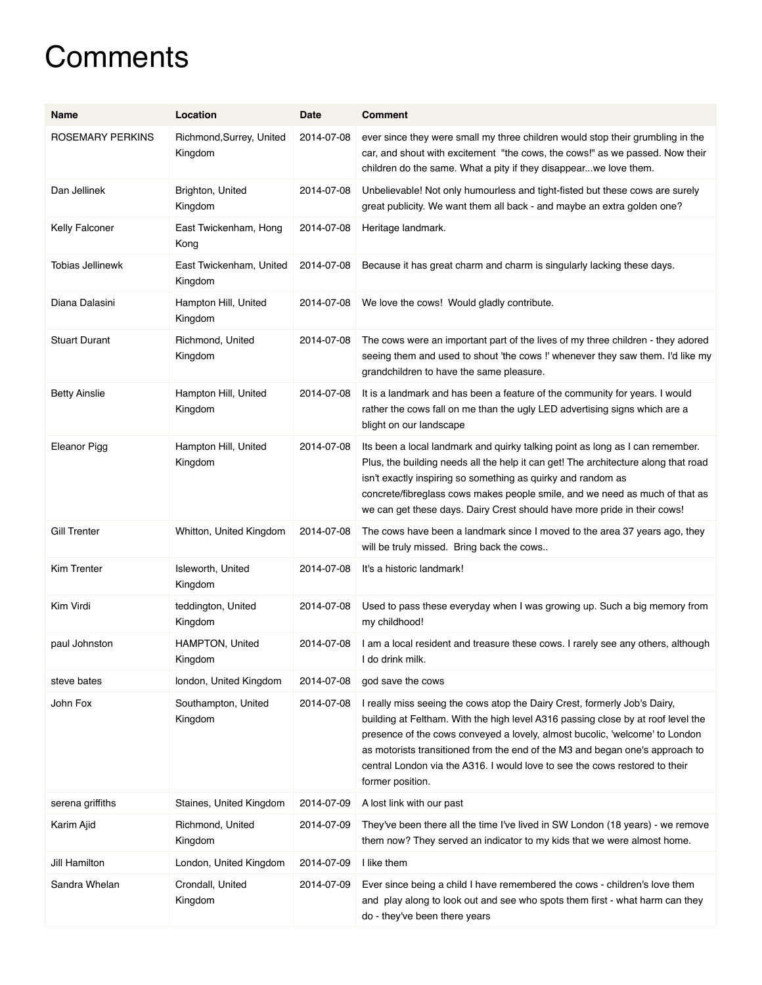## **Comments**

| Name                 | Location                            | Date       | <b>Comment</b>                                                                                                                                                                                                                                                                                                                                                                                                                  |
|----------------------|-------------------------------------|------------|---------------------------------------------------------------------------------------------------------------------------------------------------------------------------------------------------------------------------------------------------------------------------------------------------------------------------------------------------------------------------------------------------------------------------------|
| ROSEMARY PERKINS     | Richmond, Surrey, United<br>Kingdom | 2014-07-08 | ever since they were small my three children would stop their grumbling in the<br>car, and shout with excitement "the cows, the cows!" as we passed. Now their<br>children do the same. What a pity if they disappear we love them.                                                                                                                                                                                             |
| Dan Jellinek         | Brighton, United<br>Kingdom         | 2014-07-08 | Unbelievable! Not only humourless and tight-fisted but these cows are surely<br>great publicity. We want them all back - and maybe an extra golden one?                                                                                                                                                                                                                                                                         |
| Kelly Falconer       | East Twickenham, Hong<br>Kong       | 2014-07-08 | Heritage landmark.                                                                                                                                                                                                                                                                                                                                                                                                              |
| Tobias Jellinewk     | East Twickenham, United<br>Kingdom  | 2014-07-08 | Because it has great charm and charm is singularly lacking these days.                                                                                                                                                                                                                                                                                                                                                          |
| Diana Dalasini       | Hampton Hill, United<br>Kingdom     | 2014-07-08 | We love the cows! Would gladly contribute.                                                                                                                                                                                                                                                                                                                                                                                      |
| <b>Stuart Durant</b> | Richmond, United<br>Kingdom         | 2014-07-08 | The cows were an important part of the lives of my three children - they adored<br>seeing them and used to shout 'the cows !' whenever they saw them. I'd like my<br>grandchildren to have the same pleasure.                                                                                                                                                                                                                   |
| <b>Betty Ainslie</b> | Hampton Hill, United<br>Kingdom     | 2014-07-08 | It is a landmark and has been a feature of the community for years. I would<br>rather the cows fall on me than the ugly LED advertising signs which are a<br>blight on our landscape                                                                                                                                                                                                                                            |
| <b>Eleanor Pigg</b>  | Hampton Hill, United<br>Kingdom     | 2014-07-08 | Its been a local landmark and quirky talking point as long as I can remember.<br>Plus, the building needs all the help it can get! The architecture along that road<br>isn't exactly inspiring so something as quirky and random as<br>concrete/fibreglass cows makes people smile, and we need as much of that as<br>we can get these days. Dairy Crest should have more pride in their cows!                                  |
| Gill Trenter         | Whitton, United Kingdom             | 2014-07-08 | The cows have been a landmark since I moved to the area 37 years ago, they<br>will be truly missed. Bring back the cows                                                                                                                                                                                                                                                                                                         |
| Kim Trenter          | Isleworth, United<br>Kingdom        | 2014-07-08 | It's a historic landmark!                                                                                                                                                                                                                                                                                                                                                                                                       |
| Kim Virdi            | teddington, United<br>Kingdom       | 2014-07-08 | Used to pass these everyday when I was growing up. Such a big memory from<br>my childhood!                                                                                                                                                                                                                                                                                                                                      |
| paul Johnston        | HAMPTON, United<br>Kingdom          | 2014-07-08 | I am a local resident and treasure these cows. I rarely see any others, although<br>I do drink milk.                                                                                                                                                                                                                                                                                                                            |
| steve bates          | london, United Kingdom              | 2014-07-08 | god save the cows                                                                                                                                                                                                                                                                                                                                                                                                               |
| John Fox             | Southampton, United<br>Kingdom      | 2014-07-08 | I really miss seeing the cows atop the Dairy Crest, formerly Job's Dairy,<br>building at Feltham. With the high level A316 passing close by at roof level the<br>presence of the cows conveyed a lovely, almost bucolic, 'welcome' to London<br>as motorists transitioned from the end of the M3 and began one's approach to<br>central London via the A316. I would love to see the cows restored to their<br>former position. |
| serena griffiths     | Staines, United Kingdom             | 2014-07-09 | A lost link with our past                                                                                                                                                                                                                                                                                                                                                                                                       |
| Karim Ajid           | Richmond, United<br>Kingdom         | 2014-07-09 | They've been there all the time I've lived in SW London (18 years) - we remove<br>them now? They served an indicator to my kids that we were almost home.                                                                                                                                                                                                                                                                       |
| Jill Hamilton        | London, United Kingdom              | 2014-07-09 | I like them                                                                                                                                                                                                                                                                                                                                                                                                                     |
| Sandra Whelan        | Crondall, United<br>Kingdom         | 2014-07-09 | Ever since being a child I have remembered the cows - children's love them<br>and play along to look out and see who spots them first - what harm can they<br>do - they've been there years                                                                                                                                                                                                                                     |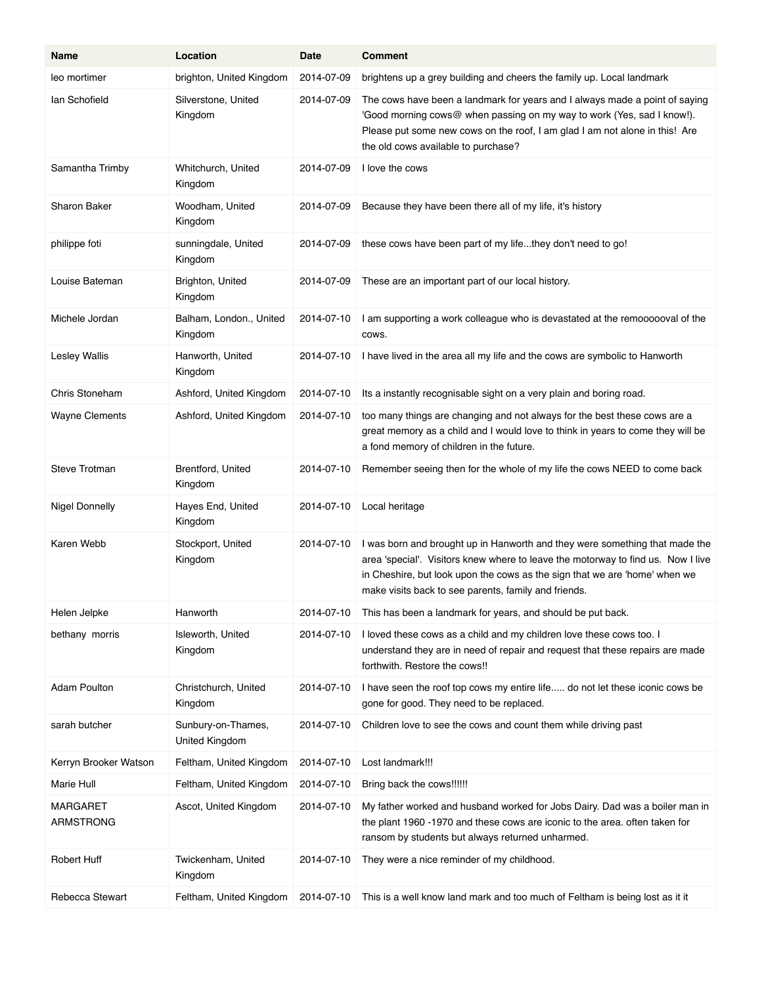| Name                         | Location                             | Date       | <b>Comment</b>                                                                                                                                                                                                                                                                                        |
|------------------------------|--------------------------------------|------------|-------------------------------------------------------------------------------------------------------------------------------------------------------------------------------------------------------------------------------------------------------------------------------------------------------|
| leo mortimer                 | brighton, United Kingdom             | 2014-07-09 | brightens up a grey building and cheers the family up. Local landmark                                                                                                                                                                                                                                 |
| lan Schofield                | Silverstone, United<br>Kingdom       | 2014-07-09 | The cows have been a landmark for years and I always made a point of saying<br>'Good morning cows@ when passing on my way to work (Yes, sad I know!).<br>Please put some new cows on the roof, I am glad I am not alone in this! Are<br>the old cows available to purchase?                           |
| Samantha Trimby              | Whitchurch, United<br>Kingdom        | 2014-07-09 | I love the cows                                                                                                                                                                                                                                                                                       |
| <b>Sharon Baker</b>          | Woodham, United<br>Kingdom           | 2014-07-09 | Because they have been there all of my life, it's history                                                                                                                                                                                                                                             |
| philippe foti                | sunningdale, United<br>Kingdom       | 2014-07-09 | these cows have been part of my lifethey don't need to go!                                                                                                                                                                                                                                            |
| Louise Bateman               | Brighton, United<br>Kingdom          | 2014-07-09 | These are an important part of our local history.                                                                                                                                                                                                                                                     |
| Michele Jordan               | Balham, London., United<br>Kingdom   | 2014-07-10 | I am supporting a work colleague who is devastated at the remoooooval of the<br>COWS.                                                                                                                                                                                                                 |
| <b>Lesley Wallis</b>         | Hanworth, United<br>Kingdom          | 2014-07-10 | I have lived in the area all my life and the cows are symbolic to Hanworth                                                                                                                                                                                                                            |
| Chris Stoneham               | Ashford, United Kingdom              | 2014-07-10 | Its a instantly recognisable sight on a very plain and boring road.                                                                                                                                                                                                                                   |
| <b>Wayne Clements</b>        | Ashford, United Kingdom              | 2014-07-10 | too many things are changing and not always for the best these cows are a<br>great memory as a child and I would love to think in years to come they will be<br>a fond memory of children in the future.                                                                                              |
| Steve Trotman                | Brentford, United<br>Kingdom         | 2014-07-10 | Remember seeing then for the whole of my life the cows NEED to come back                                                                                                                                                                                                                              |
| <b>Nigel Donnelly</b>        | Hayes End, United<br>Kingdom         | 2014-07-10 | Local heritage                                                                                                                                                                                                                                                                                        |
| Karen Webb                   | Stockport, United<br>Kingdom         | 2014-07-10 | I was born and brought up in Hanworth and they were something that made the<br>area 'special'. Visitors knew where to leave the motorway to find us. Now I live<br>in Cheshire, but look upon the cows as the sign that we are 'home' when we<br>make visits back to see parents, family and friends. |
| Helen Jelpke                 | Hanworth                             | 2014-07-10 | This has been a landmark for years, and should be put back.                                                                                                                                                                                                                                           |
| bethany morris               | Isleworth, United<br>Kingdom         | 2014-07-10 | I loved these cows as a child and my children love these cows too. I<br>understand they are in need of repair and request that these repairs are made<br>forthwith. Restore the cows!!                                                                                                                |
| <b>Adam Poulton</b>          | Christchurch, United<br>Kingdom      | 2014-07-10 | I have seen the roof top cows my entire life do not let these iconic cows be<br>gone for good. They need to be replaced.                                                                                                                                                                              |
| sarah butcher                | Sunbury-on-Thames,<br>United Kingdom | 2014-07-10 | Children love to see the cows and count them while driving past                                                                                                                                                                                                                                       |
| Kerryn Brooker Watson        | Feltham, United Kingdom              | 2014-07-10 | Lost landmark!!!                                                                                                                                                                                                                                                                                      |
| Marie Hull                   | Feltham, United Kingdom              | 2014-07-10 | Bring back the cows!!!!!!                                                                                                                                                                                                                                                                             |
| MARGARET<br><b>ARMSTRONG</b> | Ascot, United Kingdom                | 2014-07-10 | My father worked and husband worked for Jobs Dairy. Dad was a boiler man in<br>the plant 1960 -1970 and these cows are iconic to the area. often taken for<br>ransom by students but always returned unharmed.                                                                                        |
| <b>Robert Huff</b>           | Twickenham, United<br>Kingdom        | 2014-07-10 | They were a nice reminder of my childhood.                                                                                                                                                                                                                                                            |
| Rebecca Stewart              | Feltham, United Kingdom              | 2014-07-10 | This is a well know land mark and too much of Feltham is being lost as it it                                                                                                                                                                                                                          |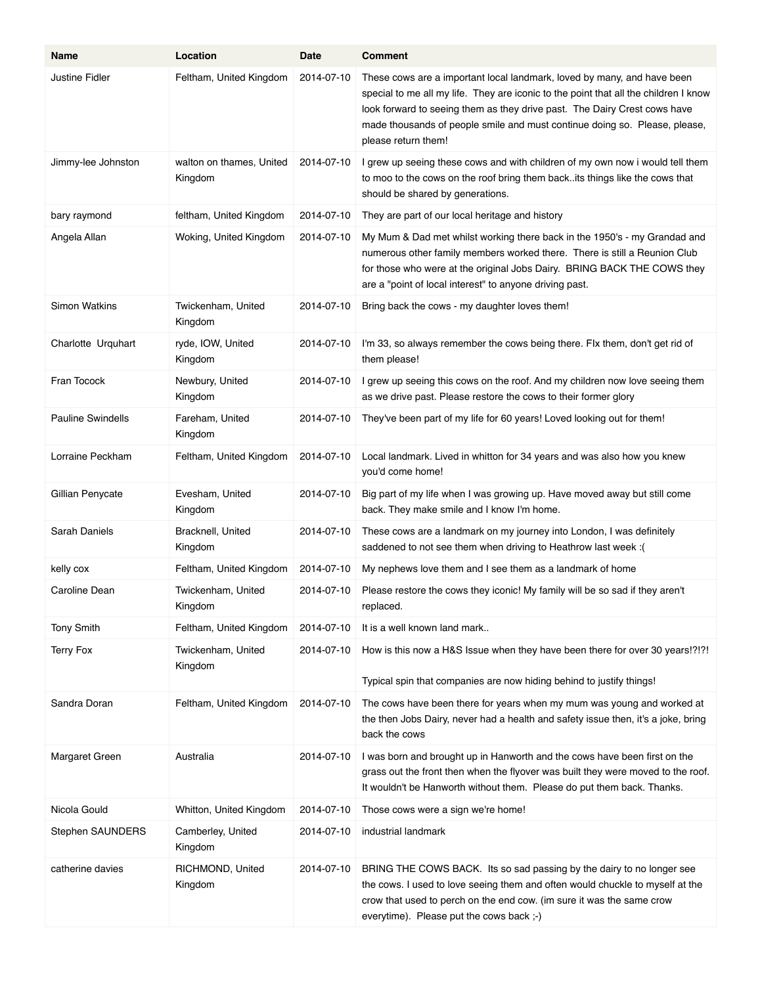| Name                     | Location                            | Date       | <b>Comment</b>                                                                                                                                                                                                                                                                                                                                    |
|--------------------------|-------------------------------------|------------|---------------------------------------------------------------------------------------------------------------------------------------------------------------------------------------------------------------------------------------------------------------------------------------------------------------------------------------------------|
| Justine Fidler           | Feltham, United Kingdom             | 2014-07-10 | These cows are a important local landmark, loved by many, and have been<br>special to me all my life. They are iconic to the point that all the children I know<br>look forward to seeing them as they drive past. The Dairy Crest cows have<br>made thousands of people smile and must continue doing so. Please, please,<br>please return them! |
| Jimmy-lee Johnston       | walton on thames, United<br>Kingdom | 2014-07-10 | I grew up seeing these cows and with children of my own now i would tell them<br>to moo to the cows on the roof bring them back. its things like the cows that<br>should be shared by generations.                                                                                                                                                |
| bary raymond             | feltham, United Kingdom             | 2014-07-10 | They are part of our local heritage and history                                                                                                                                                                                                                                                                                                   |
| Angela Allan             | Woking, United Kingdom              | 2014-07-10 | My Mum & Dad met whilst working there back in the 1950's - my Grandad and<br>numerous other family members worked there. There is still a Reunion Club<br>for those who were at the original Jobs Dairy. BRING BACK THE COWS they<br>are a "point of local interest" to anyone driving past.                                                      |
| <b>Simon Watkins</b>     | Twickenham, United<br>Kingdom       | 2014-07-10 | Bring back the cows - my daughter loves them!                                                                                                                                                                                                                                                                                                     |
| Charlotte Urquhart       | ryde, IOW, United<br>Kingdom        | 2014-07-10 | I'm 33, so always remember the cows being there. Flx them, don't get rid of<br>them please!                                                                                                                                                                                                                                                       |
| Fran Tocock              | Newbury, United<br>Kingdom          | 2014-07-10 | I grew up seeing this cows on the roof. And my children now love seeing them<br>as we drive past. Please restore the cows to their former glory                                                                                                                                                                                                   |
| <b>Pauline Swindells</b> | Fareham, United<br>Kingdom          | 2014-07-10 | They've been part of my life for 60 years! Loved looking out for them!                                                                                                                                                                                                                                                                            |
| Lorraine Peckham         | Feltham, United Kingdom             | 2014-07-10 | Local landmark. Lived in whitton for 34 years and was also how you knew<br>you'd come home!                                                                                                                                                                                                                                                       |
| Gillian Penycate         | Evesham, United<br>Kingdom          | 2014-07-10 | Big part of my life when I was growing up. Have moved away but still come<br>back. They make smile and I know I'm home.                                                                                                                                                                                                                           |
| Sarah Daniels            | Bracknell, United<br>Kingdom        | 2014-07-10 | These cows are a landmark on my journey into London, I was definitely<br>saddened to not see them when driving to Heathrow last week :(                                                                                                                                                                                                           |
| kelly cox                | Feltham, United Kingdom             | 2014-07-10 | My nephews love them and I see them as a landmark of home                                                                                                                                                                                                                                                                                         |
| Caroline Dean            | Twickenham, United<br>Kingdom       | 2014-07-10 | Please restore the cows they iconic! My family will be so sad if they aren't<br>replaced.                                                                                                                                                                                                                                                         |
| <b>Tony Smith</b>        | Feltham, United Kingdom             | 2014-07-10 | It is a well known land mark                                                                                                                                                                                                                                                                                                                      |
| <b>Terry Fox</b>         | Twickenham, United<br>Kingdom       | 2014-07-10 | How is this now a H&S Issue when they have been there for over 30 years!?!?!                                                                                                                                                                                                                                                                      |
|                          |                                     |            | Typical spin that companies are now hiding behind to justify things!                                                                                                                                                                                                                                                                              |
| Sandra Doran             | Feltham, United Kingdom             | 2014-07-10 | The cows have been there for years when my mum was young and worked at<br>the then Jobs Dairy, never had a health and safety issue then, it's a joke, bring<br>back the cows                                                                                                                                                                      |
| Margaret Green           | Australia                           | 2014-07-10 | I was born and brought up in Hanworth and the cows have been first on the<br>grass out the front then when the flyover was built they were moved to the roof.<br>It wouldn't be Hanworth without them. Please do put them back. Thanks.                                                                                                           |
| Nicola Gould             | Whitton, United Kingdom             | 2014-07-10 | Those cows were a sign we're home!                                                                                                                                                                                                                                                                                                                |
| Stephen SAUNDERS         | Camberley, United<br>Kingdom        | 2014-07-10 | industrial landmark                                                                                                                                                                                                                                                                                                                               |
| catherine davies         | RICHMOND, United<br>Kingdom         | 2014-07-10 | BRING THE COWS BACK. Its so sad passing by the dairy to no longer see<br>the cows. I used to love seeing them and often would chuckle to myself at the<br>crow that used to perch on the end cow. (im sure it was the same crow<br>everytime). Please put the cows back ;-)                                                                       |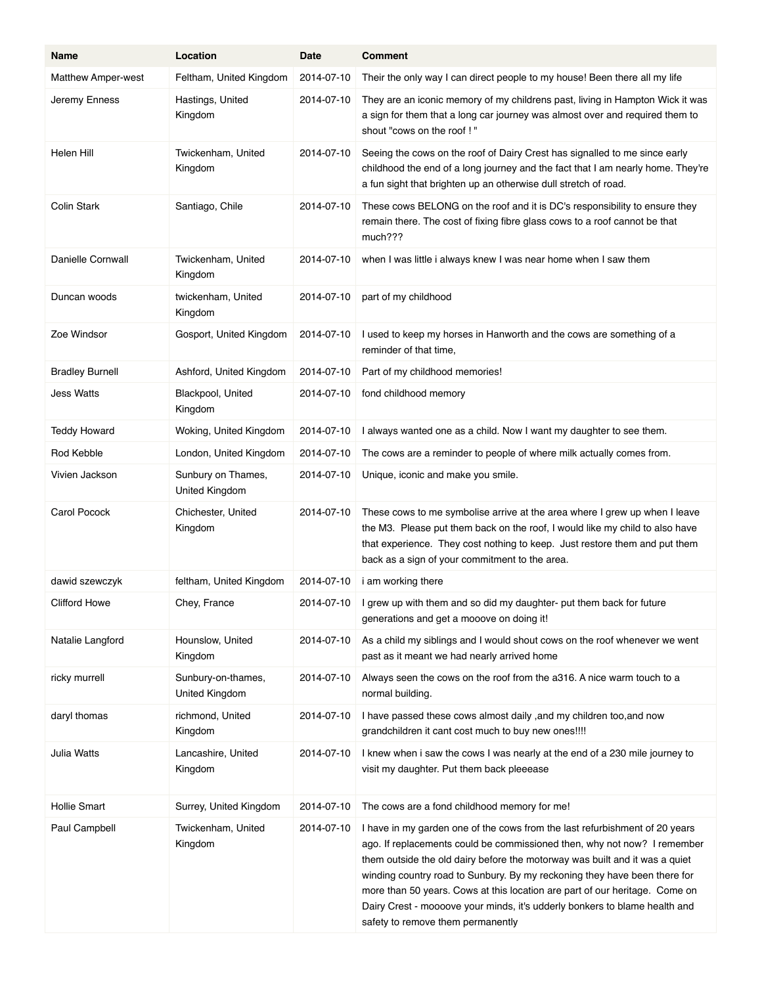| Name                   | Location                             | Date       | <b>Comment</b>                                                                                                                                                                                                                                                                                                                                                                                                                                                                                                        |
|------------------------|--------------------------------------|------------|-----------------------------------------------------------------------------------------------------------------------------------------------------------------------------------------------------------------------------------------------------------------------------------------------------------------------------------------------------------------------------------------------------------------------------------------------------------------------------------------------------------------------|
| Matthew Amper-west     | Feltham, United Kingdom              | 2014-07-10 | Their the only way I can direct people to my house! Been there all my life                                                                                                                                                                                                                                                                                                                                                                                                                                            |
| Jeremy Enness          | Hastings, United<br>Kingdom          | 2014-07-10 | They are an iconic memory of my childrens past, living in Hampton Wick it was<br>a sign for them that a long car journey was almost over and required them to<br>shout "cows on the roof !"                                                                                                                                                                                                                                                                                                                           |
| Helen Hill             | Twickenham, United<br>Kingdom        | 2014-07-10 | Seeing the cows on the roof of Dairy Crest has signalled to me since early<br>childhood the end of a long journey and the fact that I am nearly home. They're<br>a fun sight that brighten up an otherwise dull stretch of road.                                                                                                                                                                                                                                                                                      |
| Colin Stark            | Santiago, Chile                      | 2014-07-10 | These cows BELONG on the roof and it is DC's responsibility to ensure they<br>remain there. The cost of fixing fibre glass cows to a roof cannot be that<br>much???                                                                                                                                                                                                                                                                                                                                                   |
| Danielle Cornwall      | Twickenham, United<br>Kingdom        | 2014-07-10 | when I was little i always knew I was near home when I saw them                                                                                                                                                                                                                                                                                                                                                                                                                                                       |
| Duncan woods           | twickenham, United<br>Kingdom        | 2014-07-10 | part of my childhood                                                                                                                                                                                                                                                                                                                                                                                                                                                                                                  |
| Zoe Windsor            | Gosport, United Kingdom              | 2014-07-10 | I used to keep my horses in Hanworth and the cows are something of a<br>reminder of that time,                                                                                                                                                                                                                                                                                                                                                                                                                        |
| <b>Bradley Burnell</b> | Ashford, United Kingdom              | 2014-07-10 | Part of my childhood memories!                                                                                                                                                                                                                                                                                                                                                                                                                                                                                        |
| Jess Watts             | Blackpool, United<br>Kingdom         | 2014-07-10 | fond childhood memory                                                                                                                                                                                                                                                                                                                                                                                                                                                                                                 |
| <b>Teddy Howard</b>    | Woking, United Kingdom               | 2014-07-10 | I always wanted one as a child. Now I want my daughter to see them.                                                                                                                                                                                                                                                                                                                                                                                                                                                   |
| Rod Kebble             | London, United Kingdom               | 2014-07-10 | The cows are a reminder to people of where milk actually comes from.                                                                                                                                                                                                                                                                                                                                                                                                                                                  |
| Vivien Jackson         | Sunbury on Thames,<br>United Kingdom | 2014-07-10 | Unique, iconic and make you smile.                                                                                                                                                                                                                                                                                                                                                                                                                                                                                    |
| <b>Carol Pocock</b>    | Chichester, United<br>Kingdom        | 2014-07-10 | These cows to me symbolise arrive at the area where I grew up when I leave<br>the M3. Please put them back on the roof, I would like my child to also have<br>that experience. They cost nothing to keep. Just restore them and put them<br>back as a sign of your commitment to the area.                                                                                                                                                                                                                            |
| dawid szewczyk         | feltham, United Kingdom              | 2014-07-10 | i am working there                                                                                                                                                                                                                                                                                                                                                                                                                                                                                                    |
| <b>Clifford Howe</b>   | Chey, France                         |            | 2014-07-10   I grew up with them and so did my daughter- put them back for future<br>generations and get a mooove on doing it!                                                                                                                                                                                                                                                                                                                                                                                        |
| Natalie Langford       | Hounslow, United<br>Kingdom          | 2014-07-10 | As a child my siblings and I would shout cows on the roof whenever we went<br>past as it meant we had nearly arrived home                                                                                                                                                                                                                                                                                                                                                                                             |
| ricky murrell          | Sunbury-on-thames,<br>United Kingdom | 2014-07-10 | Always seen the cows on the roof from the a316. A nice warm touch to a<br>normal building.                                                                                                                                                                                                                                                                                                                                                                                                                            |
| daryl thomas           | richmond, United<br>Kingdom          | 2014-07-10 | I have passed these cows almost daily, and my children too, and now<br>grandchildren it cant cost much to buy new ones!!!!                                                                                                                                                                                                                                                                                                                                                                                            |
| Julia Watts            | Lancashire, United<br>Kingdom        | 2014-07-10 | I knew when i saw the cows I was nearly at the end of a 230 mile journey to<br>visit my daughter. Put them back pleeease                                                                                                                                                                                                                                                                                                                                                                                              |
| <b>Hollie Smart</b>    | Surrey, United Kingdom               | 2014-07-10 | The cows are a fond childhood memory for me!                                                                                                                                                                                                                                                                                                                                                                                                                                                                          |
| Paul Campbell          | Twickenham, United<br>Kingdom        | 2014-07-10 | I have in my garden one of the cows from the last refurbishment of 20 years<br>ago. If replacements could be commissioned then, why not now? I remember<br>them outside the old dairy before the motorway was built and it was a quiet<br>winding country road to Sunbury. By my reckoning they have been there for<br>more than 50 years. Cows at this location are part of our heritage. Come on<br>Dairy Crest - moooove your minds, it's udderly bonkers to blame health and<br>safety to remove them permanently |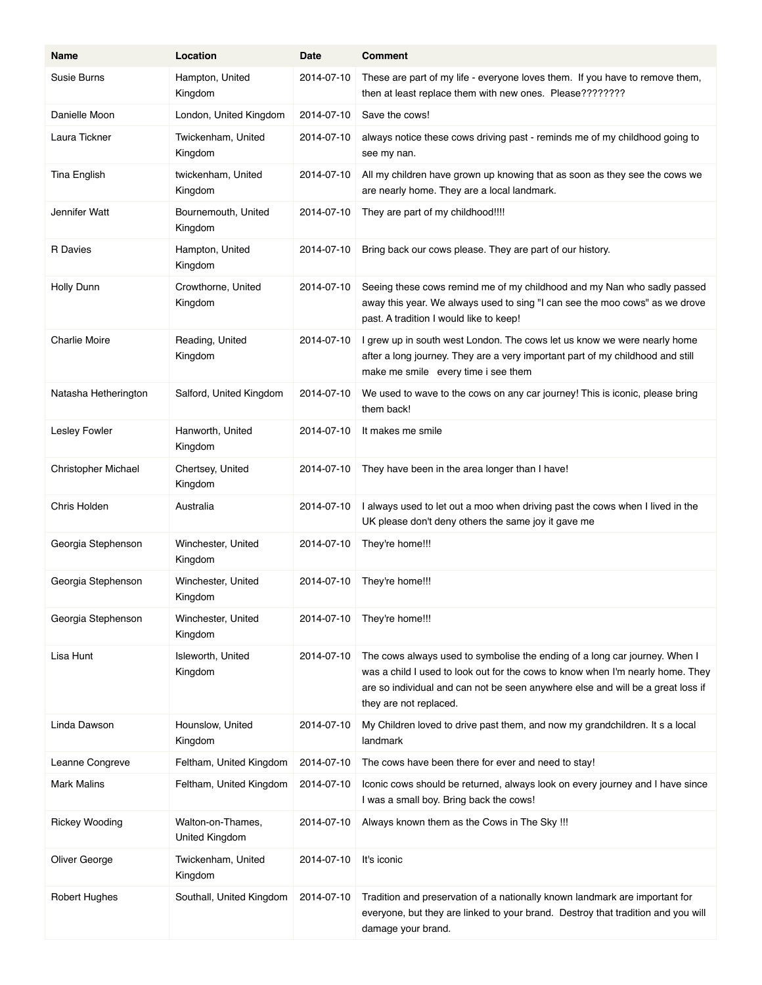| Name                  | Location                            | Date       | <b>Comment</b>                                                                                                                                                                                                                                                            |
|-----------------------|-------------------------------------|------------|---------------------------------------------------------------------------------------------------------------------------------------------------------------------------------------------------------------------------------------------------------------------------|
| Susie Burns           | Hampton, United<br>Kingdom          | 2014-07-10 | These are part of my life - everyone loves them. If you have to remove them,<br>then at least replace them with new ones. Please????????                                                                                                                                  |
| Danielle Moon         | London, United Kingdom              | 2014-07-10 | Save the cows!                                                                                                                                                                                                                                                            |
| Laura Tickner         | Twickenham, United<br>Kingdom       | 2014-07-10 | always notice these cows driving past - reminds me of my childhood going to<br>see my nan.                                                                                                                                                                                |
| Tina English          | twickenham, United<br>Kingdom       | 2014-07-10 | All my children have grown up knowing that as soon as they see the cows we<br>are nearly home. They are a local landmark.                                                                                                                                                 |
| Jennifer Watt         | Bournemouth, United<br>Kingdom      | 2014-07-10 | They are part of my childhood!!!!                                                                                                                                                                                                                                         |
| R Davies              | Hampton, United<br>Kingdom          | 2014-07-10 | Bring back our cows please. They are part of our history.                                                                                                                                                                                                                 |
| Holly Dunn            | Crowthorne, United<br>Kingdom       | 2014-07-10 | Seeing these cows remind me of my childhood and my Nan who sadly passed<br>away this year. We always used to sing "I can see the moo cows" as we drove<br>past. A tradition I would like to keep!                                                                         |
| <b>Charlie Moire</b>  | Reading, United<br>Kingdom          | 2014-07-10 | I grew up in south west London. The cows let us know we were nearly home<br>after a long journey. They are a very important part of my childhood and still<br>make me smile every time i see them                                                                         |
| Natasha Hetherington  | Salford, United Kingdom             | 2014-07-10 | We used to wave to the cows on any car journey! This is iconic, please bring<br>them back!                                                                                                                                                                                |
| Lesley Fowler         | Hanworth, United<br>Kingdom         | 2014-07-10 | It makes me smile                                                                                                                                                                                                                                                         |
| Christopher Michael   | Chertsey, United<br>Kingdom         | 2014-07-10 | They have been in the area longer than I have!                                                                                                                                                                                                                            |
| Chris Holden          | Australia                           | 2014-07-10 | I always used to let out a moo when driving past the cows when I lived in the<br>UK please don't deny others the same joy it gave me                                                                                                                                      |
| Georgia Stephenson    | Winchester, United<br>Kingdom       | 2014-07-10 | They're home!!!                                                                                                                                                                                                                                                           |
| Georgia Stephenson    | Winchester, United<br>Kingdom       | 2014-07-10 | They're home!!!                                                                                                                                                                                                                                                           |
| Georgia Stephenson    | Winchester, United<br>Kingdom       | 2014-07-10 | They're home!!!                                                                                                                                                                                                                                                           |
| Lisa Hunt             | Isleworth, United<br>Kingdom        | 2014-07-10 | The cows always used to symbolise the ending of a long car journey. When I<br>was a child I used to look out for the cows to know when I'm nearly home. They<br>are so individual and can not be seen anywhere else and will be a great loss if<br>they are not replaced. |
| Linda Dawson          | Hounslow, United<br>Kingdom         | 2014-07-10 | My Children loved to drive past them, and now my grandchildren. It s a local<br>landmark                                                                                                                                                                                  |
| Leanne Congreve       | Feltham, United Kingdom             | 2014-07-10 | The cows have been there for ever and need to stay!                                                                                                                                                                                                                       |
| <b>Mark Malins</b>    | Feltham, United Kingdom             | 2014-07-10 | Iconic cows should be returned, always look on every journey and I have since<br>I was a small boy. Bring back the cows!                                                                                                                                                  |
| <b>Rickey Wooding</b> | Walton-on-Thames,<br>United Kingdom | 2014-07-10 | Always known them as the Cows in The Sky !!!                                                                                                                                                                                                                              |
| Oliver George         | Twickenham, United<br>Kingdom       | 2014-07-10 | It's iconic                                                                                                                                                                                                                                                               |
| <b>Robert Hughes</b>  | Southall, United Kingdom            | 2014-07-10 | Tradition and preservation of a nationally known landmark are important for<br>everyone, but they are linked to your brand. Destroy that tradition and you will<br>damage your brand.                                                                                     |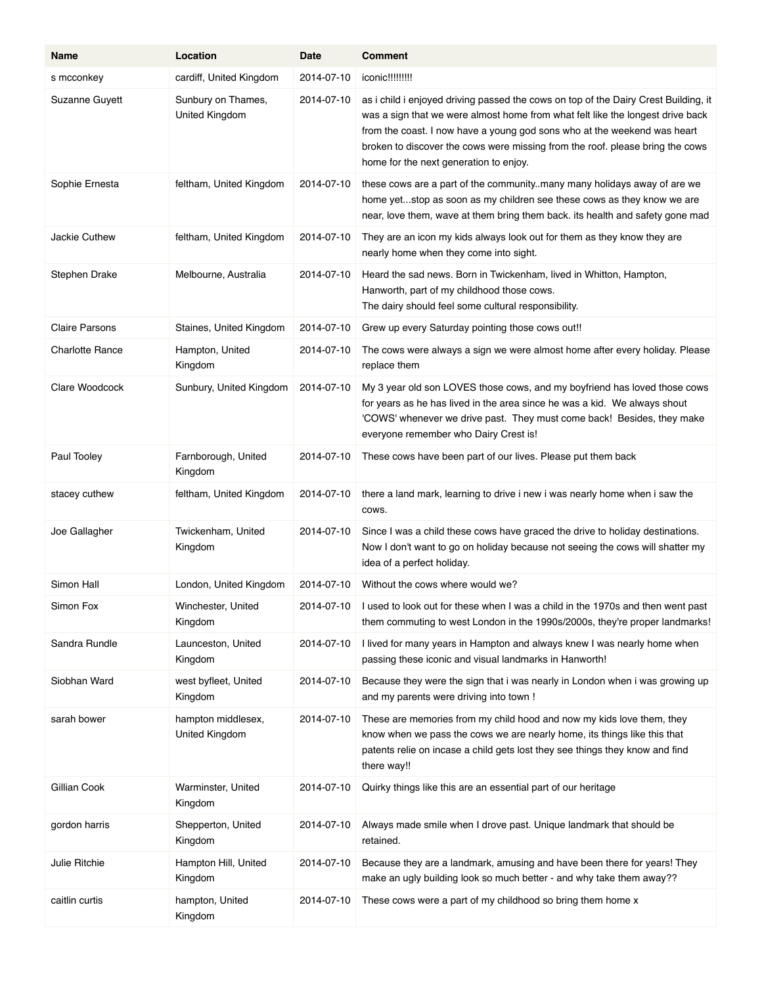| Name                   | Location                                    | Date       | <b>Comment</b>                                                                                                                                                                                                                                                                                                                                                               |
|------------------------|---------------------------------------------|------------|------------------------------------------------------------------------------------------------------------------------------------------------------------------------------------------------------------------------------------------------------------------------------------------------------------------------------------------------------------------------------|
| s mcconkey             | cardiff, United Kingdom                     | 2014-07-10 | iconic!!!!!!!!!                                                                                                                                                                                                                                                                                                                                                              |
| Suzanne Guyett         | Sunbury on Thames,<br><b>United Kingdom</b> | 2014-07-10 | as i child i enjoyed driving passed the cows on top of the Dairy Crest Building, it<br>was a sign that we were almost home from what felt like the longest drive back<br>from the coast. I now have a young god sons who at the weekend was heart<br>broken to discover the cows were missing from the roof. please bring the cows<br>home for the next generation to enjoy. |
| Sophie Ernesta         | feltham, United Kingdom                     | 2014-07-10 | these cows are a part of the community. many many holidays away of are we<br>home yetstop as soon as my children see these cows as they know we are<br>near, love them, wave at them bring them back. its health and safety gone mad                                                                                                                                         |
| <b>Jackie Cuthew</b>   | feltham, United Kingdom                     | 2014-07-10 | They are an icon my kids always look out for them as they know they are<br>nearly home when they come into sight.                                                                                                                                                                                                                                                            |
| Stephen Drake          | Melbourne, Australia                        | 2014-07-10 | Heard the sad news. Born in Twickenham, lived in Whitton, Hampton,<br>Hanworth, part of my childhood those cows.<br>The dairy should feel some cultural responsibility.                                                                                                                                                                                                      |
| <b>Claire Parsons</b>  | Staines, United Kingdom                     | 2014-07-10 | Grew up every Saturday pointing those cows out!!                                                                                                                                                                                                                                                                                                                             |
| <b>Charlotte Rance</b> | Hampton, United<br>Kingdom                  | 2014-07-10 | The cows were always a sign we were almost home after every holiday. Please<br>replace them                                                                                                                                                                                                                                                                                  |
| Clare Woodcock         | Sunbury, United Kingdom                     | 2014-07-10 | My 3 year old son LOVES those cows, and my boyfriend has loved those cows<br>for years as he has lived in the area since he was a kid. We always shout<br>'COWS' whenever we drive past. They must come back! Besides, they make<br>everyone remember who Dairy Crest is!                                                                                                    |
| Paul Tooley            | Farnborough, United<br>Kingdom              | 2014-07-10 | These cows have been part of our lives. Please put them back                                                                                                                                                                                                                                                                                                                 |
| stacey cuthew          | feltham, United Kingdom                     | 2014-07-10 | there a land mark, learning to drive i new i was nearly home when i saw the<br>COWS.                                                                                                                                                                                                                                                                                         |
| Joe Gallagher          | Twickenham, United<br>Kingdom               | 2014-07-10 | Since I was a child these cows have graced the drive to holiday destinations.<br>Now I don't want to go on holiday because not seeing the cows will shatter my<br>idea of a perfect holiday.                                                                                                                                                                                 |
| Simon Hall             | London, United Kingdom                      | 2014-07-10 | Without the cows where would we?                                                                                                                                                                                                                                                                                                                                             |
| Simon Fox              | Winchester, United<br>Kingdom               | 2014-07-10 | I used to look out for these when I was a child in the 1970s and then went past<br>them commuting to west London in the 1990s/2000s, they're proper landmarks!                                                                                                                                                                                                               |
| Sandra Rundle          | Launceston, United<br>Kingdom               | 2014-07-10 | I lived for many years in Hampton and always knew I was nearly home when<br>passing these iconic and visual landmarks in Hanworth!                                                                                                                                                                                                                                           |
| Siobhan Ward           | west byfleet, United<br>Kingdom             | 2014-07-10 | Because they were the sign that i was nearly in London when i was growing up<br>and my parents were driving into town !                                                                                                                                                                                                                                                      |
| sarah bower            | hampton middlesex,<br>United Kingdom        | 2014-07-10 | These are memories from my child hood and now my kids love them, they<br>know when we pass the cows we are nearly home, its things like this that<br>patents relie on incase a child gets lost they see things they know and find<br>there way!!                                                                                                                             |
| Gillian Cook           | Warminster, United<br>Kingdom               | 2014-07-10 | Quirky things like this are an essential part of our heritage                                                                                                                                                                                                                                                                                                                |
| gordon harris          | Shepperton, United<br>Kingdom               | 2014-07-10 | Always made smile when I drove past. Unique landmark that should be<br>retained.                                                                                                                                                                                                                                                                                             |
| Julie Ritchie          | Hampton Hill, United<br>Kingdom             | 2014-07-10 | Because they are a landmark, amusing and have been there for years! They<br>make an ugly building look so much better - and why take them away??                                                                                                                                                                                                                             |
| caitlin curtis         | hampton, United<br>Kingdom                  | 2014-07-10 | These cows were a part of my childhood so bring them home x                                                                                                                                                                                                                                                                                                                  |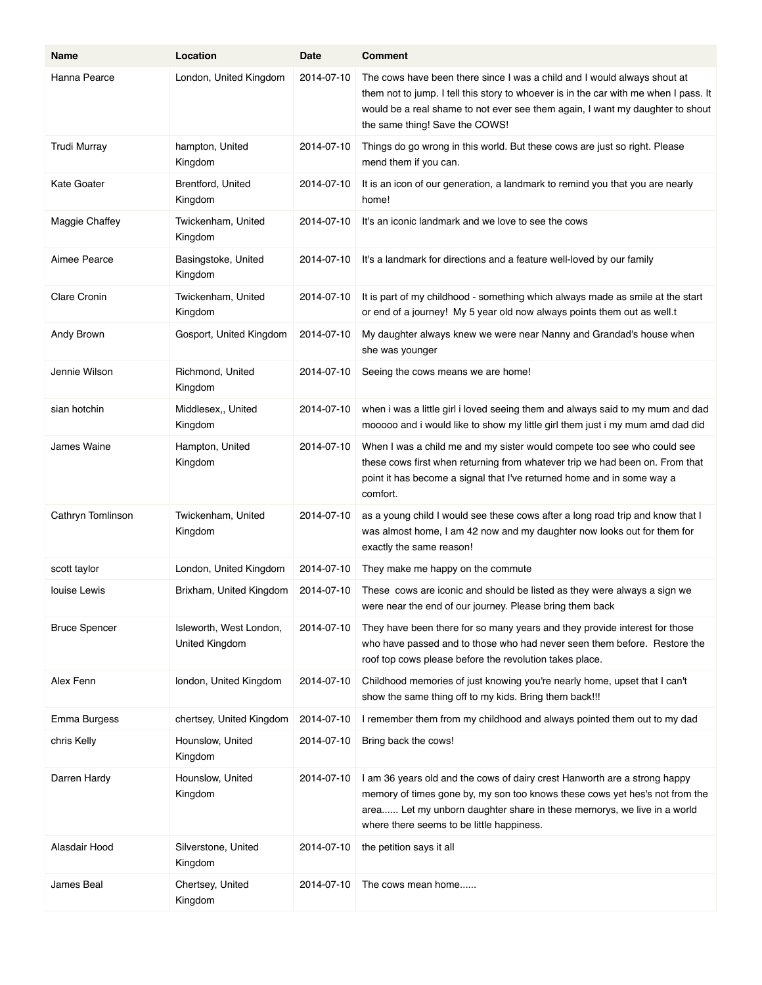| Name                 | Location                                  | Date       | <b>Comment</b>                                                                                                                                                                                                                                                                      |
|----------------------|-------------------------------------------|------------|-------------------------------------------------------------------------------------------------------------------------------------------------------------------------------------------------------------------------------------------------------------------------------------|
| Hanna Pearce         | London, United Kingdom                    | 2014-07-10 | The cows have been there since I was a child and I would always shout at<br>them not to jump. I tell this story to whoever is in the car with me when I pass. It<br>would be a real shame to not ever see them again, I want my daughter to shout<br>the same thing! Save the COWS! |
| <b>Trudi Murray</b>  | hampton, United<br>Kingdom                | 2014-07-10 | Things do go wrong in this world. But these cows are just so right. Please<br>mend them if you can.                                                                                                                                                                                 |
| Kate Goater          | Brentford, United<br>Kingdom              | 2014-07-10 | It is an icon of our generation, a landmark to remind you that you are nearly<br>home!                                                                                                                                                                                              |
| Maggie Chaffey       | Twickenham, United<br>Kingdom             | 2014-07-10 | It's an iconic landmark and we love to see the cows                                                                                                                                                                                                                                 |
| Aimee Pearce         | Basingstoke, United<br>Kingdom            | 2014-07-10 | It's a landmark for directions and a feature well-loved by our family                                                                                                                                                                                                               |
| <b>Clare Cronin</b>  | Twickenham, United<br>Kingdom             | 2014-07-10 | It is part of my childhood - something which always made as smile at the start<br>or end of a journey! My 5 year old now always points them out as well.t                                                                                                                           |
| Andy Brown           | Gosport, United Kingdom                   | 2014-07-10 | My daughter always knew we were near Nanny and Grandad's house when<br>she was younger                                                                                                                                                                                              |
| Jennie Wilson        | Richmond, United<br>Kingdom               | 2014-07-10 | Seeing the cows means we are home!                                                                                                                                                                                                                                                  |
| sian hotchin         | Middlesex,, United<br>Kingdom             | 2014-07-10 | when i was a little girl i loved seeing them and always said to my mum and dad<br>mooooo and i would like to show my little girl them just i my mum amd dad did                                                                                                                     |
| James Waine          | Hampton, United<br>Kingdom                | 2014-07-10 | When I was a child me and my sister would compete too see who could see<br>these cows first when returning from whatever trip we had been on. From that<br>point it has become a signal that I've returned home and in some way a<br>comfort.                                       |
| Cathryn Tomlinson    | Twickenham, United<br>Kingdom             | 2014-07-10 | as a young child I would see these cows after a long road trip and know that I<br>was almost home, I am 42 now and my daughter now looks out for them for<br>exactly the same reason!                                                                                               |
| scott taylor         | London, United Kingdom                    | 2014-07-10 | They make me happy on the commute                                                                                                                                                                                                                                                   |
| louise Lewis         | Brixham, United Kingdom                   | 2014-07-10 | These cows are iconic and should be listed as they were always a sign we<br>were near the end of our journey. Please bring them back                                                                                                                                                |
| <b>Bruce Spencer</b> | Isleworth, West London,<br>United Kingdom | 2014-07-10 | They have been there for so many years and they provide interest for those<br>who have passed and to those who had never seen them before. Restore the<br>roof top cows please before the revolution takes place.                                                                   |
| Alex Fenn            | london, United Kingdom                    | 2014-07-10 | Childhood memories of just knowing you're nearly home, upset that I can't<br>show the same thing off to my kids. Bring them back!!!                                                                                                                                                 |
| Emma Burgess         | chertsey, United Kingdom                  | 2014-07-10 | I remember them from my childhood and always pointed them out to my dad                                                                                                                                                                                                             |
| chris Kelly          | Hounslow, United<br>Kingdom               | 2014-07-10 | Bring back the cows!                                                                                                                                                                                                                                                                |
| Darren Hardy         | Hounslow, United<br>Kingdom               | 2014-07-10 | I am 36 years old and the cows of dairy crest Hanworth are a strong happy<br>memory of times gone by, my son too knows these cows yet hes's not from the<br>area Let my unborn daughter share in these memorys, we live in a world<br>where there seems to be little happiness.     |
| Alasdair Hood        | Silverstone, United<br>Kingdom            | 2014-07-10 | the petition says it all                                                                                                                                                                                                                                                            |
| James Beal           | Chertsey, United<br>Kingdom               | 2014-07-10 | The cows mean home                                                                                                                                                                                                                                                                  |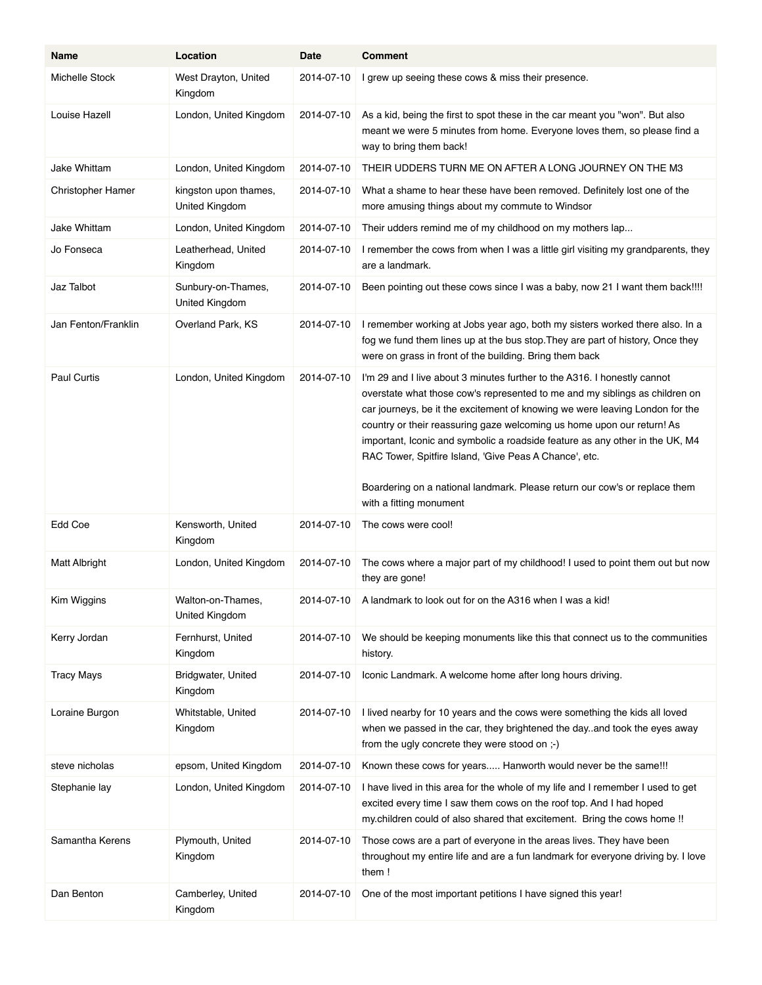| Name                | Location                                | Date       | <b>Comment</b>                                                                                                                                                                                                                                                                                                                                                                                                                                                                                                                            |
|---------------------|-----------------------------------------|------------|-------------------------------------------------------------------------------------------------------------------------------------------------------------------------------------------------------------------------------------------------------------------------------------------------------------------------------------------------------------------------------------------------------------------------------------------------------------------------------------------------------------------------------------------|
| Michelle Stock      | West Drayton, United<br>Kingdom         | 2014-07-10 | I grew up seeing these cows & miss their presence.                                                                                                                                                                                                                                                                                                                                                                                                                                                                                        |
| Louise Hazell       | London, United Kingdom                  | 2014-07-10 | As a kid, being the first to spot these in the car meant you "won". But also<br>meant we were 5 minutes from home. Everyone loves them, so please find a<br>way to bring them back!                                                                                                                                                                                                                                                                                                                                                       |
| Jake Whittam        | London, United Kingdom                  | 2014-07-10 | THEIR UDDERS TURN ME ON AFTER A LONG JOURNEY ON THE M3                                                                                                                                                                                                                                                                                                                                                                                                                                                                                    |
| Christopher Hamer   | kingston upon thames,<br>United Kingdom | 2014-07-10 | What a shame to hear these have been removed. Definitely lost one of the<br>more amusing things about my commute to Windsor                                                                                                                                                                                                                                                                                                                                                                                                               |
| Jake Whittam        | London, United Kingdom                  | 2014-07-10 | Their udders remind me of my childhood on my mothers lap                                                                                                                                                                                                                                                                                                                                                                                                                                                                                  |
| Jo Fonseca          | Leatherhead, United<br>Kingdom          | 2014-07-10 | I remember the cows from when I was a little girl visiting my grandparents, they<br>are a landmark.                                                                                                                                                                                                                                                                                                                                                                                                                                       |
| Jaz Talbot          | Sunbury-on-Thames,<br>United Kingdom    | 2014-07-10 | Been pointing out these cows since I was a baby, now 21 I want them back!!!!                                                                                                                                                                                                                                                                                                                                                                                                                                                              |
| Jan Fenton/Franklin | Overland Park, KS                       | 2014-07-10 | I remember working at Jobs year ago, both my sisters worked there also. In a<br>fog we fund them lines up at the bus stop. They are part of history, Once they<br>were on grass in front of the building. Bring them back                                                                                                                                                                                                                                                                                                                 |
| <b>Paul Curtis</b>  | London, United Kingdom                  | 2014-07-10 | I'm 29 and I live about 3 minutes further to the A316. I honestly cannot<br>overstate what those cow's represented to me and my siblings as children on<br>car journeys, be it the excitement of knowing we were leaving London for the<br>country or their reassuring gaze welcoming us home upon our return! As<br>important, Iconic and symbolic a roadside feature as any other in the UK, M4<br>RAC Tower, Spitfire Island, 'Give Peas A Chance', etc.<br>Boardering on a national landmark. Please return our cow's or replace them |
|                     |                                         |            | with a fitting monument                                                                                                                                                                                                                                                                                                                                                                                                                                                                                                                   |
| Edd Coe             | Kensworth, United<br>Kingdom            | 2014-07-10 | The cows were cool!                                                                                                                                                                                                                                                                                                                                                                                                                                                                                                                       |
| Matt Albright       | London, United Kingdom                  | 2014-07-10 | The cows where a major part of my childhood! I used to point them out but now<br>they are gone!                                                                                                                                                                                                                                                                                                                                                                                                                                           |
| Kim Wiggins         | Walton-on-Thames<br>United Kingdom      | 2014-07-10 | A landmark to look out for on the A316 when I was a kid!                                                                                                                                                                                                                                                                                                                                                                                                                                                                                  |
| Kerry Jordan        | Fernhurst, United<br>Kingdom            | 2014-07-10 | We should be keeping monuments like this that connect us to the communities<br>history.                                                                                                                                                                                                                                                                                                                                                                                                                                                   |
| <b>Tracy Mays</b>   | Bridgwater, United<br>Kingdom           | 2014-07-10 | Iconic Landmark. A welcome home after long hours driving.                                                                                                                                                                                                                                                                                                                                                                                                                                                                                 |
| Loraine Burgon      | Whitstable, United<br>Kingdom           | 2014-07-10 | I lived nearby for 10 years and the cows were something the kids all loved<br>when we passed in the car, they brightened the day. and took the eyes away<br>from the ugly concrete they were stood on ;-)                                                                                                                                                                                                                                                                                                                                 |
| steve nicholas      | epsom, United Kingdom                   | 2014-07-10 | Known these cows for years Hanworth would never be the same!!!                                                                                                                                                                                                                                                                                                                                                                                                                                                                            |
| Stephanie lay       | London, United Kingdom                  | 2014-07-10 | I have lived in this area for the whole of my life and I remember I used to get<br>excited every time I saw them cows on the roof top. And I had hoped<br>my children could of also shared that excitement. Bring the cows home !!                                                                                                                                                                                                                                                                                                        |
| Samantha Kerens     | Plymouth, United<br>Kingdom             | 2014-07-10 | Those cows are a part of everyone in the areas lives. They have been<br>throughout my entire life and are a fun landmark for everyone driving by. I love<br>them!                                                                                                                                                                                                                                                                                                                                                                         |
| Dan Benton          | Camberley, United<br>Kingdom            | 2014-07-10 | One of the most important petitions I have signed this year!                                                                                                                                                                                                                                                                                                                                                                                                                                                                              |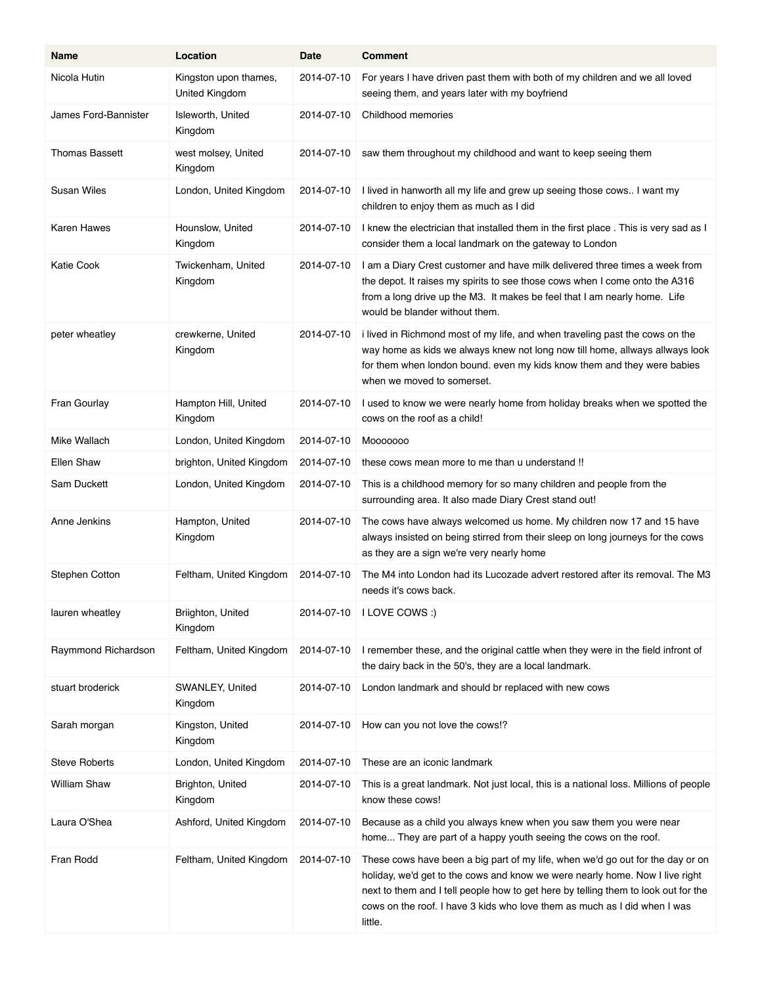| Name                  | Location                                | Date       | <b>Comment</b>                                                                                                                                                                                                                                                                                                                               |
|-----------------------|-----------------------------------------|------------|----------------------------------------------------------------------------------------------------------------------------------------------------------------------------------------------------------------------------------------------------------------------------------------------------------------------------------------------|
| Nicola Hutin          | Kingston upon thames,<br>United Kingdom | 2014-07-10 | For years I have driven past them with both of my children and we all loved<br>seeing them, and years later with my boyfriend                                                                                                                                                                                                                |
| James Ford-Bannister  | Isleworth, United<br>Kingdom            | 2014-07-10 | Childhood memories                                                                                                                                                                                                                                                                                                                           |
| <b>Thomas Bassett</b> | west molsey, United<br>Kingdom          | 2014-07-10 | saw them throughout my childhood and want to keep seeing them                                                                                                                                                                                                                                                                                |
| Susan Wiles           | London, United Kingdom                  | 2014-07-10 | I lived in hanworth all my life and grew up seeing those cows I want my<br>children to enjoy them as much as I did                                                                                                                                                                                                                           |
| Karen Hawes           | Hounslow, United<br>Kingdom             | 2014-07-10 | I knew the electrician that installed them in the first place. This is very sad as I<br>consider them a local landmark on the gateway to London                                                                                                                                                                                              |
| <b>Katie Cook</b>     | Twickenham, United<br>Kingdom           | 2014-07-10 | I am a Diary Crest customer and have milk delivered three times a week from<br>the depot. It raises my spirits to see those cows when I come onto the A316<br>from a long drive up the M3. It makes be feel that I am nearly home. Life<br>would be blander without them.                                                                    |
| peter wheatley        | crewkerne, United<br>Kingdom            | 2014-07-10 | i lived in Richmond most of my life, and when traveling past the cows on the<br>way home as kids we always knew not long now till home, allways allways look<br>for them when london bound. even my kids know them and they were babies<br>when we moved to somerset.                                                                        |
| Fran Gourlay          | Hampton Hill, United<br>Kingdom         | 2014-07-10 | I used to know we were nearly home from holiday breaks when we spotted the<br>cows on the roof as a child!                                                                                                                                                                                                                                   |
| Mike Wallach          | London, United Kingdom                  | 2014-07-10 | Mooooooo                                                                                                                                                                                                                                                                                                                                     |
| Ellen Shaw            | brighton, United Kingdom                | 2014-07-10 | these cows mean more to me than u understand !!                                                                                                                                                                                                                                                                                              |
| Sam Duckett           | London, United Kingdom                  | 2014-07-10 | This is a childhood memory for so many children and people from the<br>surrounding area. It also made Diary Crest stand out!                                                                                                                                                                                                                 |
| Anne Jenkins          | Hampton, United<br>Kingdom              | 2014-07-10 | The cows have always welcomed us home. My children now 17 and 15 have<br>always insisted on being stirred from their sleep on long journeys for the cows<br>as they are a sign we're very nearly home                                                                                                                                        |
| Stephen Cotton        | Feltham, United Kingdom                 | 2014-07-10 | The M4 into London had its Lucozade advert restored after its removal. The M3<br>needs it's cows back.                                                                                                                                                                                                                                       |
| lauren wheatley       | Briighton, United<br>Kingdom            |            | 2014-07-10   I LOVE COWS :)                                                                                                                                                                                                                                                                                                                  |
| Raymmond Richardson   | Feltham, United Kingdom                 | 2014-07-10 | I remember these, and the original cattle when they were in the field infront of<br>the dairy back in the 50's, they are a local landmark.                                                                                                                                                                                                   |
| stuart broderick      | SWANLEY, United<br>Kingdom              | 2014-07-10 | London landmark and should br replaced with new cows                                                                                                                                                                                                                                                                                         |
| Sarah morgan          | Kingston, United<br>Kingdom             | 2014-07-10 | How can you not love the cows!?                                                                                                                                                                                                                                                                                                              |
| <b>Steve Roberts</b>  | London, United Kingdom                  | 2014-07-10 | These are an iconic landmark                                                                                                                                                                                                                                                                                                                 |
| William Shaw          | Brighton, United<br>Kingdom             | 2014-07-10 | This is a great landmark. Not just local, this is a national loss. Millions of people<br>know these cows!                                                                                                                                                                                                                                    |
| Laura O'Shea          | Ashford, United Kingdom                 | 2014-07-10 | Because as a child you always knew when you saw them you were near<br>home They are part of a happy youth seeing the cows on the roof.                                                                                                                                                                                                       |
| Fran Rodd             | Feltham, United Kingdom                 | 2014-07-10 | These cows have been a big part of my life, when we'd go out for the day or on<br>holiday, we'd get to the cows and know we were nearly home. Now I live right<br>next to them and I tell people how to get here by telling them to look out for the<br>cows on the roof. I have 3 kids who love them as much as I did when I was<br>little. |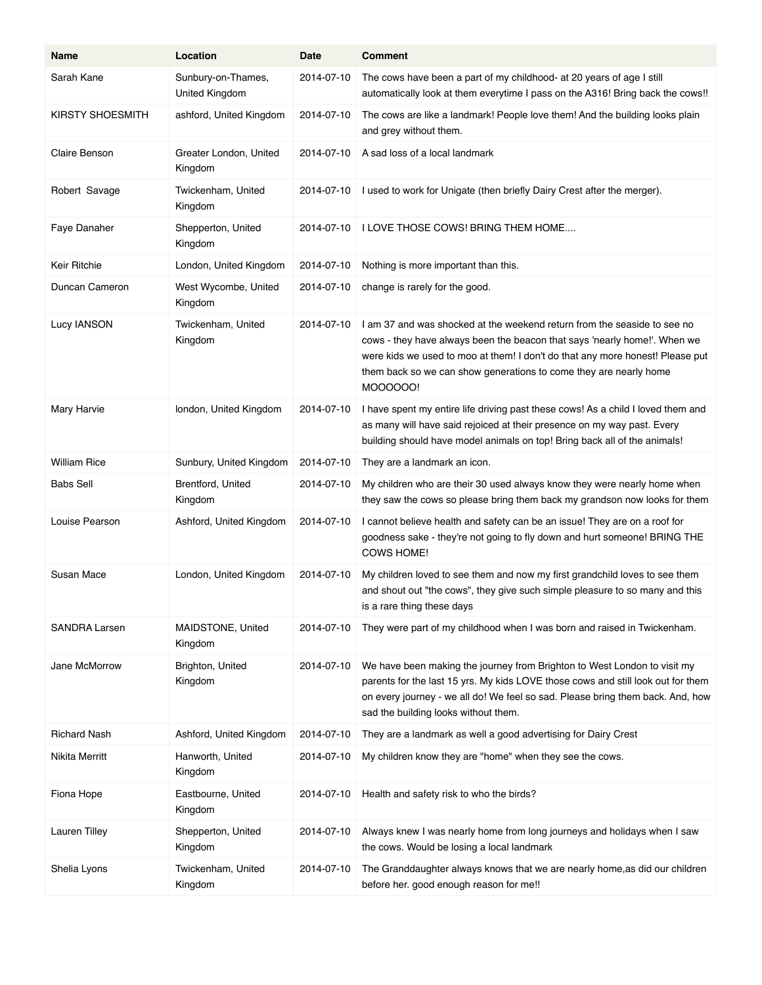| Name                 | Location                             | Date       | <b>Comment</b>                                                                                                                                                                                                                                                                                                          |
|----------------------|--------------------------------------|------------|-------------------------------------------------------------------------------------------------------------------------------------------------------------------------------------------------------------------------------------------------------------------------------------------------------------------------|
| Sarah Kane           | Sunbury-on-Thames,<br>United Kingdom | 2014-07-10 | The cows have been a part of my childhood- at 20 years of age I still<br>automatically look at them everytime I pass on the A316! Bring back the cows!!                                                                                                                                                                 |
| KIRSTY SHOESMITH     | ashford, United Kingdom              | 2014-07-10 | The cows are like a landmark! People love them! And the building looks plain<br>and grey without them.                                                                                                                                                                                                                  |
| Claire Benson        | Greater London, United<br>Kingdom    | 2014-07-10 | A sad loss of a local landmark                                                                                                                                                                                                                                                                                          |
| Robert Savage        | Twickenham, United<br>Kingdom        | 2014-07-10 | I used to work for Unigate (then briefly Dairy Crest after the merger).                                                                                                                                                                                                                                                 |
| Faye Danaher         | Shepperton, United<br>Kingdom        | 2014-07-10 | I LOVE THOSE COWS! BRING THEM HOME                                                                                                                                                                                                                                                                                      |
| Keir Ritchie         | London, United Kingdom               | 2014-07-10 | Nothing is more important than this.                                                                                                                                                                                                                                                                                    |
| Duncan Cameron       | West Wycombe, United<br>Kingdom      | 2014-07-10 | change is rarely for the good.                                                                                                                                                                                                                                                                                          |
| Lucy IANSON          | Twickenham, United<br>Kingdom        | 2014-07-10 | I am 37 and was shocked at the weekend return from the seaside to see no<br>cows - they have always been the beacon that says 'nearly home!'. When we<br>were kids we used to moo at them! I don't do that any more honest! Please put<br>them back so we can show generations to come they are nearly home<br>MOOOOOO! |
| Mary Harvie          | london, United Kingdom               | 2014-07-10 | I have spent my entire life driving past these cows! As a child I loved them and<br>as many will have said rejoiced at their presence on my way past. Every<br>building should have model animals on top! Bring back all of the animals!                                                                                |
| William Rice         | Sunbury, United Kingdom              | 2014-07-10 | They are a landmark an icon.                                                                                                                                                                                                                                                                                            |
| Babs Sell            | Brentford, United<br>Kingdom         | 2014-07-10 | My children who are their 30 used always know they were nearly home when<br>they saw the cows so please bring them back my grandson now looks for them                                                                                                                                                                  |
| Louise Pearson       | Ashford, United Kingdom              | 2014-07-10 | I cannot believe health and safety can be an issue! They are on a roof for<br>goodness sake - they're not going to fly down and hurt someone! BRING THE<br>COWS HOME!                                                                                                                                                   |
| Susan Mace           | London, United Kingdom               | 2014-07-10 | My children loved to see them and now my first grandchild loves to see them<br>and shout out "the cows", they give such simple pleasure to so many and this<br>is a rare thing these days                                                                                                                               |
| <b>SANDRA Larsen</b> | MAIDSTONE, United<br>Kingdom         | 2014-07-10 | They were part of my childhood when I was born and raised in Twickenham.                                                                                                                                                                                                                                                |
| Jane McMorrow        | Brighton, United<br>Kingdom          | 2014-07-10 | We have been making the journey from Brighton to West London to visit my<br>parents for the last 15 yrs. My kids LOVE those cows and still look out for them<br>on every journey - we all do! We feel so sad. Please bring them back. And, how<br>sad the building looks without them.                                  |
| Richard Nash         | Ashford, United Kingdom              | 2014-07-10 | They are a landmark as well a good advertising for Dairy Crest                                                                                                                                                                                                                                                          |
| Nikita Merritt       | Hanworth, United<br>Kingdom          | 2014-07-10 | My children know they are "home" when they see the cows.                                                                                                                                                                                                                                                                |
| Fiona Hope           | Eastbourne, United<br>Kingdom        | 2014-07-10 | Health and safety risk to who the birds?                                                                                                                                                                                                                                                                                |
| Lauren Tilley        | Shepperton, United<br>Kingdom        | 2014-07-10 | Always knew I was nearly home from long journeys and holidays when I saw<br>the cows. Would be losing a local landmark                                                                                                                                                                                                  |
| Shelia Lyons         | Twickenham, United<br>Kingdom        | 2014-07-10 | The Granddaughter always knows that we are nearly home, as did our children<br>before her. good enough reason for me!!                                                                                                                                                                                                  |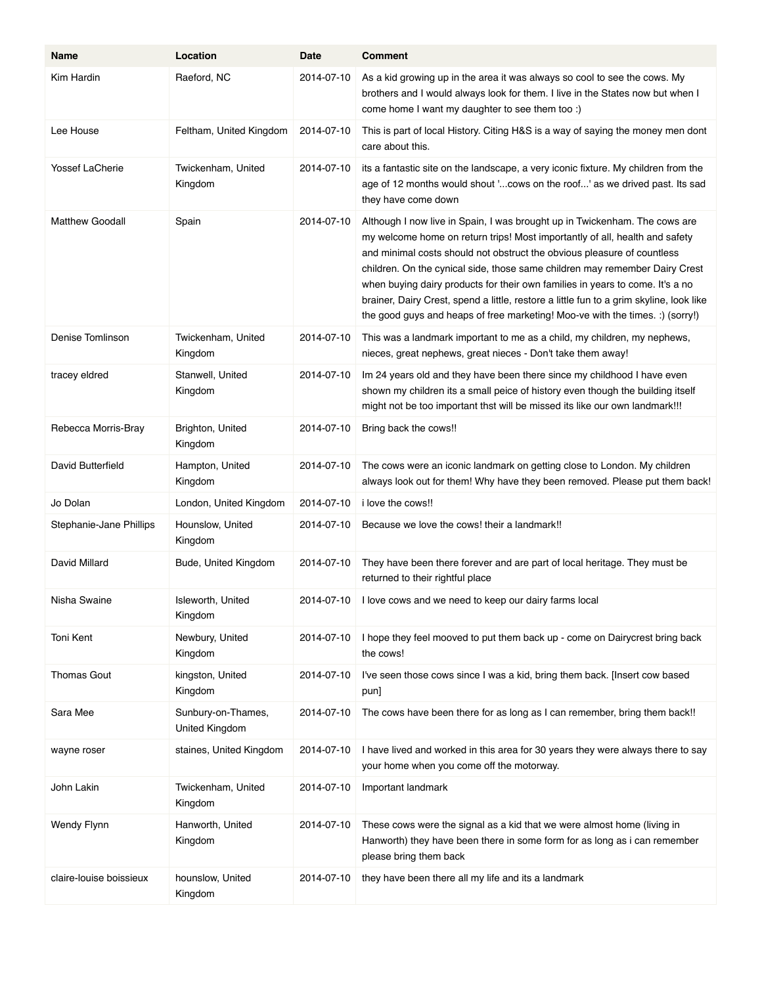| Name                    | Location                             | Date       | <b>Comment</b>                                                                                                                                                                                                                                                                                                                                                                                                                                                                                                                                                                   |
|-------------------------|--------------------------------------|------------|----------------------------------------------------------------------------------------------------------------------------------------------------------------------------------------------------------------------------------------------------------------------------------------------------------------------------------------------------------------------------------------------------------------------------------------------------------------------------------------------------------------------------------------------------------------------------------|
| Kim Hardin              | Raeford, NC                          | 2014-07-10 | As a kid growing up in the area it was always so cool to see the cows. My<br>brothers and I would always look for them. I live in the States now but when I<br>come home I want my daughter to see them too :)                                                                                                                                                                                                                                                                                                                                                                   |
| Lee House               | Feltham, United Kingdom              | 2014-07-10 | This is part of local History. Citing H&S is a way of saying the money men dont<br>care about this.                                                                                                                                                                                                                                                                                                                                                                                                                                                                              |
| <b>Yossef LaCherie</b>  | Twickenham, United<br>Kingdom        | 2014-07-10 | its a fantastic site on the landscape, a very iconic fixture. My children from the<br>age of 12 months would shout 'cows on the roof' as we drived past. Its sad<br>they have come down                                                                                                                                                                                                                                                                                                                                                                                          |
| Matthew Goodall         | Spain                                | 2014-07-10 | Although I now live in Spain, I was brought up in Twickenham. The cows are<br>my welcome home on return trips! Most importantly of all, health and safety<br>and minimal costs should not obstruct the obvious pleasure of countless<br>children. On the cynical side, those same children may remember Dairy Crest<br>when buying dairy products for their own families in years to come. It's a no<br>brainer, Dairy Crest, spend a little, restore a little fun to a grim skyline, look like<br>the good guys and heaps of free marketing! Moo-ve with the times. :) (sorry!) |
| Denise Tomlinson        | Twickenham, United<br>Kingdom        | 2014-07-10 | This was a landmark important to me as a child, my children, my nephews,<br>nieces, great nephews, great nieces - Don't take them away!                                                                                                                                                                                                                                                                                                                                                                                                                                          |
| tracey eldred           | Stanwell, United<br>Kingdom          | 2014-07-10 | Im 24 years old and they have been there since my childhood I have even<br>shown my children its a small peice of history even though the building itself<br>might not be too important thst will be missed its like our own landmark!!!                                                                                                                                                                                                                                                                                                                                         |
| Rebecca Morris-Bray     | Brighton, United<br>Kingdom          | 2014-07-10 | Bring back the cows!!                                                                                                                                                                                                                                                                                                                                                                                                                                                                                                                                                            |
| David Butterfield       | Hampton, United<br>Kingdom           | 2014-07-10 | The cows were an iconic landmark on getting close to London. My children<br>always look out for them! Why have they been removed. Please put them back!                                                                                                                                                                                                                                                                                                                                                                                                                          |
| Jo Dolan                | London, United Kingdom               | 2014-07-10 | i love the cows!!                                                                                                                                                                                                                                                                                                                                                                                                                                                                                                                                                                |
| Stephanie-Jane Phillips | Hounslow, United<br>Kingdom          | 2014-07-10 | Because we love the cows! their a landmark!!                                                                                                                                                                                                                                                                                                                                                                                                                                                                                                                                     |
| David Millard           | Bude, United Kingdom                 | 2014-07-10 | They have been there forever and are part of local heritage. They must be<br>returned to their rightful place                                                                                                                                                                                                                                                                                                                                                                                                                                                                    |
| Nisha Swaine            | Isleworth, United<br>Kingdom         | 2014-07-10 | I love cows and we need to keep our dairy farms local                                                                                                                                                                                                                                                                                                                                                                                                                                                                                                                            |
| Toni Kent               | Newbury, United<br>Kingdom           | 2014-07-10 | I hope they feel mooved to put them back up - come on Dairycrest bring back<br>the cows!                                                                                                                                                                                                                                                                                                                                                                                                                                                                                         |
| <b>Thomas Gout</b>      | kingston, United<br>Kingdom          | 2014-07-10 | I've seen those cows since I was a kid, bring them back. [Insert cow based<br>pun]                                                                                                                                                                                                                                                                                                                                                                                                                                                                                               |
| Sara Mee                | Sunbury-on-Thames,<br>United Kingdom | 2014-07-10 | The cows have been there for as long as I can remember, bring them back!!                                                                                                                                                                                                                                                                                                                                                                                                                                                                                                        |
| wayne roser             | staines, United Kingdom              | 2014-07-10 | I have lived and worked in this area for 30 years they were always there to say<br>your home when you come off the motorway.                                                                                                                                                                                                                                                                                                                                                                                                                                                     |
| John Lakin              | Twickenham, United<br>Kingdom        | 2014-07-10 | Important landmark                                                                                                                                                                                                                                                                                                                                                                                                                                                                                                                                                               |
| Wendy Flynn             | Hanworth, United<br>Kingdom          | 2014-07-10 | These cows were the signal as a kid that we were almost home (living in<br>Hanworth) they have been there in some form for as long as i can remember<br>please bring them back                                                                                                                                                                                                                                                                                                                                                                                                   |
| claire-louise boissieux | hounslow, United<br>Kingdom          | 2014-07-10 | they have been there all my life and its a landmark                                                                                                                                                                                                                                                                                                                                                                                                                                                                                                                              |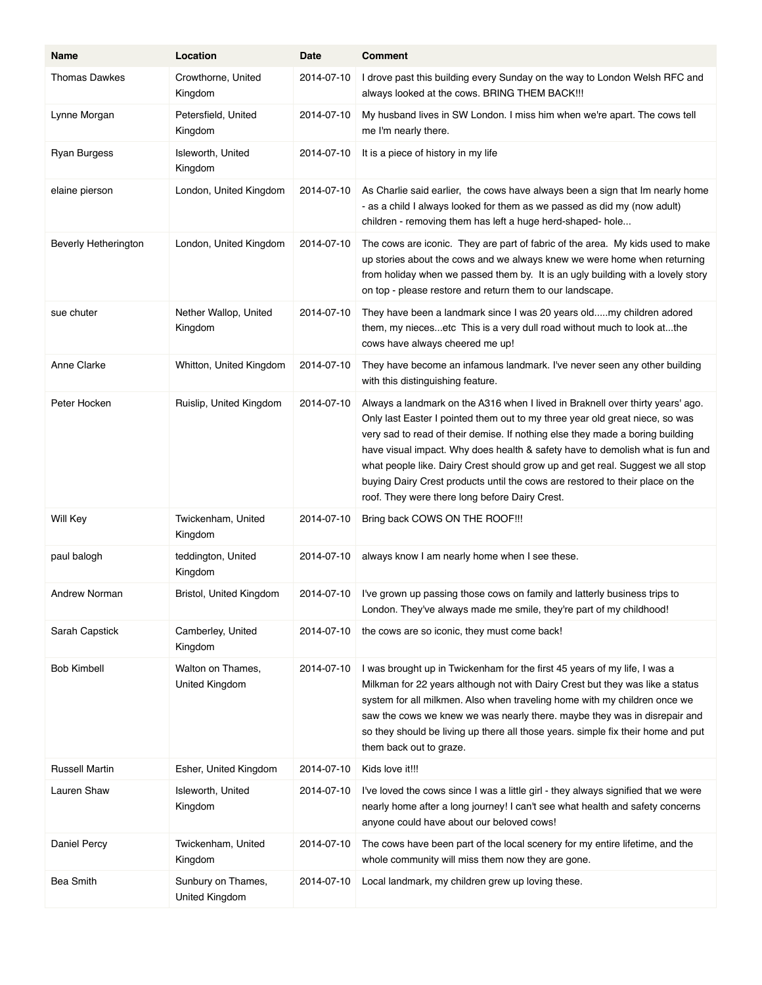| Name                        | Location                             | Date       | <b>Comment</b>                                                                                                                                                                                                                                                                                                                                                                                                                                                                                                                                        |
|-----------------------------|--------------------------------------|------------|-------------------------------------------------------------------------------------------------------------------------------------------------------------------------------------------------------------------------------------------------------------------------------------------------------------------------------------------------------------------------------------------------------------------------------------------------------------------------------------------------------------------------------------------------------|
| <b>Thomas Dawkes</b>        | Crowthorne, United<br>Kingdom        | 2014-07-10 | I drove past this building every Sunday on the way to London Welsh RFC and<br>always looked at the cows. BRING THEM BACK !!!                                                                                                                                                                                                                                                                                                                                                                                                                          |
| Lynne Morgan                | Petersfield, United<br>Kingdom       | 2014-07-10 | My husband lives in SW London. I miss him when we're apart. The cows tell<br>me I'm nearly there.                                                                                                                                                                                                                                                                                                                                                                                                                                                     |
| Ryan Burgess                | Isleworth, United<br>Kingdom         | 2014-07-10 | It is a piece of history in my life                                                                                                                                                                                                                                                                                                                                                                                                                                                                                                                   |
| elaine pierson              | London, United Kingdom               | 2014-07-10 | As Charlie said earlier, the cows have always been a sign that Im nearly home<br>- as a child I always looked for them as we passed as did my (now adult)<br>children - removing them has left a huge herd-shaped- hole                                                                                                                                                                                                                                                                                                                               |
| <b>Beverly Hetherington</b> | London, United Kingdom               | 2014-07-10 | The cows are iconic. They are part of fabric of the area. My kids used to make<br>up stories about the cows and we always knew we were home when returning<br>from holiday when we passed them by. It is an ugly building with a lovely story<br>on top - please restore and return them to our landscape.                                                                                                                                                                                                                                            |
| sue chuter                  | Nether Wallop, United<br>Kingdom     | 2014-07-10 | They have been a landmark since I was 20 years oldmy children adored<br>them, my niecesetc This is a very dull road without much to look atthe<br>cows have always cheered me up!                                                                                                                                                                                                                                                                                                                                                                     |
| Anne Clarke                 | Whitton, United Kingdom              | 2014-07-10 | They have become an infamous landmark. I've never seen any other building<br>with this distinguishing feature.                                                                                                                                                                                                                                                                                                                                                                                                                                        |
| Peter Hocken                | Ruislip, United Kingdom              | 2014-07-10 | Always a landmark on the A316 when I lived in Braknell over thirty years' ago.<br>Only last Easter I pointed them out to my three year old great niece, so was<br>very sad to read of their demise. If nothing else they made a boring building<br>have visual impact. Why does health & safety have to demolish what is fun and<br>what people like. Dairy Crest should grow up and get real. Suggest we all stop<br>buying Dairy Crest products until the cows are restored to their place on the<br>roof. They were there long before Dairy Crest. |
| Will Key                    | Twickenham, United<br>Kingdom        | 2014-07-10 | Bring back COWS ON THE ROOF!!!                                                                                                                                                                                                                                                                                                                                                                                                                                                                                                                        |
| paul balogh                 | teddington, United<br>Kingdom        | 2014-07-10 | always know I am nearly home when I see these.                                                                                                                                                                                                                                                                                                                                                                                                                                                                                                        |
| Andrew Norman               | Bristol, United Kingdom              | 2014-07-10 | I've grown up passing those cows on family and latterly business trips to<br>London. They've always made me smile, they're part of my childhood!                                                                                                                                                                                                                                                                                                                                                                                                      |
| Sarah Capstick              | Camberley, United<br>Kingdom         | 2014-07-10 | the cows are so iconic, they must come back!                                                                                                                                                                                                                                                                                                                                                                                                                                                                                                          |
| <b>Bob Kimbell</b>          | Walton on Thames,<br>United Kingdom  | 2014-07-10 | I was brought up in Twickenham for the first 45 years of my life, I was a<br>Milkman for 22 years although not with Dairy Crest but they was like a status<br>system for all milkmen. Also when traveling home with my children once we<br>saw the cows we knew we was nearly there. maybe they was in disrepair and<br>so they should be living up there all those years. simple fix their home and put<br>them back out to graze.                                                                                                                   |
| <b>Russell Martin</b>       | Esher, United Kingdom                | 2014-07-10 | Kids love it!!!                                                                                                                                                                                                                                                                                                                                                                                                                                                                                                                                       |
| Lauren Shaw                 | Isleworth, United<br>Kingdom         | 2014-07-10 | I've loved the cows since I was a little girl - they always signified that we were<br>nearly home after a long journey! I can't see what health and safety concerns<br>anyone could have about our beloved cows!                                                                                                                                                                                                                                                                                                                                      |
| Daniel Percy                | Twickenham, United<br>Kingdom        | 2014-07-10 | The cows have been part of the local scenery for my entire lifetime, and the<br>whole community will miss them now they are gone.                                                                                                                                                                                                                                                                                                                                                                                                                     |
| <b>Bea Smith</b>            | Sunbury on Thames,<br>United Kingdom | 2014-07-10 | Local landmark, my children grew up loving these.                                                                                                                                                                                                                                                                                                                                                                                                                                                                                                     |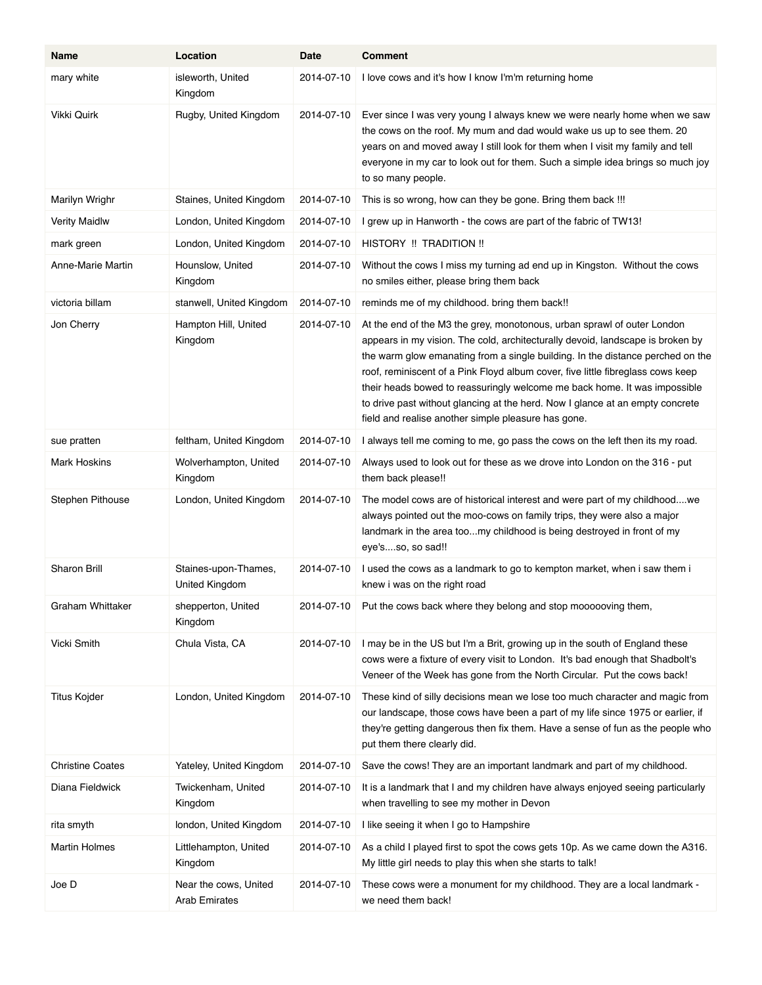| Name                    | Location                                      | Date       | <b>Comment</b>                                                                                                                                                                                                                                                                                                                                                                                                                                                                                                                                      |
|-------------------------|-----------------------------------------------|------------|-----------------------------------------------------------------------------------------------------------------------------------------------------------------------------------------------------------------------------------------------------------------------------------------------------------------------------------------------------------------------------------------------------------------------------------------------------------------------------------------------------------------------------------------------------|
| mary white              | isleworth, United<br>Kingdom                  | 2014-07-10 | I love cows and it's how I know I'm'm returning home                                                                                                                                                                                                                                                                                                                                                                                                                                                                                                |
| Vikki Quirk             | Rugby, United Kingdom                         | 2014-07-10 | Ever since I was very young I always knew we were nearly home when we saw<br>the cows on the roof. My mum and dad would wake us up to see them. 20<br>years on and moved away I still look for them when I visit my family and tell<br>everyone in my car to look out for them. Such a simple idea brings so much joy<br>to so many people.                                                                                                                                                                                                         |
| Marilyn Wrighr          | Staines, United Kingdom                       | 2014-07-10 | This is so wrong, how can they be gone. Bring them back !!!                                                                                                                                                                                                                                                                                                                                                                                                                                                                                         |
| <b>Verity Maidlw</b>    | London, United Kingdom                        | 2014-07-10 | I grew up in Hanworth - the cows are part of the fabric of TW13!                                                                                                                                                                                                                                                                                                                                                                                                                                                                                    |
| mark green              | London, United Kingdom                        | 2014-07-10 | HISTORY !! TRADITION !!                                                                                                                                                                                                                                                                                                                                                                                                                                                                                                                             |
| Anne-Marie Martin       | Hounslow, United<br>Kingdom                   | 2014-07-10 | Without the cows I miss my turning ad end up in Kingston. Without the cows<br>no smiles either, please bring them back                                                                                                                                                                                                                                                                                                                                                                                                                              |
| victoria billam         | stanwell, United Kingdom                      | 2014-07-10 | reminds me of my childhood. bring them back!!                                                                                                                                                                                                                                                                                                                                                                                                                                                                                                       |
| Jon Cherry              | Hampton Hill, United<br>Kingdom               | 2014-07-10 | At the end of the M3 the grey, monotonous, urban sprawl of outer London<br>appears in my vision. The cold, architecturally devoid, landscape is broken by<br>the warm glow emanating from a single building. In the distance perched on the<br>roof, reminiscent of a Pink Floyd album cover, five little fibreglass cows keep<br>their heads bowed to reassuringly welcome me back home. It was impossible<br>to drive past without glancing at the herd. Now I glance at an empty concrete<br>field and realise another simple pleasure has gone. |
| sue pratten             | feltham, United Kingdom                       | 2014-07-10 | I always tell me coming to me, go pass the cows on the left then its my road.                                                                                                                                                                                                                                                                                                                                                                                                                                                                       |
| Mark Hoskins            | Wolverhampton, United<br>Kingdom              | 2014-07-10 | Always used to look out for these as we drove into London on the 316 - put<br>them back please!!                                                                                                                                                                                                                                                                                                                                                                                                                                                    |
| Stephen Pithouse        | London, United Kingdom                        | 2014-07-10 | The model cows are of historical interest and were part of my childhoodwe<br>always pointed out the moo-cows on family trips, they were also a major<br>landmark in the area toomy childhood is being destroyed in front of my<br>eye'sso, so sad!!                                                                                                                                                                                                                                                                                                 |
| Sharon Brill            | Staines-upon-Thames,<br>United Kingdom        | 2014-07-10 | I used the cows as a landmark to go to kempton market, when i saw them i<br>knew i was on the right road                                                                                                                                                                                                                                                                                                                                                                                                                                            |
| Graham Whittaker        | shepperton, United<br>Kingdom                 | 2014-07-10 | Put the cows back where they belong and stop moooooving them,                                                                                                                                                                                                                                                                                                                                                                                                                                                                                       |
| Vicki Smith             | Chula Vista, CA                               | 2014-07-10 | I may be in the US but I'm a Brit, growing up in the south of England these<br>cows were a fixture of every visit to London. It's bad enough that Shadbolt's<br>Veneer of the Week has gone from the North Circular. Put the cows back!                                                                                                                                                                                                                                                                                                             |
| Titus Kojder            | London, United Kingdom                        | 2014-07-10 | These kind of silly decisions mean we lose too much character and magic from<br>our landscape, those cows have been a part of my life since 1975 or earlier, if<br>they're getting dangerous then fix them. Have a sense of fun as the people who<br>put them there clearly did.                                                                                                                                                                                                                                                                    |
| <b>Christine Coates</b> | Yateley, United Kingdom                       | 2014-07-10 | Save the cows! They are an important landmark and part of my childhood.                                                                                                                                                                                                                                                                                                                                                                                                                                                                             |
| Diana Fieldwick         | Twickenham, United<br>Kingdom                 | 2014-07-10 | It is a landmark that I and my children have always enjoyed seeing particularly<br>when travelling to see my mother in Devon                                                                                                                                                                                                                                                                                                                                                                                                                        |
| rita smyth              | london, United Kingdom                        | 2014-07-10 | I like seeing it when I go to Hampshire                                                                                                                                                                                                                                                                                                                                                                                                                                                                                                             |
| <b>Martin Holmes</b>    | Littlehampton, United<br>Kingdom              | 2014-07-10 | As a child I played first to spot the cows gets 10p. As we came down the A316.<br>My little girl needs to play this when she starts to talk!                                                                                                                                                                                                                                                                                                                                                                                                        |
| Joe D                   | Near the cows, United<br><b>Arab Emirates</b> | 2014-07-10 | These cows were a monument for my childhood. They are a local landmark -<br>we need them back!                                                                                                                                                                                                                                                                                                                                                                                                                                                      |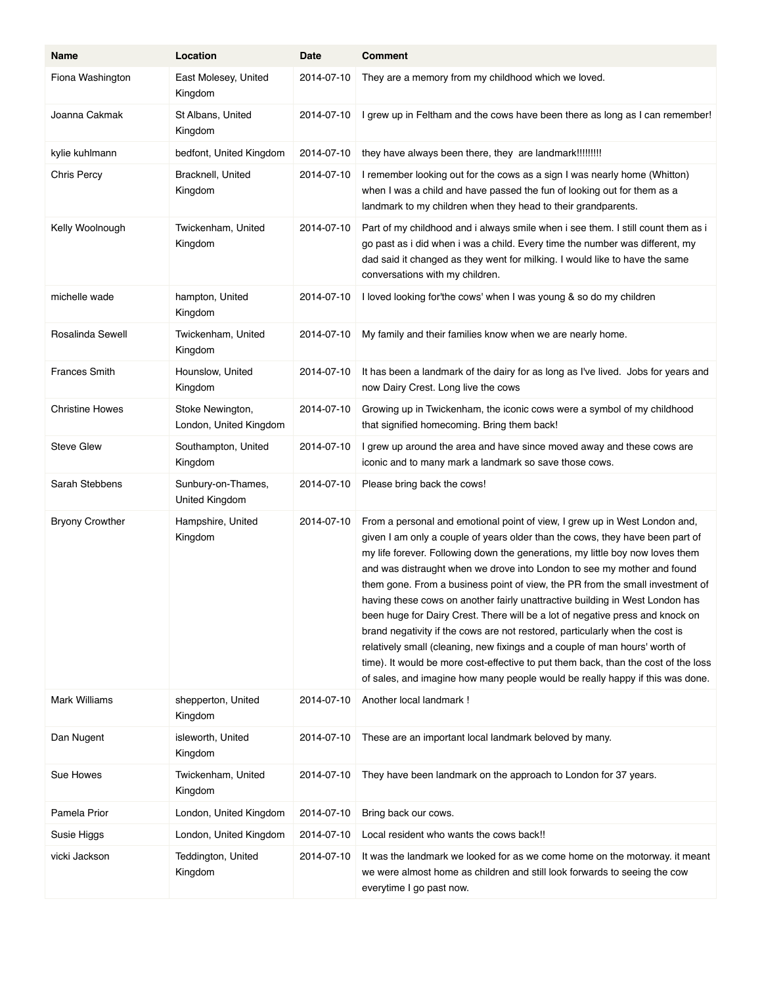| Name                   | Location                                   | Date       | <b>Comment</b>                                                                                                                                                                                                                                                                                                                                                                                                                                                                                                                                                                                                                                                                                                                                                                                                                                                                                                  |
|------------------------|--------------------------------------------|------------|-----------------------------------------------------------------------------------------------------------------------------------------------------------------------------------------------------------------------------------------------------------------------------------------------------------------------------------------------------------------------------------------------------------------------------------------------------------------------------------------------------------------------------------------------------------------------------------------------------------------------------------------------------------------------------------------------------------------------------------------------------------------------------------------------------------------------------------------------------------------------------------------------------------------|
| Fiona Washington       | East Molesey, United<br>Kingdom            | 2014-07-10 | They are a memory from my childhood which we loved.                                                                                                                                                                                                                                                                                                                                                                                                                                                                                                                                                                                                                                                                                                                                                                                                                                                             |
| Joanna Cakmak          | St Albans, United<br>Kingdom               | 2014-07-10 | I grew up in Feltham and the cows have been there as long as I can remember!                                                                                                                                                                                                                                                                                                                                                                                                                                                                                                                                                                                                                                                                                                                                                                                                                                    |
| kylie kuhlmann         | bedfont, United Kingdom                    | 2014-07-10 |                                                                                                                                                                                                                                                                                                                                                                                                                                                                                                                                                                                                                                                                                                                                                                                                                                                                                                                 |
| <b>Chris Percy</b>     | Bracknell, United<br>Kingdom               | 2014-07-10 | I remember looking out for the cows as a sign I was nearly home (Whitton)<br>when I was a child and have passed the fun of looking out for them as a<br>landmark to my children when they head to their grandparents.                                                                                                                                                                                                                                                                                                                                                                                                                                                                                                                                                                                                                                                                                           |
| Kelly Woolnough        | Twickenham, United<br>Kingdom              | 2014-07-10 | Part of my childhood and i always smile when i see them. I still count them as i<br>go past as i did when i was a child. Every time the number was different, my<br>dad said it changed as they went for milking. I would like to have the same<br>conversations with my children.                                                                                                                                                                                                                                                                                                                                                                                                                                                                                                                                                                                                                              |
| michelle wade          | hampton, United<br>Kingdom                 | 2014-07-10 | I loved looking for'the cows' when I was young & so do my children                                                                                                                                                                                                                                                                                                                                                                                                                                                                                                                                                                                                                                                                                                                                                                                                                                              |
| Rosalinda Sewell       | Twickenham, United<br>Kingdom              | 2014-07-10 | My family and their families know when we are nearly home.                                                                                                                                                                                                                                                                                                                                                                                                                                                                                                                                                                                                                                                                                                                                                                                                                                                      |
| <b>Frances Smith</b>   | Hounslow, United<br>Kingdom                | 2014-07-10 | It has been a landmark of the dairy for as long as I've lived. Jobs for years and<br>now Dairy Crest. Long live the cows                                                                                                                                                                                                                                                                                                                                                                                                                                                                                                                                                                                                                                                                                                                                                                                        |
| <b>Christine Howes</b> | Stoke Newington,<br>London, United Kingdom | 2014-07-10 | Growing up in Twickenham, the iconic cows were a symbol of my childhood<br>that signified homecoming. Bring them back!                                                                                                                                                                                                                                                                                                                                                                                                                                                                                                                                                                                                                                                                                                                                                                                          |
| <b>Steve Glew</b>      | Southampton, United<br>Kingdom             | 2014-07-10 | I grew up around the area and have since moved away and these cows are<br>iconic and to many mark a landmark so save those cows.                                                                                                                                                                                                                                                                                                                                                                                                                                                                                                                                                                                                                                                                                                                                                                                |
| Sarah Stebbens         | Sunbury-on-Thames,<br>United Kingdom       | 2014-07-10 | Please bring back the cows!                                                                                                                                                                                                                                                                                                                                                                                                                                                                                                                                                                                                                                                                                                                                                                                                                                                                                     |
| <b>Bryony Crowther</b> | Hampshire, United<br>Kingdom               | 2014-07-10 | From a personal and emotional point of view, I grew up in West London and,<br>given I am only a couple of years older than the cows, they have been part of<br>my life forever. Following down the generations, my little boy now loves them<br>and was distraught when we drove into London to see my mother and found<br>them gone. From a business point of view, the PR from the small investment of<br>having these cows on another fairly unattractive building in West London has<br>been huge for Dairy Crest. There will be a lot of negative press and knock on<br>brand negativity if the cows are not restored, particularly when the cost is<br>relatively small (cleaning, new fixings and a couple of man hours' worth of<br>time). It would be more cost-effective to put them back, than the cost of the loss<br>of sales, and imagine how many people would be really happy if this was done. |
| <b>Mark Williams</b>   | shepperton, United<br>Kingdom              | 2014-07-10 | Another local landmark !                                                                                                                                                                                                                                                                                                                                                                                                                                                                                                                                                                                                                                                                                                                                                                                                                                                                                        |
| Dan Nugent             | isleworth, United<br>Kingdom               | 2014-07-10 | These are an important local landmark beloved by many.                                                                                                                                                                                                                                                                                                                                                                                                                                                                                                                                                                                                                                                                                                                                                                                                                                                          |
| Sue Howes              | Twickenham, United<br>Kingdom              | 2014-07-10 | They have been landmark on the approach to London for 37 years.                                                                                                                                                                                                                                                                                                                                                                                                                                                                                                                                                                                                                                                                                                                                                                                                                                                 |
| Pamela Prior           | London, United Kingdom                     | 2014-07-10 | Bring back our cows.                                                                                                                                                                                                                                                                                                                                                                                                                                                                                                                                                                                                                                                                                                                                                                                                                                                                                            |
| Susie Higgs            | London, United Kingdom                     | 2014-07-10 | Local resident who wants the cows back!!                                                                                                                                                                                                                                                                                                                                                                                                                                                                                                                                                                                                                                                                                                                                                                                                                                                                        |
| vicki Jackson          | Teddington, United<br>Kingdom              | 2014-07-10 | It was the landmark we looked for as we come home on the motorway. it meant<br>we were almost home as children and still look forwards to seeing the cow<br>everytime I go past now.                                                                                                                                                                                                                                                                                                                                                                                                                                                                                                                                                                                                                                                                                                                            |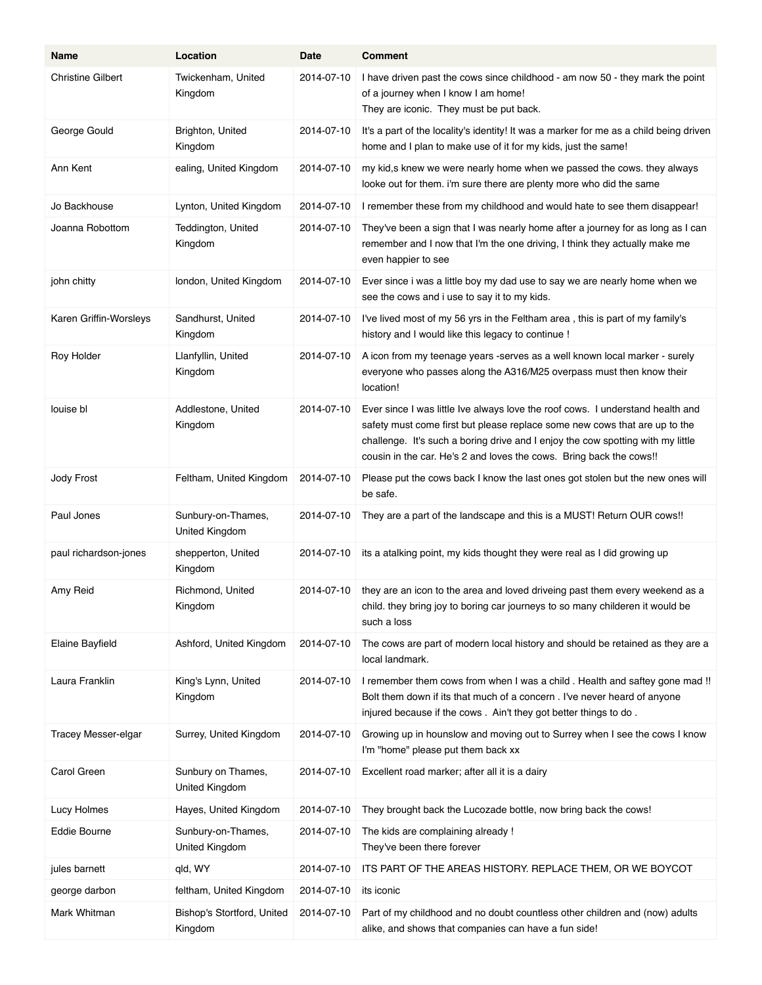| Name                       | Location                              | Date       | <b>Comment</b>                                                                                                                                                                                                                                                                                                         |
|----------------------------|---------------------------------------|------------|------------------------------------------------------------------------------------------------------------------------------------------------------------------------------------------------------------------------------------------------------------------------------------------------------------------------|
| <b>Christine Gilbert</b>   | Twickenham, United<br>Kingdom         | 2014-07-10 | I have driven past the cows since childhood - am now 50 - they mark the point<br>of a journey when I know I am home!<br>They are iconic. They must be put back.                                                                                                                                                        |
| George Gould               | Brighton, United<br>Kingdom           | 2014-07-10 | It's a part of the locality's identity! It was a marker for me as a child being driven<br>home and I plan to make use of it for my kids, just the same!                                                                                                                                                                |
| Ann Kent                   | ealing, United Kingdom                | 2014-07-10 | my kid, s knew we were nearly home when we passed the cows. they always<br>looke out for them. i'm sure there are plenty more who did the same                                                                                                                                                                         |
| Jo Backhouse               | Lynton, United Kingdom                | 2014-07-10 | I remember these from my childhood and would hate to see them disappear!                                                                                                                                                                                                                                               |
| Joanna Robottom            | Teddington, United<br>Kingdom         | 2014-07-10 | They've been a sign that I was nearly home after a journey for as long as I can<br>remember and I now that I'm the one driving, I think they actually make me<br>even happier to see                                                                                                                                   |
| john chitty                | london, United Kingdom                | 2014-07-10 | Ever since i was a little boy my dad use to say we are nearly home when we<br>see the cows and i use to say it to my kids.                                                                                                                                                                                             |
| Karen Griffin-Worsleys     | Sandhurst, United<br>Kingdom          | 2014-07-10 | I've lived most of my 56 yrs in the Feltham area, this is part of my family's<br>history and I would like this legacy to continue !                                                                                                                                                                                    |
| Roy Holder                 | Llanfyllin, United<br>Kingdom         | 2014-07-10 | A icon from my teenage years -serves as a well known local marker - surely<br>everyone who passes along the A316/M25 overpass must then know their<br>location!                                                                                                                                                        |
| louise bl                  | Addlestone, United<br>Kingdom         | 2014-07-10 | Ever since I was little Ive always love the roof cows. I understand health and<br>safety must come first but please replace some new cows that are up to the<br>challenge. It's such a boring drive and I enjoy the cow spotting with my little<br>cousin in the car. He's 2 and loves the cows. Bring back the cows!! |
| Jody Frost                 | Feltham, United Kingdom               | 2014-07-10 | Please put the cows back I know the last ones got stolen but the new ones will<br>be safe.                                                                                                                                                                                                                             |
| Paul Jones                 | Sunbury-on-Thames,<br>United Kingdom  | 2014-07-10 | They are a part of the landscape and this is a MUST! Return OUR cows!!                                                                                                                                                                                                                                                 |
| paul richardson-jones      | shepperton, United<br>Kingdom         | 2014-07-10 | its a atalking point, my kids thought they were real as I did growing up                                                                                                                                                                                                                                               |
| Amy Reid                   | Richmond, United<br>Kingdom           | 2014-07-10 | they are an icon to the area and loved driveing past them every weekend as a<br>child. they bring joy to boring car journeys to so many childeren it would be<br>such a loss                                                                                                                                           |
| Elaine Bayfield            | Ashford, United Kingdom               | 2014-07-10 | The cows are part of modern local history and should be retained as they are a<br>local landmark.                                                                                                                                                                                                                      |
| Laura Franklin             | King's Lynn, United<br>Kingdom        | 2014-07-10 | I remember them cows from when I was a child. Health and saftey gone mad !!<br>Bolt them down if its that much of a concern. I've never heard of anyone<br>injured because if the cows. Ain't they got better things to do.                                                                                            |
| <b>Tracey Messer-elgar</b> | Surrey, United Kingdom                | 2014-07-10 | Growing up in hounslow and moving out to Surrey when I see the cows I know<br>I'm "home" please put them back xx                                                                                                                                                                                                       |
| Carol Green                | Sunbury on Thames,<br>United Kingdom  | 2014-07-10 | Excellent road marker; after all it is a dairy                                                                                                                                                                                                                                                                         |
| Lucy Holmes                | Hayes, United Kingdom                 | 2014-07-10 | They brought back the Lucozade bottle, now bring back the cows!                                                                                                                                                                                                                                                        |
| Eddie Bourne               | Sunbury-on-Thames,<br>United Kingdom  | 2014-07-10 | The kids are complaining already !<br>They've been there forever                                                                                                                                                                                                                                                       |
| jules barnett              | gld, WY                               | 2014-07-10 | ITS PART OF THE AREAS HISTORY. REPLACE THEM, OR WE BOYCOT                                                                                                                                                                                                                                                              |
| george darbon              | feltham, United Kingdom               | 2014-07-10 | its iconic                                                                                                                                                                                                                                                                                                             |
| Mark Whitman               | Bishop's Stortford, United<br>Kingdom | 2014-07-10 | Part of my childhood and no doubt countless other children and (now) adults<br>alike, and shows that companies can have a fun side!                                                                                                                                                                                    |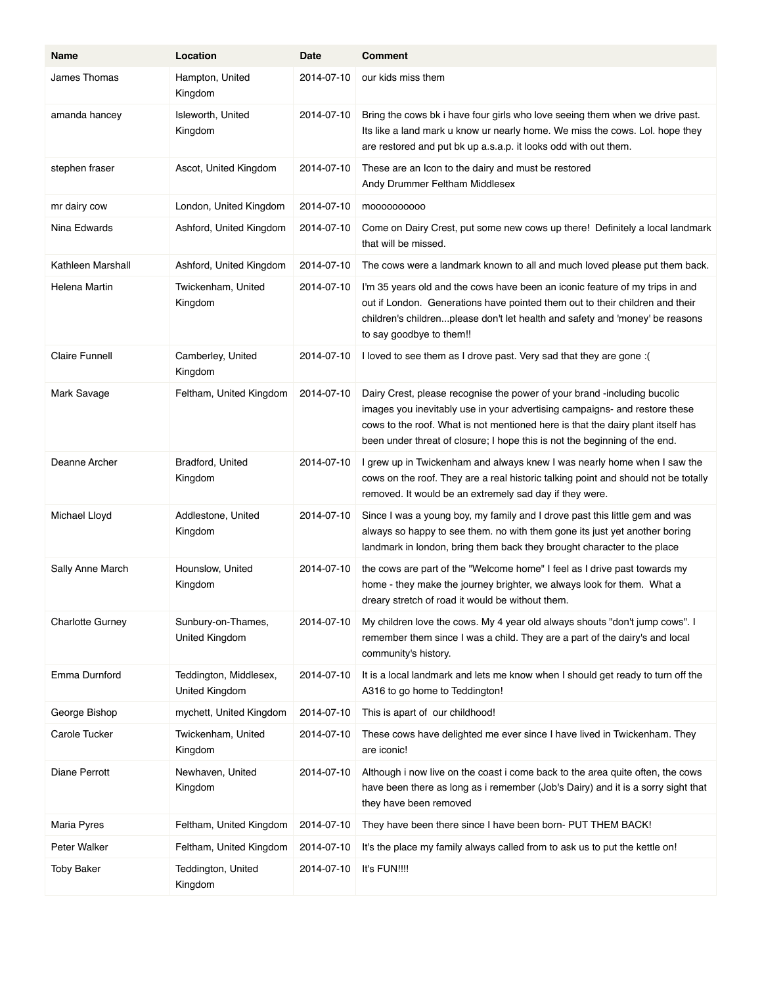| Name                    | Location                                 | Date       | <b>Comment</b>                                                                                                                                                                                                                                                                                                          |
|-------------------------|------------------------------------------|------------|-------------------------------------------------------------------------------------------------------------------------------------------------------------------------------------------------------------------------------------------------------------------------------------------------------------------------|
| James Thomas            | Hampton, United<br>Kingdom               | 2014-07-10 | our kids miss them                                                                                                                                                                                                                                                                                                      |
| amanda hancey           | Isleworth, United<br>Kingdom             | 2014-07-10 | Bring the cows bk i have four girls who love seeing them when we drive past.<br>Its like a land mark u know ur nearly home. We miss the cows. Lol. hope they<br>are restored and put bk up a.s.a.p. it looks odd with out them.                                                                                         |
| stephen fraser          | Ascot, United Kingdom                    | 2014-07-10 | These are an Icon to the dairy and must be restored<br>Andy Drummer Feltham Middlesex                                                                                                                                                                                                                                   |
| mr dairy cow            | London, United Kingdom                   | 2014-07-10 | moooooooooo                                                                                                                                                                                                                                                                                                             |
| Nina Edwards            | Ashford, United Kingdom                  | 2014-07-10 | Come on Dairy Crest, put some new cows up there! Definitely a local landmark<br>that will be missed.                                                                                                                                                                                                                    |
| Kathleen Marshall       | Ashford, United Kingdom                  | 2014-07-10 | The cows were a landmark known to all and much loved please put them back.                                                                                                                                                                                                                                              |
| Helena Martin           | Twickenham, United<br>Kingdom            | 2014-07-10 | I'm 35 years old and the cows have been an iconic feature of my trips in and<br>out if London. Generations have pointed them out to their children and their<br>children's childrenplease don't let health and safety and 'money' be reasons<br>to say goodbye to them!!                                                |
| <b>Claire Funnell</b>   | Camberley, United<br>Kingdom             | 2014-07-10 | I loved to see them as I drove past. Very sad that they are gone: (                                                                                                                                                                                                                                                     |
| Mark Savage             | Feltham, United Kingdom                  | 2014-07-10 | Dairy Crest, please recognise the power of your brand -including bucolic<br>images you inevitably use in your advertising campaigns- and restore these<br>cows to the roof. What is not mentioned here is that the dairy plant itself has<br>been under threat of closure; I hope this is not the beginning of the end. |
| Deanne Archer           | Bradford, United<br>Kingdom              | 2014-07-10 | I grew up in Twickenham and always knew I was nearly home when I saw the<br>cows on the roof. They are a real historic talking point and should not be totally<br>removed. It would be an extremely sad day if they were.                                                                                               |
| Michael Lloyd           | Addlestone, United<br>Kingdom            | 2014-07-10 | Since I was a young boy, my family and I drove past this little gem and was<br>always so happy to see them. no with them gone its just yet another boring<br>landmark in london, bring them back they brought character to the place                                                                                    |
| Sally Anne March        | Hounslow, United<br>Kingdom              | 2014-07-10 | the cows are part of the "Welcome home" I feel as I drive past towards my<br>home - they make the journey brighter, we always look for them. What a<br>dreary stretch of road it would be without them.                                                                                                                 |
| <b>Charlotte Gurney</b> | Sunbury-on-Thames,<br>United Kingdom     | 2014-07-10 | My children love the cows. My 4 year old always shouts "don't jump cows". I<br>remember them since I was a child. They are a part of the dairy's and local<br>community's history.                                                                                                                                      |
| Emma Durnford           | Teddington, Middlesex,<br>United Kingdom | 2014-07-10 | It is a local landmark and lets me know when I should get ready to turn off the<br>A316 to go home to Teddington!                                                                                                                                                                                                       |
| George Bishop           | mychett, United Kingdom                  | 2014-07-10 | This is apart of our childhood!                                                                                                                                                                                                                                                                                         |
| Carole Tucker           | Twickenham, United<br>Kingdom            | 2014-07-10 | These cows have delighted me ever since I have lived in Twickenham. They<br>are iconic!                                                                                                                                                                                                                                 |
| Diane Perrott           | Newhaven, United<br>Kingdom              | 2014-07-10 | Although i now live on the coast i come back to the area quite often, the cows<br>have been there as long as i remember (Job's Dairy) and it is a sorry sight that<br>they have been removed                                                                                                                            |
| Maria Pyres             | Feltham, United Kingdom                  | 2014-07-10 | They have been there since I have been born- PUT THEM BACK!                                                                                                                                                                                                                                                             |
| Peter Walker            | Feltham, United Kingdom                  | 2014-07-10 | It's the place my family always called from to ask us to put the kettle on!                                                                                                                                                                                                                                             |
| <b>Toby Baker</b>       | Teddington, United<br>Kingdom            | 2014-07-10 | It's FUN!!!!                                                                                                                                                                                                                                                                                                            |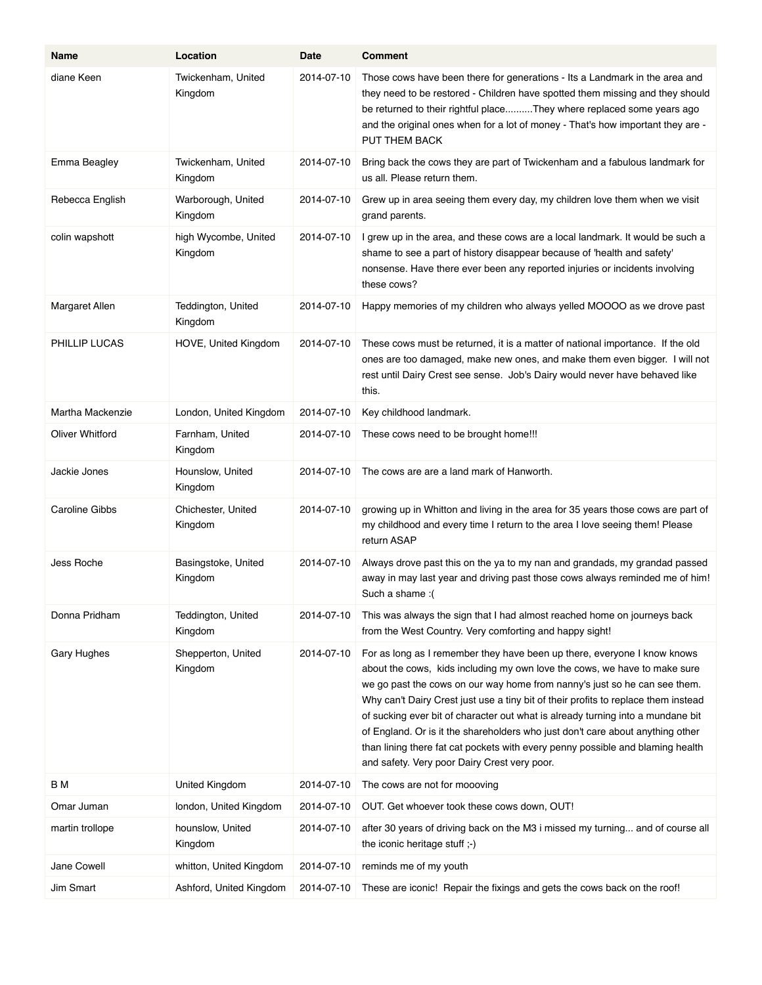| Name                  | Location                        | Date       | <b>Comment</b>                                                                                                                                                                                                                                                                                                                                                                                                                                                                                                                                                                                                                  |
|-----------------------|---------------------------------|------------|---------------------------------------------------------------------------------------------------------------------------------------------------------------------------------------------------------------------------------------------------------------------------------------------------------------------------------------------------------------------------------------------------------------------------------------------------------------------------------------------------------------------------------------------------------------------------------------------------------------------------------|
| diane Keen            | Twickenham, United<br>Kingdom   | 2014-07-10 | Those cows have been there for generations - Its a Landmark in the area and<br>they need to be restored - Children have spotted them missing and they should<br>be returned to their rightful placeThey where replaced some years ago<br>and the original ones when for a lot of money - That's how important they are -<br>PUT THEM BACK                                                                                                                                                                                                                                                                                       |
| Emma Beagley          | Twickenham, United<br>Kingdom   | 2014-07-10 | Bring back the cows they are part of Twickenham and a fabulous landmark for<br>us all. Please return them.                                                                                                                                                                                                                                                                                                                                                                                                                                                                                                                      |
| Rebecca English       | Warborough, United<br>Kingdom   | 2014-07-10 | Grew up in area seeing them every day, my children love them when we visit<br>grand parents.                                                                                                                                                                                                                                                                                                                                                                                                                                                                                                                                    |
| colin wapshott        | high Wycombe, United<br>Kingdom | 2014-07-10 | I grew up in the area, and these cows are a local landmark. It would be such a<br>shame to see a part of history disappear because of 'health and safety'<br>nonsense. Have there ever been any reported injuries or incidents involving<br>these cows?                                                                                                                                                                                                                                                                                                                                                                         |
| Margaret Allen        | Teddington, United<br>Kingdom   | 2014-07-10 | Happy memories of my children who always yelled MOOOO as we drove past                                                                                                                                                                                                                                                                                                                                                                                                                                                                                                                                                          |
| PHILLIP LUCAS         | HOVE, United Kingdom            | 2014-07-10 | These cows must be returned, it is a matter of national importance. If the old<br>ones are too damaged, make new ones, and make them even bigger. I will not<br>rest until Dairy Crest see sense. Job's Dairy would never have behaved like<br>this.                                                                                                                                                                                                                                                                                                                                                                            |
| Martha Mackenzie      | London, United Kingdom          | 2014-07-10 | Key childhood landmark.                                                                                                                                                                                                                                                                                                                                                                                                                                                                                                                                                                                                         |
| Oliver Whitford       | Farnham, United<br>Kingdom      | 2014-07-10 | These cows need to be brought home!!!                                                                                                                                                                                                                                                                                                                                                                                                                                                                                                                                                                                           |
| Jackie Jones          | Hounslow, United<br>Kingdom     | 2014-07-10 | The cows are are a land mark of Hanworth.                                                                                                                                                                                                                                                                                                                                                                                                                                                                                                                                                                                       |
| <b>Caroline Gibbs</b> | Chichester, United<br>Kingdom   | 2014-07-10 | growing up in Whitton and living in the area for 35 years those cows are part of<br>my childhood and every time I return to the area I love seeing them! Please<br>return ASAP                                                                                                                                                                                                                                                                                                                                                                                                                                                  |
| Jess Roche            | Basingstoke, United<br>Kingdom  | 2014-07-10 | Always drove past this on the ya to my nan and grandads, my grandad passed<br>away in may last year and driving past those cows always reminded me of him!<br>Such a shame: (                                                                                                                                                                                                                                                                                                                                                                                                                                                   |
| Donna Pridham         | Teddington, United<br>Kingdom   | 2014-07-10 | This was always the sign that I had almost reached home on journeys back<br>from the West Country. Very comforting and happy sight!                                                                                                                                                                                                                                                                                                                                                                                                                                                                                             |
| Gary Hughes           | Shepperton, United<br>Kingdom   | 2014-07-10 | For as long as I remember they have been up there, everyone I know knows<br>about the cows, kids including my own love the cows, we have to make sure<br>we go past the cows on our way home from nanny's just so he can see them.<br>Why can't Dairy Crest just use a tiny bit of their profits to replace them instead<br>of sucking ever bit of character out what is already turning into a mundane bit<br>of England. Or is it the shareholders who just don't care about anything other<br>than lining there fat cat pockets with every penny possible and blaming health<br>and safety. Very poor Dairy Crest very poor. |
| ΒМ                    | United Kingdom                  | 2014-07-10 | The cows are not for moooving                                                                                                                                                                                                                                                                                                                                                                                                                                                                                                                                                                                                   |
| Omar Juman            | london, United Kingdom          | 2014-07-10 | OUT. Get whoever took these cows down, OUT!                                                                                                                                                                                                                                                                                                                                                                                                                                                                                                                                                                                     |
| martin trollope       | hounslow, United<br>Kingdom     | 2014-07-10 | after 30 years of driving back on the M3 i missed my turning and of course all<br>the iconic heritage stuff ;-)                                                                                                                                                                                                                                                                                                                                                                                                                                                                                                                 |
| Jane Cowell           | whitton, United Kingdom         | 2014-07-10 | reminds me of my youth                                                                                                                                                                                                                                                                                                                                                                                                                                                                                                                                                                                                          |
| Jim Smart             | Ashford, United Kingdom         | 2014-07-10 | These are iconic! Repair the fixings and gets the cows back on the roof!                                                                                                                                                                                                                                                                                                                                                                                                                                                                                                                                                        |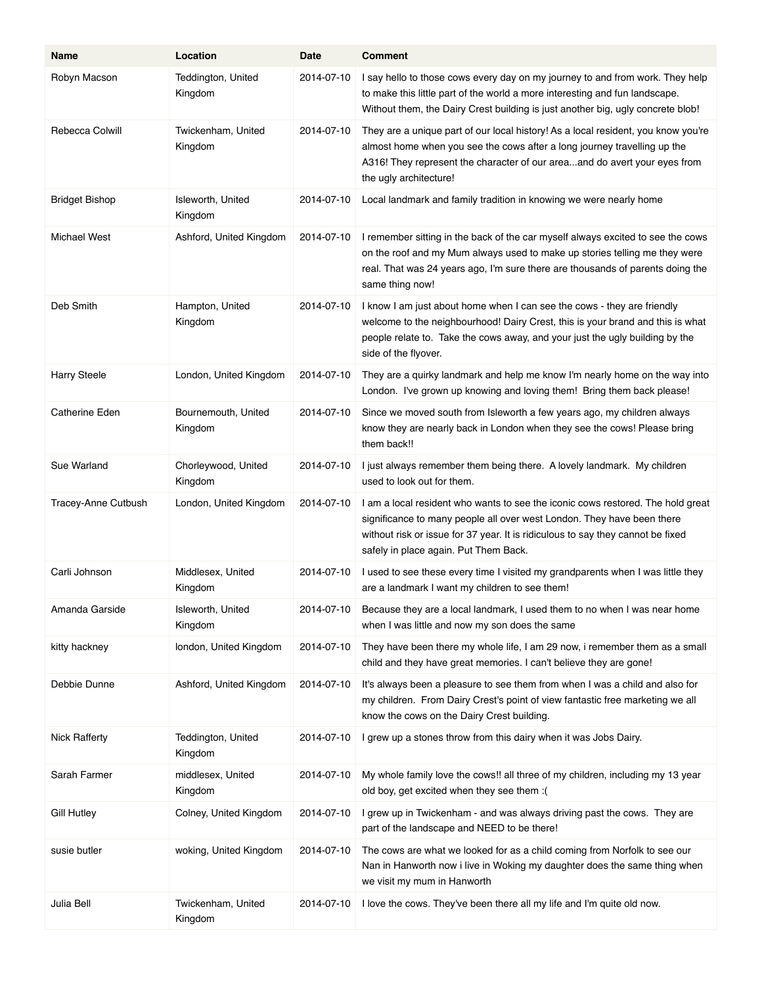| Name                  | Location                       | Date       | <b>Comment</b>                                                                                                                                                                                                                                                                        |
|-----------------------|--------------------------------|------------|---------------------------------------------------------------------------------------------------------------------------------------------------------------------------------------------------------------------------------------------------------------------------------------|
| Robyn Macson          | Teddington, United<br>Kingdom  | 2014-07-10 | I say hello to those cows every day on my journey to and from work. They help<br>to make this little part of the world a more interesting and fun landscape.<br>Without them, the Dairy Crest building is just another big, ugly concrete blob!                                       |
| Rebecca Colwill       | Twickenham, United<br>Kingdom  | 2014-07-10 | They are a unique part of our local history! As a local resident, you know you're<br>almost home when you see the cows after a long journey travelling up the<br>A316! They represent the character of our areaand do avert your eyes from<br>the ugly architecture!                  |
| <b>Bridget Bishop</b> | Isleworth, United<br>Kingdom   | 2014-07-10 | Local landmark and family tradition in knowing we were nearly home                                                                                                                                                                                                                    |
| Michael West          | Ashford, United Kingdom        | 2014-07-10 | I remember sitting in the back of the car myself always excited to see the cows<br>on the roof and my Mum always used to make up stories telling me they were<br>real. That was 24 years ago, I'm sure there are thousands of parents doing the<br>same thing now!                    |
| Deb Smith             | Hampton, United<br>Kingdom     | 2014-07-10 | I know I am just about home when I can see the cows - they are friendly<br>welcome to the neighbourhood! Dairy Crest, this is your brand and this is what<br>people relate to. Take the cows away, and your just the ugly building by the<br>side of the flyover.                     |
| <b>Harry Steele</b>   | London, United Kingdom         | 2014-07-10 | They are a quirky landmark and help me know I'm nearly home on the way into<br>London. I've grown up knowing and loving them! Bring them back please!                                                                                                                                 |
| <b>Catherine Eden</b> | Bournemouth, United<br>Kingdom | 2014-07-10 | Since we moved south from Isleworth a few years ago, my children always<br>know they are nearly back in London when they see the cows! Please bring<br>them back!!                                                                                                                    |
| Sue Warland           | Chorleywood, United<br>Kingdom | 2014-07-10 | I just always remember them being there. A lovely landmark. My children<br>used to look out for them.                                                                                                                                                                                 |
| Tracey-Anne Cutbush   | London, United Kingdom         | 2014-07-10 | I am a local resident who wants to see the iconic cows restored. The hold great<br>significance to many people all over west London. They have been there<br>without risk or issue for 37 year. It is ridiculous to say they cannot be fixed<br>safely in place again. Put Them Back. |
| Carli Johnson         | Middlesex, United<br>Kingdom   | 2014-07-10 | I used to see these every time I visited my grandparents when I was little they<br>are a landmark I want my children to see them!                                                                                                                                                     |
| Amanda Garside        | Isleworth, United<br>Kingdom   | 2014-07-10 | Because they are a local landmark, I used them to no when I was near home<br>when I was little and now my son does the same                                                                                                                                                           |
| kitty hackney         | london, United Kingdom         | 2014-07-10 | They have been there my whole life, I am 29 now, i remember them as a small<br>child and they have great memories. I can't believe they are gone!                                                                                                                                     |
| Debbie Dunne          | Ashford, United Kingdom        | 2014-07-10 | It's always been a pleasure to see them from when I was a child and also for<br>my children. From Dairy Crest's point of view fantastic free marketing we all<br>know the cows on the Dairy Crest building.                                                                           |
| <b>Nick Rafferty</b>  | Teddington, United<br>Kingdom  | 2014-07-10 | I grew up a stones throw from this dairy when it was Jobs Dairy.                                                                                                                                                                                                                      |
| Sarah Farmer          | middlesex, United<br>Kingdom   | 2014-07-10 | My whole family love the cows!! all three of my children, including my 13 year<br>old boy, get excited when they see them : (                                                                                                                                                         |
| <b>Gill Hutley</b>    | Colney, United Kingdom         | 2014-07-10 | I grew up in Twickenham - and was always driving past the cows. They are<br>part of the landscape and NEED to be there!                                                                                                                                                               |
| susie butler          | woking, United Kingdom         | 2014-07-10 | The cows are what we looked for as a child coming from Norfolk to see our<br>Nan in Hanworth now i live in Woking my daughter does the same thing when<br>we visit my mum in Hanworth                                                                                                 |
| Julia Bell            | Twickenham, United<br>Kingdom  | 2014-07-10 | I love the cows. They've been there all my life and I'm quite old now.                                                                                                                                                                                                                |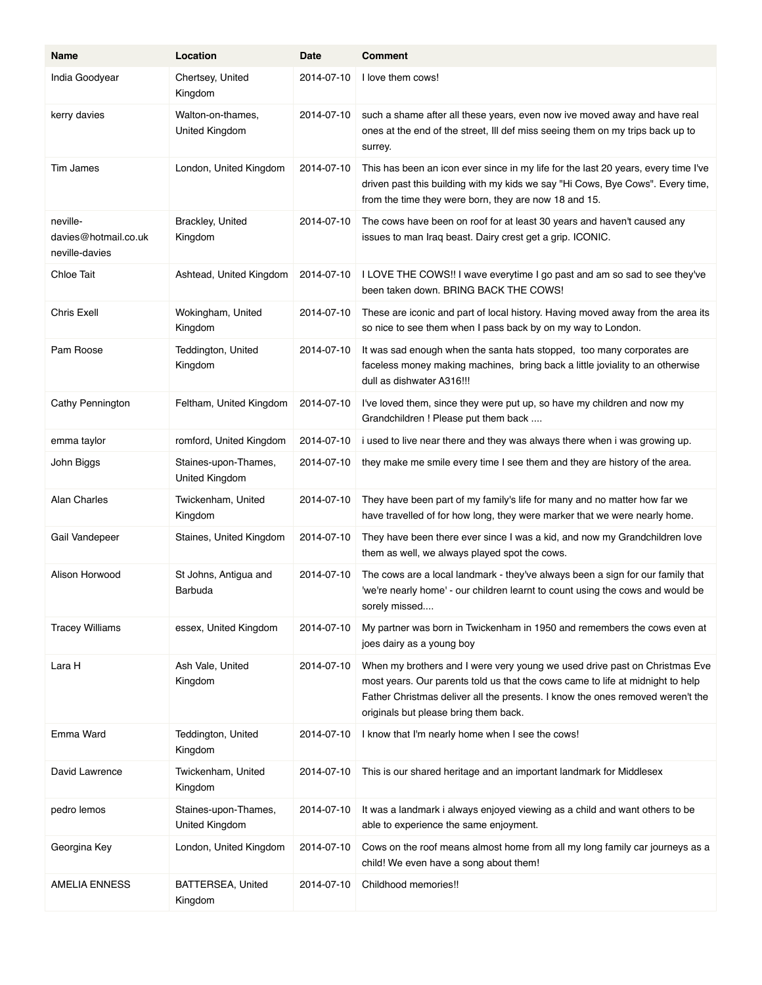| Name                                               | Location                               | Date       | <b>Comment</b>                                                                                                                                                                                                                                                                          |
|----------------------------------------------------|----------------------------------------|------------|-----------------------------------------------------------------------------------------------------------------------------------------------------------------------------------------------------------------------------------------------------------------------------------------|
| India Goodyear                                     | Chertsey, United<br>Kingdom            | 2014-07-10 | I love them cows!                                                                                                                                                                                                                                                                       |
| kerry davies                                       | Walton-on-thames,<br>United Kingdom    | 2014-07-10 | such a shame after all these years, even now ive moved away and have real<br>ones at the end of the street, Ill def miss seeing them on my trips back up to<br>surrey.                                                                                                                  |
| Tim James                                          | London, United Kingdom                 | 2014-07-10 | This has been an icon ever since in my life for the last 20 years, every time I've<br>driven past this building with my kids we say "Hi Cows, Bye Cows". Every time,<br>from the time they were born, they are now 18 and 15.                                                           |
| neville-<br>davies@hotmail.co.uk<br>neville-davies | Brackley, United<br>Kingdom            | 2014-07-10 | The cows have been on roof for at least 30 years and haven't caused any<br>issues to man Iraq beast. Dairy crest get a grip. ICONIC.                                                                                                                                                    |
| Chloe Tait                                         | Ashtead, United Kingdom                | 2014-07-10 | I LOVE THE COWS!! I wave everytime I go past and am so sad to see they've<br>been taken down. BRING BACK THE COWS!                                                                                                                                                                      |
| <b>Chris Exell</b>                                 | Wokingham, United<br>Kingdom           | 2014-07-10 | These are iconic and part of local history. Having moved away from the area its<br>so nice to see them when I pass back by on my way to London.                                                                                                                                         |
| Pam Roose                                          | Teddington, United<br>Kingdom          | 2014-07-10 | It was sad enough when the santa hats stopped, too many corporates are<br>faceless money making machines, bring back a little joviality to an otherwise<br>dull as dishwater A316!!!                                                                                                    |
| Cathy Pennington                                   | Feltham, United Kingdom                | 2014-07-10 | I've loved them, since they were put up, so have my children and now my<br>Grandchildren ! Please put them back                                                                                                                                                                         |
| emma taylor                                        | romford, United Kingdom                | 2014-07-10 | i used to live near there and they was always there when i was growing up.                                                                                                                                                                                                              |
| John Biggs                                         | Staines-upon-Thames,<br>United Kingdom | 2014-07-10 | they make me smile every time I see them and they are history of the area.                                                                                                                                                                                                              |
| <b>Alan Charles</b>                                | Twickenham, United<br>Kingdom          | 2014-07-10 | They have been part of my family's life for many and no matter how far we<br>have travelled of for how long, they were marker that we were nearly home.                                                                                                                                 |
| Gail Vandepeer                                     | Staines, United Kingdom                | 2014-07-10 | They have been there ever since I was a kid, and now my Grandchildren love<br>them as well, we always played spot the cows.                                                                                                                                                             |
| Alison Horwood                                     | St Johns, Antigua and<br>Barbuda       | 2014-07-10 | The cows are a local landmark - they've always been a sign for our family that<br>'we're nearly home' - our children learnt to count using the cows and would be<br>sorely missed                                                                                                       |
| <b>Tracey Williams</b>                             | essex, United Kingdom                  | 2014-07-10 | My partner was born in Twickenham in 1950 and remembers the cows even at<br>joes dairy as a young boy                                                                                                                                                                                   |
| Lara H                                             | Ash Vale, United<br>Kingdom            | 2014-07-10 | When my brothers and I were very young we used drive past on Christmas Eve<br>most years. Our parents told us that the cows came to life at midnight to help<br>Father Christmas deliver all the presents. I know the ones removed weren't the<br>originals but please bring them back. |
| Emma Ward                                          | Teddington, United<br>Kingdom          | 2014-07-10 | I know that I'm nearly home when I see the cows!                                                                                                                                                                                                                                        |
| David Lawrence                                     | Twickenham, United<br>Kingdom          | 2014-07-10 | This is our shared heritage and an important landmark for Middlesex                                                                                                                                                                                                                     |
| pedro lemos                                        | Staines-upon-Thames,<br>United Kingdom | 2014-07-10 | It was a landmark i always enjoyed viewing as a child and want others to be<br>able to experience the same enjoyment.                                                                                                                                                                   |
| Georgina Key                                       | London, United Kingdom                 | 2014-07-10 | Cows on the roof means almost home from all my long family car journeys as a<br>child! We even have a song about them!                                                                                                                                                                  |
| <b>AMELIA ENNESS</b>                               | <b>BATTERSEA, United</b><br>Kingdom    | 2014-07-10 | Childhood memories!!                                                                                                                                                                                                                                                                    |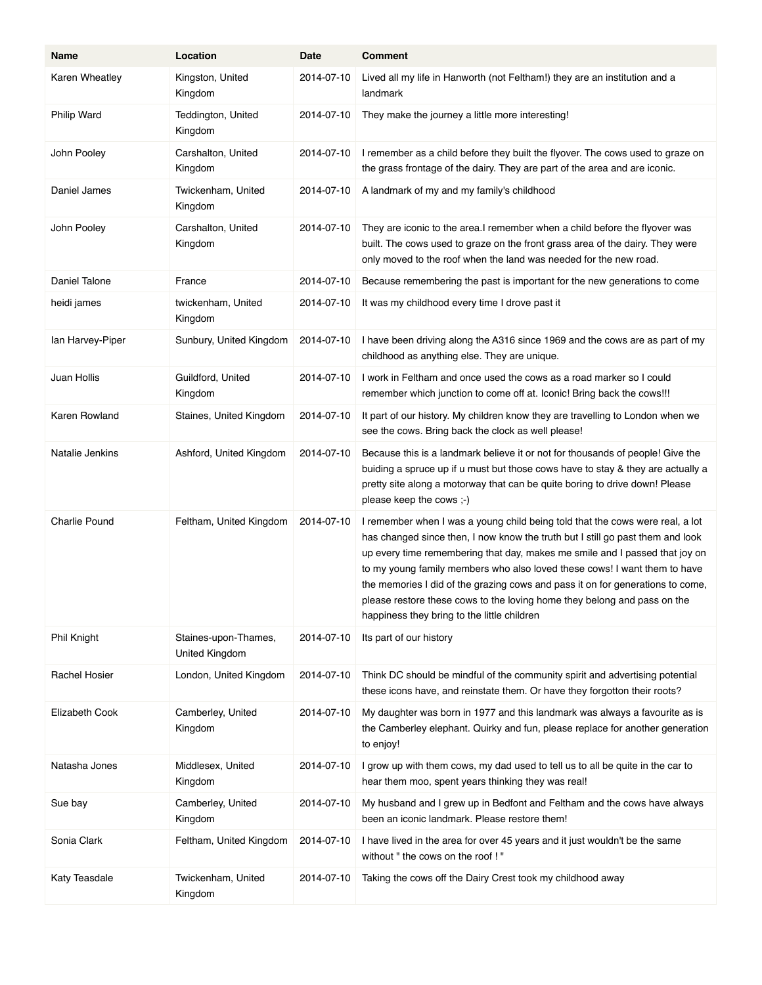| Name                 | Location                               | Date       | <b>Comment</b>                                                                                                                                                                                                                                                                                                                                                                                                                                                                                                                           |
|----------------------|----------------------------------------|------------|------------------------------------------------------------------------------------------------------------------------------------------------------------------------------------------------------------------------------------------------------------------------------------------------------------------------------------------------------------------------------------------------------------------------------------------------------------------------------------------------------------------------------------------|
| Karen Wheatley       | Kingston, United<br>Kingdom            | 2014-07-10 | Lived all my life in Hanworth (not Feltham!) they are an institution and a<br>landmark                                                                                                                                                                                                                                                                                                                                                                                                                                                   |
| Philip Ward          | Teddington, United<br>Kingdom          | 2014-07-10 | They make the journey a little more interesting!                                                                                                                                                                                                                                                                                                                                                                                                                                                                                         |
| John Pooley          | Carshalton, United<br>Kingdom          | 2014-07-10 | I remember as a child before they built the flyover. The cows used to graze on<br>the grass frontage of the dairy. They are part of the area and are iconic.                                                                                                                                                                                                                                                                                                                                                                             |
| Daniel James         | Twickenham, United<br>Kingdom          | 2014-07-10 | A landmark of my and my family's childhood                                                                                                                                                                                                                                                                                                                                                                                                                                                                                               |
| John Pooley          | Carshalton, United<br>Kingdom          | 2014-07-10 | They are iconic to the area.I remember when a child before the flyover was<br>built. The cows used to graze on the front grass area of the dairy. They were<br>only moved to the roof when the land was needed for the new road.                                                                                                                                                                                                                                                                                                         |
| Daniel Talone        | France                                 | 2014-07-10 | Because remembering the past is important for the new generations to come                                                                                                                                                                                                                                                                                                                                                                                                                                                                |
| heidi james          | twickenham, United<br>Kingdom          | 2014-07-10 | It was my childhood every time I drove past it                                                                                                                                                                                                                                                                                                                                                                                                                                                                                           |
| lan Harvey-Piper     | Sunbury, United Kingdom                | 2014-07-10 | I have been driving along the A316 since 1969 and the cows are as part of my<br>childhood as anything else. They are unique.                                                                                                                                                                                                                                                                                                                                                                                                             |
| Juan Hollis          | Guildford, United<br>Kingdom           | 2014-07-10 | I work in Feltham and once used the cows as a road marker so I could<br>remember which junction to come off at. Iconic! Bring back the cows!!!                                                                                                                                                                                                                                                                                                                                                                                           |
| Karen Rowland        | Staines, United Kingdom                | 2014-07-10 | It part of our history. My children know they are travelling to London when we<br>see the cows. Bring back the clock as well please!                                                                                                                                                                                                                                                                                                                                                                                                     |
| Natalie Jenkins      | Ashford, United Kingdom                | 2014-07-10 | Because this is a landmark believe it or not for thousands of people! Give the<br>buiding a spruce up if u must but those cows have to stay & they are actually a<br>pretty site along a motorway that can be quite boring to drive down! Please<br>please keep the cows ;-)                                                                                                                                                                                                                                                             |
| <b>Charlie Pound</b> | Feltham, United Kingdom                | 2014-07-10 | I remember when I was a young child being told that the cows were real, a lot<br>has changed since then, I now know the truth but I still go past them and look<br>up every time remembering that day, makes me smile and I passed that joy on<br>to my young family members who also loved these cows! I want them to have<br>the memories I did of the grazing cows and pass it on for generations to come,<br>please restore these cows to the loving home they belong and pass on the<br>happiness they bring to the little children |
| Phil Knight          | Staines-upon-Thames,<br>United Kingdom | 2014-07-10 | Its part of our history                                                                                                                                                                                                                                                                                                                                                                                                                                                                                                                  |
| Rachel Hosier        | London, United Kingdom                 | 2014-07-10 | Think DC should be mindful of the community spirit and advertising potential<br>these icons have, and reinstate them. Or have they forgotton their roots?                                                                                                                                                                                                                                                                                                                                                                                |
| Elizabeth Cook       | Camberley, United<br>Kingdom           | 2014-07-10 | My daughter was born in 1977 and this landmark was always a favourite as is<br>the Camberley elephant. Quirky and fun, please replace for another generation<br>to enjoy!                                                                                                                                                                                                                                                                                                                                                                |
| Natasha Jones        | Middlesex, United<br>Kingdom           | 2014-07-10 | I grow up with them cows, my dad used to tell us to all be quite in the car to<br>hear them moo, spent years thinking they was real!                                                                                                                                                                                                                                                                                                                                                                                                     |
| Sue bay              | Camberley, United<br>Kingdom           | 2014-07-10 | My husband and I grew up in Bedfont and Feltham and the cows have always<br>been an iconic landmark. Please restore them!                                                                                                                                                                                                                                                                                                                                                                                                                |
| Sonia Clark          | Feltham, United Kingdom                | 2014-07-10 | I have lived in the area for over 45 years and it just wouldn't be the same<br>without " the cows on the roof ! "                                                                                                                                                                                                                                                                                                                                                                                                                        |
| Katy Teasdale        | Twickenham, United<br>Kingdom          | 2014-07-10 | Taking the cows off the Dairy Crest took my childhood away                                                                                                                                                                                                                                                                                                                                                                                                                                                                               |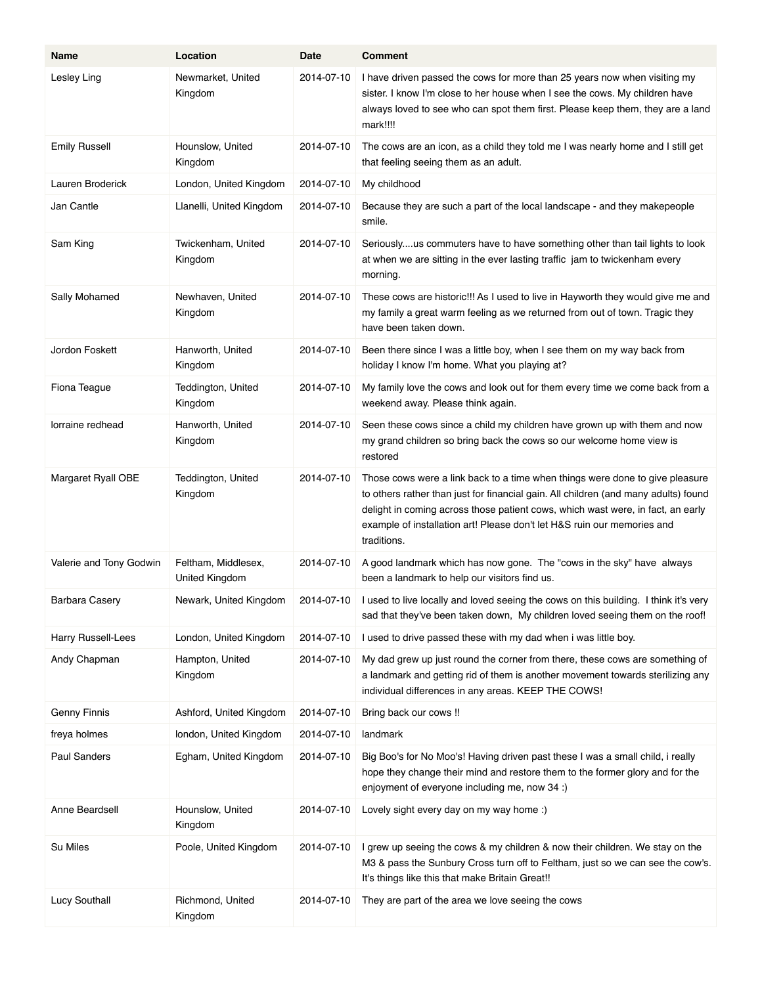| Name                    | Location                              | Date       | <b>Comment</b>                                                                                                                                                                                                                                                                                                                                   |
|-------------------------|---------------------------------------|------------|--------------------------------------------------------------------------------------------------------------------------------------------------------------------------------------------------------------------------------------------------------------------------------------------------------------------------------------------------|
| Lesley Ling             | Newmarket, United<br>Kingdom          | 2014-07-10 | I have driven passed the cows for more than 25 years now when visiting my<br>sister. I know I'm close to her house when I see the cows. My children have<br>always loved to see who can spot them first. Please keep them, they are a land<br>mark!!!!                                                                                           |
| <b>Emily Russell</b>    | Hounslow, United<br>Kingdom           | 2014-07-10 | The cows are an icon, as a child they told me I was nearly home and I still get<br>that feeling seeing them as an adult.                                                                                                                                                                                                                         |
| Lauren Broderick        | London, United Kingdom                | 2014-07-10 | My childhood                                                                                                                                                                                                                                                                                                                                     |
| Jan Cantle              | Llanelli, United Kingdom              | 2014-07-10 | Because they are such a part of the local landscape - and they makepeople<br>smile.                                                                                                                                                                                                                                                              |
| Sam King                | Twickenham, United<br>Kingdom         | 2014-07-10 | Seriouslyus commuters have to have something other than tail lights to look<br>at when we are sitting in the ever lasting traffic jam to twickenham every<br>morning.                                                                                                                                                                            |
| Sally Mohamed           | Newhaven, United<br>Kingdom           | 2014-07-10 | These cows are historic!!! As I used to live in Hayworth they would give me and<br>my family a great warm feeling as we returned from out of town. Tragic they<br>have been taken down.                                                                                                                                                          |
| Jordon Foskett          | Hanworth, United<br>Kingdom           | 2014-07-10 | Been there since I was a little boy, when I see them on my way back from<br>holiday I know I'm home. What you playing at?                                                                                                                                                                                                                        |
| Fiona Teague            | Teddington, United<br>Kingdom         | 2014-07-10 | My family love the cows and look out for them every time we come back from a<br>weekend away. Please think again.                                                                                                                                                                                                                                |
| lorraine redhead        | Hanworth, United<br>Kingdom           | 2014-07-10 | Seen these cows since a child my children have grown up with them and now<br>my grand children so bring back the cows so our welcome home view is<br>restored                                                                                                                                                                                    |
| Margaret Ryall OBE      | Teddington, United<br>Kingdom         | 2014-07-10 | Those cows were a link back to a time when things were done to give pleasure<br>to others rather than just for financial gain. All children (and many adults) found<br>delight in coming across those patient cows, which wast were, in fact, an early<br>example of installation art! Please don't let H&S ruin our memories and<br>traditions. |
| Valerie and Tony Godwin | Feltham, Middlesex,<br>United Kingdom | 2014-07-10 | A good landmark which has now gone. The "cows in the sky" have always<br>been a landmark to help our visitors find us.                                                                                                                                                                                                                           |
| Barbara Casery          | Newark, United Kingdom                | 2014-07-10 | I used to live locally and loved seeing the cows on this building. I think it's very<br>sad that they've been taken down, My children loved seeing them on the roof!                                                                                                                                                                             |
| Harry Russell-Lees      | London, United Kingdom                | 2014-07-10 | I used to drive passed these with my dad when i was little boy.                                                                                                                                                                                                                                                                                  |
| Andy Chapman            | Hampton, United<br>Kingdom            | 2014-07-10 | My dad grew up just round the corner from there, these cows are something of<br>a landmark and getting rid of them is another movement towards sterilizing any<br>individual differences in any areas. KEEP THE COWS!                                                                                                                            |
| <b>Genny Finnis</b>     | Ashford, United Kingdom               | 2014-07-10 | Bring back our cows !!                                                                                                                                                                                                                                                                                                                           |
| freya holmes            | london, United Kingdom                | 2014-07-10 | landmark                                                                                                                                                                                                                                                                                                                                         |
| Paul Sanders            | Egham, United Kingdom                 | 2014-07-10 | Big Boo's for No Moo's! Having driven past these I was a small child, i really<br>hope they change their mind and restore them to the former glory and for the<br>enjoyment of everyone including me, now 34 :)                                                                                                                                  |
| Anne Beardsell          | Hounslow, United<br>Kingdom           | 2014-07-10 | Lovely sight every day on my way home :)                                                                                                                                                                                                                                                                                                         |
| Su Miles                | Poole, United Kingdom                 | 2014-07-10 | I grew up seeing the cows & my children & now their children. We stay on the<br>M3 & pass the Sunbury Cross turn off to Feltham, just so we can see the cow's.<br>It's things like this that make Britain Great!!                                                                                                                                |
| Lucy Southall           | Richmond, United<br>Kingdom           | 2014-07-10 | They are part of the area we love seeing the cows                                                                                                                                                                                                                                                                                                |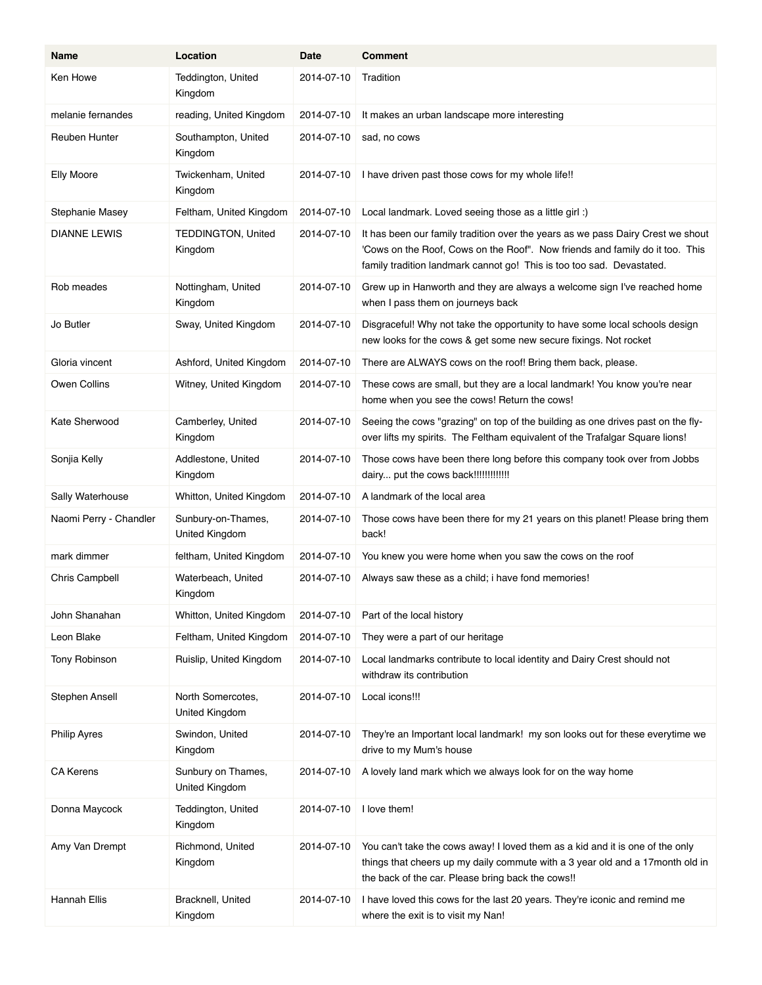| Name                   | Location                                   | Date       | <b>Comment</b>                                                                                                                                                                                                                           |
|------------------------|--------------------------------------------|------------|------------------------------------------------------------------------------------------------------------------------------------------------------------------------------------------------------------------------------------------|
| Ken Howe               | Teddington, United<br>Kingdom              | 2014-07-10 | Tradition                                                                                                                                                                                                                                |
| melanie fernandes      | reading, United Kingdom                    | 2014-07-10 | It makes an urban landscape more interesting                                                                                                                                                                                             |
| Reuben Hunter          | Southampton, United<br>Kingdom             | 2014-07-10 | sad, no cows                                                                                                                                                                                                                             |
| <b>Elly Moore</b>      | Twickenham, United<br>Kingdom              | 2014-07-10 | I have driven past those cows for my whole life!!                                                                                                                                                                                        |
| Stephanie Masey        | Feltham, United Kingdom                    | 2014-07-10 | Local landmark. Loved seeing those as a little girl:)                                                                                                                                                                                    |
| <b>DIANNE LEWIS</b>    | TEDDINGTON, United<br>Kingdom              | 2014-07-10 | It has been our family tradition over the years as we pass Dairy Crest we shout<br>'Cows on the Roof, Cows on the Roof". Now friends and family do it too. This<br>family tradition landmark cannot go! This is too too sad. Devastated. |
| Rob meades             | Nottingham, United<br>Kingdom              | 2014-07-10 | Grew up in Hanworth and they are always a welcome sign I've reached home<br>when I pass them on journeys back                                                                                                                            |
| Jo Butler              | Sway, United Kingdom                       | 2014-07-10 | Disgraceful! Why not take the opportunity to have some local schools design<br>new looks for the cows & get some new secure fixings. Not rocket                                                                                          |
| Gloria vincent         | Ashford, United Kingdom                    | 2014-07-10 | There are ALWAYS cows on the roof! Bring them back, please.                                                                                                                                                                              |
| Owen Collins           | Witney, United Kingdom                     | 2014-07-10 | These cows are small, but they are a local landmark! You know you're near<br>home when you see the cows! Return the cows!                                                                                                                |
| Kate Sherwood          | Camberley, United<br>Kingdom               | 2014-07-10 | Seeing the cows "grazing" on top of the building as one drives past on the fly-<br>over lifts my spirits. The Feltham equivalent of the Trafalgar Square lions!                                                                          |
| Sonjia Kelly           | Addlestone, United<br>Kingdom              | 2014-07-10 | Those cows have been there long before this company took over from Jobbs<br>dairy put the cows back!!!!!!!!!!!!!!                                                                                                                        |
| Sally Waterhouse       | Whitton, United Kingdom                    | 2014-07-10 | A landmark of the local area                                                                                                                                                                                                             |
| Naomi Perry - Chandler | Sunbury-on-Thames,<br>United Kingdom       | 2014-07-10 | Those cows have been there for my 21 years on this planet! Please bring them<br>back!                                                                                                                                                    |
| mark dimmer            | feltham, United Kingdom                    | 2014-07-10 | You knew you were home when you saw the cows on the roof                                                                                                                                                                                 |
| Chris Campbell         | Waterbeach, United<br>Kingdom              | 2014-07-10 | Always saw these as a child; i have fond memories!                                                                                                                                                                                       |
| John Shanahan          | Whitton, United Kingdom                    | 2014-07-10 | Part of the local history                                                                                                                                                                                                                |
| Leon Blake             | Feltham, United Kingdom                    | 2014-07-10 | They were a part of our heritage                                                                                                                                                                                                         |
| Tony Robinson          | Ruislip, United Kingdom                    | 2014-07-10 | Local landmarks contribute to local identity and Dairy Crest should not<br>withdraw its contribution                                                                                                                                     |
| Stephen Ansell         | North Somercotes,<br><b>United Kingdom</b> | 2014-07-10 | Local icons!!!                                                                                                                                                                                                                           |
| <b>Philip Ayres</b>    | Swindon, United<br>Kingdom                 | 2014-07-10 | They're an Important local landmark! my son looks out for these everytime we<br>drive to my Mum's house                                                                                                                                  |
| <b>CA Kerens</b>       | Sunbury on Thames,<br>United Kingdom       | 2014-07-10 | A lovely land mark which we always look for on the way home                                                                                                                                                                              |
| Donna Maycock          | Teddington, United<br>Kingdom              | 2014-07-10 | I love them!                                                                                                                                                                                                                             |
| Amy Van Drempt         | Richmond, United<br>Kingdom                | 2014-07-10 | You can't take the cows away! I loved them as a kid and it is one of the only<br>things that cheers up my daily commute with a 3 year old and a 17month old in<br>the back of the car. Please bring back the cows!!                      |
| Hannah Ellis           | Bracknell, United<br>Kingdom               | 2014-07-10 | I have loved this cows for the last 20 years. They're iconic and remind me<br>where the exit is to visit my Nan!                                                                                                                         |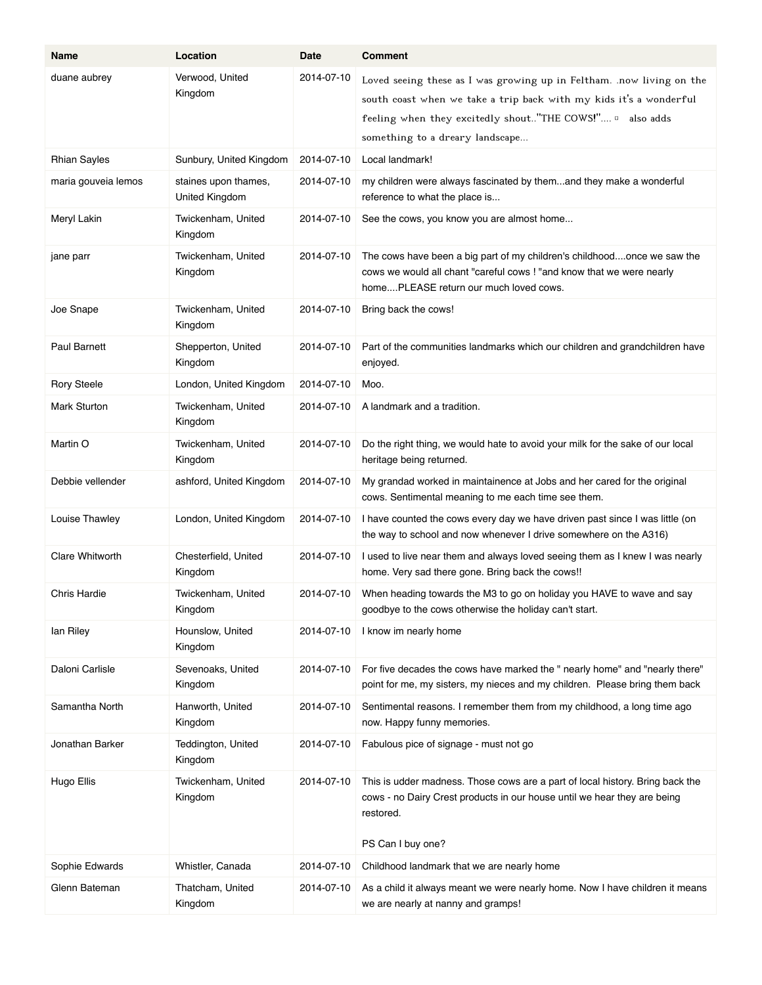| Name                | Location                               | Date       | <b>Comment</b>                                                                                                                                                                                                                             |
|---------------------|----------------------------------------|------------|--------------------------------------------------------------------------------------------------------------------------------------------------------------------------------------------------------------------------------------------|
| duane aubrey        | Verwood, United<br>Kingdom             | 2014-07-10 | Loved seeing these as I was growing up in Feltham. .now living on the<br>south coast when we take a trip back with my kids it's a wonderful<br>feeling when they excitedly shout"THE COWS!" a also adds<br>something to a dreary landscape |
| <b>Rhian Sayles</b> | Sunbury, United Kingdom                | 2014-07-10 | Local landmark!                                                                                                                                                                                                                            |
| maria gouveia lemos | staines upon thames,<br>United Kingdom | 2014-07-10 | my children were always fascinated by themand they make a wonderful<br>reference to what the place is                                                                                                                                      |
| Meryl Lakin         | Twickenham, United<br>Kingdom          | 2014-07-10 | See the cows, you know you are almost home                                                                                                                                                                                                 |
| jane parr           | Twickenham, United<br>Kingdom          | 2014-07-10 | The cows have been a big part of my children's childhoodonce we saw the<br>cows we would all chant "careful cows ! "and know that we were nearly<br>homePLEASE return our much loved cows.                                                 |
| Joe Snape           | Twickenham, United<br>Kingdom          | 2014-07-10 | Bring back the cows!                                                                                                                                                                                                                       |
| <b>Paul Barnett</b> | Shepperton, United<br>Kingdom          | 2014-07-10 | Part of the communities landmarks which our children and grandchildren have<br>enjoyed.                                                                                                                                                    |
| <b>Rory Steele</b>  | London, United Kingdom                 | 2014-07-10 | Moo.                                                                                                                                                                                                                                       |
| <b>Mark Sturton</b> | Twickenham, United<br>Kingdom          | 2014-07-10 | A landmark and a tradition.                                                                                                                                                                                                                |
| Martin O            | Twickenham, United<br>Kingdom          | 2014-07-10 | Do the right thing, we would hate to avoid your milk for the sake of our local<br>heritage being returned.                                                                                                                                 |
| Debbie vellender    | ashford, United Kingdom                | 2014-07-10 | My grandad worked in maintainence at Jobs and her cared for the original<br>cows. Sentimental meaning to me each time see them.                                                                                                            |
| Louise Thawley      | London, United Kingdom                 | 2014-07-10 | I have counted the cows every day we have driven past since I was little (on<br>the way to school and now whenever I drive somewhere on the A316)                                                                                          |
| Clare Whitworth     | Chesterfield, United<br>Kingdom        | 2014-07-10 | I used to live near them and always loved seeing them as I knew I was nearly<br>home. Very sad there gone. Bring back the cows!!                                                                                                           |
| <b>Chris Hardie</b> | Twickenham, United<br>Kingdom          | 2014-07-10 | When heading towards the M3 to go on holiday you HAVE to wave and say<br>goodbye to the cows otherwise the holiday can't start.                                                                                                            |
| lan Riley           | Hounslow, United<br>Kingdom            | 2014-07-10 | I know im nearly home                                                                                                                                                                                                                      |
| Daloni Carlisle     | Sevenoaks, United<br>Kingdom           | 2014-07-10 | For five decades the cows have marked the " nearly home" and "nearly there"<br>point for me, my sisters, my nieces and my children. Please bring them back                                                                                 |
| Samantha North      | Hanworth, United<br>Kingdom            | 2014-07-10 | Sentimental reasons. I remember them from my childhood, a long time ago<br>now. Happy funny memories.                                                                                                                                      |
| Jonathan Barker     | Teddington, United<br>Kingdom          | 2014-07-10 | Fabulous pice of signage - must not go                                                                                                                                                                                                     |
| Hugo Ellis          | Twickenham, United<br>Kingdom          | 2014-07-10 | This is udder madness. Those cows are a part of local history. Bring back the<br>cows - no Dairy Crest products in our house until we hear they are being<br>restored.<br>PS Can I buy one?                                                |
| Sophie Edwards      | Whistler, Canada                       | 2014-07-10 | Childhood landmark that we are nearly home                                                                                                                                                                                                 |
| Glenn Bateman       | Thatcham, United<br>Kingdom            | 2014-07-10 | As a child it always meant we were nearly home. Now I have children it means<br>we are nearly at nanny and gramps!                                                                                                                         |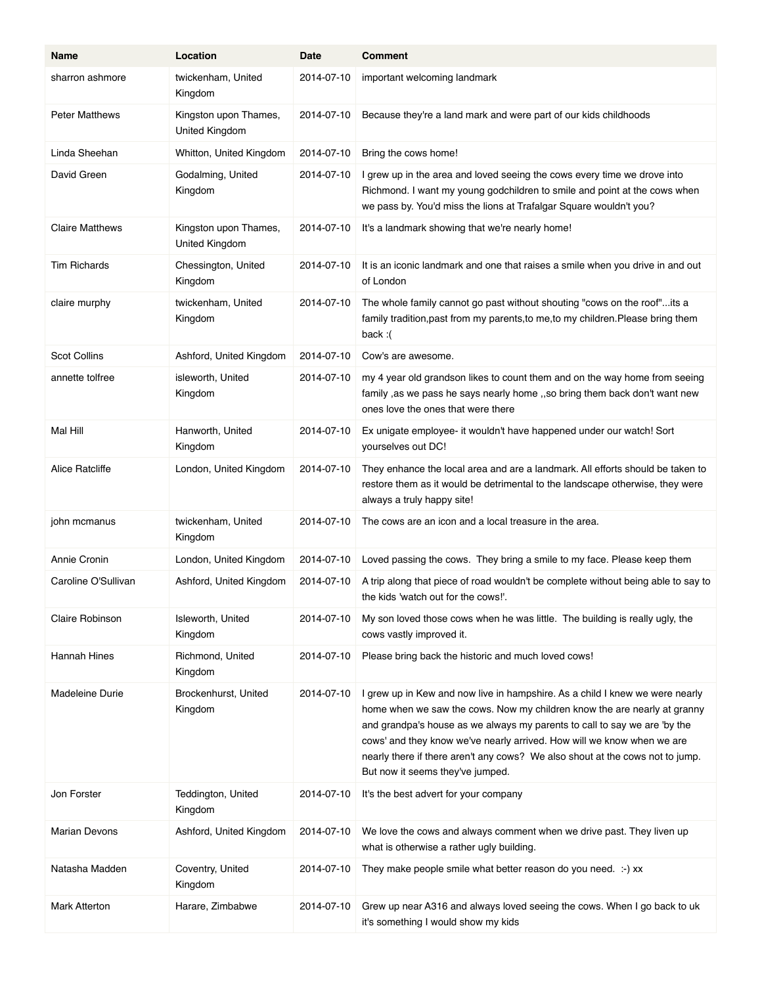| Name                   | Location                                | Date       | <b>Comment</b>                                                                                                                                                                                                                                                                                                                                                                                                                       |
|------------------------|-----------------------------------------|------------|--------------------------------------------------------------------------------------------------------------------------------------------------------------------------------------------------------------------------------------------------------------------------------------------------------------------------------------------------------------------------------------------------------------------------------------|
| sharron ashmore        | twickenham, United<br>Kingdom           | 2014-07-10 | important welcoming landmark                                                                                                                                                                                                                                                                                                                                                                                                         |
| <b>Peter Matthews</b>  | Kingston upon Thames,<br>United Kingdom | 2014-07-10 | Because they're a land mark and were part of our kids childhoods                                                                                                                                                                                                                                                                                                                                                                     |
| Linda Sheehan          | Whitton, United Kingdom                 | 2014-07-10 | Bring the cows home!                                                                                                                                                                                                                                                                                                                                                                                                                 |
| David Green            | Godalming, United<br>Kingdom            | 2014-07-10 | I grew up in the area and loved seeing the cows every time we drove into<br>Richmond. I want my young godchildren to smile and point at the cows when<br>we pass by. You'd miss the lions at Trafalgar Square wouldn't you?                                                                                                                                                                                                          |
| <b>Claire Matthews</b> | Kingston upon Thames,<br>United Kingdom | 2014-07-10 | It's a landmark showing that we're nearly home!                                                                                                                                                                                                                                                                                                                                                                                      |
| <b>Tim Richards</b>    | Chessington, United<br>Kingdom          | 2014-07-10 | It is an iconic landmark and one that raises a smile when you drive in and out<br>of London                                                                                                                                                                                                                                                                                                                                          |
| claire murphy          | twickenham, United<br>Kingdom           | 2014-07-10 | The whole family cannot go past without shouting "cows on the roof"its a<br>family tradition, past from my parents, to me, to my children. Please bring them<br>back: $($                                                                                                                                                                                                                                                            |
| <b>Scot Collins</b>    | Ashford, United Kingdom                 | 2014-07-10 | Cow's are awesome.                                                                                                                                                                                                                                                                                                                                                                                                                   |
| annette tolfree        | isleworth, United<br>Kingdom            | 2014-07-10 | my 4 year old grandson likes to count them and on the way home from seeing<br>family, as we pass he says nearly home, so bring them back don't want new<br>ones love the ones that were there                                                                                                                                                                                                                                        |
| Mal Hill               | Hanworth, United<br>Kingdom             | 2014-07-10 | Ex unigate employee- it wouldn't have happened under our watch! Sort<br>yourselves out DC!                                                                                                                                                                                                                                                                                                                                           |
| Alice Ratcliffe        | London, United Kingdom                  | 2014-07-10 | They enhance the local area and are a landmark. All efforts should be taken to<br>restore them as it would be detrimental to the landscape otherwise, they were<br>always a truly happy site!                                                                                                                                                                                                                                        |
| john mcmanus           | twickenham, United<br>Kingdom           | 2014-07-10 | The cows are an icon and a local treasure in the area.                                                                                                                                                                                                                                                                                                                                                                               |
| Annie Cronin           | London, United Kingdom                  | 2014-07-10 | Loved passing the cows. They bring a smile to my face. Please keep them                                                                                                                                                                                                                                                                                                                                                              |
| Caroline O'Sullivan    | Ashford, United Kingdom                 | 2014-07-10 | A trip along that piece of road wouldn't be complete without being able to say to<br>the kids 'watch out for the cows!'.                                                                                                                                                                                                                                                                                                             |
| Claire Robinson        | Isleworth, United<br>Kingdom            | 2014-07-10 | My son loved those cows when he was little. The building is really ugly, the<br>cows vastly improved it.                                                                                                                                                                                                                                                                                                                             |
| Hannah Hines           | Richmond, United<br>Kingdom             | 2014-07-10 | Please bring back the historic and much loved cows!                                                                                                                                                                                                                                                                                                                                                                                  |
| Madeleine Durie        | Brockenhurst, United<br>Kingdom         | 2014-07-10 | I grew up in Kew and now live in hampshire. As a child I knew we were nearly<br>home when we saw the cows. Now my children know the are nearly at granny<br>and grandpa's house as we always my parents to call to say we are 'by the<br>cows' and they know we've nearly arrived. How will we know when we are<br>nearly there if there aren't any cows? We also shout at the cows not to jump.<br>But now it seems they've jumped. |
| Jon Forster            | Teddington, United<br>Kingdom           | 2014-07-10 | It's the best advert for your company                                                                                                                                                                                                                                                                                                                                                                                                |
| Marian Devons          | Ashford, United Kingdom                 | 2014-07-10 | We love the cows and always comment when we drive past. They liven up<br>what is otherwise a rather ugly building.                                                                                                                                                                                                                                                                                                                   |
| Natasha Madden         | Coventry, United<br>Kingdom             | 2014-07-10 | They make people smile what better reason do you need. :- ) xx                                                                                                                                                                                                                                                                                                                                                                       |
| <b>Mark Atterton</b>   | Harare, Zimbabwe                        | 2014-07-10 | Grew up near A316 and always loved seeing the cows. When I go back to uk<br>it's something I would show my kids                                                                                                                                                                                                                                                                                                                      |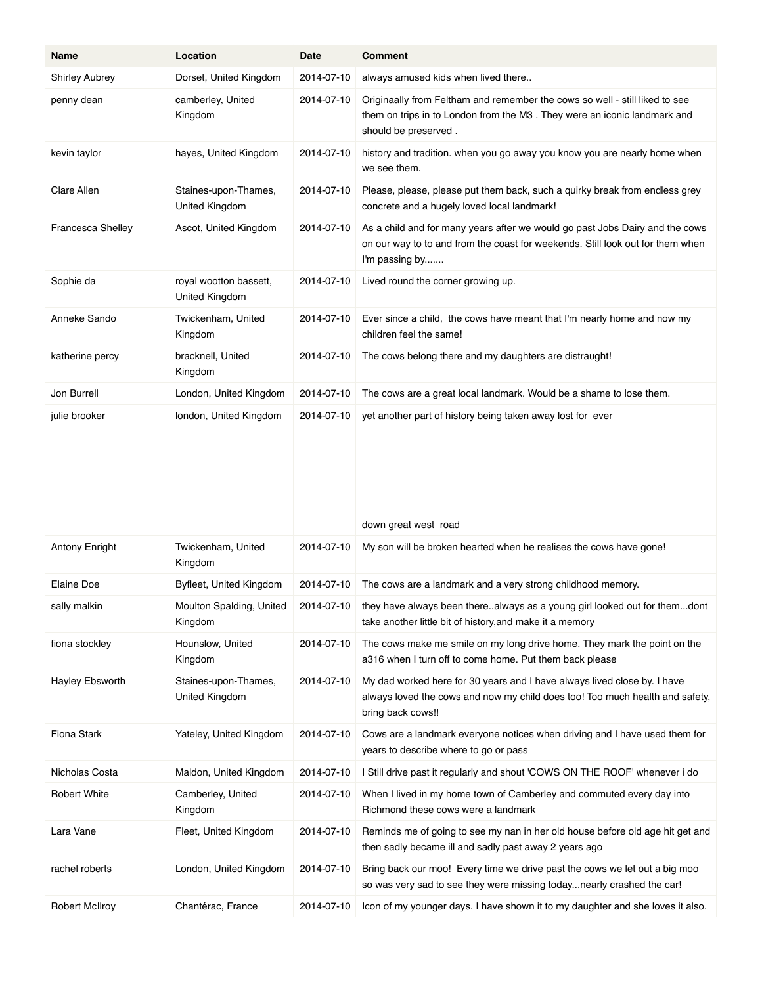| Name                     | Location                                 | Date       | <b>Comment</b>                                                                                                                                                                   |
|--------------------------|------------------------------------------|------------|----------------------------------------------------------------------------------------------------------------------------------------------------------------------------------|
| <b>Shirley Aubrey</b>    | Dorset, United Kingdom                   | 2014-07-10 | always amused kids when lived there                                                                                                                                              |
| penny dean               | camberley, United<br>Kingdom             | 2014-07-10 | Originaally from Feltham and remember the cows so well - still liked to see<br>them on trips in to London from the M3. They were an iconic landmark and<br>should be preserved.  |
| kevin taylor             | hayes, United Kingdom                    | 2014-07-10 | history and tradition. when you go away you know you are nearly home when<br>we see them.                                                                                        |
| Clare Allen              | Staines-upon-Thames,<br>United Kingdom   | 2014-07-10 | Please, please, please put them back, such a quirky break from endless grey<br>concrete and a hugely loved local landmark!                                                       |
| <b>Francesca Shelley</b> | Ascot, United Kingdom                    | 2014-07-10 | As a child and for many years after we would go past Jobs Dairy and the cows<br>on our way to to and from the coast for weekends. Still look out for them when<br>I'm passing by |
| Sophie da                | royal wootton bassett,<br>United Kingdom | 2014-07-10 | Lived round the corner growing up.                                                                                                                                               |
| Anneke Sando             | Twickenham, United<br>Kingdom            | 2014-07-10 | Ever since a child, the cows have meant that I'm nearly home and now my<br>children feel the same!                                                                               |
| katherine percy          | bracknell, United<br>Kingdom             | 2014-07-10 | The cows belong there and my daughters are distraught!                                                                                                                           |
| Jon Burrell              | London, United Kingdom                   | 2014-07-10 | The cows are a great local landmark. Would be a shame to lose them.                                                                                                              |
| julie brooker            | london, United Kingdom                   | 2014-07-10 | yet another part of history being taken away lost for ever<br>down great west road                                                                                               |
| <b>Antony Enright</b>    | Twickenham, United<br>Kingdom            | 2014-07-10 | My son will be broken hearted when he realises the cows have gone!                                                                                                               |
| Elaine Doe               | Byfleet, United Kingdom                  | 2014-07-10 | The cows are a landmark and a very strong childhood memory.                                                                                                                      |
| sally malkin             | Moulton Spalding, United<br>Kingdom      | 2014-07-10 | they have always been therealways as a young girl looked out for themdont<br>take another little bit of history, and make it a memory                                            |
| fiona stockley           | Hounslow, United<br>Kingdom              | 2014-07-10 | The cows make me smile on my long drive home. They mark the point on the<br>a316 when I turn off to come home. Put them back please                                              |
| Hayley Ebsworth          | Staines-upon-Thames,<br>United Kingdom   | 2014-07-10 | My dad worked here for 30 years and I have always lived close by. I have<br>always loved the cows and now my child does too! Too much health and safety,<br>bring back cows!!    |
| Fiona Stark              | Yateley, United Kingdom                  | 2014-07-10 | Cows are a landmark everyone notices when driving and I have used them for<br>years to describe where to go or pass                                                              |
| Nicholas Costa           | Maldon, United Kingdom                   | 2014-07-10 | I Still drive past it regularly and shout 'COWS ON THE ROOF' whenever i do                                                                                                       |
| <b>Robert White</b>      | Camberley, United<br>Kingdom             | 2014-07-10 | When I lived in my home town of Camberley and commuted every day into<br>Richmond these cows were a landmark                                                                     |
| Lara Vane                | Fleet, United Kingdom                    | 2014-07-10 | Reminds me of going to see my nan in her old house before old age hit get and<br>then sadly became ill and sadly past away 2 years ago                                           |
| rachel roberts           | London, United Kingdom                   | 2014-07-10 | Bring back our moo! Every time we drive past the cows we let out a big moo<br>so was very sad to see they were missing today nearly crashed the car!                             |
| <b>Robert McIlroy</b>    | Chantérac, France                        | 2014-07-10 | Icon of my younger days. I have shown it to my daughter and she loves it also.                                                                                                   |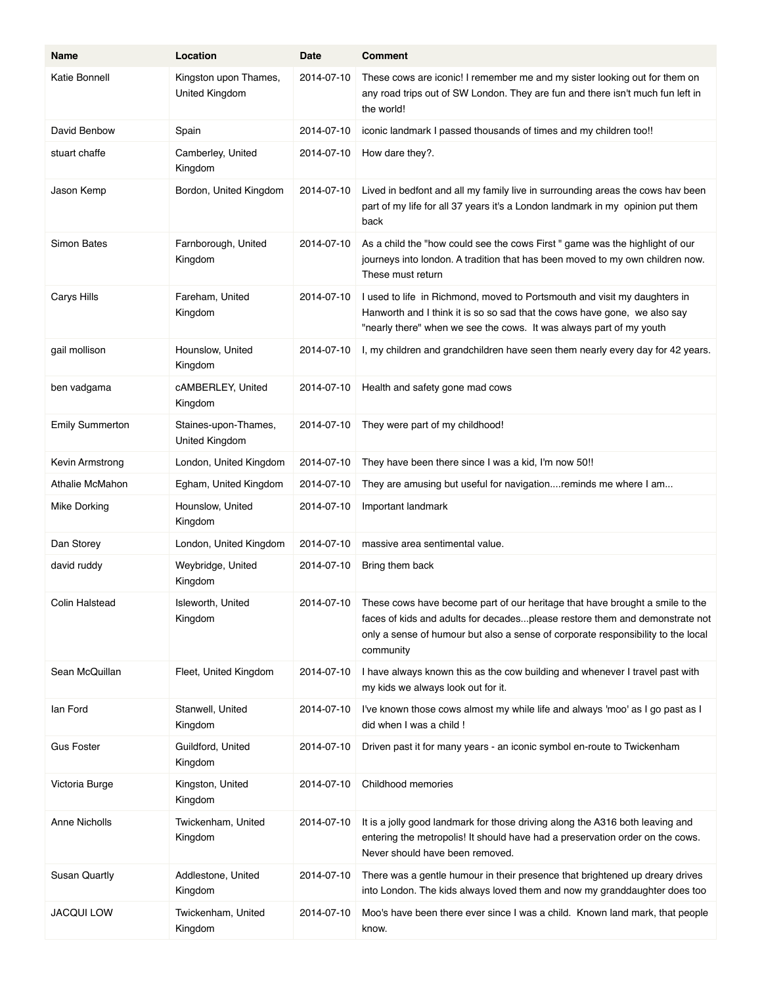| <b>Name</b>            | Location                                | Date       | <b>Comment</b>                                                                                                                                                                                                                                                          |
|------------------------|-----------------------------------------|------------|-------------------------------------------------------------------------------------------------------------------------------------------------------------------------------------------------------------------------------------------------------------------------|
| Katie Bonnell          | Kingston upon Thames,<br>United Kingdom | 2014-07-10 | These cows are iconic! I remember me and my sister looking out for them on<br>any road trips out of SW London. They are fun and there isn't much fun left in<br>the world!                                                                                              |
| David Benbow           | Spain                                   | 2014-07-10 | iconic landmark I passed thousands of times and my children too!!                                                                                                                                                                                                       |
| stuart chaffe          | Camberley, United<br>Kingdom            | 2014-07-10 | How dare they?.                                                                                                                                                                                                                                                         |
| Jason Kemp             | Bordon, United Kingdom                  | 2014-07-10 | Lived in bedfont and all my family live in surrounding areas the cows hav been<br>part of my life for all 37 years it's a London landmark in my opinion put them<br>back                                                                                                |
| Simon Bates            | Farnborough, United<br>Kingdom          | 2014-07-10 | As a child the "how could see the cows First" game was the highlight of our<br>journeys into london. A tradition that has been moved to my own children now.<br>These must return                                                                                       |
| Carys Hills            | Fareham, United<br>Kingdom              | 2014-07-10 | I used to life in Richmond, moved to Portsmouth and visit my daughters in<br>Hanworth and I think it is so so sad that the cows have gone, we also say<br>"nearly there" when we see the cows. It was always part of my youth                                           |
| gail mollison          | Hounslow, United<br>Kingdom             | 2014-07-10 | I, my children and grandchildren have seen them nearly every day for 42 years.                                                                                                                                                                                          |
| ben vadgama            | cAMBERLEY, United<br>Kingdom            | 2014-07-10 | Health and safety gone mad cows                                                                                                                                                                                                                                         |
| <b>Emily Summerton</b> | Staines-upon-Thames,<br>United Kingdom  | 2014-07-10 | They were part of my childhood!                                                                                                                                                                                                                                         |
| Kevin Armstrong        | London, United Kingdom                  | 2014-07-10 | They have been there since I was a kid, I'm now 50!!                                                                                                                                                                                                                    |
| Athalie McMahon        | Egham, United Kingdom                   | 2014-07-10 | They are amusing but useful for navigationreminds me where I am                                                                                                                                                                                                         |
| <b>Mike Dorking</b>    | Hounslow, United<br>Kingdom             | 2014-07-10 | Important landmark                                                                                                                                                                                                                                                      |
| Dan Storey             | London, United Kingdom                  | 2014-07-10 | massive area sentimental value.                                                                                                                                                                                                                                         |
| david ruddy            | Weybridge, United<br>Kingdom            | 2014-07-10 | Bring them back                                                                                                                                                                                                                                                         |
| Colin Halstead         | Isleworth, United<br>Kingdom            |            | 2014-07-10 These cows have become part of our heritage that have brought a smile to the<br>faces of kids and adults for decadesplease restore them and demonstrate not<br>only a sense of humour but also a sense of corporate responsibility to the local<br>community |
| Sean McQuillan         | Fleet, United Kingdom                   | 2014-07-10 | I have always known this as the cow building and whenever I travel past with<br>my kids we always look out for it.                                                                                                                                                      |
| lan Ford               | Stanwell, United<br>Kingdom             | 2014-07-10 | I've known those cows almost my while life and always 'moo' as I go past as I<br>did when I was a child!                                                                                                                                                                |
| <b>Gus Foster</b>      | Guildford, United<br>Kingdom            | 2014-07-10 | Driven past it for many years - an iconic symbol en-route to Twickenham                                                                                                                                                                                                 |
| Victoria Burge         | Kingston, United<br>Kingdom             | 2014-07-10 | Childhood memories                                                                                                                                                                                                                                                      |
| <b>Anne Nicholls</b>   | Twickenham, United<br>Kingdom           | 2014-07-10 | It is a jolly good landmark for those driving along the A316 both leaving and<br>entering the metropolis! It should have had a preservation order on the cows.<br>Never should have been removed.                                                                       |
| Susan Quartly          | Addlestone, United<br>Kingdom           | 2014-07-10 | There was a gentle humour in their presence that brightened up dreary drives<br>into London. The kids always loved them and now my granddaughter does too                                                                                                               |
| <b>JACQUI LOW</b>      | Twickenham, United<br>Kingdom           | 2014-07-10 | Moo's have been there ever since I was a child. Known land mark, that people<br>know.                                                                                                                                                                                   |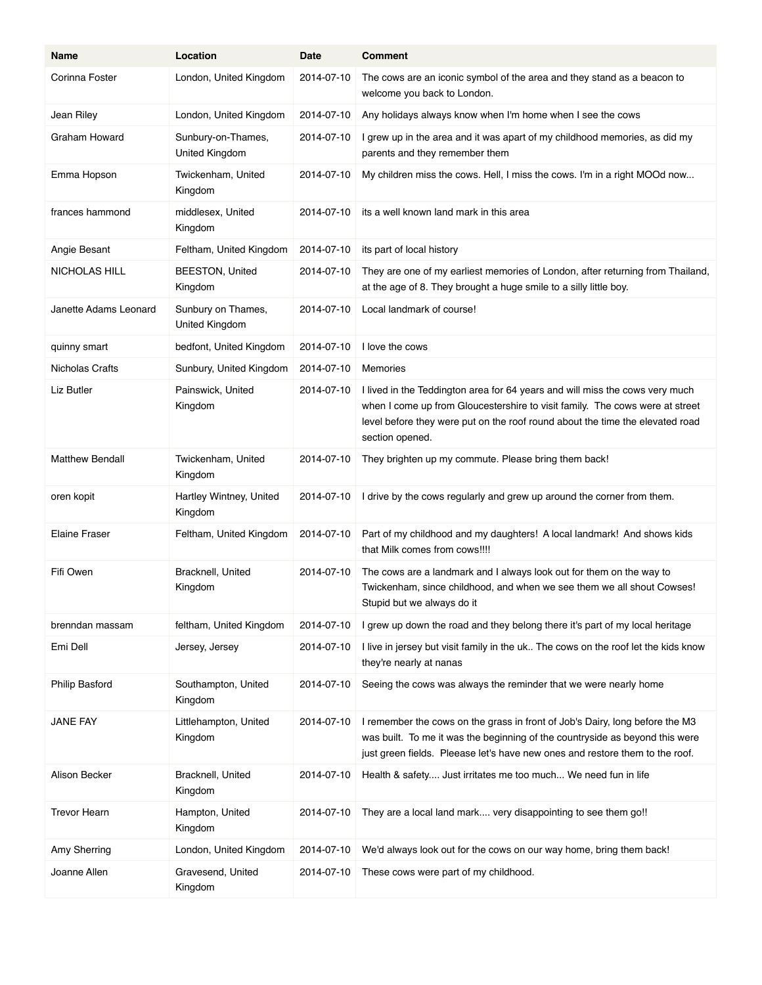| Name                   | Location                             | Date       | <b>Comment</b>                                                                                                                                                                                                                                                   |
|------------------------|--------------------------------------|------------|------------------------------------------------------------------------------------------------------------------------------------------------------------------------------------------------------------------------------------------------------------------|
| Corinna Foster         | London, United Kingdom               | 2014-07-10 | The cows are an iconic symbol of the area and they stand as a beacon to<br>welcome you back to London.                                                                                                                                                           |
| Jean Riley             | London, United Kingdom               | 2014-07-10 | Any holidays always know when I'm home when I see the cows                                                                                                                                                                                                       |
| Graham Howard          | Sunbury-on-Thames,<br>United Kingdom | 2014-07-10 | I grew up in the area and it was apart of my childhood memories, as did my<br>parents and they remember them                                                                                                                                                     |
| Emma Hopson            | Twickenham, United<br>Kingdom        | 2014-07-10 | My children miss the cows. Hell, I miss the cows. I'm in a right MOOd now                                                                                                                                                                                        |
| frances hammond        | middlesex, United<br>Kingdom         | 2014-07-10 | its a well known land mark in this area                                                                                                                                                                                                                          |
| Angie Besant           | Feltham, United Kingdom              | 2014-07-10 | its part of local history                                                                                                                                                                                                                                        |
| NICHOLAS HILL          | <b>BEESTON, United</b><br>Kingdom    | 2014-07-10 | They are one of my earliest memories of London, after returning from Thailand,<br>at the age of 8. They brought a huge smile to a silly little boy.                                                                                                              |
| Janette Adams Leonard  | Sunbury on Thames,<br>United Kingdom | 2014-07-10 | Local landmark of course!                                                                                                                                                                                                                                        |
| quinny smart           | bedfont, United Kingdom              | 2014-07-10 | I love the cows                                                                                                                                                                                                                                                  |
| Nicholas Crafts        | Sunbury, United Kingdom              | 2014-07-10 | Memories                                                                                                                                                                                                                                                         |
| Liz Butler             | Painswick, United<br>Kingdom         | 2014-07-10 | I lived in the Teddington area for 64 years and will miss the cows very much<br>when I come up from Gloucestershire to visit family. The cows were at street<br>level before they were put on the roof round about the time the elevated road<br>section opened. |
| <b>Matthew Bendall</b> | Twickenham, United<br>Kingdom        | 2014-07-10 | They brighten up my commute. Please bring them back!                                                                                                                                                                                                             |
| oren kopit             | Hartley Wintney, United<br>Kingdom   | 2014-07-10 | I drive by the cows regularly and grew up around the corner from them.                                                                                                                                                                                           |
| <b>Elaine Fraser</b>   | Feltham, United Kingdom              | 2014-07-10 | Part of my childhood and my daughters! A local landmark! And shows kids<br>that Milk comes from cows!!!!                                                                                                                                                         |
| Fifi Owen              | Bracknell, United<br>Kingdom         | 2014-07-10 | The cows are a landmark and I always look out for them on the way to<br>Twickenham, since childhood, and when we see them we all shout Cowses!<br>Stupid but we always do it                                                                                     |
| brenndan massam        | feltham, United Kingdom              | 2014-07-10 | I grew up down the road and they belong there it's part of my local heritage                                                                                                                                                                                     |
| Emi Dell               | Jersey, Jersey                       | 2014-07-10 | I live in jersey but visit family in the uk The cows on the roof let the kids know<br>they're nearly at nanas                                                                                                                                                    |
| Philip Basford         | Southampton, United<br>Kingdom       | 2014-07-10 | Seeing the cows was always the reminder that we were nearly home                                                                                                                                                                                                 |
| JANE FAY               | Littlehampton, United<br>Kingdom     | 2014-07-10 | I remember the cows on the grass in front of Job's Dairy, long before the M3<br>was built. To me it was the beginning of the countryside as beyond this were<br>just green fields. Pleease let's have new ones and restore them to the roof.                     |
| Alison Becker          | Bracknell, United<br>Kingdom         | 2014-07-10 | Health & safety Just irritates me too much We need fun in life                                                                                                                                                                                                   |
| <b>Trevor Hearn</b>    | Hampton, United<br>Kingdom           | 2014-07-10 | They are a local land mark very disappointing to see them go!!                                                                                                                                                                                                   |
| Amy Sherring           | London, United Kingdom               | 2014-07-10 | We'd always look out for the cows on our way home, bring them back!                                                                                                                                                                                              |
| Joanne Allen           | Gravesend, United<br>Kingdom         | 2014-07-10 | These cows were part of my childhood.                                                                                                                                                                                                                            |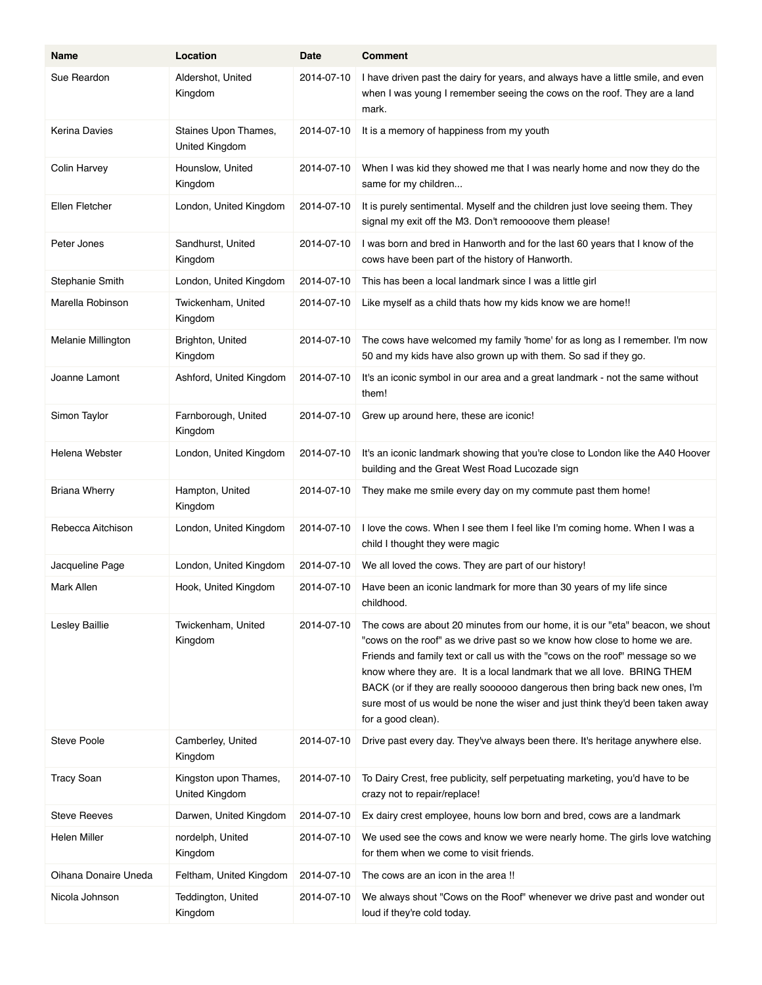| Name                 | Location                                | Date       | Comment                                                                                                                                                                                                                                                                                                                                                                                                                                                                                                     |
|----------------------|-----------------------------------------|------------|-------------------------------------------------------------------------------------------------------------------------------------------------------------------------------------------------------------------------------------------------------------------------------------------------------------------------------------------------------------------------------------------------------------------------------------------------------------------------------------------------------------|
| Sue Reardon          | Aldershot, United<br>Kingdom            | 2014-07-10 | I have driven past the dairy for years, and always have a little smile, and even<br>when I was young I remember seeing the cows on the roof. They are a land<br>mark.                                                                                                                                                                                                                                                                                                                                       |
| Kerina Davies        | Staines Upon Thames,<br>United Kingdom  | 2014-07-10 | It is a memory of happiness from my youth                                                                                                                                                                                                                                                                                                                                                                                                                                                                   |
| Colin Harvey         | Hounslow, United<br>Kingdom             | 2014-07-10 | When I was kid they showed me that I was nearly home and now they do the<br>same for my children                                                                                                                                                                                                                                                                                                                                                                                                            |
| Ellen Fletcher       | London, United Kingdom                  | 2014-07-10 | It is purely sentimental. Myself and the children just love seeing them. They<br>signal my exit off the M3. Don't remoooove them please!                                                                                                                                                                                                                                                                                                                                                                    |
| Peter Jones          | Sandhurst, United<br>Kingdom            | 2014-07-10 | I was born and bred in Hanworth and for the last 60 years that I know of the<br>cows have been part of the history of Hanworth.                                                                                                                                                                                                                                                                                                                                                                             |
| Stephanie Smith      | London, United Kingdom                  | 2014-07-10 | This has been a local landmark since I was a little girl                                                                                                                                                                                                                                                                                                                                                                                                                                                    |
| Marella Robinson     | Twickenham, United<br>Kingdom           | 2014-07-10 | Like myself as a child thats how my kids know we are home!!                                                                                                                                                                                                                                                                                                                                                                                                                                                 |
| Melanie Millington   | Brighton, United<br>Kingdom             | 2014-07-10 | The cows have welcomed my family 'home' for as long as I remember. I'm now<br>50 and my kids have also grown up with them. So sad if they go.                                                                                                                                                                                                                                                                                                                                                               |
| Joanne Lamont        | Ashford, United Kingdom                 | 2014-07-10 | It's an iconic symbol in our area and a great landmark - not the same without<br>them!                                                                                                                                                                                                                                                                                                                                                                                                                      |
| Simon Taylor         | Farnborough, United<br>Kingdom          | 2014-07-10 | Grew up around here, these are iconic!                                                                                                                                                                                                                                                                                                                                                                                                                                                                      |
| Helena Webster       | London, United Kingdom                  | 2014-07-10 | It's an iconic landmark showing that you're close to London like the A40 Hoover<br>building and the Great West Road Lucozade sign                                                                                                                                                                                                                                                                                                                                                                           |
| <b>Briana Wherry</b> | Hampton, United<br>Kingdom              | 2014-07-10 | They make me smile every day on my commute past them home!                                                                                                                                                                                                                                                                                                                                                                                                                                                  |
| Rebecca Aitchison    | London, United Kingdom                  | 2014-07-10 | I love the cows. When I see them I feel like I'm coming home. When I was a<br>child I thought they were magic                                                                                                                                                                                                                                                                                                                                                                                               |
| Jacqueline Page      | London, United Kingdom                  | 2014-07-10 | We all loved the cows. They are part of our history!                                                                                                                                                                                                                                                                                                                                                                                                                                                        |
| Mark Allen           | Hook, United Kingdom                    | 2014-07-10 | Have been an iconic landmark for more than 30 years of my life since<br>childhood.                                                                                                                                                                                                                                                                                                                                                                                                                          |
| Lesley Baillie       | Twickenham, United<br>Kingdom           | 2014-07-10 | The cows are about 20 minutes from our home, it is our "eta" beacon, we shout<br>"cows on the roof" as we drive past so we know how close to home we are.<br>Friends and family text or call us with the "cows on the roof" message so we<br>know where they are. It is a local landmark that we all love. BRING THEM<br>BACK (or if they are really soooooo dangerous then bring back new ones, I'm<br>sure most of us would be none the wiser and just think they'd been taken away<br>for a good clean). |
| Steve Poole          | Camberley, United<br>Kingdom            | 2014-07-10 | Drive past every day. They've always been there. It's heritage anywhere else.                                                                                                                                                                                                                                                                                                                                                                                                                               |
| <b>Tracy Soan</b>    | Kingston upon Thames,<br>United Kingdom | 2014-07-10 | To Dairy Crest, free publicity, self perpetuating marketing, you'd have to be<br>crazy not to repair/replace!                                                                                                                                                                                                                                                                                                                                                                                               |
| <b>Steve Reeves</b>  | Darwen, United Kingdom                  | 2014-07-10 | Ex dairy crest employee, houns low born and bred, cows are a landmark                                                                                                                                                                                                                                                                                                                                                                                                                                       |
| Helen Miller         | nordelph, United<br>Kingdom             | 2014-07-10 | We used see the cows and know we were nearly home. The girls love watching<br>for them when we come to visit friends.                                                                                                                                                                                                                                                                                                                                                                                       |
| Oihana Donaire Uneda | Feltham, United Kingdom                 | 2014-07-10 | The cows are an icon in the area !!                                                                                                                                                                                                                                                                                                                                                                                                                                                                         |
| Nicola Johnson       | Teddington, United<br>Kingdom           | 2014-07-10 | We always shout "Cows on the Roof" whenever we drive past and wonder out<br>loud if they're cold today.                                                                                                                                                                                                                                                                                                                                                                                                     |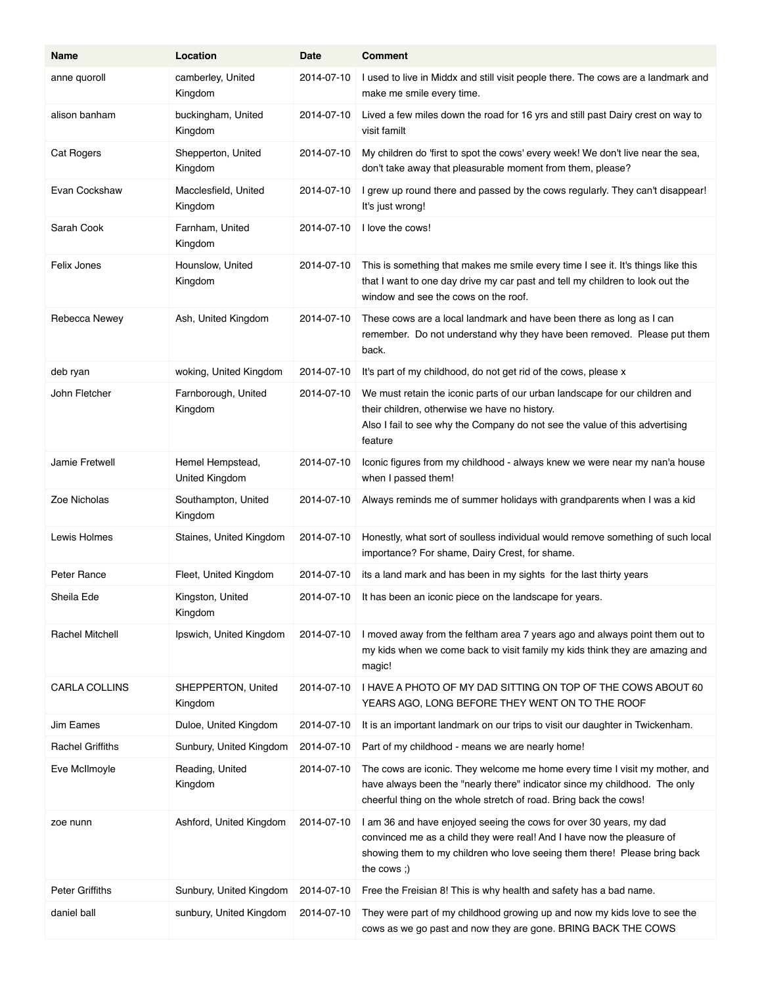| Name                    | Location                           | Date       | <b>Comment</b>                                                                                                                                                                                                                            |
|-------------------------|------------------------------------|------------|-------------------------------------------------------------------------------------------------------------------------------------------------------------------------------------------------------------------------------------------|
| anne quoroll            | camberley, United<br>Kingdom       | 2014-07-10 | I used to live in Middx and still visit people there. The cows are a landmark and<br>make me smile every time.                                                                                                                            |
| alison banham           | buckingham, United<br>Kingdom      | 2014-07-10 | Lived a few miles down the road for 16 yrs and still past Dairy crest on way to<br>visit familt                                                                                                                                           |
| Cat Rogers              | Shepperton, United<br>Kingdom      | 2014-07-10 | My children do 'first to spot the cows' every week! We don't live near the sea,<br>don't take away that pleasurable moment from them, please?                                                                                             |
| Evan Cockshaw           | Macclesfield, United<br>Kingdom    | 2014-07-10 | I grew up round there and passed by the cows regularly. They can't disappear!<br>It's just wrong!                                                                                                                                         |
| Sarah Cook              | Farnham, United<br>Kingdom         | 2014-07-10 | I love the cows!                                                                                                                                                                                                                          |
| Felix Jones             | Hounslow, United<br>Kingdom        | 2014-07-10 | This is something that makes me smile every time I see it. It's things like this<br>that I want to one day drive my car past and tell my children to look out the<br>window and see the cows on the roof.                                 |
| Rebecca Newey           | Ash, United Kingdom                | 2014-07-10 | These cows are a local landmark and have been there as long as I can<br>remember. Do not understand why they have been removed. Please put them<br>back.                                                                                  |
| deb ryan                | woking, United Kingdom             | 2014-07-10 | It's part of my childhood, do not get rid of the cows, please x                                                                                                                                                                           |
| John Fletcher           | Farnborough, United<br>Kingdom     | 2014-07-10 | We must retain the iconic parts of our urban landscape for our children and<br>their children, otherwise we have no history.<br>Also I fail to see why the Company do not see the value of this advertising<br>feature                    |
| Jamie Fretwell          | Hemel Hempstead,<br>United Kingdom | 2014-07-10 | Iconic figures from my childhood - always knew we were near my nan'a house<br>when I passed them!                                                                                                                                         |
| Zoe Nicholas            | Southampton, United<br>Kingdom     | 2014-07-10 | Always reminds me of summer holidays with grandparents when I was a kid                                                                                                                                                                   |
| Lewis Holmes            | Staines, United Kingdom            | 2014-07-10 | Honestly, what sort of soulless individual would remove something of such local<br>importance? For shame, Dairy Crest, for shame.                                                                                                         |
| Peter Rance             | Fleet, United Kingdom              | 2014-07-10 | its a land mark and has been in my sights for the last thirty years                                                                                                                                                                       |
| Sheila Ede              | Kingston, United<br>Kingdom        | 2014-07-10 | It has been an iconic piece on the landscape for years.                                                                                                                                                                                   |
| Rachel Mitchell         | Ipswich, United Kingdom            | 2014-07-10 | I moved away from the feltham area 7 years ago and always point them out to<br>my kids when we come back to visit family my kids think they are amazing and<br>magic!                                                                     |
| CARLA COLLINS           | SHEPPERTON, United<br>Kingdom      | 2014-07-10 | I HAVE A PHOTO OF MY DAD SITTING ON TOP OF THE COWS ABOUT 60<br>YEARS AGO, LONG BEFORE THEY WENT ON TO THE ROOF                                                                                                                           |
| Jim Eames               | Duloe, United Kingdom              | 2014-07-10 | It is an important landmark on our trips to visit our daughter in Twickenham.                                                                                                                                                             |
| <b>Rachel Griffiths</b> | Sunbury, United Kingdom            | 2014-07-10 | Part of my childhood - means we are nearly home!                                                                                                                                                                                          |
| Eve McIlmoyle           | Reading, United<br>Kingdom         | 2014-07-10 | The cows are iconic. They welcome me home every time I visit my mother, and<br>have always been the "nearly there" indicator since my childhood. The only<br>cheerful thing on the whole stretch of road. Bring back the cows!            |
| zoe nunn                | Ashford, United Kingdom            | 2014-07-10 | I am 36 and have enjoyed seeing the cows for over 30 years, my dad<br>convinced me as a child they were real! And I have now the pleasure of<br>showing them to my children who love seeing them there! Please bring back<br>the cows $;$ |
| Peter Griffiths         | Sunbury, United Kingdom            | 2014-07-10 | Free the Freisian 8! This is why health and safety has a bad name.                                                                                                                                                                        |
| daniel ball             | sunbury, United Kingdom            | 2014-07-10 | They were part of my childhood growing up and now my kids love to see the<br>cows as we go past and now they are gone. BRING BACK THE COWS                                                                                                |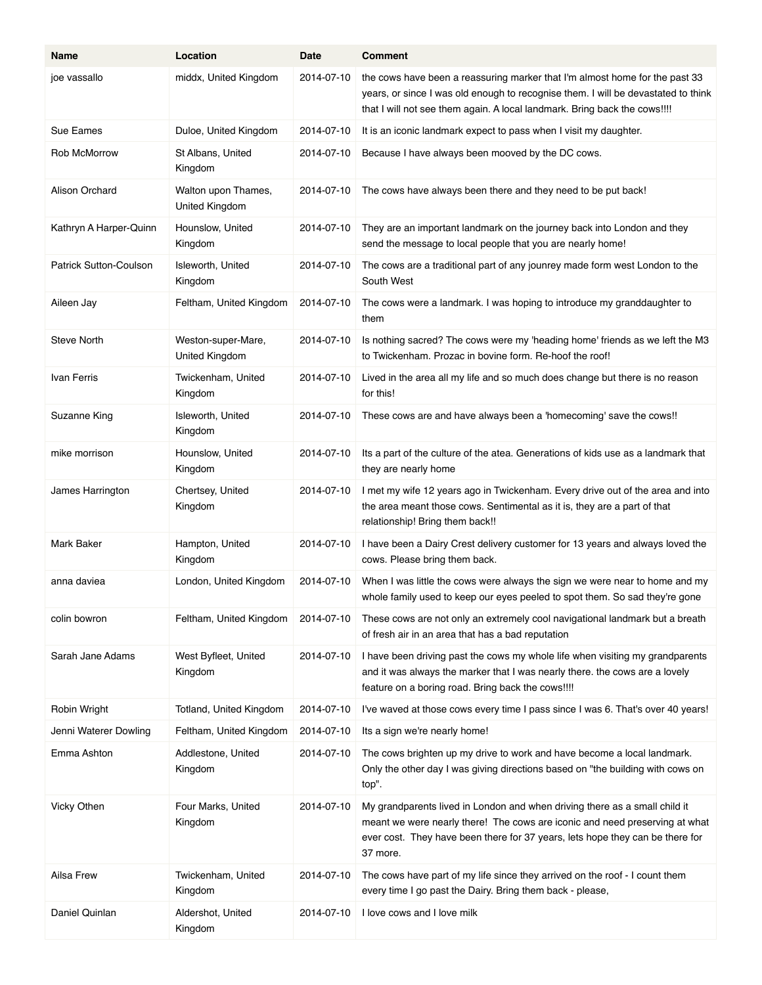| Name                          | Location                              | Date       | <b>Comment</b>                                                                                                                                                                                                                                         |
|-------------------------------|---------------------------------------|------------|--------------------------------------------------------------------------------------------------------------------------------------------------------------------------------------------------------------------------------------------------------|
| joe vassallo                  | middx, United Kingdom                 | 2014-07-10 | the cows have been a reassuring marker that I'm almost home for the past 33<br>years, or since I was old enough to recognise them. I will be devastated to think<br>that I will not see them again. A local landmark. Bring back the cows !!!!         |
| Sue Eames                     | Duloe, United Kingdom                 | 2014-07-10 | It is an iconic landmark expect to pass when I visit my daughter.                                                                                                                                                                                      |
| Rob McMorrow                  | St Albans, United<br>Kingdom          | 2014-07-10 | Because I have always been mooved by the DC cows.                                                                                                                                                                                                      |
| Alison Orchard                | Walton upon Thames,<br>United Kingdom | 2014-07-10 | The cows have always been there and they need to be put back!                                                                                                                                                                                          |
| Kathryn A Harper-Quinn        | Hounslow, United<br>Kingdom           | 2014-07-10 | They are an important landmark on the journey back into London and they<br>send the message to local people that you are nearly home!                                                                                                                  |
| <b>Patrick Sutton-Coulson</b> | Isleworth, United<br>Kingdom          | 2014-07-10 | The cows are a traditional part of any jounrey made form west London to the<br>South West                                                                                                                                                              |
| Aileen Jay                    | Feltham, United Kingdom               | 2014-07-10 | The cows were a landmark. I was hoping to introduce my granddaughter to<br>them                                                                                                                                                                        |
| <b>Steve North</b>            | Weston-super-Mare,<br>United Kingdom  | 2014-07-10 | Is nothing sacred? The cows were my 'heading home' friends as we left the M3<br>to Twickenham. Prozac in bovine form. Re-hoof the roof!                                                                                                                |
| Ivan Ferris                   | Twickenham, United<br>Kingdom         | 2014-07-10 | Lived in the area all my life and so much does change but there is no reason<br>for this!                                                                                                                                                              |
| Suzanne King                  | Isleworth, United<br>Kingdom          | 2014-07-10 | These cows are and have always been a 'homecoming' save the cows!!                                                                                                                                                                                     |
| mike morrison                 | Hounslow, United<br>Kingdom           | 2014-07-10 | Its a part of the culture of the atea. Generations of kids use as a landmark that<br>they are nearly home                                                                                                                                              |
| James Harrington              | Chertsey, United<br>Kingdom           | 2014-07-10 | I met my wife 12 years ago in Twickenham. Every drive out of the area and into<br>the area meant those cows. Sentimental as it is, they are a part of that<br>relationship! Bring them back!!                                                          |
| <b>Mark Baker</b>             | Hampton, United<br>Kingdom            | 2014-07-10 | I have been a Dairy Crest delivery customer for 13 years and always loved the<br>cows. Please bring them back.                                                                                                                                         |
| anna daviea                   | London, United Kingdom                | 2014-07-10 | When I was little the cows were always the sign we were near to home and my<br>whole family used to keep our eyes peeled to spot them. So sad they're gone                                                                                             |
| colin bowron                  | Feltham, United Kingdom               | 2014-07-10 | These cows are not only an extremely cool navigational landmark but a breath<br>of fresh air in an area that has a bad reputation                                                                                                                      |
| Sarah Jane Adams              | West Byfleet, United<br>Kingdom       | 2014-07-10 | I have been driving past the cows my whole life when visiting my grandparents<br>and it was always the marker that I was nearly there. the cows are a lovely<br>feature on a boring road. Bring back the cows!!!!                                      |
| Robin Wright                  | Totland, United Kingdom               | 2014-07-10 | I've waved at those cows every time I pass since I was 6. That's over 40 years!                                                                                                                                                                        |
| Jenni Waterer Dowling         | Feltham, United Kingdom               | 2014-07-10 | Its a sign we're nearly home!                                                                                                                                                                                                                          |
| Emma Ashton                   | Addlestone, United<br>Kingdom         | 2014-07-10 | The cows brighten up my drive to work and have become a local landmark.<br>Only the other day I was giving directions based on "the building with cows on<br>top".                                                                                     |
| Vicky Othen                   | Four Marks, United<br>Kingdom         | 2014-07-10 | My grandparents lived in London and when driving there as a small child it<br>meant we were nearly there! The cows are iconic and need preserving at what<br>ever cost. They have been there for 37 years, lets hope they can be there for<br>37 more. |
| Ailsa Frew                    | Twickenham, United<br>Kingdom         | 2014-07-10 | The cows have part of my life since they arrived on the roof - I count them<br>every time I go past the Dairy. Bring them back - please,                                                                                                               |
| Daniel Quinlan                | Aldershot, United<br>Kingdom          | 2014-07-10 | I love cows and I love milk                                                                                                                                                                                                                            |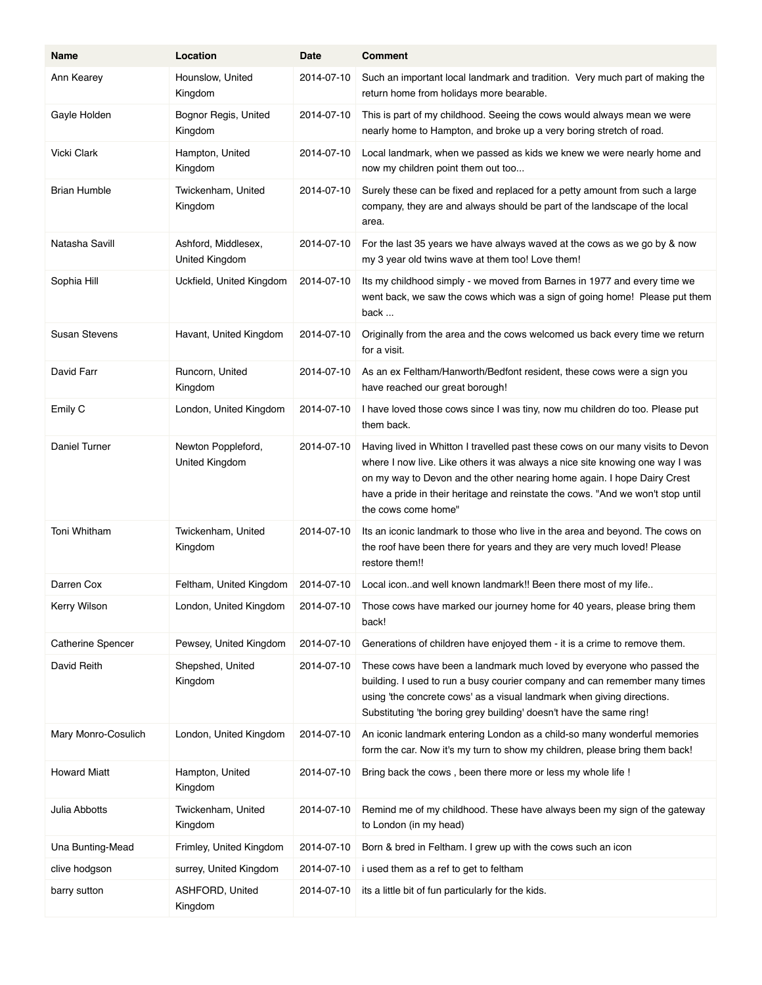| Name                     | Location                              | Date       | <b>Comment</b>                                                                                                                                                                                                                                                                                                                                        |
|--------------------------|---------------------------------------|------------|-------------------------------------------------------------------------------------------------------------------------------------------------------------------------------------------------------------------------------------------------------------------------------------------------------------------------------------------------------|
| Ann Kearey               | Hounslow, United<br>Kingdom           | 2014-07-10 | Such an important local landmark and tradition. Very much part of making the<br>return home from holidays more bearable.                                                                                                                                                                                                                              |
| Gayle Holden             | Bognor Regis, United<br>Kingdom       | 2014-07-10 | This is part of my childhood. Seeing the cows would always mean we were<br>nearly home to Hampton, and broke up a very boring stretch of road.                                                                                                                                                                                                        |
| Vicki Clark              | Hampton, United<br>Kingdom            | 2014-07-10 | Local landmark, when we passed as kids we knew we were nearly home and<br>now my children point them out too                                                                                                                                                                                                                                          |
| <b>Brian Humble</b>      | Twickenham, United<br>Kingdom         | 2014-07-10 | Surely these can be fixed and replaced for a petty amount from such a large<br>company, they are and always should be part of the landscape of the local<br>area.                                                                                                                                                                                     |
| Natasha Savill           | Ashford, Middlesex,<br>United Kingdom | 2014-07-10 | For the last 35 years we have always waved at the cows as we go by & now<br>my 3 year old twins wave at them too! Love them!                                                                                                                                                                                                                          |
| Sophia Hill              | Uckfield, United Kingdom              | 2014-07-10 | Its my childhood simply - we moved from Barnes in 1977 and every time we<br>went back, we saw the cows which was a sign of going home! Please put them<br>back                                                                                                                                                                                        |
| Susan Stevens            | Havant, United Kingdom                | 2014-07-10 | Originally from the area and the cows welcomed us back every time we return<br>for a visit.                                                                                                                                                                                                                                                           |
| David Farr               | Runcorn, United<br>Kingdom            | 2014-07-10 | As an ex Feltham/Hanworth/Bedfont resident, these cows were a sign you<br>have reached our great borough!                                                                                                                                                                                                                                             |
| Emily C                  | London, United Kingdom                | 2014-07-10 | I have loved those cows since I was tiny, now mu children do too. Please put<br>them back.                                                                                                                                                                                                                                                            |
| <b>Daniel Turner</b>     | Newton Poppleford,<br>United Kingdom  | 2014-07-10 | Having lived in Whitton I travelled past these cows on our many visits to Devon<br>where I now live. Like others it was always a nice site knowing one way I was<br>on my way to Devon and the other nearing home again. I hope Dairy Crest<br>have a pride in their heritage and reinstate the cows. "And we won't stop until<br>the cows come home" |
| Toni Whitham             | Twickenham, United<br>Kingdom         | 2014-07-10 | Its an iconic landmark to those who live in the area and beyond. The cows on<br>the roof have been there for years and they are very much loved! Please<br>restore them!!                                                                                                                                                                             |
| Darren Cox               | Feltham, United Kingdom               | 2014-07-10 | Local iconand well known landmark!! Been there most of my life                                                                                                                                                                                                                                                                                        |
| Kerry Wilson             | London, United Kingdom                | 2014-07-10 | Those cows have marked our journey home for 40 years, please bring them<br>back!                                                                                                                                                                                                                                                                      |
| <b>Catherine Spencer</b> | Pewsey, United Kingdom                | 2014-07-10 | Generations of children have enjoyed them - it is a crime to remove them.                                                                                                                                                                                                                                                                             |
| David Reith              | Shepshed, United<br>Kingdom           | 2014-07-10 | These cows have been a landmark much loved by everyone who passed the<br>building. I used to run a busy courier company and can remember many times<br>using 'the concrete cows' as a visual landmark when giving directions.<br>Substituting 'the boring grey building' doesn't have the same ring!                                                  |
| Mary Monro-Cosulich      | London, United Kingdom                | 2014-07-10 | An iconic landmark entering London as a child-so many wonderful memories<br>form the car. Now it's my turn to show my children, please bring them back!                                                                                                                                                                                               |
| <b>Howard Miatt</b>      | Hampton, United<br>Kingdom            | 2014-07-10 | Bring back the cows, been there more or less my whole life !                                                                                                                                                                                                                                                                                          |
| Julia Abbotts            | Twickenham, United<br>Kingdom         | 2014-07-10 | Remind me of my childhood. These have always been my sign of the gateway<br>to London (in my head)                                                                                                                                                                                                                                                    |
| Una Bunting-Mead         | Frimley, United Kingdom               | 2014-07-10 | Born & bred in Feltham. I grew up with the cows such an icon                                                                                                                                                                                                                                                                                          |
| clive hodgson            | surrey, United Kingdom                | 2014-07-10 | i used them as a ref to get to feltham                                                                                                                                                                                                                                                                                                                |
| barry sutton             | ASHFORD, United<br>Kingdom            | 2014-07-10 | its a little bit of fun particularly for the kids.                                                                                                                                                                                                                                                                                                    |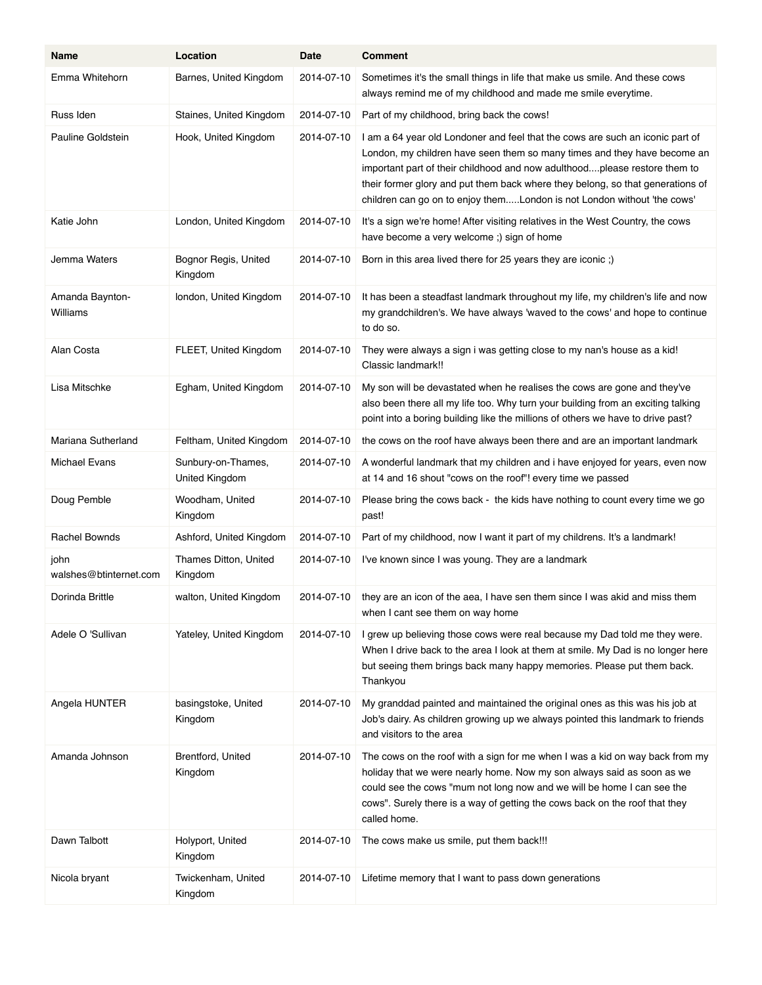| Name                           | Location                             | Date       | <b>Comment</b>                                                                                                                                                                                                                                                                                                                                                                                      |
|--------------------------------|--------------------------------------|------------|-----------------------------------------------------------------------------------------------------------------------------------------------------------------------------------------------------------------------------------------------------------------------------------------------------------------------------------------------------------------------------------------------------|
| Emma Whitehorn                 | Barnes, United Kingdom               | 2014-07-10 | Sometimes it's the small things in life that make us smile. And these cows<br>always remind me of my childhood and made me smile everytime.                                                                                                                                                                                                                                                         |
| Russ Iden                      | Staines, United Kingdom              | 2014-07-10 | Part of my childhood, bring back the cows!                                                                                                                                                                                                                                                                                                                                                          |
| Pauline Goldstein              | Hook, United Kingdom                 | 2014-07-10 | I am a 64 year old Londoner and feel that the cows are such an iconic part of<br>London, my children have seen them so many times and they have become an<br>important part of their childhood and now adulthoodplease restore them to<br>their former glory and put them back where they belong, so that generations of<br>children can go on to enjoy themLondon is not London without 'the cows' |
| Katie John                     | London, United Kingdom               | 2014-07-10 | It's a sign we're home! After visiting relatives in the West Country, the cows<br>have become a very welcome ;) sign of home                                                                                                                                                                                                                                                                        |
| Jemma Waters                   | Bognor Regis, United<br>Kingdom      | 2014-07-10 | Born in this area lived there for 25 years they are iconic;)                                                                                                                                                                                                                                                                                                                                        |
| Amanda Baynton-<br>Williams    | london, United Kingdom               | 2014-07-10 | It has been a steadfast landmark throughout my life, my children's life and now<br>my grandchildren's. We have always 'waved to the cows' and hope to continue<br>to do so.                                                                                                                                                                                                                         |
| Alan Costa                     | FLEET, United Kingdom                | 2014-07-10 | They were always a sign i was getting close to my nan's house as a kid!<br>Classic landmark!!                                                                                                                                                                                                                                                                                                       |
| Lisa Mitschke                  | Egham, United Kingdom                | 2014-07-10 | My son will be devastated when he realises the cows are gone and they've<br>also been there all my life too. Why turn your building from an exciting talking<br>point into a boring building like the millions of others we have to drive past?                                                                                                                                                     |
| Mariana Sutherland             | Feltham, United Kingdom              | 2014-07-10 | the cows on the roof have always been there and are an important landmark                                                                                                                                                                                                                                                                                                                           |
| <b>Michael Evans</b>           | Sunbury-on-Thames,<br>United Kingdom | 2014-07-10 | A wonderful landmark that my children and i have enjoyed for years, even now<br>at 14 and 16 shout "cows on the roof"! every time we passed                                                                                                                                                                                                                                                         |
| Doug Pemble                    | Woodham, United<br>Kingdom           | 2014-07-10 | Please bring the cows back - the kids have nothing to count every time we go<br>past!                                                                                                                                                                                                                                                                                                               |
| Rachel Bownds                  | Ashford, United Kingdom              | 2014-07-10 | Part of my childhood, now I want it part of my childrens. It's a landmark!                                                                                                                                                                                                                                                                                                                          |
| john<br>walshes@btinternet.com | Thames Ditton, United<br>Kingdom     | 2014-07-10 | I've known since I was young. They are a landmark                                                                                                                                                                                                                                                                                                                                                   |
| Dorinda Brittle                | walton, United Kingdom               | 2014-07-10 | they are an icon of the aea, I have sen them since I was akid and miss them<br>when I cant see them on way home                                                                                                                                                                                                                                                                                     |
| Adele O 'Sullivan              | Yateley, United Kingdom              | 2014-07-10 | I grew up believing those cows were real because my Dad told me they were.<br>When I drive back to the area I look at them at smile. My Dad is no longer here<br>but seeing them brings back many happy memories. Please put them back.<br>Thankyou                                                                                                                                                 |
| Angela HUNTER                  | basingstoke, United<br>Kingdom       | 2014-07-10 | My granddad painted and maintained the original ones as this was his job at<br>Job's dairy. As children growing up we always pointed this landmark to friends<br>and visitors to the area                                                                                                                                                                                                           |
| Amanda Johnson                 | Brentford, United<br>Kingdom         | 2014-07-10 | The cows on the roof with a sign for me when I was a kid on way back from my<br>holiday that we were nearly home. Now my son always said as soon as we<br>could see the cows "mum not long now and we will be home I can see the<br>cows". Surely there is a way of getting the cows back on the roof that they<br>called home.                                                                     |
| Dawn Talbott                   | Holyport, United<br>Kingdom          | 2014-07-10 | The cows make us smile, put them back!!!                                                                                                                                                                                                                                                                                                                                                            |
| Nicola bryant                  | Twickenham, United<br>Kingdom        | 2014-07-10 | Lifetime memory that I want to pass down generations                                                                                                                                                                                                                                                                                                                                                |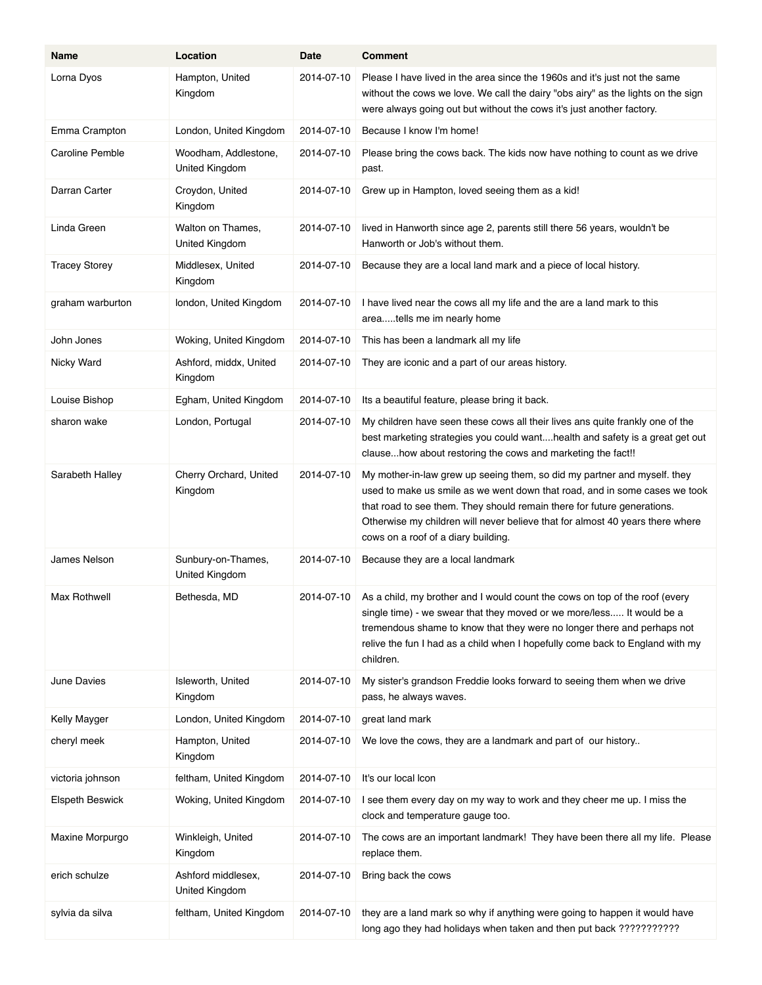| Name                   | Location                               | Date       | <b>Comment</b>                                                                                                                                                                                                                                                                                                                                            |
|------------------------|----------------------------------------|------------|-----------------------------------------------------------------------------------------------------------------------------------------------------------------------------------------------------------------------------------------------------------------------------------------------------------------------------------------------------------|
| Lorna Dyos             | Hampton, United<br>Kingdom             | 2014-07-10 | Please I have lived in the area since the 1960s and it's just not the same<br>without the cows we love. We call the dairy "obs airy" as the lights on the sign<br>were always going out but without the cows it's just another factory.                                                                                                                   |
| Emma Crampton          | London, United Kingdom                 | 2014-07-10 | Because I know I'm home!                                                                                                                                                                                                                                                                                                                                  |
| <b>Caroline Pemble</b> | Woodham, Addlestone,<br>United Kingdom | 2014-07-10 | Please bring the cows back. The kids now have nothing to count as we drive<br>past.                                                                                                                                                                                                                                                                       |
| Darran Carter          | Croydon, United<br>Kingdom             | 2014-07-10 | Grew up in Hampton, loved seeing them as a kid!                                                                                                                                                                                                                                                                                                           |
| Linda Green            | Walton on Thames,<br>United Kingdom    | 2014-07-10 | lived in Hanworth since age 2, parents still there 56 years, wouldn't be<br>Hanworth or Job's without them.                                                                                                                                                                                                                                               |
| <b>Tracey Storey</b>   | Middlesex, United<br>Kingdom           | 2014-07-10 | Because they are a local land mark and a piece of local history.                                                                                                                                                                                                                                                                                          |
| graham warburton       | london, United Kingdom                 | 2014-07-10 | I have lived near the cows all my life and the are a land mark to this<br>areatells me im nearly home                                                                                                                                                                                                                                                     |
| John Jones             | Woking, United Kingdom                 | 2014-07-10 | This has been a landmark all my life                                                                                                                                                                                                                                                                                                                      |
| Nicky Ward             | Ashford, middx, United<br>Kingdom      | 2014-07-10 | They are iconic and a part of our areas history.                                                                                                                                                                                                                                                                                                          |
| Louise Bishop          | Egham, United Kingdom                  | 2014-07-10 | Its a beautiful feature, please bring it back.                                                                                                                                                                                                                                                                                                            |
| sharon wake            | London, Portugal                       | 2014-07-10 | My children have seen these cows all their lives ans quite frankly one of the<br>best marketing strategies you could wanthealth and safety is a great get out<br>clausehow about restoring the cows and marketing the fact!!                                                                                                                              |
| Sarabeth Halley        | Cherry Orchard, United<br>Kingdom      | 2014-07-10 | My mother-in-law grew up seeing them, so did my partner and myself. they<br>used to make us smile as we went down that road, and in some cases we took<br>that road to see them. They should remain there for future generations.<br>Otherwise my children will never believe that for almost 40 years there where<br>cows on a roof of a diary building. |
| James Nelson           | Sunbury-on-Thames,<br>United Kingdom   | 2014-07-10 | Because they are a local landmark                                                                                                                                                                                                                                                                                                                         |
| Max Rothwell           | Bethesda, MD                           | 2014-07-10 | As a child, my brother and I would count the cows on top of the roof (every<br>single time) - we swear that they moved or we more/less It would be a<br>tremendous shame to know that they were no longer there and perhaps not<br>relive the fun I had as a child when I hopefully come back to England with my<br>children.                             |
| June Davies            | Isleworth, United<br>Kingdom           | 2014-07-10 | My sister's grandson Freddie looks forward to seeing them when we drive<br>pass, he always waves.                                                                                                                                                                                                                                                         |
| Kelly Mayger           | London, United Kingdom                 | 2014-07-10 | great land mark                                                                                                                                                                                                                                                                                                                                           |
| cheryl meek            | Hampton, United<br>Kingdom             | 2014-07-10 | We love the cows, they are a landmark and part of our history                                                                                                                                                                                                                                                                                             |
| victoria johnson       | feltham, United Kingdom                | 2014-07-10 | It's our local Icon                                                                                                                                                                                                                                                                                                                                       |
| <b>Elspeth Beswick</b> | Woking, United Kingdom                 | 2014-07-10 | I see them every day on my way to work and they cheer me up. I miss the<br>clock and temperature gauge too.                                                                                                                                                                                                                                               |
| Maxine Morpurgo        | Winkleigh, United<br>Kingdom           | 2014-07-10 | The cows are an important landmark! They have been there all my life. Please<br>replace them.                                                                                                                                                                                                                                                             |
| erich schulze          | Ashford middlesex,<br>United Kingdom   | 2014-07-10 | Bring back the cows                                                                                                                                                                                                                                                                                                                                       |
| sylvia da silva        | feltham, United Kingdom                | 2014-07-10 | they are a land mark so why if anything were going to happen it would have<br>long ago they had holidays when taken and then put back ???????????                                                                                                                                                                                                         |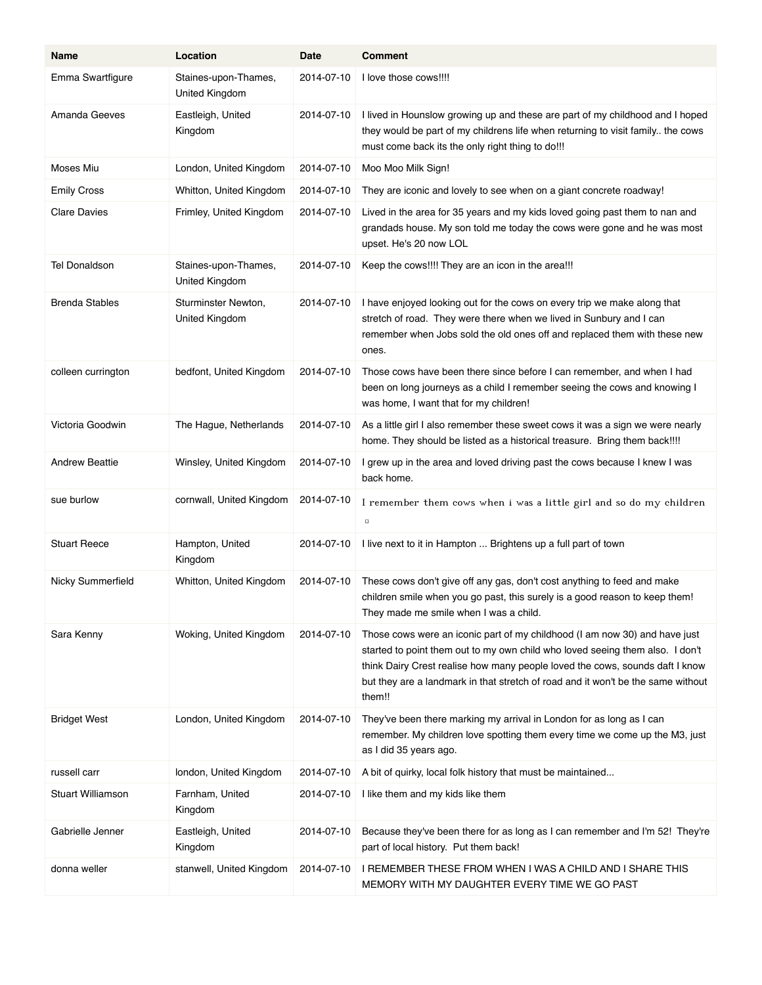| Name                  | Location                               | Date       | <b>Comment</b>                                                                                                                                                                                                                                                                                                                            |
|-----------------------|----------------------------------------|------------|-------------------------------------------------------------------------------------------------------------------------------------------------------------------------------------------------------------------------------------------------------------------------------------------------------------------------------------------|
| Emma Swartfigure      | Staines-upon-Thames,<br>United Kingdom | 2014-07-10 | I love those cows!!!!                                                                                                                                                                                                                                                                                                                     |
| Amanda Geeves         | Eastleigh, United<br>Kingdom           | 2014-07-10 | I lived in Hounslow growing up and these are part of my childhood and I hoped<br>they would be part of my childrens life when returning to visit family the cows<br>must come back its the only right thing to do!!!                                                                                                                      |
| Moses Miu             | London, United Kingdom                 | 2014-07-10 | Moo Moo Milk Sign!                                                                                                                                                                                                                                                                                                                        |
| <b>Emily Cross</b>    | Whitton, United Kingdom                | 2014-07-10 | They are iconic and lovely to see when on a giant concrete roadway!                                                                                                                                                                                                                                                                       |
| <b>Clare Davies</b>   | Frimley, United Kingdom                | 2014-07-10 | Lived in the area for 35 years and my kids loved going past them to nan and<br>grandads house. My son told me today the cows were gone and he was most<br>upset. He's 20 now LOL                                                                                                                                                          |
| <b>Tel Donaldson</b>  | Staines-upon-Thames,<br>United Kingdom | 2014-07-10 | Keep the cows!!!! They are an icon in the area!!!                                                                                                                                                                                                                                                                                         |
| <b>Brenda Stables</b> | Sturminster Newton,<br>United Kingdom  | 2014-07-10 | I have enjoyed looking out for the cows on every trip we make along that<br>stretch of road. They were there when we lived in Sunbury and I can<br>remember when Jobs sold the old ones off and replaced them with these new<br>ones.                                                                                                     |
| colleen currington    | bedfont, United Kingdom                | 2014-07-10 | Those cows have been there since before I can remember, and when I had<br>been on long journeys as a child I remember seeing the cows and knowing I<br>was home, I want that for my children!                                                                                                                                             |
| Victoria Goodwin      | The Hague, Netherlands                 | 2014-07-10 | As a little girl I also remember these sweet cows it was a sign we were nearly<br>home. They should be listed as a historical treasure. Bring them back!!!!                                                                                                                                                                               |
| <b>Andrew Beattie</b> | Winsley, United Kingdom                | 2014-07-10 | I grew up in the area and loved driving past the cows because I knew I was<br>back home.                                                                                                                                                                                                                                                  |
| sue burlow            | cornwall, United Kingdom               | 2014-07-10 | I remember them cows when i was a little girl and so do my children<br>$\Box$                                                                                                                                                                                                                                                             |
| <b>Stuart Reece</b>   | Hampton, United<br>Kingdom             | 2014-07-10 | I live next to it in Hampton  Brightens up a full part of town                                                                                                                                                                                                                                                                            |
| Nicky Summerfield     | Whitton, United Kingdom                | 2014-07-10 | These cows don't give off any gas, don't cost anything to feed and make<br>children smile when you go past, this surely is a good reason to keep them!<br>They made me smile when I was a child.                                                                                                                                          |
| Sara Kenny            | Woking, United Kingdom                 | 2014-07-10 | Those cows were an iconic part of my childhood (I am now 30) and have just<br>started to point them out to my own child who loved seeing them also. I don't<br>think Dairy Crest realise how many people loved the cows, sounds daft I know<br>but they are a landmark in that stretch of road and it won't be the same without<br>them!! |
| <b>Bridget West</b>   | London, United Kingdom                 | 2014-07-10 | They've been there marking my arrival in London for as long as I can<br>remember. My children love spotting them every time we come up the M3, just<br>as I did 35 years ago.                                                                                                                                                             |
| russell carr          | london, United Kingdom                 | 2014-07-10 | A bit of quirky, local folk history that must be maintained                                                                                                                                                                                                                                                                               |
| Stuart Williamson     | Farnham, United<br>Kingdom             | 2014-07-10 | I like them and my kids like them                                                                                                                                                                                                                                                                                                         |
| Gabrielle Jenner      | Eastleigh, United<br>Kingdom           | 2014-07-10 | Because they've been there for as long as I can remember and I'm 52! They're<br>part of local history. Put them back!                                                                                                                                                                                                                     |
| donna weller          | stanwell, United Kingdom               | 2014-07-10 | I REMEMBER THESE FROM WHEN I WAS A CHILD AND I SHARE THIS<br>MEMORY WITH MY DAUGHTER EVERY TIME WE GO PAST                                                                                                                                                                                                                                |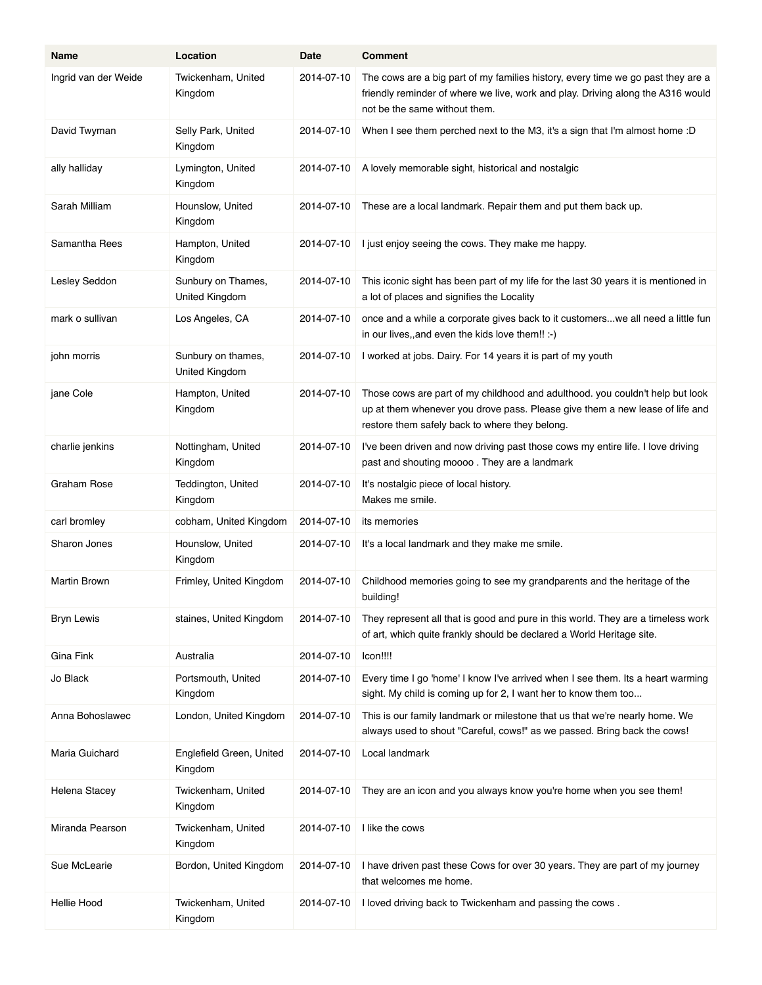| Name                 | Location                             | Date       | <b>Comment</b>                                                                                                                                                                                                  |
|----------------------|--------------------------------------|------------|-----------------------------------------------------------------------------------------------------------------------------------------------------------------------------------------------------------------|
| Ingrid van der Weide | Twickenham, United<br>Kingdom        | 2014-07-10 | The cows are a big part of my families history, every time we go past they are a<br>friendly reminder of where we live, work and play. Driving along the A316 would<br>not be the same without them.            |
| David Twyman         | Selly Park, United<br>Kingdom        | 2014-07-10 | When I see them perched next to the M3, it's a sign that I'm almost home :D                                                                                                                                     |
| ally halliday        | Lymington, United<br>Kingdom         | 2014-07-10 | A lovely memorable sight, historical and nostalgic                                                                                                                                                              |
| Sarah Milliam        | Hounslow, United<br>Kingdom          | 2014-07-10 | These are a local landmark. Repair them and put them back up.                                                                                                                                                   |
| Samantha Rees        | Hampton, United<br>Kingdom           | 2014-07-10 | I just enjoy seeing the cows. They make me happy.                                                                                                                                                               |
| Lesley Seddon        | Sunbury on Thames,<br>United Kingdom | 2014-07-10 | This iconic sight has been part of my life for the last 30 years it is mentioned in<br>a lot of places and signifies the Locality                                                                               |
| mark o sullivan      | Los Angeles, CA                      | 2014-07-10 | once and a while a corporate gives back to it customers we all need a little fun<br>in our lives,, and even the kids love them!! :-)                                                                            |
| john morris          | Sunbury on thames,<br>United Kingdom | 2014-07-10 | I worked at jobs. Dairy. For 14 years it is part of my youth                                                                                                                                                    |
| jane Cole            | Hampton, United<br>Kingdom           | 2014-07-10 | Those cows are part of my childhood and adulthood. you couldn't help but look<br>up at them whenever you drove pass. Please give them a new lease of life and<br>restore them safely back to where they belong. |
| charlie jenkins      | Nottingham, United<br>Kingdom        | 2014-07-10 | I've been driven and now driving past those cows my entire life. I love driving<br>past and shouting moooo. They are a landmark                                                                                 |
| Graham Rose          | Teddington, United<br>Kingdom        | 2014-07-10 | It's nostalgic piece of local history.<br>Makes me smile.                                                                                                                                                       |
| carl bromley         | cobham, United Kingdom               | 2014-07-10 | its memories                                                                                                                                                                                                    |
| Sharon Jones         | Hounslow, United<br>Kingdom          | 2014-07-10 | It's a local landmark and they make me smile.                                                                                                                                                                   |
| Martin Brown         | Frimley, United Kingdom              | 2014 07 10 | Childhood memories going to see my grandparents and the heritage of the<br>building!                                                                                                                            |
| <b>Bryn Lewis</b>    | staines, United Kingdom              | 2014-07-10 | They represent all that is good and pure in this world. They are a timeless work<br>of art, which quite frankly should be declared a World Heritage site.                                                       |
| Gina Fink            | Australia                            | 2014-07-10 | Icon!!!!                                                                                                                                                                                                        |
| Jo Black             | Portsmouth, United<br>Kingdom        | 2014-07-10 | Every time I go 'home' I know I've arrived when I see them. Its a heart warming<br>sight. My child is coming up for 2, I want her to know them too                                                              |
| Anna Bohoslawec      | London, United Kingdom               | 2014-07-10 | This is our family landmark or milestone that us that we're nearly home. We<br>always used to shout "Careful, cows!" as we passed. Bring back the cows!                                                         |
| Maria Guichard       | Englefield Green, United<br>Kingdom  | 2014-07-10 | Local landmark                                                                                                                                                                                                  |
| Helena Stacey        | Twickenham, United<br>Kingdom        | 2014-07-10 | They are an icon and you always know you're home when you see them!                                                                                                                                             |
| Miranda Pearson      | Twickenham, United<br>Kingdom        | 2014-07-10 | I like the cows                                                                                                                                                                                                 |
| Sue McLearie         | Bordon, United Kingdom               | 2014-07-10 | I have driven past these Cows for over 30 years. They are part of my journey<br>that welcomes me home.                                                                                                          |
| <b>Hellie Hood</b>   | Twickenham, United<br>Kingdom        | 2014-07-10 | I loved driving back to Twickenham and passing the cows.                                                                                                                                                        |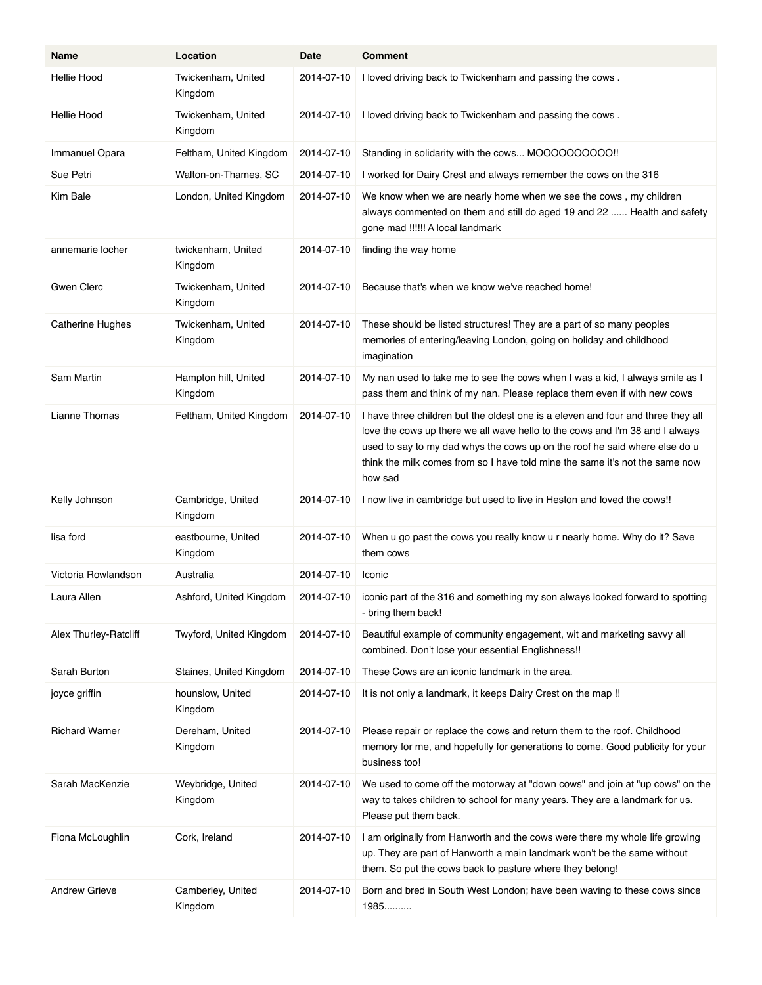| <b>Name</b>             | Location                        | Date       | <b>Comment</b>                                                                                                                                                                                                                                                                                                                            |
|-------------------------|---------------------------------|------------|-------------------------------------------------------------------------------------------------------------------------------------------------------------------------------------------------------------------------------------------------------------------------------------------------------------------------------------------|
| <b>Hellie Hood</b>      | Twickenham, United<br>Kingdom   | 2014-07-10 | I loved driving back to Twickenham and passing the cows.                                                                                                                                                                                                                                                                                  |
| <b>Hellie Hood</b>      | Twickenham, United<br>Kingdom   | 2014-07-10 | I loved driving back to Twickenham and passing the cows.                                                                                                                                                                                                                                                                                  |
| Immanuel Opara          | Feltham, United Kingdom         | 2014-07-10 | Standing in solidarity with the cows MOOOOOOOOOO!!                                                                                                                                                                                                                                                                                        |
| Sue Petri               | Walton-on-Thames, SC            | 2014-07-10 | I worked for Dairy Crest and always remember the cows on the 316                                                                                                                                                                                                                                                                          |
| Kim Bale                | London, United Kingdom          | 2014-07-10 | We know when we are nearly home when we see the cows, my children<br>always commented on them and still do aged 19 and 22  Health and safety<br>gone mad !!!!!! A local landmark                                                                                                                                                          |
| annemarie locher        | twickenham, United<br>Kingdom   | 2014-07-10 | finding the way home                                                                                                                                                                                                                                                                                                                      |
| <b>Gwen Clerc</b>       | Twickenham, United<br>Kingdom   | 2014-07-10 | Because that's when we know we've reached home!                                                                                                                                                                                                                                                                                           |
| <b>Catherine Hughes</b> | Twickenham, United<br>Kingdom   | 2014-07-10 | These should be listed structures! They are a part of so many peoples<br>memories of entering/leaving London, going on holiday and childhood<br>imagination                                                                                                                                                                               |
| Sam Martin              | Hampton hill, United<br>Kingdom | 2014-07-10 | My nan used to take me to see the cows when I was a kid, I always smile as I<br>pass them and think of my nan. Please replace them even if with new cows                                                                                                                                                                                  |
| Lianne Thomas           | Feltham, United Kingdom         | 2014-07-10 | I have three children but the oldest one is a eleven and four and three they all<br>love the cows up there we all wave hello to the cows and I'm 38 and I always<br>used to say to my dad whys the cows up on the roof he said where else do u<br>think the milk comes from so I have told mine the same it's not the same now<br>how sad |
| Kelly Johnson           | Cambridge, United<br>Kingdom    | 2014-07-10 | I now live in cambridge but used to live in Heston and loved the cows!!                                                                                                                                                                                                                                                                   |
| lisa ford               | eastbourne, United<br>Kingdom   | 2014-07-10 | When u go past the cows you really know u r nearly home. Why do it? Save<br>them cows                                                                                                                                                                                                                                                     |
| Victoria Rowlandson     | Australia                       | 2014-07-10 | Iconic                                                                                                                                                                                                                                                                                                                                    |
| Laura Allen             | Ashford, United Kingdom         | 2014-07-10 | iconic part of the 316 and something my son always looked forward to spotting<br>- bring them back!                                                                                                                                                                                                                                       |
| Alex Thurley-Ratcliff   | Twyford, United Kingdom         | 2014-07-10 | Beautiful example of community engagement, wit and marketing savvy all<br>combined. Don't lose your essential Englishness!!                                                                                                                                                                                                               |
| Sarah Burton            | Staines, United Kingdom         | 2014-07-10 | These Cows are an iconic landmark in the area.                                                                                                                                                                                                                                                                                            |
| joyce griffin           | hounslow, United<br>Kingdom     | 2014-07-10 | It is not only a landmark, it keeps Dairy Crest on the map !!                                                                                                                                                                                                                                                                             |
| <b>Richard Warner</b>   | Dereham, United<br>Kingdom      | 2014-07-10 | Please repair or replace the cows and return them to the roof. Childhood<br>memory for me, and hopefully for generations to come. Good publicity for your<br>business too!                                                                                                                                                                |
| Sarah MacKenzie         | Weybridge, United<br>Kingdom    | 2014-07-10 | We used to come off the motorway at "down cows" and join at "up cows" on the<br>way to takes children to school for many years. They are a landmark for us.<br>Please put them back.                                                                                                                                                      |
| Fiona McLoughlin        | Cork, Ireland                   | 2014-07-10 | I am originally from Hanworth and the cows were there my whole life growing<br>up. They are part of Hanworth a main landmark won't be the same without<br>them. So put the cows back to pasture where they belong!                                                                                                                        |
| <b>Andrew Grieve</b>    | Camberley, United<br>Kingdom    | 2014-07-10 | Born and bred in South West London; have been waving to these cows since<br>1985                                                                                                                                                                                                                                                          |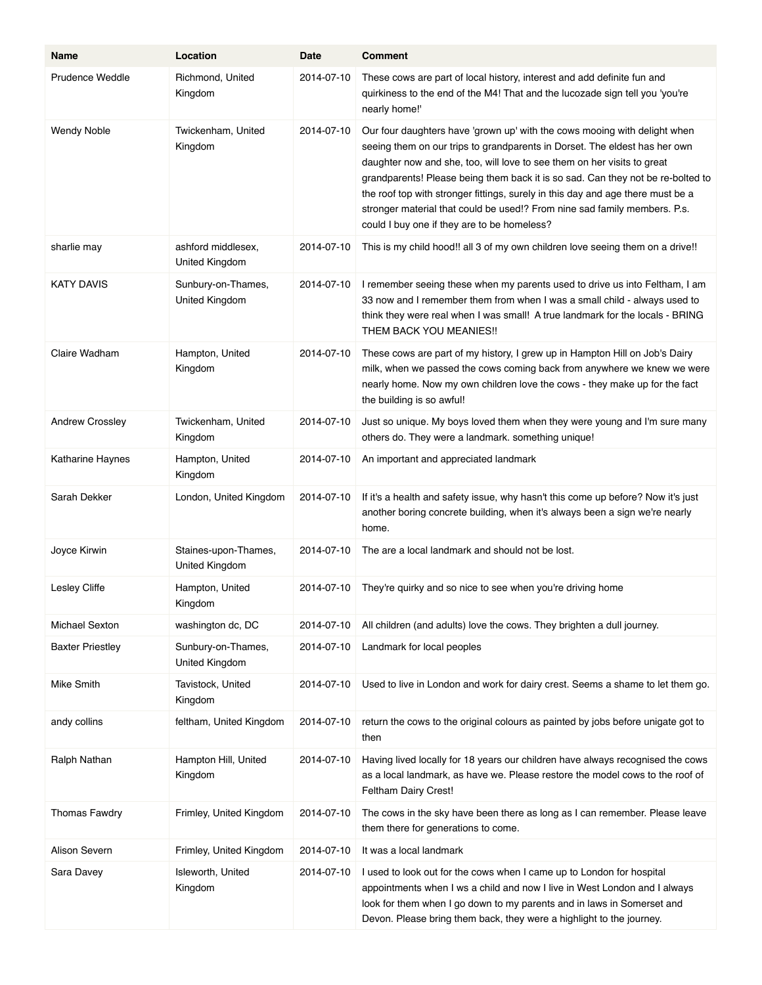| Name                    | Location                               | Date       | <b>Comment</b>                                                                                                                                                                                                                                                                                                                                                                                                                                                                                                                       |
|-------------------------|----------------------------------------|------------|--------------------------------------------------------------------------------------------------------------------------------------------------------------------------------------------------------------------------------------------------------------------------------------------------------------------------------------------------------------------------------------------------------------------------------------------------------------------------------------------------------------------------------------|
| <b>Prudence Weddle</b>  | Richmond, United<br>Kingdom            | 2014-07-10 | These cows are part of local history, interest and add definite fun and<br>quirkiness to the end of the M4! That and the lucozade sign tell you 'you're<br>nearly home!"                                                                                                                                                                                                                                                                                                                                                             |
| <b>Wendy Noble</b>      | Twickenham, United<br>Kingdom          | 2014-07-10 | Our four daughters have 'grown up' with the cows mooing with delight when<br>seeing them on our trips to grandparents in Dorset. The eldest has her own<br>daughter now and she, too, will love to see them on her visits to great<br>grandparents! Please being them back it is so sad. Can they not be re-bolted to<br>the roof top with stronger fittings, surely in this day and age there must be a<br>stronger material that could be used!? From nine sad family members. P.s.<br>could I buy one if they are to be homeless? |
| sharlie may             | ashford middlesex,<br>United Kingdom   | 2014-07-10 | This is my child hood!! all 3 of my own children love seeing them on a drive!!                                                                                                                                                                                                                                                                                                                                                                                                                                                       |
| <b>KATY DAVIS</b>       | Sunbury-on-Thames,<br>United Kingdom   | 2014-07-10 | I remember seeing these when my parents used to drive us into Feltham, I am<br>33 now and I remember them from when I was a small child - always used to<br>think they were real when I was small! A true landmark for the locals - BRING<br>THEM BACK YOU MEANIES !!                                                                                                                                                                                                                                                                |
| Claire Wadham           | Hampton, United<br>Kingdom             | 2014-07-10 | These cows are part of my history, I grew up in Hampton Hill on Job's Dairy<br>milk, when we passed the cows coming back from anywhere we knew we were<br>nearly home. Now my own children love the cows - they make up for the fact<br>the building is so awful!                                                                                                                                                                                                                                                                    |
| Andrew Crossley         | Twickenham, United<br>Kingdom          | 2014-07-10 | Just so unique. My boys loved them when they were young and I'm sure many<br>others do. They were a landmark. something unique!                                                                                                                                                                                                                                                                                                                                                                                                      |
| Katharine Haynes        | Hampton, United<br>Kingdom             | 2014-07-10 | An important and appreciated landmark                                                                                                                                                                                                                                                                                                                                                                                                                                                                                                |
| Sarah Dekker            | London, United Kingdom                 | 2014-07-10 | If it's a health and safety issue, why hasn't this come up before? Now it's just<br>another boring concrete building, when it's always been a sign we're nearly<br>home.                                                                                                                                                                                                                                                                                                                                                             |
| Joyce Kirwin            | Staines-upon-Thames,<br>United Kingdom | 2014-07-10 | The are a local landmark and should not be lost.                                                                                                                                                                                                                                                                                                                                                                                                                                                                                     |
| Lesley Cliffe           | Hampton, United<br>Kingdom             | 2014-07-10 | They're quirky and so nice to see when you're driving home                                                                                                                                                                                                                                                                                                                                                                                                                                                                           |
| Michael Sexton          | washington dc, DC                      | 2014-07-10 | All children (and adults) love the cows. They brighten a dull journey.                                                                                                                                                                                                                                                                                                                                                                                                                                                               |
| <b>Baxter Priestley</b> | Sunbury-on-Thames,<br>United Kingdom   | 2014-07-10 | Landmark for local peoples                                                                                                                                                                                                                                                                                                                                                                                                                                                                                                           |
| Mike Smith              | Tavistock, United<br>Kingdom           | 2014-07-10 | Used to live in London and work for dairy crest. Seems a shame to let them go.                                                                                                                                                                                                                                                                                                                                                                                                                                                       |
| andy collins            | feltham, United Kingdom                | 2014-07-10 | return the cows to the original colours as painted by jobs before unigate got to<br>then                                                                                                                                                                                                                                                                                                                                                                                                                                             |
| Ralph Nathan            | Hampton Hill, United<br>Kingdom        | 2014-07-10 | Having lived locally for 18 years our children have always recognised the cows<br>as a local landmark, as have we. Please restore the model cows to the roof of<br>Feltham Dairy Crest!                                                                                                                                                                                                                                                                                                                                              |
| <b>Thomas Fawdry</b>    | Frimley, United Kingdom                | 2014-07-10 | The cows in the sky have been there as long as I can remember. Please leave<br>them there for generations to come.                                                                                                                                                                                                                                                                                                                                                                                                                   |
| Alison Severn           | Frimley, United Kingdom                | 2014-07-10 | It was a local landmark                                                                                                                                                                                                                                                                                                                                                                                                                                                                                                              |
| Sara Davey              | Isleworth, United<br>Kingdom           | 2014-07-10 | I used to look out for the cows when I came up to London for hospital<br>appointments when I ws a child and now I live in West London and I always<br>look for them when I go down to my parents and in laws in Somerset and<br>Devon. Please bring them back, they were a highlight to the journey.                                                                                                                                                                                                                                 |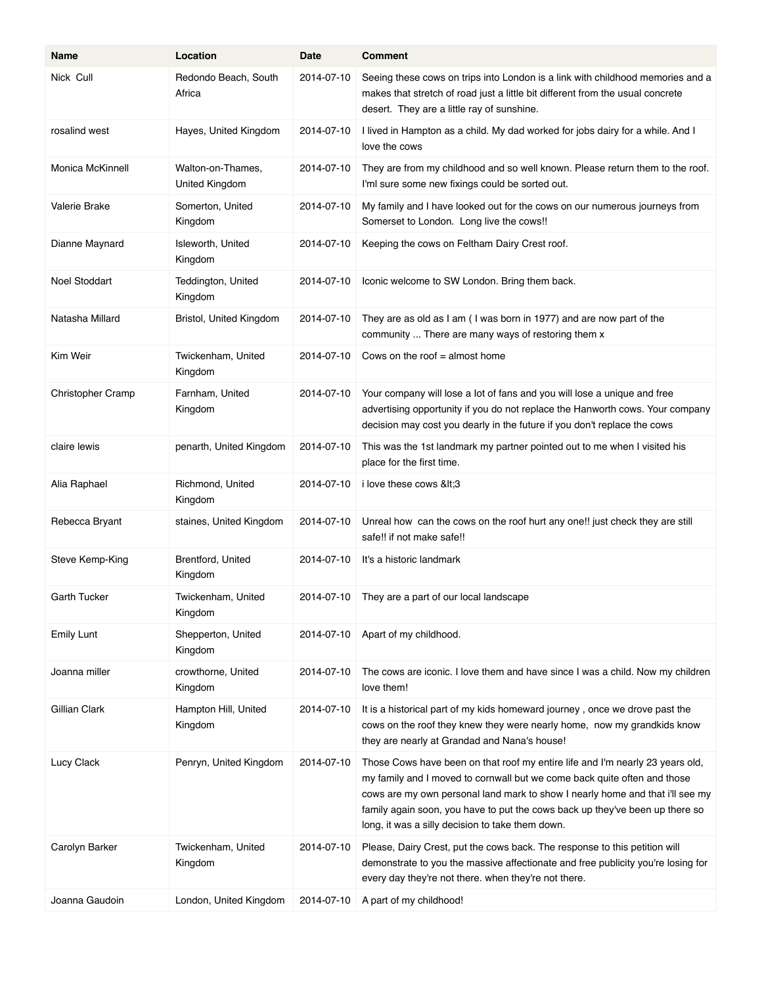| Name                | Location                            | Date       | <b>Comment</b>                                                                                                                                                                                                                                                                                                                                                                 |
|---------------------|-------------------------------------|------------|--------------------------------------------------------------------------------------------------------------------------------------------------------------------------------------------------------------------------------------------------------------------------------------------------------------------------------------------------------------------------------|
| Nick Cull           | Redondo Beach, South<br>Africa      | 2014-07-10 | Seeing these cows on trips into London is a link with childhood memories and a<br>makes that stretch of road just a little bit different from the usual concrete<br>desert. They are a little ray of sunshine.                                                                                                                                                                 |
| rosalind west       | Hayes, United Kingdom               | 2014-07-10 | I lived in Hampton as a child. My dad worked for jobs dairy for a while. And I<br>love the cows                                                                                                                                                                                                                                                                                |
| Monica McKinnell    | Walton-on-Thames.<br>United Kingdom | 2014-07-10 | They are from my childhood and so well known. Please return them to the roof.<br>I'ml sure some new fixings could be sorted out.                                                                                                                                                                                                                                               |
| Valerie Brake       | Somerton, United<br>Kingdom         | 2014-07-10 | My family and I have looked out for the cows on our numerous journeys from<br>Somerset to London. Long live the cows!!                                                                                                                                                                                                                                                         |
| Dianne Maynard      | Isleworth, United<br>Kingdom        | 2014-07-10 | Keeping the cows on Feltham Dairy Crest roof.                                                                                                                                                                                                                                                                                                                                  |
| Noel Stoddart       | Teddington, United<br>Kingdom       | 2014-07-10 | Iconic welcome to SW London. Bring them back.                                                                                                                                                                                                                                                                                                                                  |
| Natasha Millard     | Bristol, United Kingdom             | 2014-07-10 | They are as old as I am (I was born in 1977) and are now part of the<br>community  There are many ways of restoring them x                                                                                                                                                                                                                                                     |
| Kim Weir            | Twickenham, United<br>Kingdom       | 2014-07-10 | Cows on the roof $=$ almost home                                                                                                                                                                                                                                                                                                                                               |
| Christopher Cramp   | Farnham, United<br>Kingdom          | 2014-07-10 | Your company will lose a lot of fans and you will lose a unique and free<br>advertising opportunity if you do not replace the Hanworth cows. Your company<br>decision may cost you dearly in the future if you don't replace the cows                                                                                                                                          |
| claire lewis        | penarth, United Kingdom             | 2014-07-10 | This was the 1st landmark my partner pointed out to me when I visited his<br>place for the first time.                                                                                                                                                                                                                                                                         |
| Alia Raphael        | Richmond, United<br>Kingdom         | 2014-07-10 | i love these cows <3                                                                                                                                                                                                                                                                                                                                                           |
| Rebecca Bryant      | staines, United Kingdom             | 2014-07-10 | Unreal how can the cows on the roof hurt any one!! just check they are still<br>safe!! if not make safe!!                                                                                                                                                                                                                                                                      |
| Steve Kemp-King     | Brentford, United<br>Kingdom        | 2014-07-10 | It's a historic landmark                                                                                                                                                                                                                                                                                                                                                       |
| <b>Garth Tucker</b> | Twickenham, United<br>Kingdom       | 2014-07-10 | They are a part of our local landscape                                                                                                                                                                                                                                                                                                                                         |
| <b>Emily Lunt</b>   | Shepperton, United<br>Kingdom       | 2014-07-10 | Apart of my childhood.                                                                                                                                                                                                                                                                                                                                                         |
| Joanna miller       | crowthorne, United<br>Kingdom       | 2014-07-10 | The cows are iconic. I love them and have since I was a child. Now my children<br>love them!                                                                                                                                                                                                                                                                                   |
| Gillian Clark       | Hampton Hill, United<br>Kingdom     | 2014-07-10 | It is a historical part of my kids homeward journey, once we drove past the<br>cows on the roof they knew they were nearly home, now my grandkids know<br>they are nearly at Grandad and Nana's house!                                                                                                                                                                         |
| Lucy Clack          | Penryn, United Kingdom              | 2014-07-10 | Those Cows have been on that roof my entire life and I'm nearly 23 years old,<br>my family and I moved to cornwall but we come back quite often and those<br>cows are my own personal land mark to show I nearly home and that i'll see my<br>family again soon, you have to put the cows back up they've been up there so<br>long, it was a silly decision to take them down. |
| Carolyn Barker      | Twickenham, United<br>Kingdom       | 2014-07-10 | Please, Dairy Crest, put the cows back. The response to this petition will<br>demonstrate to you the massive affectionate and free publicity you're losing for<br>every day they're not there. when they're not there.                                                                                                                                                         |
| Joanna Gaudoin      | London, United Kingdom              | 2014-07-10 | A part of my childhood!                                                                                                                                                                                                                                                                                                                                                        |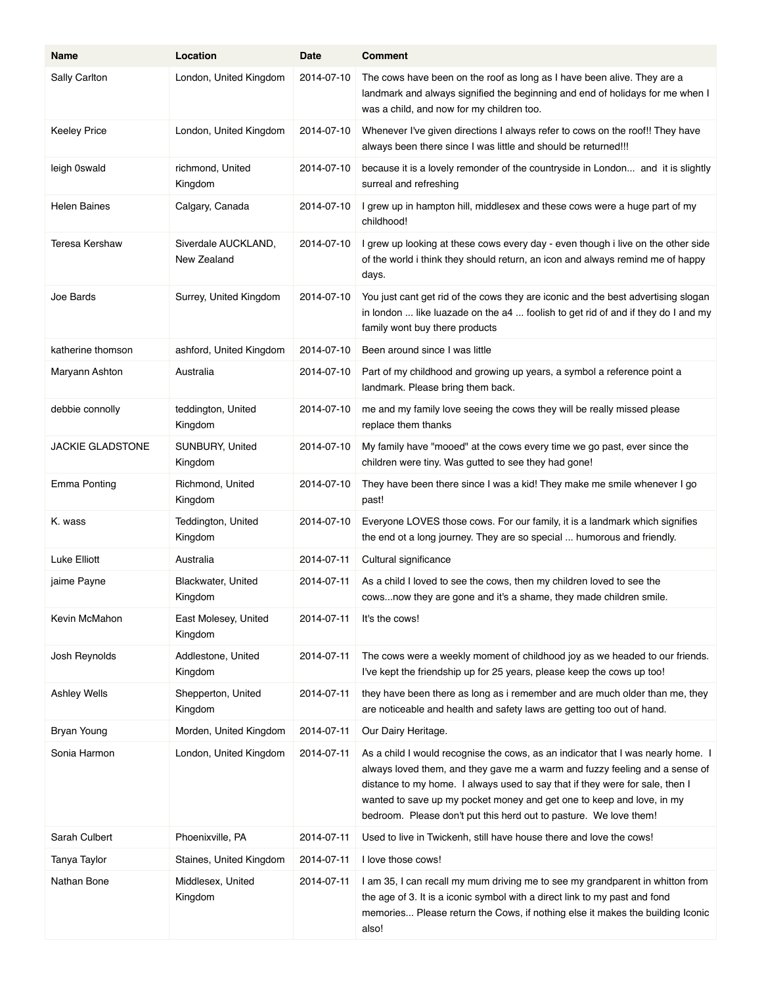| Name                    | Location                           | Date       | <b>Comment</b>                                                                                                                                                                                                                                                                                                                                                                                |
|-------------------------|------------------------------------|------------|-----------------------------------------------------------------------------------------------------------------------------------------------------------------------------------------------------------------------------------------------------------------------------------------------------------------------------------------------------------------------------------------------|
| Sally Carlton           | London, United Kingdom             | 2014-07-10 | The cows have been on the roof as long as I have been alive. They are a<br>landmark and always signified the beginning and end of holidays for me when I<br>was a child, and now for my children too.                                                                                                                                                                                         |
| <b>Keeley Price</b>     | London, United Kingdom             | 2014-07-10 | Whenever I've given directions I always refer to cows on the roof!! They have<br>always been there since I was little and should be returned!!!                                                                                                                                                                                                                                               |
| leigh 0swald            | richmond, United<br>Kingdom        | 2014-07-10 | because it is a lovely remonder of the countryside in London and it is slightly<br>surreal and refreshing                                                                                                                                                                                                                                                                                     |
| <b>Helen Baines</b>     | Calgary, Canada                    | 2014-07-10 | I grew up in hampton hill, middlesex and these cows were a huge part of my<br>childhood!                                                                                                                                                                                                                                                                                                      |
| Teresa Kershaw          | Siverdale AUCKLAND,<br>New Zealand | 2014-07-10 | I grew up looking at these cows every day - even though i live on the other side<br>of the world i think they should return, an icon and always remind me of happy<br>days.                                                                                                                                                                                                                   |
| Joe Bards               | Surrey, United Kingdom             | 2014-07-10 | You just cant get rid of the cows they are iconic and the best advertising slogan<br>in london  like luazade on the a4  foolish to get rid of and if they do I and my<br>family wont buy there products                                                                                                                                                                                       |
| katherine thomson       | ashford, United Kingdom            | 2014-07-10 | Been around since I was little                                                                                                                                                                                                                                                                                                                                                                |
| Maryann Ashton          | Australia                          | 2014-07-10 | Part of my childhood and growing up years, a symbol a reference point a<br>landmark. Please bring them back.                                                                                                                                                                                                                                                                                  |
| debbie connolly         | teddington, United<br>Kingdom      | 2014-07-10 | me and my family love seeing the cows they will be really missed please<br>replace them thanks                                                                                                                                                                                                                                                                                                |
| <b>JACKIE GLADSTONE</b> | SUNBURY, United<br>Kingdom         | 2014-07-10 | My family have "mooed" at the cows every time we go past, ever since the<br>children were tiny. Was gutted to see they had gone!                                                                                                                                                                                                                                                              |
| <b>Emma Ponting</b>     | Richmond, United<br>Kingdom        | 2014-07-10 | They have been there since I was a kid! They make me smile whenever I go<br>past!                                                                                                                                                                                                                                                                                                             |
| K. wass                 | Teddington, United<br>Kingdom      | 2014-07-10 | Everyone LOVES those cows. For our family, it is a landmark which signifies<br>the end ot a long journey. They are so special  humorous and friendly.                                                                                                                                                                                                                                         |
| Luke Elliott            | Australia                          | 2014 07 11 | Cultural significance                                                                                                                                                                                                                                                                                                                                                                         |
| jaime Payne             | Blackwater, United<br>Kingdom      | 2014-07-11 | As a child I loved to see the cows, then my children loved to see the<br>cowsnow they are gone and it's a shame, they made children smile.                                                                                                                                                                                                                                                    |
| Kevin McMahon           | East Molesey, United<br>Kingdom    | 2014 07 11 | It's the cows!                                                                                                                                                                                                                                                                                                                                                                                |
| Josh Reynolds           | Addlestone, United<br>Kingdom      | 2014-07-11 | The cows were a weekly moment of childhood joy as we headed to our friends.<br>I've kept the friendship up for 25 years, please keep the cows up too!                                                                                                                                                                                                                                         |
| Ashley Wells            | Shepperton, United<br>Kingdom      | 2014-07-11 | they have been there as long as i remember and are much older than me, they<br>are noticeable and health and safety laws are getting too out of hand.                                                                                                                                                                                                                                         |
| <b>Bryan Young</b>      | Morden, United Kingdom             | 2014 07 11 | Our Dairy Heritage.                                                                                                                                                                                                                                                                                                                                                                           |
| Sonia Harmon            | London, United Kingdom             | 2014 07 11 | As a child I would recognise the cows, as an indicator that I was nearly home. I<br>always loved them, and they gave me a warm and fuzzy feeling and a sense of<br>distance to my home. I always used to say that if they were for sale, then I<br>wanted to save up my pocket money and get one to keep and love, in my<br>bedroom. Please don't put this herd out to pasture. We love them! |
| Sarah Culbert           | Phoenixville, PA                   | 2014-07-11 | Used to live in Twickenh, still have house there and love the cows!                                                                                                                                                                                                                                                                                                                           |
| Tanya Taylor            | Staines, United Kingdom            | 2014-07-11 | I love those cows!                                                                                                                                                                                                                                                                                                                                                                            |
| Nathan Bone             | Middlesex, United<br>Kingdom       | 2014-07-11 | I am 35, I can recall my mum driving me to see my grandparent in whitton from<br>the age of 3. It is a iconic symbol with a direct link to my past and fond<br>memories Please return the Cows, if nothing else it makes the building Iconic<br>also!                                                                                                                                         |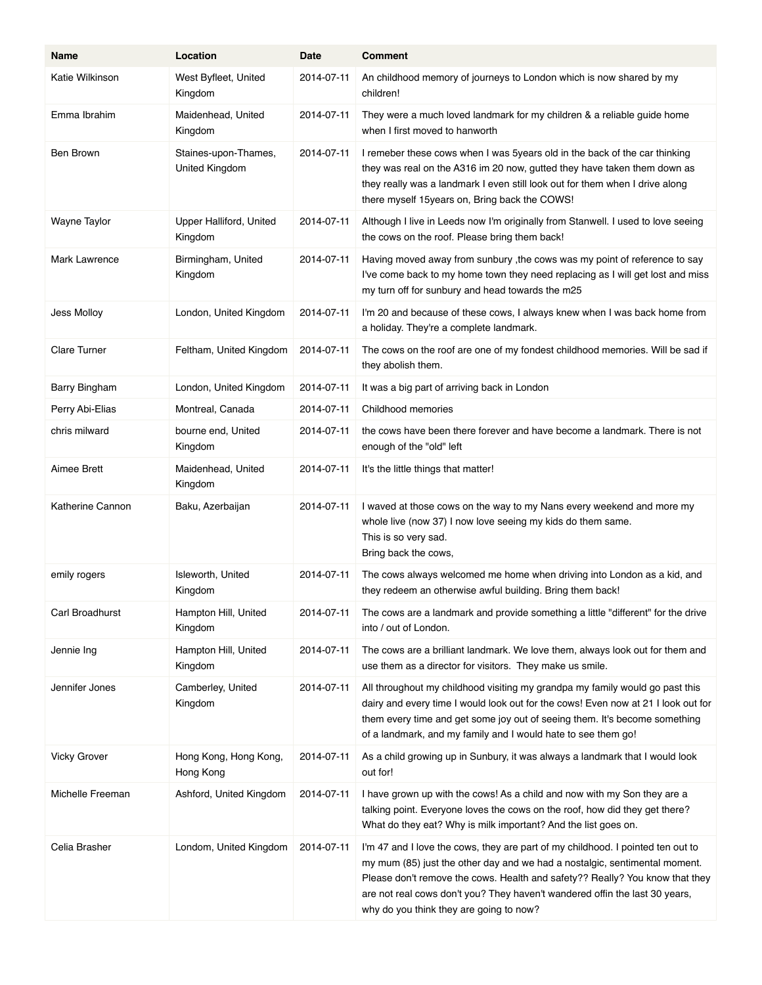| Name                 | Location                               | Date       | <b>Comment</b>                                                                                                                                                                                                                                                                                                                                                          |
|----------------------|----------------------------------------|------------|-------------------------------------------------------------------------------------------------------------------------------------------------------------------------------------------------------------------------------------------------------------------------------------------------------------------------------------------------------------------------|
| Katie Wilkinson      | West Byfleet, United<br>Kingdom        | 2014-07-11 | An childhood memory of journeys to London which is now shared by my<br>children!                                                                                                                                                                                                                                                                                        |
| Emma Ibrahim         | Maidenhead, United<br>Kingdom          | 2014-07-11 | They were a much loved landmark for my children & a reliable guide home<br>when I first moved to hanworth                                                                                                                                                                                                                                                               |
| Ben Brown            | Staines-upon-Thames,<br>United Kingdom | 2014-07-11 | I remeber these cows when I was 5 years old in the back of the car thinking<br>they was real on the A316 im 20 now, gutted they have taken them down as<br>they really was a landmark I even still look out for them when I drive along<br>there myself 15years on, Bring back the COWS!                                                                                |
| Wayne Taylor         | Upper Halliford, United<br>Kingdom     | 2014-07-11 | Although I live in Leeds now I'm originally from Stanwell. I used to love seeing<br>the cows on the roof. Please bring them back!                                                                                                                                                                                                                                       |
| <b>Mark Lawrence</b> | Birmingham, United<br>Kingdom          | 2014-07-11 | Having moved away from sunbury, the cows was my point of reference to say<br>I've come back to my home town they need replacing as I will get lost and miss<br>my turn off for sunbury and head towards the m25                                                                                                                                                         |
| Jess Molloy          | London, United Kingdom                 | 2014-07-11 | I'm 20 and because of these cows, I always knew when I was back home from<br>a holiday. They're a complete landmark.                                                                                                                                                                                                                                                    |
| <b>Clare Turner</b>  | Feltham, United Kingdom                | 2014-07-11 | The cows on the roof are one of my fondest childhood memories. Will be sad if<br>they abolish them.                                                                                                                                                                                                                                                                     |
| Barry Bingham        | London, United Kingdom                 | 2014-07-11 | It was a big part of arriving back in London                                                                                                                                                                                                                                                                                                                            |
| Perry Abi-Elias      | Montreal, Canada                       | 2014-07-11 | Childhood memories                                                                                                                                                                                                                                                                                                                                                      |
| chris milward        | bourne end, United<br>Kingdom          | 2014-07-11 | the cows have been there forever and have become a landmark. There is not<br>enough of the "old" left                                                                                                                                                                                                                                                                   |
| Aimee Brett          | Maidenhead, United<br>Kingdom          | 2014-07-11 | It's the little things that matter!                                                                                                                                                                                                                                                                                                                                     |
| Katherine Cannon     | Baku, Azerbaijan                       | 2014-07-11 | I waved at those cows on the way to my Nans every weekend and more my<br>whole live (now 37) I now love seeing my kids do them same.<br>This is so very sad.<br>Bring back the cows,                                                                                                                                                                                    |
| emily rogers         | Isleworth, United<br>Kingdom           | 2014-07-11 | The cows always welcomed me home when driving into London as a kid, and<br>they redeem an otherwise awful building. Bring them back!                                                                                                                                                                                                                                    |
| Carl Broadhurst      | Hampton Hill, United<br>Kingdom        | 2014-07-11 | The cows are a landmark and provide something a little "different" for the drive<br>into / out of London.                                                                                                                                                                                                                                                               |
| Jennie Ing           | Hampton Hill, United<br>Kingdom        | 2014-07-11 | The cows are a brilliant landmark. We love them, always look out for them and<br>use them as a director for visitors. They make us smile.                                                                                                                                                                                                                               |
| Jennifer Jones       | Camberley, United<br>Kingdom           | 2014-07-11 | All throughout my childhood visiting my grandpa my family would go past this<br>dairy and every time I would look out for the cows! Even now at 21 I look out for<br>them every time and get some joy out of seeing them. It's become something<br>of a landmark, and my family and I would hate to see them go!                                                        |
| <b>Vicky Grover</b>  | Hong Kong, Hong Kong,<br>Hong Kong     | 2014-07-11 | As a child growing up in Sunbury, it was always a landmark that I would look<br>out for!                                                                                                                                                                                                                                                                                |
| Michelle Freeman     | Ashford, United Kingdom                | 2014-07-11 | I have grown up with the cows! As a child and now with my Son they are a<br>talking point. Everyone loves the cows on the roof, how did they get there?<br>What do they eat? Why is milk important? And the list goes on.                                                                                                                                               |
| Celia Brasher        | Londom, United Kingdom                 | 2014-07-11 | I'm 47 and I love the cows, they are part of my childhood. I pointed ten out to<br>my mum (85) just the other day and we had a nostalgic, sentimental moment.<br>Please don't remove the cows. Health and safety?? Really? You know that they<br>are not real cows don't you? They haven't wandered offin the last 30 years,<br>why do you think they are going to now? |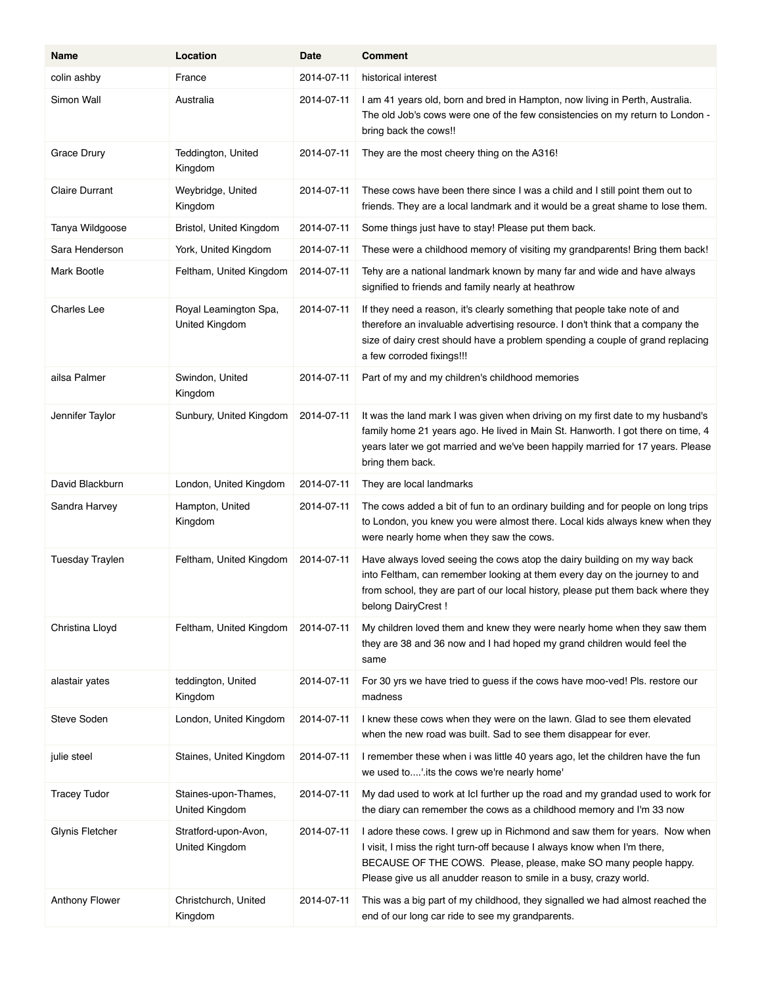| Name                   | Location                                | Date       | <b>Comment</b>                                                                                                                                                                                                                                                                                  |
|------------------------|-----------------------------------------|------------|-------------------------------------------------------------------------------------------------------------------------------------------------------------------------------------------------------------------------------------------------------------------------------------------------|
| colin ashby            | France                                  | 2014-07-11 | historical interest                                                                                                                                                                                                                                                                             |
| Simon Wall             | Australia                               | 2014-07-11 | I am 41 years old, born and bred in Hampton, now living in Perth, Australia.<br>The old Job's cows were one of the few consistencies on my return to London -<br>bring back the cows!!                                                                                                          |
| Grace Drury            | Teddington, United<br>Kingdom           | 2014-07-11 | They are the most cheery thing on the A316!                                                                                                                                                                                                                                                     |
| <b>Claire Durrant</b>  | Weybridge, United<br>Kingdom            | 2014-07-11 | These cows have been there since I was a child and I still point them out to<br>friends. They are a local landmark and it would be a great shame to lose them.                                                                                                                                  |
| Tanya Wildgoose        | Bristol, United Kingdom                 | 2014-07-11 | Some things just have to stay! Please put them back.                                                                                                                                                                                                                                            |
| Sara Henderson         | York, United Kingdom                    | 2014-07-11 | These were a childhood memory of visiting my grandparents! Bring them back!                                                                                                                                                                                                                     |
| Mark Bootle            | Feltham, United Kingdom                 | 2014-07-11 | Tehy are a national landmark known by many far and wide and have always<br>signified to friends and family nearly at heathrow                                                                                                                                                                   |
| Charles Lee            | Royal Leamington Spa,<br>United Kingdom | 2014-07-11 | If they need a reason, it's clearly something that people take note of and<br>therefore an invaluable advertising resource. I don't think that a company the<br>size of dairy crest should have a problem spending a couple of grand replacing<br>a few corroded fixings!!!                     |
| ailsa Palmer           | Swindon, United<br>Kingdom              | 2014-07-11 | Part of my and my children's childhood memories                                                                                                                                                                                                                                                 |
| Jennifer Taylor        | Sunbury, United Kingdom                 | 2014-07-11 | It was the land mark I was given when driving on my first date to my husband's<br>family home 21 years ago. He lived in Main St. Hanworth. I got there on time, 4<br>years later we got married and we've been happily married for 17 years. Please<br>bring them back.                         |
| David Blackburn        | London, United Kingdom                  | 2014-07-11 | They are local landmarks                                                                                                                                                                                                                                                                        |
| Sandra Harvey          | Hampton, United<br>Kingdom              | 2014-07-11 | The cows added a bit of fun to an ordinary building and for people on long trips<br>to London, you knew you were almost there. Local kids always knew when they<br>were nearly home when they saw the cows.                                                                                     |
| <b>Tuesday Traylen</b> | Feltham, United Kingdom                 | 2014-07-11 | Have always loved seeing the cows atop the dairy building on my way back<br>into Feltham, can remember looking at them every day on the journey to and<br>from school, they are part of our local history, please put them back where they<br>belong DairyCrest !                               |
| Christina Lloyd        | Feltham, United Kingdom                 | 2014-07-11 | My children loved them and knew they were nearly home when they saw them<br>they are 38 and 36 now and I had hoped my grand children would feel the<br>same                                                                                                                                     |
| alastair yates         | teddington, United<br>Kingdom           | 2014-07-11 | For 30 yrs we have tried to guess if the cows have moo-ved! Pls. restore our<br>madness                                                                                                                                                                                                         |
| Steve Soden            | London, United Kingdom                  | 2014-07-11 | I knew these cows when they were on the lawn. Glad to see them elevated<br>when the new road was built. Sad to see them disappear for ever.                                                                                                                                                     |
| julie steel            | Staines, United Kingdom                 | 2014-07-11 | I remember these when i was little 40 years ago, let the children have the fun<br>we used to'. its the cows we're nearly home'                                                                                                                                                                  |
| <b>Tracey Tudor</b>    | Staines-upon-Thames,<br>United Kingdom  | 2014-07-11 | My dad used to work at IcI further up the road and my grandad used to work for<br>the diary can remember the cows as a childhood memory and I'm 33 now                                                                                                                                          |
| Glynis Fletcher        | Stratford-upon-Avon,<br>United Kingdom  | 2014-07-11 | I adore these cows. I grew up in Richmond and saw them for years. Now when<br>I visit, I miss the right turn-off because I always know when I'm there,<br>BECAUSE OF THE COWS. Please, please, make SO many people happy.<br>Please give us all anudder reason to smile in a busy, crazy world. |
| Anthony Flower         | Christchurch, United<br>Kingdom         | 2014-07-11 | This was a big part of my childhood, they signalled we had almost reached the<br>end of our long car ride to see my grandparents.                                                                                                                                                               |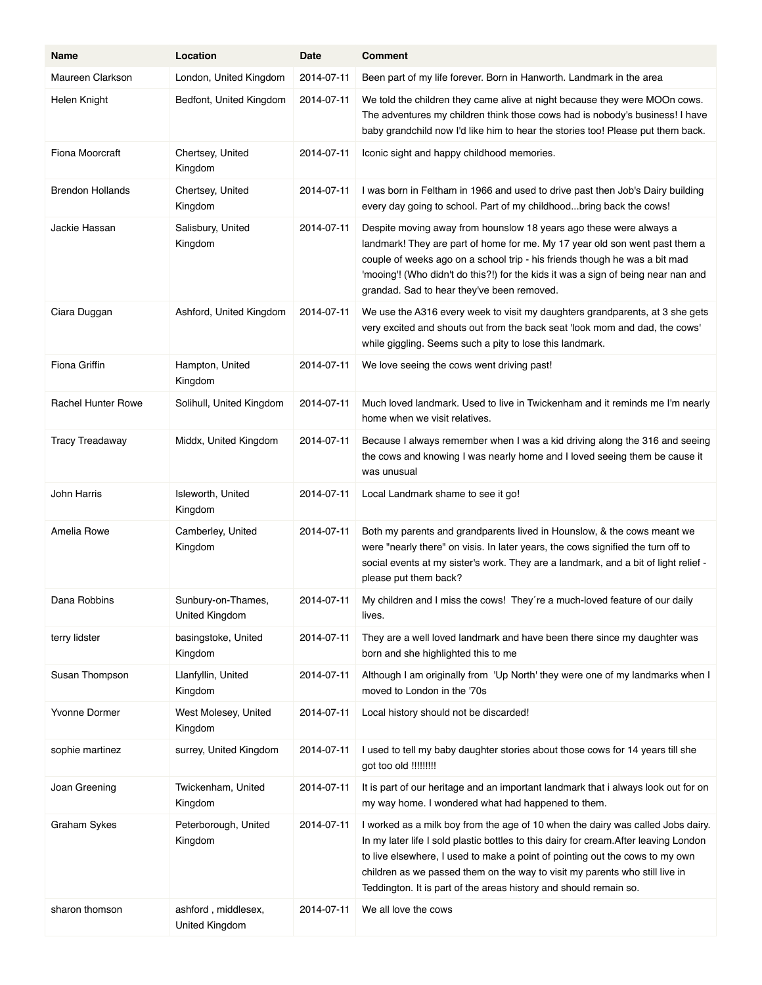| Name                      | Location                              | Date       | <b>Comment</b>                                                                                                                                                                                                                                                                                                                                                                                               |
|---------------------------|---------------------------------------|------------|--------------------------------------------------------------------------------------------------------------------------------------------------------------------------------------------------------------------------------------------------------------------------------------------------------------------------------------------------------------------------------------------------------------|
| Maureen Clarkson          | London, United Kingdom                | 2014-07-11 | Been part of my life forever. Born in Hanworth. Landmark in the area                                                                                                                                                                                                                                                                                                                                         |
| Helen Knight              | Bedfont, United Kingdom               | 2014-07-11 | We told the children they came alive at night because they were MOOn cows.<br>The adventures my children think those cows had is nobody's business! I have<br>baby grandchild now I'd like him to hear the stories too! Please put them back.                                                                                                                                                                |
| Fiona Moorcraft           | Chertsey, United<br>Kingdom           | 2014-07-11 | Iconic sight and happy childhood memories.                                                                                                                                                                                                                                                                                                                                                                   |
| <b>Brendon Hollands</b>   | Chertsey, United<br>Kingdom           | 2014-07-11 | I was born in Feltham in 1966 and used to drive past then Job's Dairy building<br>every day going to school. Part of my childhoodbring back the cows!                                                                                                                                                                                                                                                        |
| Jackie Hassan             | Salisbury, United<br>Kingdom          | 2014-07-11 | Despite moving away from hounslow 18 years ago these were always a<br>landmark! They are part of home for me. My 17 year old son went past them a<br>couple of weeks ago on a school trip - his friends though he was a bit mad<br>'mooing!! (Who didn't do this?!) for the kids it was a sign of being near nan and<br>grandad. Sad to hear they've been removed.                                           |
| Ciara Duggan              | Ashford, United Kingdom               | 2014-07-11 | We use the A316 every week to visit my daughters grandparents, at 3 she gets<br>very excited and shouts out from the back seat 'look mom and dad, the cows'<br>while giggling. Seems such a pity to lose this landmark.                                                                                                                                                                                      |
| Fiona Griffin             | Hampton, United<br>Kingdom            | 2014-07-11 | We love seeing the cows went driving past!                                                                                                                                                                                                                                                                                                                                                                   |
| <b>Rachel Hunter Rowe</b> | Solihull, United Kingdom              | 2014-07-11 | Much loved landmark. Used to live in Twickenham and it reminds me I'm nearly<br>home when we visit relatives.                                                                                                                                                                                                                                                                                                |
| <b>Tracy Treadaway</b>    | Middx, United Kingdom                 | 2014-07-11 | Because I always remember when I was a kid driving along the 316 and seeing<br>the cows and knowing I was nearly home and I loved seeing them be cause it<br>was unusual                                                                                                                                                                                                                                     |
| John Harris               | Isleworth, United<br>Kingdom          | 2014-07-11 | Local Landmark shame to see it go!                                                                                                                                                                                                                                                                                                                                                                           |
| Amelia Rowe               | Camberley, United<br>Kingdom          | 2014-07-11 | Both my parents and grandparents lived in Hounslow, & the cows meant we<br>were "nearly there" on visis. In later years, the cows signified the turn off to<br>social events at my sister's work. They are a landmark, and a bit of light relief -<br>please put them back?                                                                                                                                  |
| Dana Robbins              | Sunbury-on-Thames,<br>United Kingdom  | 2014-07-11 | My children and I miss the cows! They're a much-loved feature of our daily<br>lives.                                                                                                                                                                                                                                                                                                                         |
| terry lidster             | basingstoke, United<br>Kingdom        | 2014-07-11 | They are a well loved landmark and have been there since my daughter was<br>born and she highlighted this to me                                                                                                                                                                                                                                                                                              |
| Susan Thompson            | Llanfyllin, United<br>Kingdom         | 2014-07-11 | Although I am originally from 'Up North' they were one of my landmarks when I<br>moved to London in the '70s                                                                                                                                                                                                                                                                                                 |
| Yvonne Dormer             | West Molesey, United<br>Kingdom       | 2014-07-11 | Local history should not be discarded!                                                                                                                                                                                                                                                                                                                                                                       |
| sophie martinez           | surrey, United Kingdom                | 2014-07-11 | I used to tell my baby daughter stories about those cows for 14 years till she<br>got too old !!!!!!!!!                                                                                                                                                                                                                                                                                                      |
| Joan Greening             | Twickenham, United<br>Kingdom         | 2014-07-11 | It is part of our heritage and an important landmark that i always look out for on<br>my way home. I wondered what had happened to them.                                                                                                                                                                                                                                                                     |
| Graham Sykes              | Peterborough, United<br>Kingdom       | 2014-07-11 | I worked as a milk boy from the age of 10 when the dairy was called Jobs dairy.<br>In my later life I sold plastic bottles to this dairy for cream. After leaving London<br>to live elsewhere, I used to make a point of pointing out the cows to my own<br>children as we passed them on the way to visit my parents who still live in<br>Teddington. It is part of the areas history and should remain so. |
| sharon thomson            | ashford, middlesex,<br>United Kingdom | 2014-07-11 | We all love the cows                                                                                                                                                                                                                                                                                                                                                                                         |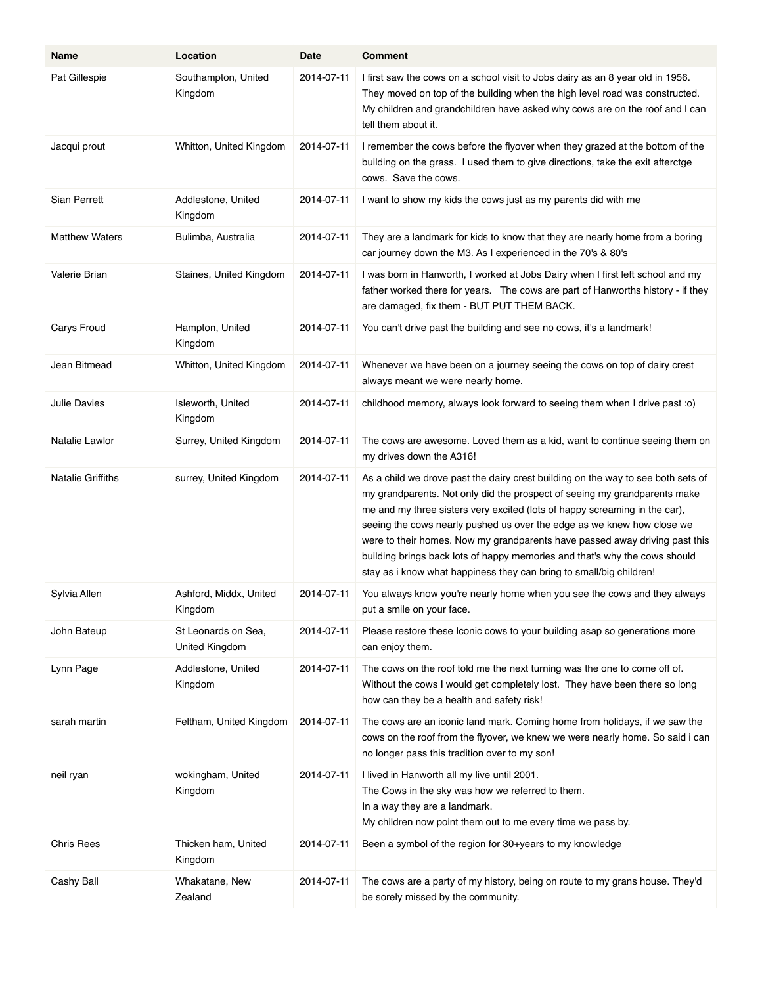| Name                     | Location                              | Date       | <b>Comment</b>                                                                                                                                                                                                                                                                                                                                                                                                                                                                                                                                            |
|--------------------------|---------------------------------------|------------|-----------------------------------------------------------------------------------------------------------------------------------------------------------------------------------------------------------------------------------------------------------------------------------------------------------------------------------------------------------------------------------------------------------------------------------------------------------------------------------------------------------------------------------------------------------|
| Pat Gillespie            | Southampton, United<br>Kingdom        | 2014-07-11 | I first saw the cows on a school visit to Jobs dairy as an 8 year old in 1956.<br>They moved on top of the building when the high level road was constructed.<br>My children and grandchildren have asked why cows are on the roof and I can<br>tell them about it.                                                                                                                                                                                                                                                                                       |
| Jacqui prout             | Whitton, United Kingdom               | 2014-07-11 | I remember the cows before the flyover when they grazed at the bottom of the<br>building on the grass. I used them to give directions, take the exit afterctge<br>cows. Save the cows.                                                                                                                                                                                                                                                                                                                                                                    |
| Sian Perrett             | Addlestone, United<br>Kingdom         | 2014-07-11 | I want to show my kids the cows just as my parents did with me                                                                                                                                                                                                                                                                                                                                                                                                                                                                                            |
| <b>Matthew Waters</b>    | Bulimba, Australia                    | 2014-07-11 | They are a landmark for kids to know that they are nearly home from a boring<br>car journey down the M3. As I experienced in the 70's & 80's                                                                                                                                                                                                                                                                                                                                                                                                              |
| Valerie Brian            | Staines, United Kingdom               | 2014-07-11 | I was born in Hanworth, I worked at Jobs Dairy when I first left school and my<br>father worked there for years. The cows are part of Hanworths history - if they<br>are damaged, fix them - BUT PUT THEM BACK.                                                                                                                                                                                                                                                                                                                                           |
| Carys Froud              | Hampton, United<br>Kingdom            | 2014-07-11 | You can't drive past the building and see no cows, it's a landmark!                                                                                                                                                                                                                                                                                                                                                                                                                                                                                       |
| Jean Bitmead             | Whitton, United Kingdom               | 2014-07-11 | Whenever we have been on a journey seeing the cows on top of dairy crest<br>always meant we were nearly home.                                                                                                                                                                                                                                                                                                                                                                                                                                             |
| Julie Davies             | Isleworth, United<br>Kingdom          | 2014-07-11 | childhood memory, always look forward to seeing them when I drive past :o)                                                                                                                                                                                                                                                                                                                                                                                                                                                                                |
| Natalie Lawlor           | Surrey, United Kingdom                | 2014-07-11 | The cows are awesome. Loved them as a kid, want to continue seeing them on<br>my drives down the A316!                                                                                                                                                                                                                                                                                                                                                                                                                                                    |
| <b>Natalie Griffiths</b> | surrey, United Kingdom                | 2014-07-11 | As a child we drove past the dairy crest building on the way to see both sets of<br>my grandparents. Not only did the prospect of seeing my grandparents make<br>me and my three sisters very excited (lots of happy screaming in the car),<br>seeing the cows nearly pushed us over the edge as we knew how close we<br>were to their homes. Now my grandparents have passed away driving past this<br>building brings back lots of happy memories and that's why the cows should<br>stay as i know what happiness they can bring to small/big children! |
| Sylvia Allen             | Ashford, Middx, United<br>Kingdom     | 2014-07-11 | You always know you're nearly home when you see the cows and they always<br>put a smile on your face.                                                                                                                                                                                                                                                                                                                                                                                                                                                     |
| John Bateup              | St Leonards on Sea,<br>United Kingdom | 2014-07-11 | Please restore these Iconic cows to your building asap so generations more<br>can enjoy them.                                                                                                                                                                                                                                                                                                                                                                                                                                                             |
| Lynn Page                | Addlestone, United<br>Kingdom         | 2014-07-11 | The cows on the roof told me the next turning was the one to come off of.<br>Without the cows I would get completely lost. They have been there so long<br>how can they be a health and safety risk!                                                                                                                                                                                                                                                                                                                                                      |
| sarah martin             | Feltham, United Kingdom               | 2014-07-11 | The cows are an iconic land mark. Coming home from holidays, if we saw the<br>cows on the roof from the flyover, we knew we were nearly home. So said i can<br>no longer pass this tradition over to my son!                                                                                                                                                                                                                                                                                                                                              |
| neil ryan                | wokingham, United<br>Kingdom          | 2014-07-11 | I lived in Hanworth all my live until 2001.<br>The Cows in the sky was how we referred to them.<br>In a way they are a landmark.<br>My children now point them out to me every time we pass by.                                                                                                                                                                                                                                                                                                                                                           |
| <b>Chris Rees</b>        | Thicken ham, United<br>Kingdom        | 2014-07-11 | Been a symbol of the region for 30+years to my knowledge                                                                                                                                                                                                                                                                                                                                                                                                                                                                                                  |
| Cashy Ball               | Whakatane, New<br>Zealand             | 2014-07-11 | The cows are a party of my history, being on route to my grans house. They'd<br>be sorely missed by the community.                                                                                                                                                                                                                                                                                                                                                                                                                                        |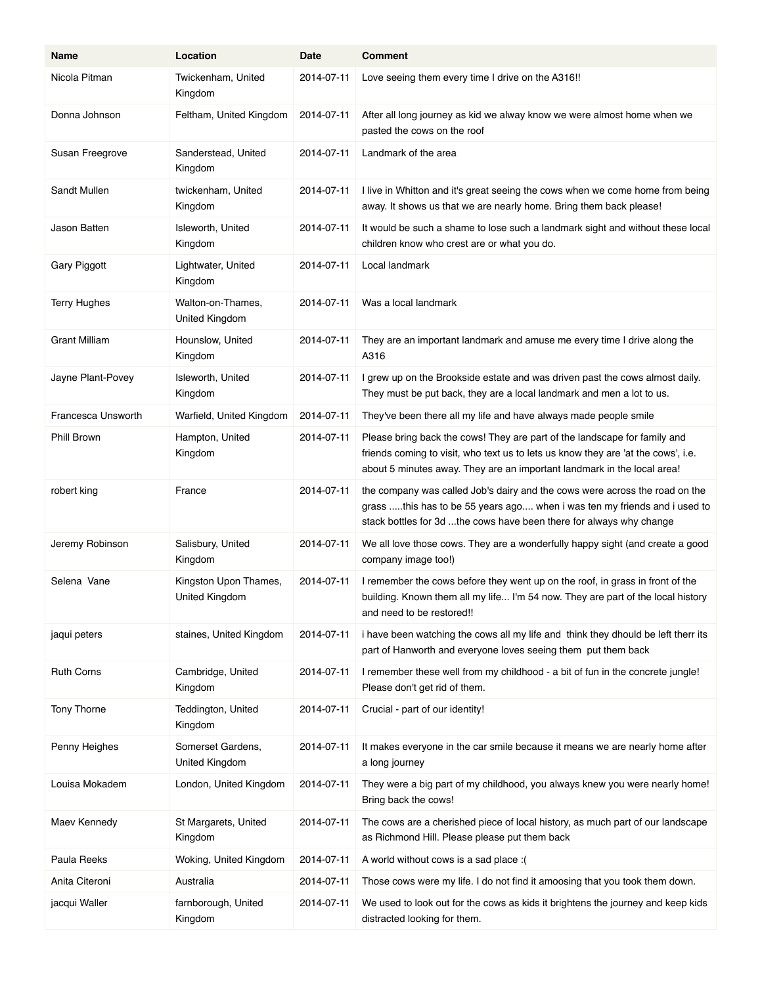| Name                | Location                                | Date       | <b>Comment</b>                                                                                                                                                                                                                            |
|---------------------|-----------------------------------------|------------|-------------------------------------------------------------------------------------------------------------------------------------------------------------------------------------------------------------------------------------------|
| Nicola Pitman       | Twickenham, United<br>Kingdom           | 2014-07-11 | Love seeing them every time I drive on the A316!!                                                                                                                                                                                         |
| Donna Johnson       | Feltham, United Kingdom                 | 2014-07-11 | After all long journey as kid we alway know we were almost home when we<br>pasted the cows on the roof                                                                                                                                    |
| Susan Freegrove     | Sanderstead, United<br>Kingdom          | 2014-07-11 | Landmark of the area                                                                                                                                                                                                                      |
| Sandt Mullen        | twickenham, United<br>Kingdom           | 2014-07-11 | I live in Whitton and it's great seeing the cows when we come home from being<br>away. It shows us that we are nearly home. Bring them back please!                                                                                       |
| Jason Batten        | Isleworth, United<br>Kingdom            | 2014-07-11 | It would be such a shame to lose such a landmark sight and without these local<br>children know who crest are or what you do.                                                                                                             |
| Gary Piggott        | Lightwater, United<br>Kingdom           | 2014-07-11 | Local landmark                                                                                                                                                                                                                            |
| <b>Terry Hughes</b> | Walton-on-Thames,<br>United Kingdom     | 2014-07-11 | Was a local landmark                                                                                                                                                                                                                      |
| Grant Milliam       | Hounslow, United<br>Kingdom             | 2014-07-11 | They are an important landmark and amuse me every time I drive along the<br>A316                                                                                                                                                          |
| Jayne Plant-Povey   | Isleworth, United<br>Kingdom            | 2014-07-11 | I grew up on the Brookside estate and was driven past the cows almost daily.<br>They must be put back, they are a local landmark and men a lot to us.                                                                                     |
| Francesca Unsworth  | Warfield, United Kingdom                | 2014-07-11 | They've been there all my life and have always made people smile                                                                                                                                                                          |
| <b>Phill Brown</b>  | Hampton, United<br>Kingdom              | 2014-07-11 | Please bring back the cows! They are part of the landscape for family and<br>friends coming to visit, who text us to lets us know they are 'at the cows', i.e.<br>about 5 minutes away. They are an important landmark in the local area! |
| robert king         | France                                  | 2014-07-11 | the company was called Job's dairy and the cows were across the road on the<br>grass this has to be 55 years ago when i was ten my friends and i used to<br>stack bottles for 3d the cows have been there for always why change           |
| Jeremy Robinson     | Salisbury, United<br>Kingdom            | 2014-07-11 | We all love those cows. They are a wonderfully happy sight (and create a good<br>company image too!)                                                                                                                                      |
| Selena Vane         | Kingston Upon Thames,<br>United Kingdom | 2014-07-11 | I remember the cows before they went up on the roof, in grass in front of the<br>building. Known them all my life I'm 54 now. They are part of the local history<br>and need to be restored!!                                             |
| jaqui peters        | staines, United Kingdom                 | 2014-07-11 | i have been watching the cows all my life and think they dhould be left therr its<br>part of Hanworth and everyone loves seeing them put them back                                                                                        |
| <b>Ruth Corns</b>   | Cambridge, United<br>Kingdom            | 2014-07-11 | I remember these well from my childhood - a bit of fun in the concrete jungle!<br>Please don't get rid of them.                                                                                                                           |
| <b>Tony Thorne</b>  | Teddington, United<br>Kingdom           | 2014-07-11 | Crucial - part of our identity!                                                                                                                                                                                                           |
| Penny Heighes       | Somerset Gardens,<br>United Kingdom     | 2014-07-11 | It makes everyone in the car smile because it means we are nearly home after<br>a long journey                                                                                                                                            |
| Louisa Mokadem      | London, United Kingdom                  | 2014-07-11 | They were a big part of my childhood, you always knew you were nearly home!<br>Bring back the cows!                                                                                                                                       |
| Maev Kennedy        | St Margarets, United<br>Kingdom         | 2014-07-11 | The cows are a cherished piece of local history, as much part of our landscape<br>as Richmond Hill. Please please put them back                                                                                                           |
| Paula Reeks         | Woking, United Kingdom                  | 2014-07-11 | A world without cows is a sad place : (                                                                                                                                                                                                   |
| Anita Citeroni      | Australia                               | 2014-07-11 | Those cows were my life. I do not find it amoosing that you took them down.                                                                                                                                                               |
| jacqui Waller       | farnborough, United<br>Kingdom          | 2014-07-11 | We used to look out for the cows as kids it brightens the journey and keep kids<br>distracted looking for them.                                                                                                                           |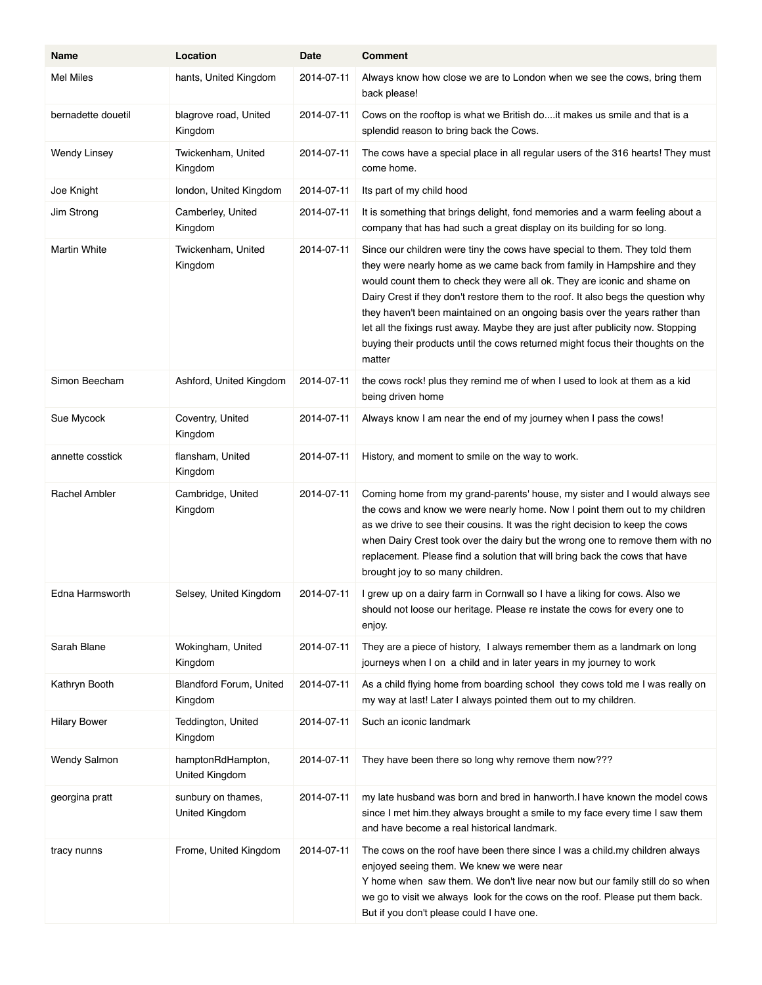| Name                 | Location                             | Date       | <b>Comment</b>                                                                                                                                                                                                                                                                                                                                                                                                                                                                                                                                                                         |
|----------------------|--------------------------------------|------------|----------------------------------------------------------------------------------------------------------------------------------------------------------------------------------------------------------------------------------------------------------------------------------------------------------------------------------------------------------------------------------------------------------------------------------------------------------------------------------------------------------------------------------------------------------------------------------------|
| Mel Miles            | hants, United Kingdom                | 2014-07-11 | Always know how close we are to London when we see the cows, bring them<br>back please!                                                                                                                                                                                                                                                                                                                                                                                                                                                                                                |
| bernadette douetil   | blagrove road, United<br>Kingdom     | 2014-07-11 | Cows on the rooftop is what we British do it makes us smile and that is a<br>splendid reason to bring back the Cows.                                                                                                                                                                                                                                                                                                                                                                                                                                                                   |
| <b>Wendy Linsey</b>  | Twickenham, United<br>Kingdom        | 2014-07-11 | The cows have a special place in all regular users of the 316 hearts! They must<br>come home.                                                                                                                                                                                                                                                                                                                                                                                                                                                                                          |
| Joe Knight           | london, United Kingdom               | 2014-07-11 | Its part of my child hood                                                                                                                                                                                                                                                                                                                                                                                                                                                                                                                                                              |
| Jim Strong           | Camberley, United<br>Kingdom         | 2014 07 11 | It is something that brings delight, fond memories and a warm feeling about a<br>company that has had such a great display on its building for so long.                                                                                                                                                                                                                                                                                                                                                                                                                                |
| Martin White         | Twickenham, United<br>Kingdom        | 2014-07-11 | Since our children were tiny the cows have special to them. They told them<br>they were nearly home as we came back from family in Hampshire and they<br>would count them to check they were all ok. They are iconic and shame on<br>Dairy Crest if they don't restore them to the roof. It also begs the question why<br>they haven't been maintained on an ongoing basis over the years rather than<br>let all the fixings rust away. Maybe they are just after publicity now. Stopping<br>buying their products until the cows returned might focus their thoughts on the<br>matter |
| Simon Beecham        | Ashford, United Kingdom              | 2014-07-11 | the cows rock! plus they remind me of when I used to look at them as a kid<br>being driven home                                                                                                                                                                                                                                                                                                                                                                                                                                                                                        |
| Sue Mycock           | Coventry, United<br>Kingdom          | 2014-07-11 | Always know I am near the end of my journey when I pass the cows!                                                                                                                                                                                                                                                                                                                                                                                                                                                                                                                      |
| annette cosstick     | flansham, United<br>Kingdom          | 2014-07-11 | History, and moment to smile on the way to work.                                                                                                                                                                                                                                                                                                                                                                                                                                                                                                                                       |
| <b>Rachel Ambler</b> | Cambridge, United<br>Kingdom         | 2014-07-11 | Coming home from my grand-parents' house, my sister and I would always see<br>the cows and know we were nearly home. Now I point them out to my children<br>as we drive to see their cousins. It was the right decision to keep the cows<br>when Dairy Crest took over the dairy but the wrong one to remove them with no<br>replacement. Please find a solution that will bring back the cows that have<br>brought joy to so many children.                                                                                                                                           |
| Edna Harmsworth      | Selsey, United Kingdom               | 2014-07-11 | I grew up on a dairy farm in Cornwall so I have a liking for cows. Also we<br>should not loose our heritage. Please re instate the cows for every one to<br>enjoy.                                                                                                                                                                                                                                                                                                                                                                                                                     |
| Sarah Blane          | Wokingham, United<br>Kingdom         | 2014-07-11 | They are a piece of history, I always remember them as a landmark on long<br>journeys when I on a child and in later years in my journey to work                                                                                                                                                                                                                                                                                                                                                                                                                                       |
| Kathryn Booth        | Blandford Forum, United<br>Kingdom   | 2014-07-11 | As a child flying home from boarding school they cows told me I was really on<br>my way at last! Later I always pointed them out to my children.                                                                                                                                                                                                                                                                                                                                                                                                                                       |
| <b>Hilary Bower</b>  | Teddington, United<br>Kingdom        | 2014-07-11 | Such an iconic landmark                                                                                                                                                                                                                                                                                                                                                                                                                                                                                                                                                                |
| Wendy Salmon         | hamptonRdHampton,<br>United Kingdom  | 2014-07-11 | They have been there so long why remove them now???                                                                                                                                                                                                                                                                                                                                                                                                                                                                                                                                    |
| georgina pratt       | sunbury on thames,<br>United Kingdom | 2014-07-11 | my late husband was born and bred in hanworth.I have known the model cows<br>since I met him they always brought a smile to my face every time I saw them<br>and have become a real historical landmark.                                                                                                                                                                                                                                                                                                                                                                               |
| tracy nunns          | Frome, United Kingdom                | 2014-07-11 | The cows on the roof have been there since I was a child my children always<br>enjoyed seeing them. We knew we were near<br>Y home when saw them. We don't live near now but our family still do so when<br>we go to visit we always look for the cows on the roof. Please put them back.<br>But if you don't please could I have one.                                                                                                                                                                                                                                                 |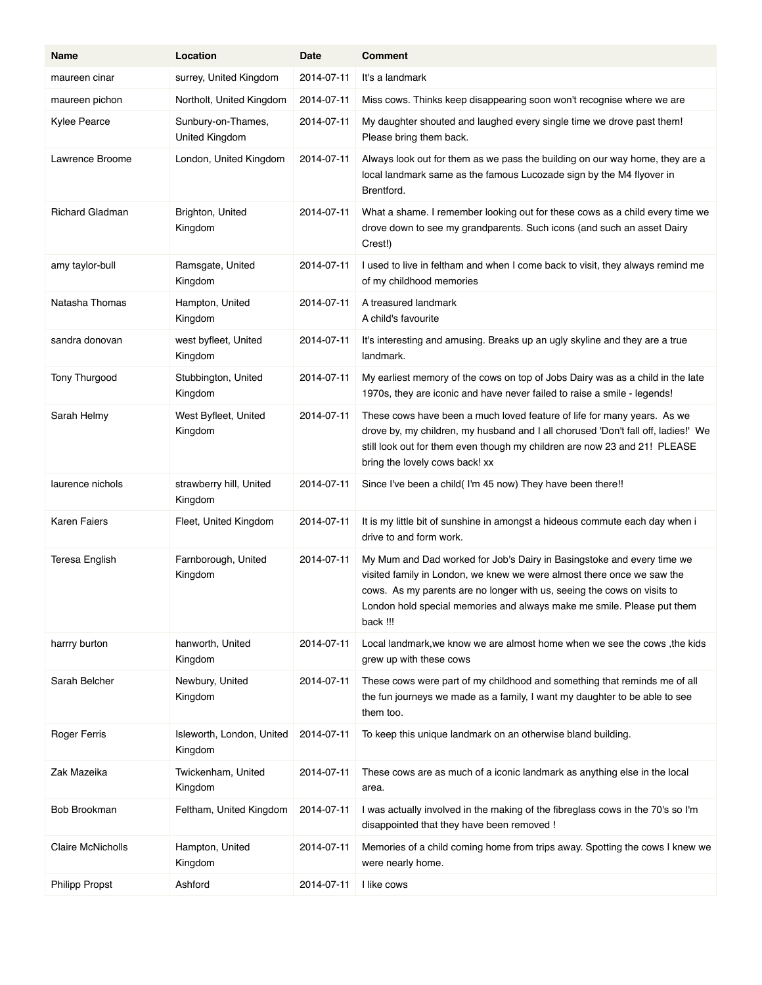| Name                   | Location                                    | Date       | <b>Comment</b>                                                                                                                                                                                                                                                                                                    |
|------------------------|---------------------------------------------|------------|-------------------------------------------------------------------------------------------------------------------------------------------------------------------------------------------------------------------------------------------------------------------------------------------------------------------|
| maureen cinar          | surrey, United Kingdom                      | 2014-07-11 | It's a landmark                                                                                                                                                                                                                                                                                                   |
| maureen pichon         | Northolt, United Kingdom                    | 2014-07-11 | Miss cows. Thinks keep disappearing soon won't recognise where we are                                                                                                                                                                                                                                             |
| <b>Kylee Pearce</b>    | Sunbury-on-Thames,<br><b>United Kingdom</b> | 2014-07-11 | My daughter shouted and laughed every single time we drove past them!<br>Please bring them back.                                                                                                                                                                                                                  |
| Lawrence Broome        | London, United Kingdom                      | 2014-07-11 | Always look out for them as we pass the building on our way home, they are a<br>local landmark same as the famous Lucozade sign by the M4 flyover in<br>Brentford.                                                                                                                                                |
| <b>Richard Gladman</b> | Brighton, United<br>Kingdom                 | 2014-07-11 | What a shame. I remember looking out for these cows as a child every time we<br>drove down to see my grandparents. Such icons (and such an asset Dairy<br>Crest!)                                                                                                                                                 |
| amy taylor-bull        | Ramsgate, United<br>Kingdom                 | 2014-07-11 | I used to live in feltham and when I come back to visit, they always remind me<br>of my childhood memories                                                                                                                                                                                                        |
| Natasha Thomas         | Hampton, United<br>Kingdom                  | 2014-07-11 | A treasured landmark<br>A child's favourite                                                                                                                                                                                                                                                                       |
| sandra donovan         | west byfleet, United<br>Kingdom             | 2014-07-11 | It's interesting and amusing. Breaks up an ugly skyline and they are a true<br>landmark.                                                                                                                                                                                                                          |
| Tony Thurgood          | Stubbington, United<br>Kingdom              | 2014-07-11 | My earliest memory of the cows on top of Jobs Dairy was as a child in the late<br>1970s, they are iconic and have never failed to raise a smile - legends!                                                                                                                                                        |
| Sarah Helmy            | West Byfleet, United<br>Kingdom             | 2014-07-11 | These cows have been a much loved feature of life for many years. As we<br>drove by, my children, my husband and I all chorused 'Don't fall off, ladies!' We<br>still look out for them even though my children are now 23 and 21! PLEASE<br>bring the lovely cows back! xx                                       |
| laurence nichols       | strawberry hill, United<br>Kingdom          | 2014-07-11 | Since I've been a child(I'm 45 now) They have been there!!                                                                                                                                                                                                                                                        |
| <b>Karen Faiers</b>    | Fleet, United Kingdom                       | 2014-07-11 | It is my little bit of sunshine in amongst a hideous commute each day when i<br>drive to and form work.                                                                                                                                                                                                           |
| Teresa English         | Farnborough, United<br>Kingdom              | 2014-07-11 | My Mum and Dad worked for Job's Dairy in Basingstoke and every time we<br>visited family in London, we knew we were almost there once we saw the<br>cows. As my parents are no longer with us, seeing the cows on visits to<br>London hold special memories and always make me smile. Please put them<br>back !!! |
| harrry burton          | hanworth, United<br>Kingdom                 | 2014-07-11 | Local landmark, we know we are almost home when we see the cows, the kids<br>grew up with these cows                                                                                                                                                                                                              |
| Sarah Belcher          | Newbury, United<br>Kingdom                  | 2014-07-11 | These cows were part of my childhood and something that reminds me of all<br>the fun journeys we made as a family, I want my daughter to be able to see<br>them too.                                                                                                                                              |
| Roger Ferris           | Isleworth, London, United<br>Kingdom        | 2014-07-11 | To keep this unique landmark on an otherwise bland building.                                                                                                                                                                                                                                                      |
| Zak Mazeika            | Twickenham, United<br>Kingdom               | 2014-07-11 | These cows are as much of a iconic landmark as anything else in the local<br>area.                                                                                                                                                                                                                                |
| Bob Brookman           | Feltham, United Kingdom                     | 2014-07-11 | I was actually involved in the making of the fibreglass cows in the 70's so I'm<br>disappointed that they have been removed !                                                                                                                                                                                     |
| Claire McNicholls      | Hampton, United<br>Kingdom                  | 2014-07-11 | Memories of a child coming home from trips away. Spotting the cows I knew we<br>were nearly home.                                                                                                                                                                                                                 |
| <b>Philipp Propst</b>  | Ashford                                     | 2014-07-11 | I like cows                                                                                                                                                                                                                                                                                                       |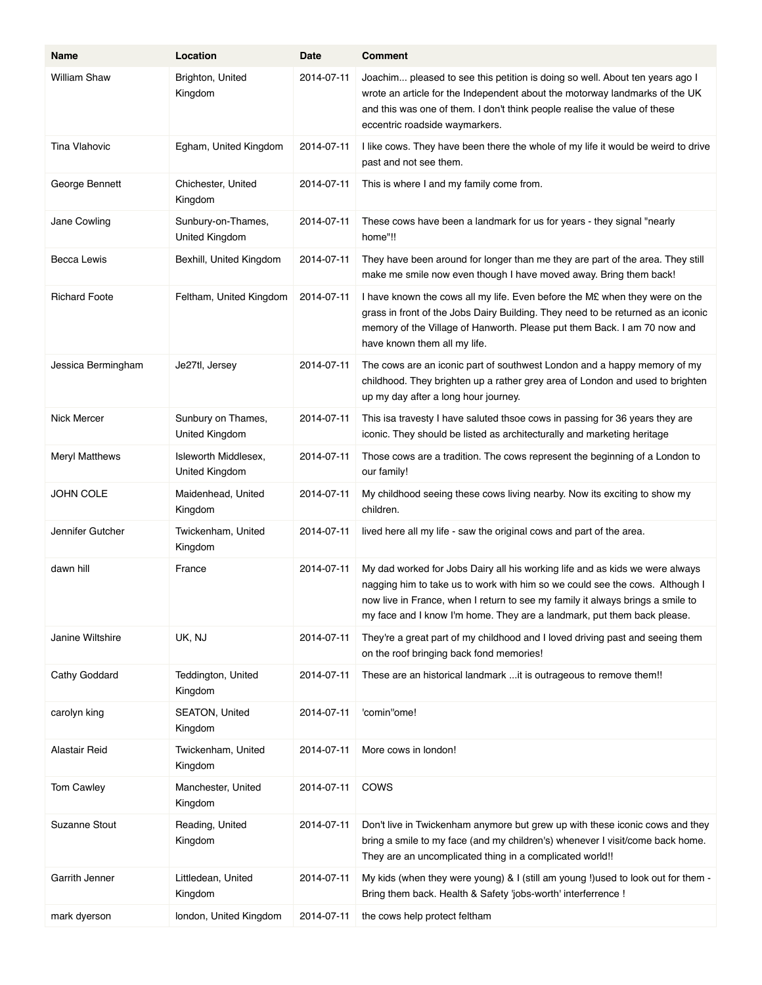| Name                  | Location                               | Date       | <b>Comment</b>                                                                                                                                                                                                                                                                                                            |
|-----------------------|----------------------------------------|------------|---------------------------------------------------------------------------------------------------------------------------------------------------------------------------------------------------------------------------------------------------------------------------------------------------------------------------|
| William Shaw          | Brighton, United<br>Kingdom            | 2014-07-11 | Joachim pleased to see this petition is doing so well. About ten years ago I<br>wrote an article for the Independent about the motorway landmarks of the UK<br>and this was one of them. I don't think people realise the value of these<br>eccentric roadside waymarkers.                                                |
| Tina Vlahovic         | Egham, United Kingdom                  | 2014-07-11 | I like cows. They have been there the whole of my life it would be weird to drive<br>past and not see them.                                                                                                                                                                                                               |
| George Bennett        | Chichester, United<br>Kingdom          | 2014-07-11 | This is where I and my family come from.                                                                                                                                                                                                                                                                                  |
| Jane Cowling          | Sunbury-on-Thames,<br>United Kingdom   | 2014-07-11 | These cows have been a landmark for us for years - they signal "nearly<br>home"!!                                                                                                                                                                                                                                         |
| Becca Lewis           | Bexhill, United Kingdom                | 2014-07-11 | They have been around for longer than me they are part of the area. They still<br>make me smile now even though I have moved away. Bring them back!                                                                                                                                                                       |
| <b>Richard Foote</b>  | Feltham, United Kingdom                | 2014-07-11 | I have known the cows all my life. Even before the M£ when they were on the<br>grass in front of the Jobs Dairy Building. They need to be returned as an iconic<br>memory of the Village of Hanworth. Please put them Back. I am 70 now and<br>have known them all my life.                                               |
| Jessica Bermingham    | Je27tl, Jersey                         | 2014-07-11 | The cows are an iconic part of southwest London and a happy memory of my<br>childhood. They brighten up a rather grey area of London and used to brighten<br>up my day after a long hour journey.                                                                                                                         |
| Nick Mercer           | Sunbury on Thames,<br>United Kingdom   | 2014 07 11 | This isa travesty I have saluted thsoe cows in passing for 36 years they are<br>iconic. They should be listed as architecturally and marketing heritage                                                                                                                                                                   |
| <b>Meryl Matthews</b> | Isleworth Middlesex,<br>United Kingdom | 2014-07-11 | Those cows are a tradition. The cows represent the beginning of a London to<br>our family!                                                                                                                                                                                                                                |
| JOHN COLE             | Maidenhead, United<br>Kingdom          | 2014 07 11 | My childhood seeing these cows living nearby. Now its exciting to show my<br>children.                                                                                                                                                                                                                                    |
| Jennifer Gutcher      | Twickenham, United<br>Kingdom          | 2014-07-11 | lived here all my life - saw the original cows and part of the area.                                                                                                                                                                                                                                                      |
| dawn hill             | France                                 | 2014-07-11 | My dad worked for Jobs Dairy all his working life and as kids we were always<br>nagging him to take us to work with him so we could see the cows. Although I<br>now live in France, when I return to see my family it always brings a smile to<br>my face and I know I'm home. They are a landmark, put them back please. |
| Janine Wiltshire      | UK, NJ                                 | 2014-07-11 | They're a great part of my childhood and I loved driving past and seeing them<br>on the roof bringing back fond memories!                                                                                                                                                                                                 |
| Cathy Goddard         | Teddington, United<br>Kingdom          | 2014-07-11 | These are an historical landmark  it is outrageous to remove them!!                                                                                                                                                                                                                                                       |
| carolyn king          | SEATON, United<br>Kingdom              | 2014-07-11 | 'comin"ome!                                                                                                                                                                                                                                                                                                               |
| Alastair Reid         | Twickenham, United<br>Kingdom          | 2014-07-11 | More cows in london!                                                                                                                                                                                                                                                                                                      |
| Tom Cawley            | Manchester, United<br>Kingdom          | 2014-07-11 | <b>COWS</b>                                                                                                                                                                                                                                                                                                               |
| Suzanne Stout         | Reading, United<br>Kingdom             | 2014-07-11 | Don't live in Twickenham anymore but grew up with these iconic cows and they<br>bring a smile to my face (and my children's) whenever I visit/come back home.<br>They are an uncomplicated thing in a complicated world!!                                                                                                 |
| Garrith Jenner        | Littledean, United<br>Kingdom          | 2014-07-11 | My kids (when they were young) & I (still am young !) used to look out for them -<br>Bring them back. Health & Safety 'jobs-worth' interferrence !                                                                                                                                                                        |
| mark dyerson          | london, United Kingdom                 | 2014-07-11 | the cows help protect feltham                                                                                                                                                                                                                                                                                             |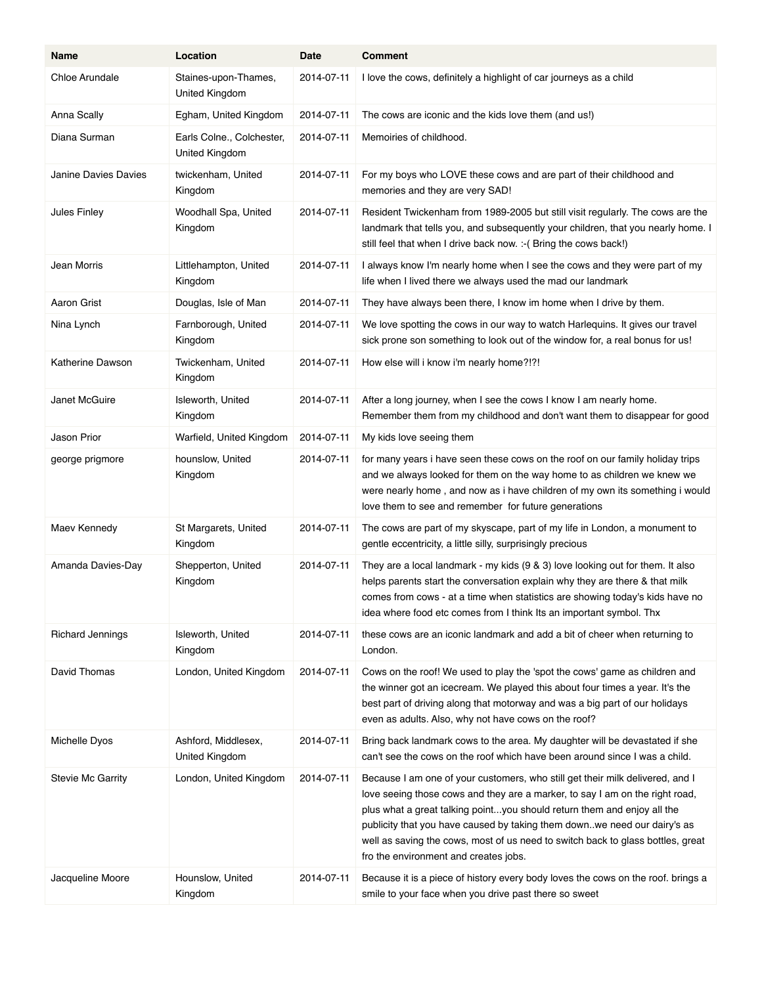| Name                     | Location                                    | Date       | <b>Comment</b>                                                                                                                                                                                                                                                                                                                                                                                                                                   |
|--------------------------|---------------------------------------------|------------|--------------------------------------------------------------------------------------------------------------------------------------------------------------------------------------------------------------------------------------------------------------------------------------------------------------------------------------------------------------------------------------------------------------------------------------------------|
| <b>Chloe Arundale</b>    | Staines-upon-Thames,<br>United Kingdom      | 2014-07-11 | I love the cows, definitely a highlight of car journeys as a child                                                                                                                                                                                                                                                                                                                                                                               |
| Anna Scally              | Egham, United Kingdom                       | 2014-07-11 | The cows are iconic and the kids love them (and us!)                                                                                                                                                                                                                                                                                                                                                                                             |
| Diana Surman             | Earls Colne., Colchester,<br>United Kingdom | 2014-07-11 | Memoiries of childhood.                                                                                                                                                                                                                                                                                                                                                                                                                          |
| Janine Davies Davies     | twickenham, United<br>Kingdom               | 2014-07-11 | For my boys who LOVE these cows and are part of their childhood and<br>memories and they are very SAD!                                                                                                                                                                                                                                                                                                                                           |
| Jules Finley             | Woodhall Spa, United<br>Kingdom             | 2014-07-11 | Resident Twickenham from 1989-2005 but still visit regularly. The cows are the<br>landmark that tells you, and subsequently your children, that you nearly home. I<br>still feel that when I drive back now. :- ( Bring the cows back!)                                                                                                                                                                                                          |
| Jean Morris              | Littlehampton, United<br>Kingdom            | 2014-07-11 | I always know I'm nearly home when I see the cows and they were part of my<br>life when I lived there we always used the mad our landmark                                                                                                                                                                                                                                                                                                        |
| Aaron Grist              | Douglas, Isle of Man                        | 2014-07-11 | They have always been there, I know im home when I drive by them.                                                                                                                                                                                                                                                                                                                                                                                |
| Nina Lynch               | Farnborough, United<br>Kingdom              | 2014-07-11 | We love spotting the cows in our way to watch Harleguins. It gives our travel<br>sick prone son something to look out of the window for, a real bonus for us!                                                                                                                                                                                                                                                                                    |
| Katherine Dawson         | Twickenham, United<br>Kingdom               | 2014-07-11 | How else will i know i'm nearly home?!?!                                                                                                                                                                                                                                                                                                                                                                                                         |
| Janet McGuire            | Isleworth, United<br>Kingdom                | 2014-07-11 | After a long journey, when I see the cows I know I am nearly home.<br>Remember them from my childhood and don't want them to disappear for good                                                                                                                                                                                                                                                                                                  |
| Jason Prior              | Warfield, United Kingdom                    | 2014-07-11 | My kids love seeing them                                                                                                                                                                                                                                                                                                                                                                                                                         |
| george prigmore          | hounslow, United<br>Kingdom                 | 2014-07-11 | for many years i have seen these cows on the roof on our family holiday trips<br>and we always looked for them on the way home to as children we knew we<br>were nearly home, and now as i have children of my own its something i would<br>love them to see and remember for future generations                                                                                                                                                 |
| Maev Kennedy             | St Margarets, United<br>Kingdom             | 2014-07-11 | The cows are part of my skyscape, part of my life in London, a monument to<br>gentle eccentricity, a little silly, surprisingly precious                                                                                                                                                                                                                                                                                                         |
| Amanda Davies-Day        | Shepperton, United<br>Kingdom               | 2014-07-11 | They are a local landmark - my kids (9 & 3) love looking out for them. It also<br>helps parents start the conversation explain why they are there & that milk<br>comes from cows - at a time when statistics are showing today's kids have no<br>idea where food etc comes from I think Its an important symbol. Thx                                                                                                                             |
| <b>Richard Jennings</b>  | Isleworth, United<br>Kingdom                | 2014-07-11 | these cows are an iconic landmark and add a bit of cheer when returning to<br>London.                                                                                                                                                                                                                                                                                                                                                            |
| David Thomas             | London, United Kingdom                      | 2014-07-11 | Cows on the roof! We used to play the 'spot the cows' game as children and<br>the winner got an icecream. We played this about four times a year. It's the<br>best part of driving along that motorway and was a big part of our holidays<br>even as adults. Also, why not have cows on the roof?                                                                                                                                                |
| Michelle Dyos            | Ashford, Middlesex,<br>United Kingdom       | 2014-07-11 | Bring back landmark cows to the area. My daughter will be devastated if she<br>can't see the cows on the roof which have been around since I was a child.                                                                                                                                                                                                                                                                                        |
| <b>Stevie Mc Garrity</b> | London, United Kingdom                      | 2014-07-11 | Because I am one of your customers, who still get their milk delivered, and I<br>love seeing those cows and they are a marker, to say I am on the right road,<br>plus what a great talking pointyou should return them and enjoy all the<br>publicity that you have caused by taking them downwe need our dairy's as<br>well as saving the cows, most of us need to switch back to glass bottles, great<br>fro the environment and creates jobs. |
| Jacqueline Moore         | Hounslow, United<br>Kingdom                 | 2014-07-11 | Because it is a piece of history every body loves the cows on the roof. brings a<br>smile to your face when you drive past there so sweet                                                                                                                                                                                                                                                                                                        |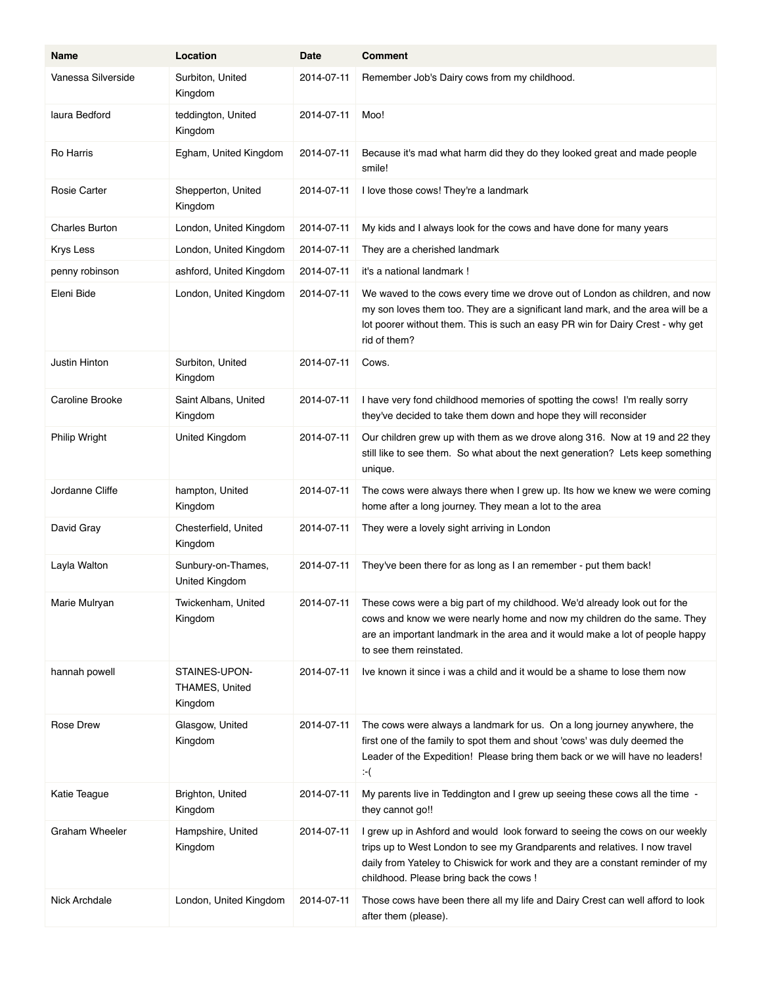| Name                  | Location                                   | Date       | <b>Comment</b>                                                                                                                                                                                                                                                                          |
|-----------------------|--------------------------------------------|------------|-----------------------------------------------------------------------------------------------------------------------------------------------------------------------------------------------------------------------------------------------------------------------------------------|
| Vanessa Silverside    | Surbiton, United<br>Kingdom                | 2014-07-11 | Remember Job's Dairy cows from my childhood.                                                                                                                                                                                                                                            |
| laura Bedford         | teddington, United<br>Kingdom              | 2014-07-11 | Moo!                                                                                                                                                                                                                                                                                    |
| Ro Harris             | Egham, United Kingdom                      | 2014 07 11 | Because it's mad what harm did they do they looked great and made people<br>smile!                                                                                                                                                                                                      |
| <b>Rosie Carter</b>   | Shepperton, United<br>Kingdom              | 2014-07-11 | I love those cows! They're a landmark                                                                                                                                                                                                                                                   |
| <b>Charles Burton</b> | London, United Kingdom                     | 2014-07-11 | My kids and I always look for the cows and have done for many years                                                                                                                                                                                                                     |
| <b>Krys Less</b>      | London, United Kingdom                     | 2014-07-11 | They are a cherished landmark                                                                                                                                                                                                                                                           |
| penny robinson        | ashford, United Kingdom                    | 2014-07-11 | it's a national landmark !                                                                                                                                                                                                                                                              |
| Eleni Bide            | London, United Kingdom                     | 2014-07-11 | We waved to the cows every time we drove out of London as children, and now<br>my son loves them too. They are a significant land mark, and the area will be a<br>lot poorer without them. This is such an easy PR win for Dairy Crest - why get<br>rid of them?                        |
| Justin Hinton         | Surbiton, United<br>Kingdom                | 2014-07-11 | Cows.                                                                                                                                                                                                                                                                                   |
| Caroline Brooke       | Saint Albans, United<br>Kingdom            | 2014-07-11 | I have very fond childhood memories of spotting the cows! I'm really sorry<br>they've decided to take them down and hope they will reconsider                                                                                                                                           |
| <b>Philip Wright</b>  | United Kingdom                             | 2014-07-11 | Our children grew up with them as we drove along 316. Now at 19 and 22 they<br>still like to see them. So what about the next generation? Lets keep something<br>unique.                                                                                                                |
| Jordanne Cliffe       | hampton, United<br>Kingdom                 | 2014-07-11 | The cows were always there when I grew up. Its how we knew we were coming<br>home after a long journey. They mean a lot to the area                                                                                                                                                     |
| David Gray            | Chesterfield, United<br>Kingdom            | 2014-07-11 | They were a lovely sight arriving in London                                                                                                                                                                                                                                             |
| Layla Walton          | Sunbury-on-Thames,<br>United Kingdom       | 2014-07-11 | They've been there for as long as I an remember - put them back!                                                                                                                                                                                                                        |
| Marie Mulryan         | Twickenham, United<br>Kingdom              | 2014-07-11 | These cows were a big part of my childhood. We'd already look out for the<br>cows and know we were nearly home and now my children do the same. They<br>are an important landmark in the area and it would make a lot of people happy<br>to see them reinstated.                        |
| hannah powell         | STAINES-UPON-<br>THAMES, United<br>Kingdom | 2014-07-11 | Ive known it since i was a child and it would be a shame to lose them now                                                                                                                                                                                                               |
| Rose Drew             | Glasgow, United<br>Kingdom                 | 2014-07-11 | The cows were always a landmark for us. On a long journey anywhere, the<br>first one of the family to spot them and shout 'cows' was duly deemed the<br>Leader of the Expedition! Please bring them back or we will have no leaders!<br>$-$ (                                           |
| Katie Teague          | Brighton, United<br>Kingdom                | 2014-07-11 | My parents live in Teddington and I grew up seeing these cows all the time -<br>they cannot go!!                                                                                                                                                                                        |
| Graham Wheeler        | Hampshire, United<br>Kingdom               | 2014-07-11 | I grew up in Ashford and would look forward to seeing the cows on our weekly<br>trips up to West London to see my Grandparents and relatives. I now travel<br>daily from Yateley to Chiswick for work and they are a constant reminder of my<br>childhood. Please bring back the cows ! |
| Nick Archdale         | London, United Kingdom                     | 2014-07-11 | Those cows have been there all my life and Dairy Crest can well afford to look<br>after them (please).                                                                                                                                                                                  |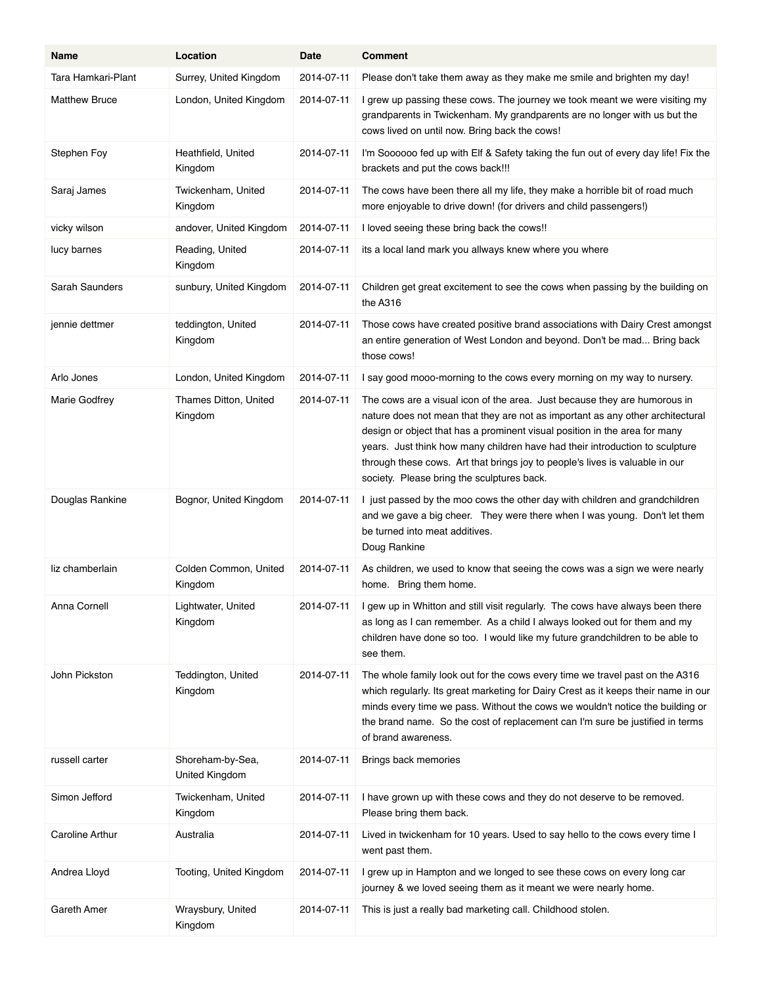| Name                   | Location                           | Date       | <b>Comment</b>                                                                                                                                                                                                                                                                                                                                                                                                                                          |
|------------------------|------------------------------------|------------|---------------------------------------------------------------------------------------------------------------------------------------------------------------------------------------------------------------------------------------------------------------------------------------------------------------------------------------------------------------------------------------------------------------------------------------------------------|
| Tara Hamkari-Plant     | Surrey, United Kingdom             | 2014-07-11 | Please don't take them away as they make me smile and brighten my day!                                                                                                                                                                                                                                                                                                                                                                                  |
| <b>Matthew Bruce</b>   | London, United Kingdom             | 2014-07-11 | I grew up passing these cows. The journey we took meant we were visiting my<br>grandparents in Twickenham. My grandparents are no longer with us but the<br>cows lived on until now. Bring back the cows!                                                                                                                                                                                                                                               |
| Stephen Foy            | Heathfield, United<br>Kingdom      | 2014-07-11 | I'm Soooooo fed up with Elf & Safety taking the fun out of every day life! Fix the<br>brackets and put the cows back!!!                                                                                                                                                                                                                                                                                                                                 |
| Saraj James            | Twickenham, United<br>Kingdom      | 2014-07-11 | The cows have been there all my life, they make a horrible bit of road much<br>more enjoyable to drive down! (for drivers and child passengers!)                                                                                                                                                                                                                                                                                                        |
| vicky wilson           | andover, United Kingdom            | 2014-07-11 | I loved seeing these bring back the cows!!                                                                                                                                                                                                                                                                                                                                                                                                              |
| lucy barnes            | Reading, United<br>Kingdom         | 2014-07-11 | its a local land mark you allways knew where you where                                                                                                                                                                                                                                                                                                                                                                                                  |
| Sarah Saunders         | sunbury, United Kingdom            | 2014-07-11 | Children get great excitement to see the cows when passing by the building on<br>the A316                                                                                                                                                                                                                                                                                                                                                               |
| jennie dettmer         | teddington, United<br>Kingdom      | 2014-07-11 | Those cows have created positive brand associations with Dairy Crest amongst<br>an entire generation of West London and beyond. Don't be mad Bring back<br>those cows!                                                                                                                                                                                                                                                                                  |
| Arlo Jones             | London, United Kingdom             | 2014-07-11 | I say good mooo-morning to the cows every morning on my way to nursery.                                                                                                                                                                                                                                                                                                                                                                                 |
| Marie Godfrey          | Thames Ditton, United<br>Kingdom   | 2014-07-11 | The cows are a visual icon of the area. Just because they are humorous in<br>nature does not mean that they are not as important as any other architectural<br>design or object that has a prominent visual position in the area for many<br>years. Just think how many children have had their introduction to sculpture<br>through these cows. Art that brings joy to people's lives is valuable in our<br>society. Please bring the sculptures back. |
| Douglas Rankine        | Bognor, United Kingdom             | 2014-07-11 | I just passed by the moo cows the other day with children and grandchildren<br>and we gave a big cheer. They were there when I was young. Don't let them<br>be turned into meat additives.<br>Doug Rankine                                                                                                                                                                                                                                              |
| liz chamberlain        | Colden Common, United<br>Kingdom   | 2014-07-11 | As children, we used to know that seeing the cows was a sign we were nearly<br>home. Bring them home.                                                                                                                                                                                                                                                                                                                                                   |
| Anna Cornell           | Lightwater, United<br>Kingdom      | 2014-07-11 | I gew up in Whitton and still visit regularly. The cows have always been there<br>as long as I can remember. As a child I always looked out for them and my<br>children have done so too. I would like my future grandchildren to be able to<br>see them.                                                                                                                                                                                               |
| John Pickston          | Teddington, United<br>Kingdom      | 2014-07-11 | The whole family look out for the cows every time we travel past on the A316<br>which regularly. Its great marketing for Dairy Crest as it keeps their name in our<br>minds every time we pass. Without the cows we wouldn't notice the building or<br>the brand name. So the cost of replacement can I'm sure be justified in terms<br>of brand awareness.                                                                                             |
| russell carter         | Shoreham-by-Sea,<br>United Kingdom | 2014-07-11 | Brings back memories                                                                                                                                                                                                                                                                                                                                                                                                                                    |
| Simon Jefford          | Twickenham, United<br>Kingdom      | 2014-07-11 | I have grown up with these cows and they do not deserve to be removed.<br>Please bring them back.                                                                                                                                                                                                                                                                                                                                                       |
| <b>Caroline Arthur</b> | Australia                          | 2014-07-11 | Lived in twickenham for 10 years. Used to say hello to the cows every time I<br>went past them.                                                                                                                                                                                                                                                                                                                                                         |
| Andrea Lloyd           | Tooting, United Kingdom            | 2014-07-11 | I grew up in Hampton and we longed to see these cows on every long car<br>journey & we loved seeing them as it meant we were nearly home.                                                                                                                                                                                                                                                                                                               |
| Gareth Amer            | Wraysbury, United<br>Kingdom       | 2014-07-11 | This is just a really bad marketing call. Childhood stolen.                                                                                                                                                                                                                                                                                                                                                                                             |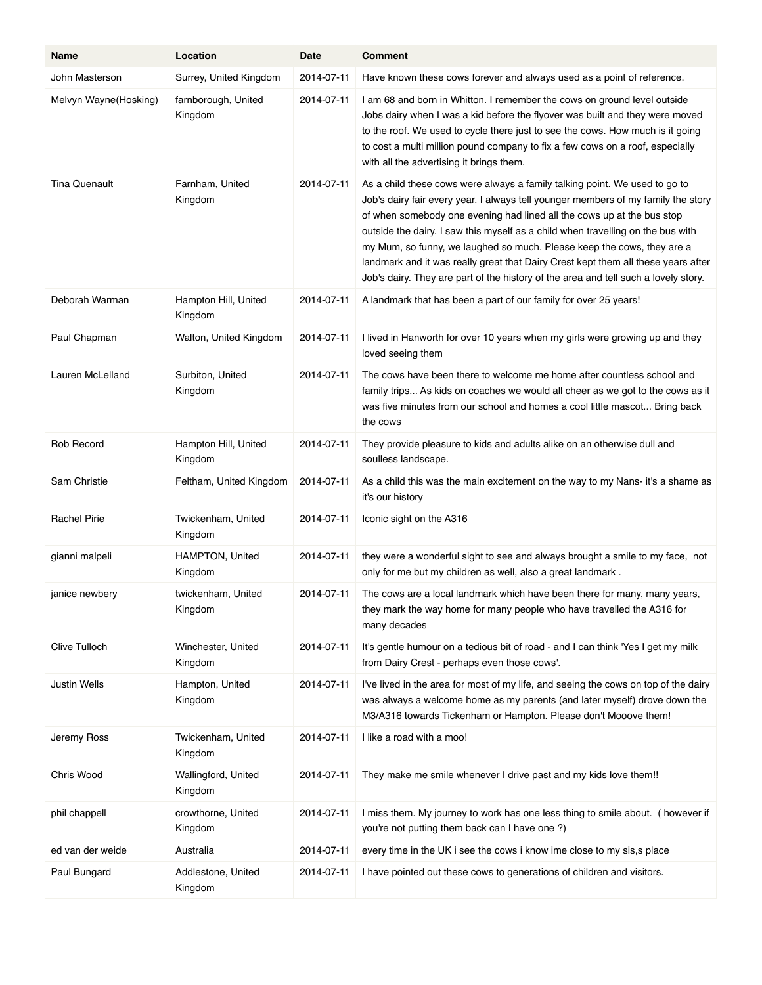| Name                  | Location                          | Date       | <b>Comment</b>                                                                                                                                                                                                                                                                                                                                                                                                                                                                                                                                                                     |
|-----------------------|-----------------------------------|------------|------------------------------------------------------------------------------------------------------------------------------------------------------------------------------------------------------------------------------------------------------------------------------------------------------------------------------------------------------------------------------------------------------------------------------------------------------------------------------------------------------------------------------------------------------------------------------------|
| John Masterson        | Surrey, United Kingdom            | 2014-07-11 | Have known these cows forever and always used as a point of reference.                                                                                                                                                                                                                                                                                                                                                                                                                                                                                                             |
| Melvyn Wayne(Hosking) | farnborough, United<br>Kingdom    | 2014 07 11 | I am 68 and born in Whitton. I remember the cows on ground level outside<br>Jobs dairy when I was a kid before the flyover was built and they were moved<br>to the roof. We used to cycle there just to see the cows. How much is it going<br>to cost a multi million pound company to fix a few cows on a roof, especially<br>with all the advertising it brings them.                                                                                                                                                                                                            |
| <b>Tina Quenault</b>  | Farnham, United<br>Kingdom        | 2014-07-11 | As a child these cows were always a family talking point. We used to go to<br>Job's dairy fair every year. I always tell younger members of my family the story<br>of when somebody one evening had lined all the cows up at the bus stop<br>outside the dairy. I saw this myself as a child when travelling on the bus with<br>my Mum, so funny, we laughed so much. Please keep the cows, they are a<br>landmark and it was really great that Dairy Crest kept them all these years after<br>Job's dairy. They are part of the history of the area and tell such a lovely story. |
| Deborah Warman        | Hampton Hill, United<br>Kingdom   | 2014-07-11 | A landmark that has been a part of our family for over 25 years!                                                                                                                                                                                                                                                                                                                                                                                                                                                                                                                   |
| Paul Chapman          | Walton, United Kingdom            | 2014-07-11 | I lived in Hanworth for over 10 years when my girls were growing up and they<br>loved seeing them                                                                                                                                                                                                                                                                                                                                                                                                                                                                                  |
| Lauren McLelland      | Surbiton, United<br>Kingdom       | 2014-07-11 | The cows have been there to welcome me home after countless school and<br>family trips As kids on coaches we would all cheer as we got to the cows as it<br>was five minutes from our school and homes a cool little mascot Bring back<br>the cows                                                                                                                                                                                                                                                                                                                                 |
| Rob Record            | Hampton Hill, United<br>Kingdom   | 2014-07-11 | They provide pleasure to kids and adults alike on an otherwise dull and<br>soulless landscape.                                                                                                                                                                                                                                                                                                                                                                                                                                                                                     |
| Sam Christie          | Feltham, United Kingdom           | 2014-07-11 | As a child this was the main excitement on the way to my Nans- it's a shame as<br>it's our history                                                                                                                                                                                                                                                                                                                                                                                                                                                                                 |
| <b>Rachel Pirie</b>   | Twickenham, United<br>Kingdom     | 2014-07-11 | Iconic sight on the A316                                                                                                                                                                                                                                                                                                                                                                                                                                                                                                                                                           |
| gianni malpeli        | <b>HAMPTON, United</b><br>Kingdom | 2014-07-11 | they were a wonderful sight to see and always brought a smile to my face, not<br>only for me but my children as well, also a great landmark.                                                                                                                                                                                                                                                                                                                                                                                                                                       |
| janice newbery        | twickenham, United<br>Kingdom     | 2014-07-11 | The cows are a local landmark which have been there for many, many years,<br>they mark the way home for many people who have travelled the A316 for<br>many decades                                                                                                                                                                                                                                                                                                                                                                                                                |
| Clive Tulloch         | Winchester, United<br>Kingdom     | 2014-07-11 | It's gentle humour on a tedious bit of road - and I can think 'Yes I get my milk<br>from Dairy Crest - perhaps even those cows'.                                                                                                                                                                                                                                                                                                                                                                                                                                                   |
| <b>Justin Wells</b>   | Hampton, United<br>Kingdom        | 2014-07-11 | I've lived in the area for most of my life, and seeing the cows on top of the dairy<br>was always a welcome home as my parents (and later myself) drove down the<br>M3/A316 towards Tickenham or Hampton. Please don't Mooove them!                                                                                                                                                                                                                                                                                                                                                |
| Jeremy Ross           | Twickenham, United<br>Kingdom     | 2014-07-11 | I like a road with a moo!                                                                                                                                                                                                                                                                                                                                                                                                                                                                                                                                                          |
| Chris Wood            | Wallingford, United<br>Kingdom    | 2014-07-11 | They make me smile whenever I drive past and my kids love them!!                                                                                                                                                                                                                                                                                                                                                                                                                                                                                                                   |
| phil chappell         | crowthorne, United<br>Kingdom     | 2014-07-11 | I miss them. My journey to work has one less thing to smile about. (however if<br>you're not putting them back can I have one ?)                                                                                                                                                                                                                                                                                                                                                                                                                                                   |
| ed van der weide      | Australia                         | 2014-07-11 | every time in the UK i see the cows i know ime close to my sis, a place                                                                                                                                                                                                                                                                                                                                                                                                                                                                                                            |
| Paul Bungard          | Addlestone, United<br>Kingdom     | 2014-07-11 | I have pointed out these cows to generations of children and visitors.                                                                                                                                                                                                                                                                                                                                                                                                                                                                                                             |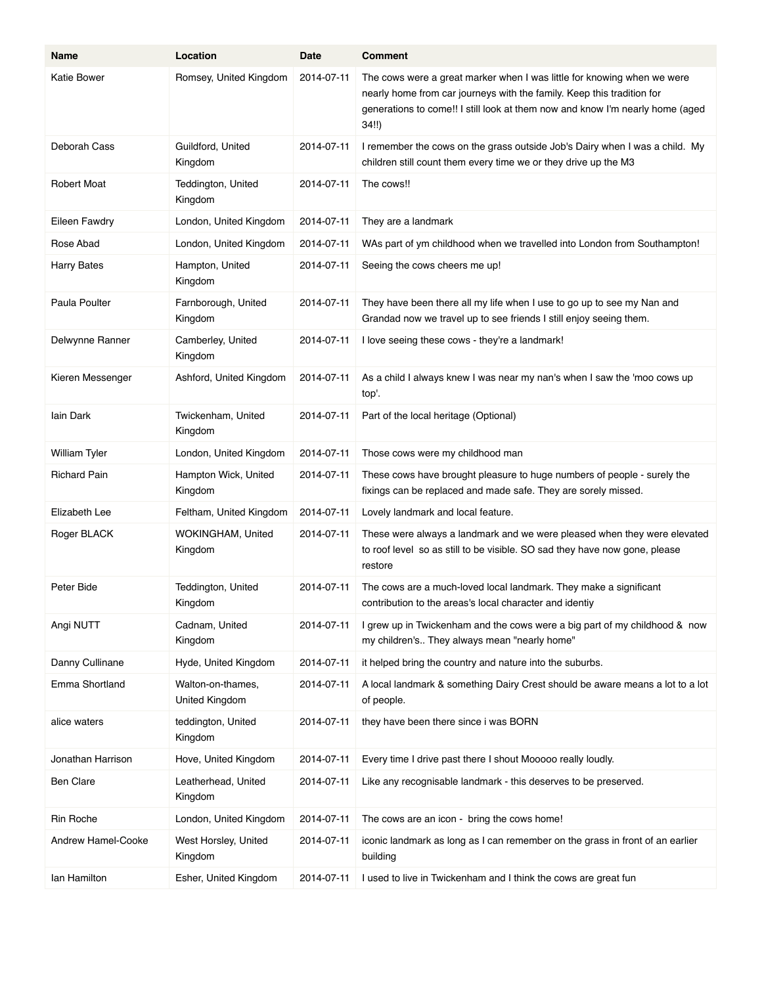| Name                 | Location                            | Date       | <b>Comment</b>                                                                                                                                                                                                                              |
|----------------------|-------------------------------------|------------|---------------------------------------------------------------------------------------------------------------------------------------------------------------------------------------------------------------------------------------------|
| <b>Katie Bower</b>   | Romsey, United Kingdom              | 2014-07-11 | The cows were a great marker when I was little for knowing when we were<br>nearly home from car journeys with the family. Keep this tradition for<br>generations to come!! I still look at them now and know I'm nearly home (aged<br>34!!) |
| Deborah Cass         | Guildford, United<br>Kingdom        | 2014-07-11 | I remember the cows on the grass outside Job's Dairy when I was a child. My<br>children still count them every time we or they drive up the M3                                                                                              |
| <b>Robert Moat</b>   | Teddington, United<br>Kingdom       | 2014-07-11 | The cows!!                                                                                                                                                                                                                                  |
| Eileen Fawdry        | London, United Kingdom              | 2014-07-11 | They are a landmark                                                                                                                                                                                                                         |
| Rose Abad            | London, United Kingdom              | 2014-07-11 | WAs part of ym childhood when we travelled into London from Southampton!                                                                                                                                                                    |
| <b>Harry Bates</b>   | Hampton, United<br>Kingdom          | 2014-07-11 | Seeing the cows cheers me up!                                                                                                                                                                                                               |
| Paula Poulter        | Farnborough, United<br>Kingdom      | 2014-07-11 | They have been there all my life when I use to go up to see my Nan and<br>Grandad now we travel up to see friends I still enjoy seeing them.                                                                                                |
| Delwynne Ranner      | Camberley, United<br>Kingdom        | 2014-07-11 | I love seeing these cows - they're a landmark!                                                                                                                                                                                              |
| Kieren Messenger     | Ashford, United Kingdom             | 2014-07-11 | As a child I always knew I was near my nan's when I saw the 'moo cows up<br>top'.                                                                                                                                                           |
| lain Dark            | Twickenham, United<br>Kingdom       | 2014-07-11 | Part of the local heritage (Optional)                                                                                                                                                                                                       |
| <b>William Tyler</b> | London, United Kingdom              | 2014-07-11 | Those cows were my childhood man                                                                                                                                                                                                            |
| <b>Richard Pain</b>  | Hampton Wick, United<br>Kingdom     | 2014-07-11 | These cows have brought pleasure to huge numbers of people - surely the<br>fixings can be replaced and made safe. They are sorely missed.                                                                                                   |
| Elizabeth Lee        | Feltham, United Kingdom             | 2014-07-11 | Lovely landmark and local feature.                                                                                                                                                                                                          |
| Roger BLACK          | WOKINGHAM, United<br>Kingdom        | 2014-07-11 | These were always a landmark and we were pleased when they were elevated<br>to roof level so as still to be visible. SO sad they have now gone, please<br>restore                                                                           |
| Peter Bide           | Teddington, United<br>Kingdom       | 2014-07-11 | The cows are a much-loved local landmark. They make a significant<br>contribution to the areas's local character and identiy                                                                                                                |
| Angi NUTT            | Cadnam, United<br>Kingdom           | 2014-07-11 | I grew up in Twickenham and the cows were a big part of my childhood & now<br>my children's They always mean "nearly home"                                                                                                                  |
| Danny Cullinane      | Hyde, United Kingdom                | 2014-07-11 | it helped bring the country and nature into the suburbs.                                                                                                                                                                                    |
| Emma Shortland       | Walton-on-thames,<br>United Kingdom | 2014-07-11 | A local landmark & something Dairy Crest should be aware means a lot to a lot<br>of people.                                                                                                                                                 |
| alice waters         | teddington, United<br>Kingdom       | 2014-07-11 | they have been there since i was BORN                                                                                                                                                                                                       |
| Jonathan Harrison    | Hove, United Kingdom                | 2014-07-11 | Every time I drive past there I shout Mooooo really loudly.                                                                                                                                                                                 |
| <b>Ben Clare</b>     | Leatherhead, United<br>Kingdom      | 2014-07-11 | Like any recognisable landmark - this deserves to be preserved.                                                                                                                                                                             |
| Rin Roche            | London, United Kingdom              | 2014-07-11 | The cows are an icon - bring the cows home!                                                                                                                                                                                                 |
| Andrew Hamel-Cooke   | West Horsley, United<br>Kingdom     | 2014-07-11 | iconic landmark as long as I can remember on the grass in front of an earlier<br>building                                                                                                                                                   |
| lan Hamilton         | Esher, United Kingdom               | 2014-07-11 | I used to live in Twickenham and I think the cows are great fun                                                                                                                                                                             |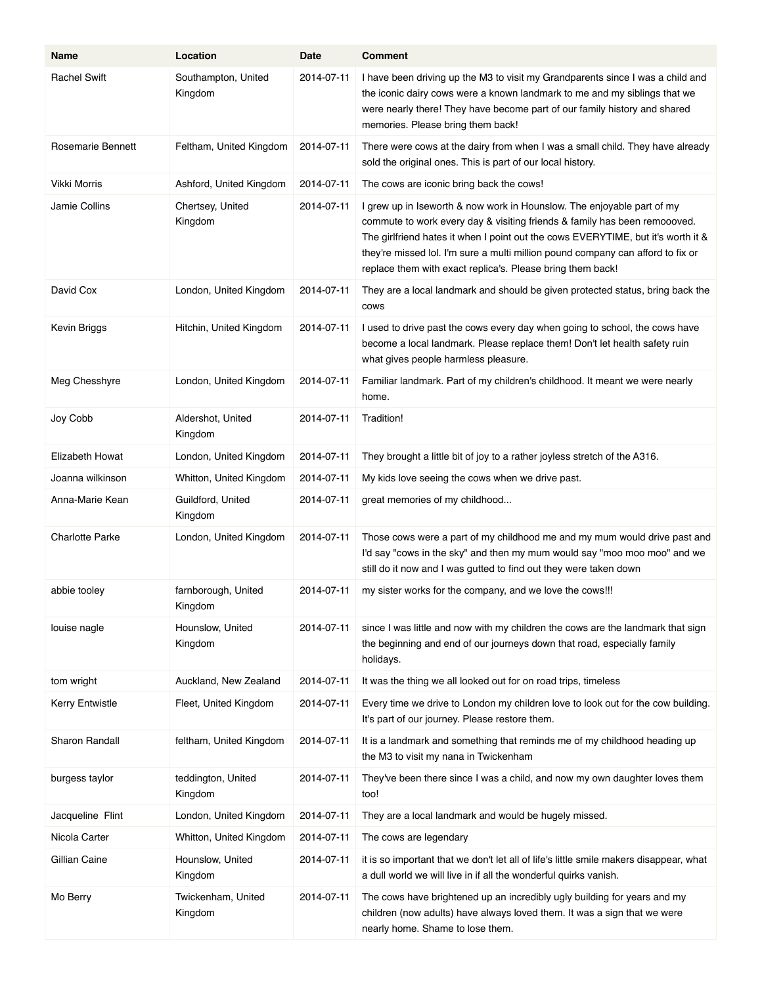| Name                   | Location                       | Date       | <b>Comment</b>                                                                                                                                                                                                                                                                                                                                                                           |
|------------------------|--------------------------------|------------|------------------------------------------------------------------------------------------------------------------------------------------------------------------------------------------------------------------------------------------------------------------------------------------------------------------------------------------------------------------------------------------|
| <b>Rachel Swift</b>    | Southampton, United<br>Kingdom | 2014-07-11 | I have been driving up the M3 to visit my Grandparents since I was a child and<br>the iconic dairy cows were a known landmark to me and my siblings that we<br>were nearly there! They have become part of our family history and shared<br>memories. Please bring them back!                                                                                                            |
| Rosemarie Bennett      | Feltham, United Kingdom        | 2014-07-11 | There were cows at the dairy from when I was a small child. They have already<br>sold the original ones. This is part of our local history.                                                                                                                                                                                                                                              |
| Vikki Morris           | Ashford, United Kingdom        | 2014-07-11 | The cows are iconic bring back the cows!                                                                                                                                                                                                                                                                                                                                                 |
| Jamie Collins          | Chertsey, United<br>Kingdom    | 2014-07-11 | I grew up in Iseworth & now work in Hounslow. The enjoyable part of my<br>commute to work every day & visiting friends & family has been remoooved.<br>The girlfriend hates it when I point out the cows EVERYTIME, but it's worth it &<br>they're missed lol. I'm sure a multi million pound company can afford to fix or<br>replace them with exact replica's. Please bring them back! |
| David Cox              | London, United Kingdom         | 2014-07-11 | They are a local landmark and should be given protected status, bring back the<br>cows                                                                                                                                                                                                                                                                                                   |
| Kevin Briggs           | Hitchin, United Kingdom        | 2014-07-11 | I used to drive past the cows every day when going to school, the cows have<br>become a local landmark. Please replace them! Don't let health safety ruin<br>what gives people harmless pleasure.                                                                                                                                                                                        |
| Meg Chesshyre          | London, United Kingdom         | 2014-07-11 | Familiar landmark. Part of my children's childhood. It meant we were nearly<br>home.                                                                                                                                                                                                                                                                                                     |
| Joy Cobb               | Aldershot, United<br>Kingdom   | 2014-07-11 | Tradition!                                                                                                                                                                                                                                                                                                                                                                               |
| Elizabeth Howat        | London, United Kingdom         | 2014-07-11 | They brought a little bit of joy to a rather joyless stretch of the A316.                                                                                                                                                                                                                                                                                                                |
| Joanna wilkinson       | Whitton, United Kingdom        | 2014-07-11 | My kids love seeing the cows when we drive past.                                                                                                                                                                                                                                                                                                                                         |
| Anna-Marie Kean        | Guildford, United<br>Kingdom   | 2014-07-11 | great memories of my childhood                                                                                                                                                                                                                                                                                                                                                           |
| <b>Charlotte Parke</b> | London, United Kingdom         | 2014-07-11 | Those cows were a part of my childhood me and my mum would drive past and<br>I'd say "cows in the sky" and then my mum would say "moo moo moo" and we<br>still do it now and I was gutted to find out they were taken down                                                                                                                                                               |
| abbie tooley           | farnborough, United<br>Kingdom | 2014-07-11 | my sister works for the company, and we love the cows!!!                                                                                                                                                                                                                                                                                                                                 |
| louise nagle           | Hounslow, United<br>Kingdom    | 2014-07-11 | since I was little and now with my children the cows are the landmark that sign<br>the beginning and end of our journeys down that road, especially family<br>holidays.                                                                                                                                                                                                                  |
| tom wright             | Auckland, New Zealand          | 2014-07-11 | It was the thing we all looked out for on road trips, timeless                                                                                                                                                                                                                                                                                                                           |
| <b>Kerry Entwistle</b> | Fleet, United Kingdom          | 2014-07-11 | Every time we drive to London my children love to look out for the cow building.<br>It's part of our journey. Please restore them.                                                                                                                                                                                                                                                       |
| Sharon Randall         | feltham, United Kingdom        | 2014-07-11 | It is a landmark and something that reminds me of my childhood heading up<br>the M3 to visit my nana in Twickenham                                                                                                                                                                                                                                                                       |
| burgess taylor         | teddington, United<br>Kingdom  | 2014-07-11 | They've been there since I was a child, and now my own daughter loves them<br>too!                                                                                                                                                                                                                                                                                                       |
| Jacqueline Flint       | London, United Kingdom         | 2014-07-11 | They are a local landmark and would be hugely missed.                                                                                                                                                                                                                                                                                                                                    |
| Nicola Carter          | Whitton, United Kingdom        | 2014-07-11 | The cows are legendary                                                                                                                                                                                                                                                                                                                                                                   |
| Gillian Caine          | Hounslow, United<br>Kingdom    | 2014-07-11 | it is so important that we don't let all of life's little smile makers disappear, what<br>a dull world we will live in if all the wonderful quirks vanish.                                                                                                                                                                                                                               |
| Mo Berry               | Twickenham, United<br>Kingdom  | 2014-07-11 | The cows have brightened up an incredibly ugly building for years and my<br>children (now adults) have always loved them. It was a sign that we were<br>nearly home. Shame to lose them.                                                                                                                                                                                                 |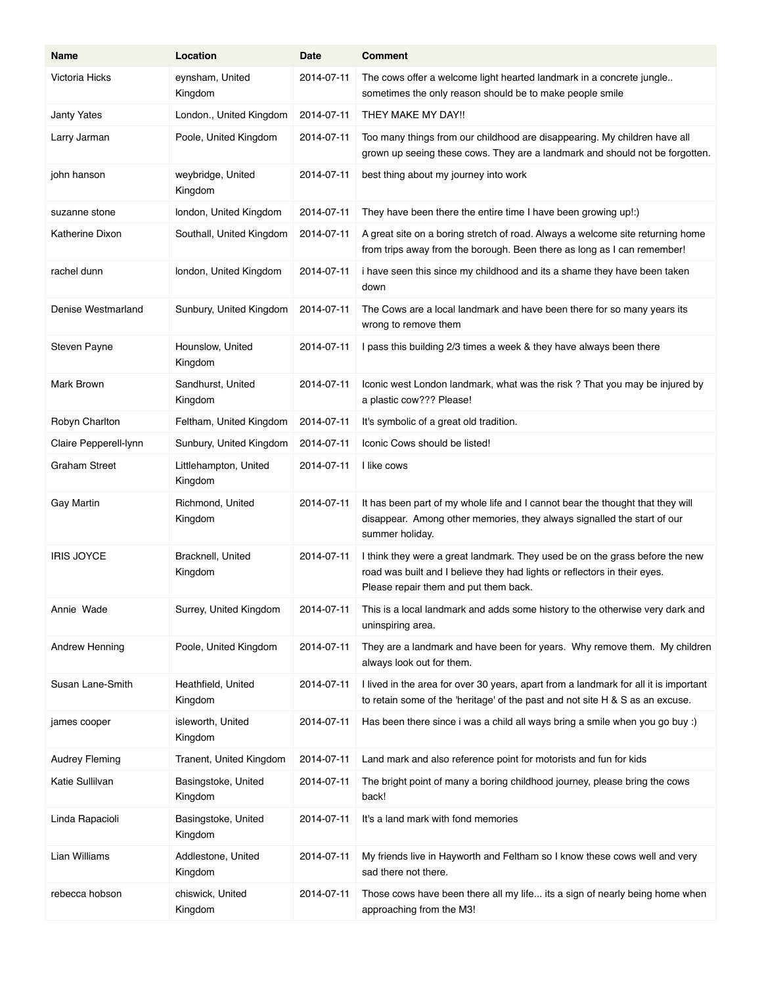| Name                  | Location                         | Date       | <b>Comment</b>                                                                                                                                                                                     |
|-----------------------|----------------------------------|------------|----------------------------------------------------------------------------------------------------------------------------------------------------------------------------------------------------|
| Victoria Hicks        | eynsham, United<br>Kingdom       | 2014-07-11 | The cows offer a welcome light hearted landmark in a concrete jungle<br>sometimes the only reason should be to make people smile                                                                   |
| <b>Janty Yates</b>    | London., United Kingdom          | 2014-07-11 | THEY MAKE MY DAY!!                                                                                                                                                                                 |
| Larry Jarman          | Poole, United Kingdom            | 2014-07-11 | Too many things from our childhood are disappearing. My children have all<br>grown up seeing these cows. They are a landmark and should not be forgotten.                                          |
| john hanson           | weybridge, United<br>Kingdom     | 2014-07-11 | best thing about my journey into work                                                                                                                                                              |
| suzanne stone         | london, United Kingdom           | 2014-07-11 | They have been there the entire time I have been growing up!:)                                                                                                                                     |
| Katherine Dixon       | Southall, United Kingdom         | 2014-07-11 | A great site on a boring stretch of road. Always a welcome site returning home<br>from trips away from the borough. Been there as long as I can remember!                                          |
| rachel dunn           | london, United Kingdom           | 2014-07-11 | i have seen this since my childhood and its a shame they have been taken<br>down                                                                                                                   |
| Denise Westmarland    | Sunbury, United Kingdom          | 2014-07-11 | The Cows are a local landmark and have been there for so many years its<br>wrong to remove them                                                                                                    |
| Steven Payne          | Hounslow, United<br>Kingdom      | 2014-07-11 | I pass this building 2/3 times a week & they have always been there                                                                                                                                |
| Mark Brown            | Sandhurst, United<br>Kingdom     | 2014-07-11 | Iconic west London landmark, what was the risk? That you may be injured by<br>a plastic cow??? Please!                                                                                             |
| Robyn Charlton        | Feltham, United Kingdom          | 2014-07-11 | It's symbolic of a great old tradition.                                                                                                                                                            |
| Claire Pepperell-lynn | Sunbury, United Kingdom          | 2014-07-11 | Iconic Cows should be listed!                                                                                                                                                                      |
| <b>Graham Street</b>  | Littlehampton, United<br>Kingdom | 2014-07-11 | I like cows                                                                                                                                                                                        |
| <b>Gay Martin</b>     | Richmond, United<br>Kingdom      | 2014-07-11 | It has been part of my whole life and I cannot bear the thought that they will<br>disappear. Among other memories, they always signalled the start of our<br>summer holiday.                       |
| <b>IRIS JOYCE</b>     | Bracknell, United<br>Kingdom     | 2014-07-11 | I think they were a great landmark. They used be on the grass before the new<br>road was built and I believe they had lights or reflectors in their eyes.<br>Please repair them and put them back. |
| Annie Wade            | Surrey, United Kingdom           | 2014-07-11 | This is a local landmark and adds some history to the otherwise very dark and<br>uninspiring area.                                                                                                 |
| Andrew Henning        | Poole, United Kingdom            | 2014-07-11 | They are a landmark and have been for years. Why remove them. My children<br>always look out for them.                                                                                             |
| Susan Lane-Smith      | Heathfield, United<br>Kingdom    | 2014-07-11 | I lived in the area for over 30 years, apart from a landmark for all it is important<br>to retain some of the 'heritage' of the past and not site H & S as an excuse.                              |
| james cooper          | isleworth, United<br>Kingdom     | 2014-07-11 | Has been there since i was a child all ways bring a smile when you go buy :)                                                                                                                       |
| <b>Audrey Fleming</b> | Tranent, United Kingdom          | 2014-07-11 | Land mark and also reference point for motorists and fun for kids                                                                                                                                  |
| Katie Sullilvan       | Basingstoke, United<br>Kingdom   | 2014-07-11 | The bright point of many a boring childhood journey, please bring the cows<br>back!                                                                                                                |
| Linda Rapacioli       | Basingstoke, United<br>Kingdom   | 2014-07-11 | It's a land mark with fond memories                                                                                                                                                                |
| Lian Williams         | Addlestone, United<br>Kingdom    | 2014-07-11 | My friends live in Hayworth and Feltham so I know these cows well and very<br>sad there not there.                                                                                                 |
| rebecca hobson        | chiswick, United<br>Kingdom      | 2014-07-11 | Those cows have been there all my life its a sign of nearly being home when<br>approaching from the M3!                                                                                            |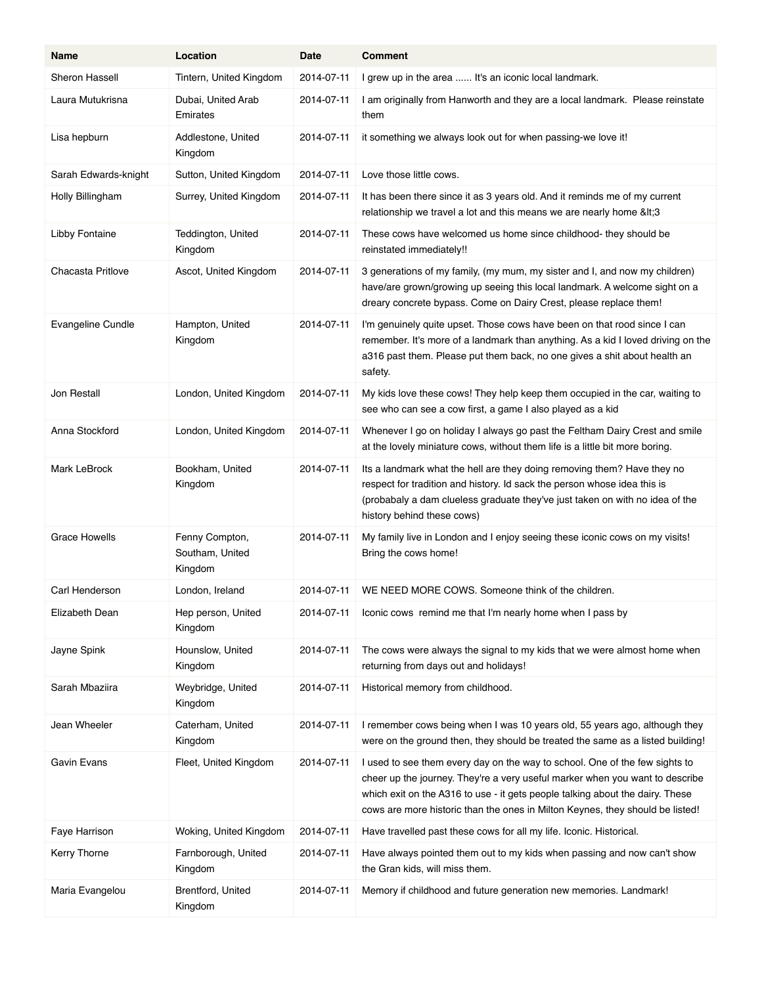| Name                  | Location                                     | Date       | <b>Comment</b>                                                                                                                                                                                                                                                                                                                |
|-----------------------|----------------------------------------------|------------|-------------------------------------------------------------------------------------------------------------------------------------------------------------------------------------------------------------------------------------------------------------------------------------------------------------------------------|
| Sheron Hassell        | Tintern, United Kingdom                      | 2014-07-11 | I grew up in the area  It's an iconic local landmark.                                                                                                                                                                                                                                                                         |
| Laura Mutukrisna      | Dubai, United Arab<br>Emirates               | 2014-07-11 | I am originally from Hanworth and they are a local landmark. Please reinstate<br>them                                                                                                                                                                                                                                         |
| Lisa hepburn          | Addlestone, United<br>Kingdom                | 2014-07-11 | it something we always look out for when passing-we love it!                                                                                                                                                                                                                                                                  |
| Sarah Edwards-knight  | Sutton, United Kingdom                       | 2014-07-11 | Love those little cows.                                                                                                                                                                                                                                                                                                       |
| Holly Billingham      | Surrey, United Kingdom                       | 2014-07-11 | It has been there since it as 3 years old. And it reminds me of my current<br>relationship we travel a lot and this means we are nearly home <3                                                                                                                                                                               |
| <b>Libby Fontaine</b> | Teddington, United<br>Kingdom                | 2014-07-11 | These cows have welcomed us home since childhood- they should be<br>reinstated immediately!!                                                                                                                                                                                                                                  |
| Chacasta Pritlove     | Ascot, United Kingdom                        | 2014-07-11 | 3 generations of my family, (my mum, my sister and I, and now my children)<br>have/are grown/growing up seeing this local landmark. A welcome sight on a<br>dreary concrete bypass. Come on Dairy Crest, please replace them!                                                                                                 |
| Evangeline Cundle     | Hampton, United<br>Kingdom                   | 2014-07-11 | I'm genuinely quite upset. Those cows have been on that rood since I can<br>remember. It's more of a landmark than anything. As a kid I loved driving on the<br>a316 past them. Please put them back, no one gives a shit about health an<br>safety.                                                                          |
| <b>Jon Restall</b>    | London, United Kingdom                       | 2014-07-11 | My kids love these cows! They help keep them occupied in the car, waiting to<br>see who can see a cow first, a game I also played as a kid                                                                                                                                                                                    |
| Anna Stockford        | London, United Kingdom                       | 2014-07-11 | Whenever I go on holiday I always go past the Feltham Dairy Crest and smile<br>at the lovely miniature cows, without them life is a little bit more boring.                                                                                                                                                                   |
| Mark LeBrock          | Bookham, United<br>Kingdom                   | 2014-07-11 | Its a landmark what the hell are they doing removing them? Have they no<br>respect for tradition and history. Id sack the person whose idea this is<br>(probabaly a dam clueless graduate they've just taken on with no idea of the<br>history behind these cows)                                                             |
| <b>Grace Howells</b>  | Fenny Compton,<br>Southam, United<br>Kingdom | 2014-07-11 | My family live in London and I enjoy seeing these iconic cows on my visits!<br>Bring the cows home!                                                                                                                                                                                                                           |
| Carl Henderson        | London, Ireland                              | 2014-07-11 | WE NEED MORE COWS. Someone think of the children.                                                                                                                                                                                                                                                                             |
| Elizabeth Dean        | Hep person, United<br>Kingdom                | 2014-07-11 | Iconic cows remind me that I'm nearly home when I pass by                                                                                                                                                                                                                                                                     |
| Jayne Spink           | Hounslow, United<br>Kingdom                  | 2014-07-11 | The cows were always the signal to my kids that we were almost home when<br>returning from days out and holidays!                                                                                                                                                                                                             |
| Sarah Mbaziira        | Weybridge, United<br>Kingdom                 | 2014-07-11 | Historical memory from childhood.                                                                                                                                                                                                                                                                                             |
| Jean Wheeler          | Caterham, United<br>Kingdom                  | 2014-07-11 | I remember cows being when I was 10 years old, 55 years ago, although they<br>were on the ground then, they should be treated the same as a listed building!                                                                                                                                                                  |
| Gavin Evans           | Fleet, United Kingdom                        | 2014-07-11 | I used to see them every day on the way to school. One of the few sights to<br>cheer up the journey. They're a very useful marker when you want to describe<br>which exit on the A316 to use - it gets people talking about the dairy. These<br>cows are more historic than the ones in Milton Keynes, they should be listed! |
| Faye Harrison         | Woking, United Kingdom                       | 2014-07-11 | Have travelled past these cows for all my life. Iconic. Historical.                                                                                                                                                                                                                                                           |
| Kerry Thorne          | Farnborough, United<br>Kingdom               | 2014-07-11 | Have always pointed them out to my kids when passing and now can't show<br>the Gran kids, will miss them.                                                                                                                                                                                                                     |
| Maria Evangelou       | Brentford, United<br>Kingdom                 | 2014-07-11 | Memory if childhood and future generation new memories. Landmark!                                                                                                                                                                                                                                                             |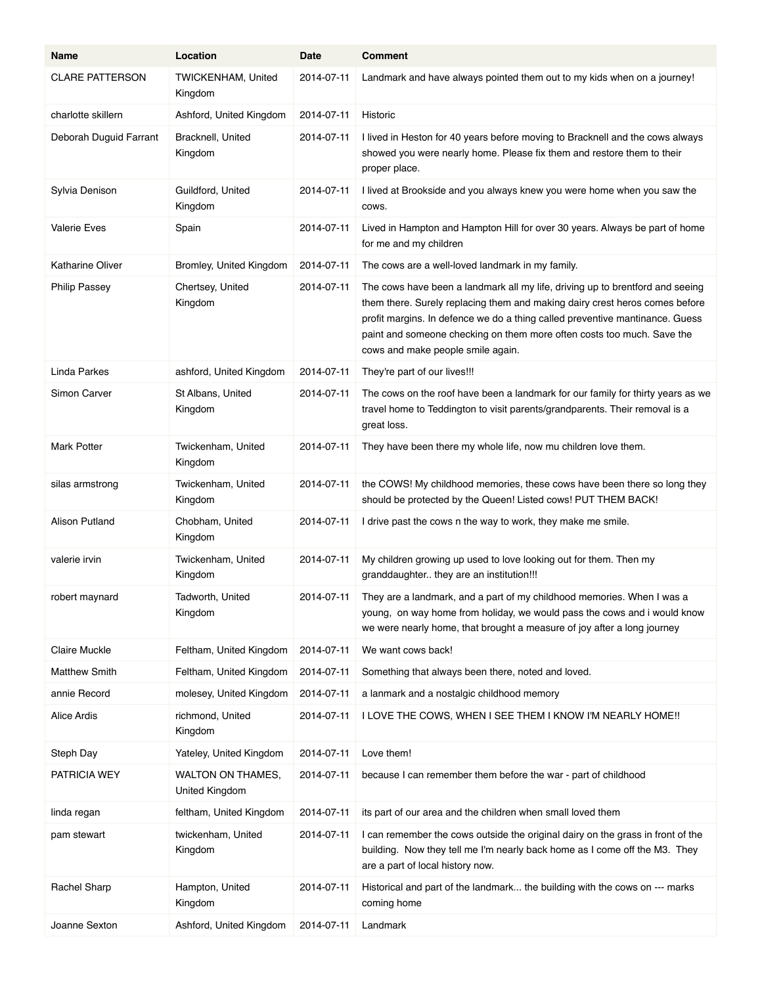| Name                   | Location                                   | Date       | <b>Comment</b>                                                                                                                                                                                                                                                                                                                                              |
|------------------------|--------------------------------------------|------------|-------------------------------------------------------------------------------------------------------------------------------------------------------------------------------------------------------------------------------------------------------------------------------------------------------------------------------------------------------------|
| <b>CLARE PATTERSON</b> | TWICKENHAM, United<br>Kingdom              | 2014-07-11 | Landmark and have always pointed them out to my kids when on a journey!                                                                                                                                                                                                                                                                                     |
| charlotte skillern     | Ashford, United Kingdom                    | 2014-07-11 | Historic                                                                                                                                                                                                                                                                                                                                                    |
| Deborah Duguid Farrant | Bracknell, United<br>Kingdom               | 2014-07-11 | I lived in Heston for 40 years before moving to Bracknell and the cows always<br>showed you were nearly home. Please fix them and restore them to their<br>proper place.                                                                                                                                                                                    |
| Sylvia Denison         | Guildford, United<br>Kingdom               | 2014-07-11 | I lived at Brookside and you always knew you were home when you saw the<br>COWS.                                                                                                                                                                                                                                                                            |
| <b>Valerie Eves</b>    | Spain                                      | 2014-07-11 | Lived in Hampton and Hampton Hill for over 30 years. Always be part of home<br>for me and my children                                                                                                                                                                                                                                                       |
| Katharine Oliver       | Bromley, United Kingdom                    | 2014-07-11 | The cows are a well-loved landmark in my family.                                                                                                                                                                                                                                                                                                            |
| <b>Philip Passey</b>   | Chertsey, United<br>Kingdom                | 2014-07-11 | The cows have been a landmark all my life, driving up to brentford and seeing<br>them there. Surely replacing them and making dairy crest heros comes before<br>profit margins. In defence we do a thing called preventive mantinance. Guess<br>paint and someone checking on them more often costs too much. Save the<br>cows and make people smile again. |
| Linda Parkes           | ashford, United Kingdom                    | 2014-07-11 | They're part of our lives!!!                                                                                                                                                                                                                                                                                                                                |
| Simon Carver           | St Albans, United<br>Kingdom               | 2014-07-11 | The cows on the roof have been a landmark for our family for thirty years as we<br>travel home to Teddington to visit parents/grandparents. Their removal is a<br>great loss.                                                                                                                                                                               |
| <b>Mark Potter</b>     | Twickenham, United<br>Kingdom              | 2014-07-11 | They have been there my whole life, now mu children love them.                                                                                                                                                                                                                                                                                              |
| silas armstrong        | Twickenham, United<br>Kingdom              | 2014-07-11 | the COWS! My childhood memories, these cows have been there so long they<br>should be protected by the Queen! Listed cows! PUT THEM BACK!                                                                                                                                                                                                                   |
| Alison Putland         | Chobham, United<br>Kingdom                 | 2014-07-11 | I drive past the cows n the way to work, they make me smile.                                                                                                                                                                                                                                                                                                |
| valerie irvin          | Twickenham, United<br>Kingdom              | 2014-07-11 | My children growing up used to love looking out for them. Then my<br>granddaughter they are an institution!!!                                                                                                                                                                                                                                               |
| robert maynard         | Tadworth, United<br>Kingdom                | 2014-07-11 | They are a landmark, and a part of my childhood memories. When I was a<br>young, on way home from holiday, we would pass the cows and i would know<br>we were nearly home, that brought a measure of joy after a long journey                                                                                                                               |
| Claire Muckle          | Feltham, United Kingdom                    | 2014-07-11 | We want cows back!                                                                                                                                                                                                                                                                                                                                          |
| <b>Matthew Smith</b>   | Feltham, United Kingdom                    | 2014-07-11 | Something that always been there, noted and loved.                                                                                                                                                                                                                                                                                                          |
| annie Record           | molesey, United Kingdom                    | 2014-07-11 | a lanmark and a nostalgic childhood memory                                                                                                                                                                                                                                                                                                                  |
| <b>Alice Ardis</b>     | richmond, United<br>Kingdom                | 2014-07-11 | I LOVE THE COWS, WHEN I SEE THEM I KNOW I'M NEARLY HOME !!                                                                                                                                                                                                                                                                                                  |
| Steph Day              | Yateley, United Kingdom                    | 2014-07-11 | Love them!                                                                                                                                                                                                                                                                                                                                                  |
| PATRICIA WEY           | <b>WALTON ON THAMES,</b><br>United Kingdom | 2014-07-11 | because I can remember them before the war - part of childhood                                                                                                                                                                                                                                                                                              |
| linda regan            | feltham, United Kingdom                    | 2014-07-11 | its part of our area and the children when small loved them                                                                                                                                                                                                                                                                                                 |
| pam stewart            | twickenham, United<br>Kingdom              | 2014-07-11 | I can remember the cows outside the original dairy on the grass in front of the<br>building. Now they tell me I'm nearly back home as I come off the M3. They<br>are a part of local history now.                                                                                                                                                           |
| Rachel Sharp           | Hampton, United<br>Kingdom                 | 2014-07-11 | Historical and part of the landmark the building with the cows on --- marks<br>coming home                                                                                                                                                                                                                                                                  |
| Joanne Sexton          | Ashford, United Kingdom                    | 2014-07-11 | Landmark                                                                                                                                                                                                                                                                                                                                                    |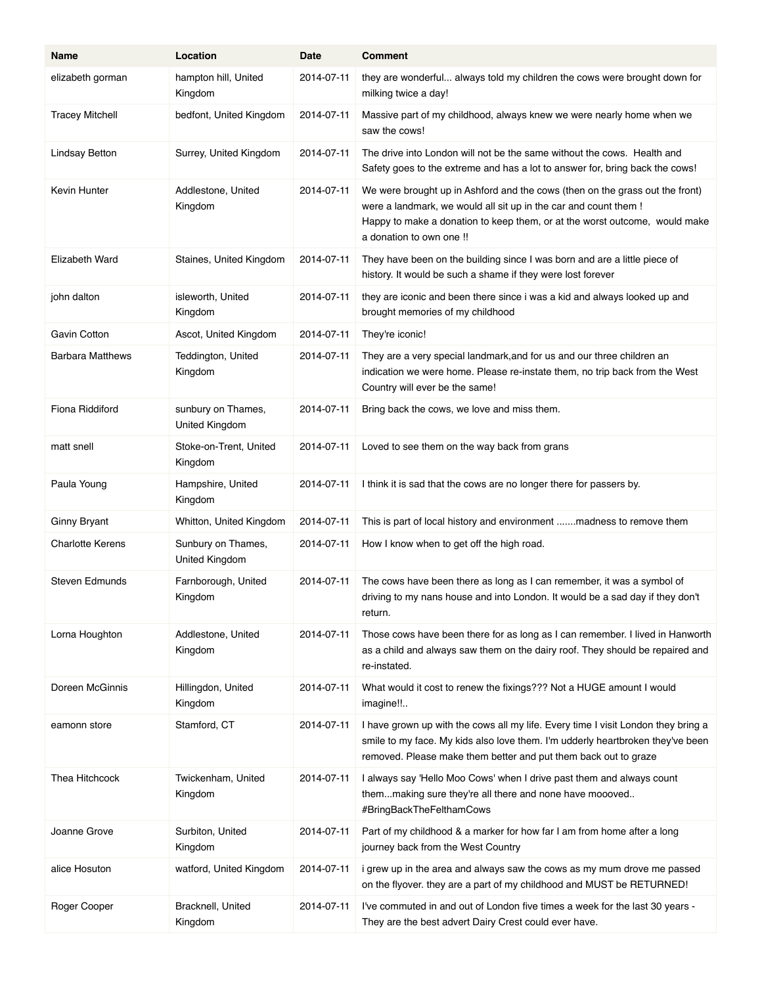| Name                    | Location                             | Date       | <b>Comment</b>                                                                                                                                                                                                                                             |
|-------------------------|--------------------------------------|------------|------------------------------------------------------------------------------------------------------------------------------------------------------------------------------------------------------------------------------------------------------------|
| elizabeth gorman        | hampton hill, United<br>Kingdom      | 2014-07-11 | they are wonderful always told my children the cows were brought down for<br>milking twice a day!                                                                                                                                                          |
| <b>Tracey Mitchell</b>  | bedfont, United Kingdom              | 2014-07-11 | Massive part of my childhood, always knew we were nearly home when we<br>saw the cows!                                                                                                                                                                     |
| <b>Lindsay Betton</b>   | Surrey, United Kingdom               | 2014-07-11 | The drive into London will not be the same without the cows. Health and<br>Safety goes to the extreme and has a lot to answer for, bring back the cows!                                                                                                    |
| Kevin Hunter            | Addlestone, United<br>Kingdom        | 2014-07-11 | We were brought up in Ashford and the cows (then on the grass out the front)<br>were a landmark, we would all sit up in the car and count them !<br>Happy to make a donation to keep them, or at the worst outcome, would make<br>a donation to own one !! |
| Elizabeth Ward          | Staines, United Kingdom              | 2014-07-11 | They have been on the building since I was born and are a little piece of<br>history. It would be such a shame if they were lost forever                                                                                                                   |
| john dalton             | isleworth, United<br>Kingdom         | 2014-07-11 | they are iconic and been there since i was a kid and always looked up and<br>brought memories of my childhood                                                                                                                                              |
| Gavin Cotton            | Ascot, United Kingdom                | 2014-07-11 | They're iconic!                                                                                                                                                                                                                                            |
| <b>Barbara Matthews</b> | Teddington, United<br>Kingdom        | 2014-07-11 | They are a very special landmark, and for us and our three children an<br>indication we were home. Please re-instate them, no trip back from the West<br>Country will ever be the same!                                                                    |
| Fiona Riddiford         | sunbury on Thames,<br>United Kingdom | 2014-07-11 | Bring back the cows, we love and miss them.                                                                                                                                                                                                                |
| matt snell              | Stoke-on-Trent, United<br>Kingdom    | 2014-07-11 | Loved to see them on the way back from grans                                                                                                                                                                                                               |
| Paula Young             | Hampshire, United<br>Kingdom         | 2014-07-11 | I think it is sad that the cows are no longer there for passers by.                                                                                                                                                                                        |
| Ginny Bryant            | Whitton, United Kingdom              | 2014-07-11 | This is part of local history and environment  madness to remove them                                                                                                                                                                                      |
| <b>Charlotte Kerens</b> | Sunbury on Thames,<br>United Kingdom | 2014-07-11 | How I know when to get off the high road.                                                                                                                                                                                                                  |
| Steven Edmunds          | Farnborough, United<br>Kingdom       | 2014-07-11 | The cows have been there as long as I can remember, it was a symbol of<br>driving to my nans house and into London. It would be a sad day if they don't<br>return.                                                                                         |
| Lorna Houghton          | Addlestone, United<br>Kingdom        | 2014-07-11 | Those cows have been there for as long as I can remember. I lived in Hanworth<br>as a child and always saw them on the dairy roof. They should be repaired and<br>re-instated.                                                                             |
| Doreen McGinnis         | Hillingdon, United<br>Kingdom        | 2014-07-11 | What would it cost to renew the fixings??? Not a HUGE amount I would<br>imagine!!                                                                                                                                                                          |
| eamonn store            | Stamford, CT                         | 2014-07-11 | I have grown up with the cows all my life. Every time I visit London they bring a<br>smile to my face. My kids also love them. I'm udderly heartbroken they've been<br>removed. Please make them better and put them back out to graze                     |
| Thea Hitchcock          | Twickenham, United<br>Kingdom        | 2014-07-11 | I always say 'Hello Moo Cows' when I drive past them and always count<br>themmaking sure they're all there and none have moooved<br>#BringBackTheFelthamCows                                                                                               |
| Joanne Grove            | Surbiton, United<br>Kingdom          | 2014-07-11 | Part of my childhood & a marker for how far I am from home after a long<br>journey back from the West Country                                                                                                                                              |
| alice Hosuton           | watford, United Kingdom              | 2014-07-11 | i grew up in the area and always saw the cows as my mum drove me passed<br>on the flyover. they are a part of my childhood and MUST be RETURNED!                                                                                                           |
| Roger Cooper            | Bracknell, United<br>Kingdom         | 2014-07-11 | I've commuted in and out of London five times a week for the last 30 years -<br>They are the best advert Dairy Crest could ever have.                                                                                                                      |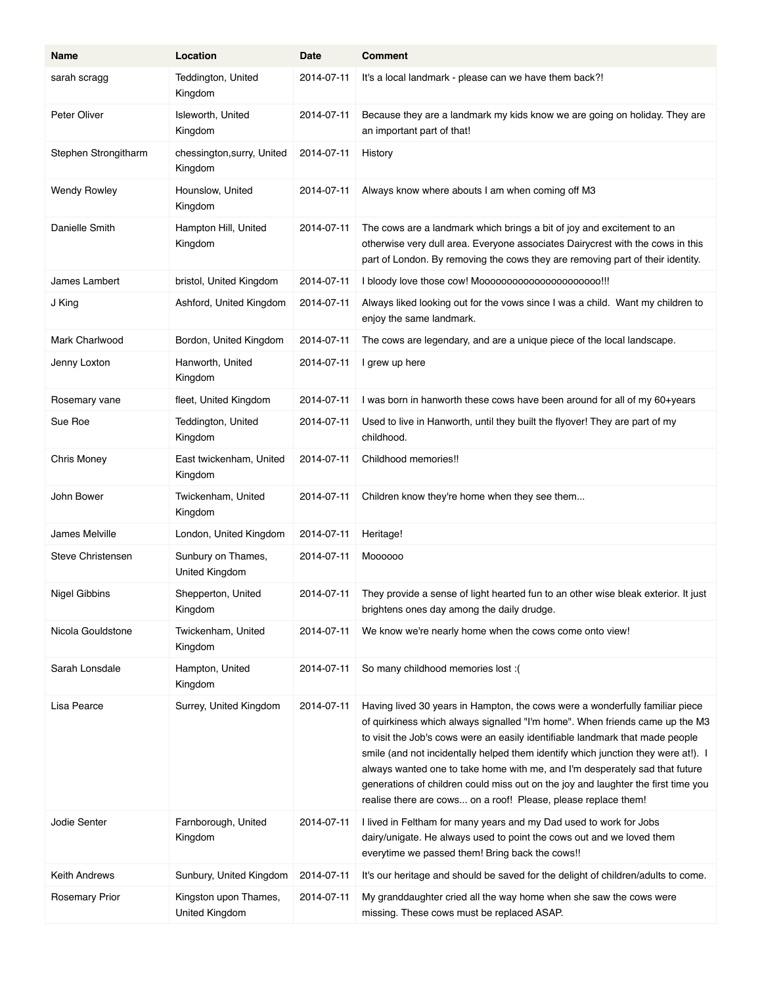| Name                  | Location                                | Date       | <b>Comment</b>                                                                                                                                                                                                                                                                                                                                                                                                                                                                                                                                                           |
|-----------------------|-----------------------------------------|------------|--------------------------------------------------------------------------------------------------------------------------------------------------------------------------------------------------------------------------------------------------------------------------------------------------------------------------------------------------------------------------------------------------------------------------------------------------------------------------------------------------------------------------------------------------------------------------|
| sarah scragg          | Teddington, United<br>Kingdom           | 2014-07-11 | It's a local landmark - please can we have them back?!                                                                                                                                                                                                                                                                                                                                                                                                                                                                                                                   |
| Peter Oliver          | Isleworth, United<br>Kingdom            | 2014-07-11 | Because they are a landmark my kids know we are going on holiday. They are<br>an important part of that!                                                                                                                                                                                                                                                                                                                                                                                                                                                                 |
| Stephen Strongitharm  | chessington, surry, United<br>Kingdom   | 2014-07-11 | History                                                                                                                                                                                                                                                                                                                                                                                                                                                                                                                                                                  |
| <b>Wendy Rowley</b>   | Hounslow, United<br>Kingdom             | 2014-07-11 | Always know where abouts I am when coming off M3                                                                                                                                                                                                                                                                                                                                                                                                                                                                                                                         |
| Danielle Smith        | Hampton Hill, United<br>Kingdom         | 2014-07-11 | The cows are a landmark which brings a bit of joy and excitement to an<br>otherwise very dull area. Everyone associates Dairycrest with the cows in this<br>part of London. By removing the cows they are removing part of their identity.                                                                                                                                                                                                                                                                                                                               |
| James Lambert         | bristol, United Kingdom                 | 2014-07-11 | I bloody love those cow! Mooooooooooooooooooooo!!!                                                                                                                                                                                                                                                                                                                                                                                                                                                                                                                       |
| J King                | Ashford, United Kingdom                 | 2014-07-11 | Always liked looking out for the vows since I was a child. Want my children to<br>enjoy the same landmark.                                                                                                                                                                                                                                                                                                                                                                                                                                                               |
| Mark Charlwood        | Bordon, United Kingdom                  | 2014-07-11 | The cows are legendary, and are a unique piece of the local landscape.                                                                                                                                                                                                                                                                                                                                                                                                                                                                                                   |
| Jenny Loxton          | Hanworth, United<br>Kingdom             | 2014-07-11 | I grew up here                                                                                                                                                                                                                                                                                                                                                                                                                                                                                                                                                           |
| Rosemary vane         | fleet, United Kingdom                   | 2014-07-11 | I was born in hanworth these cows have been around for all of my 60+years                                                                                                                                                                                                                                                                                                                                                                                                                                                                                                |
| Sue Roe               | Teddington, United<br>Kingdom           | 2014-07-11 | Used to live in Hanworth, until they built the flyover! They are part of my<br>childhood.                                                                                                                                                                                                                                                                                                                                                                                                                                                                                |
| Chris Money           | East twickenham, United<br>Kingdom      | 2014-07-11 | Childhood memories!!                                                                                                                                                                                                                                                                                                                                                                                                                                                                                                                                                     |
| John Bower            | Twickenham, United<br>Kingdom           | 2014-07-11 | Children know they're home when they see them                                                                                                                                                                                                                                                                                                                                                                                                                                                                                                                            |
| James Melville        | London, United Kingdom                  | 2014-07-11 | Heritage!                                                                                                                                                                                                                                                                                                                                                                                                                                                                                                                                                                |
| Steve Christensen     | Sunbury on Thames,<br>United Kingdom    | 2014-07-11 | Moooooo                                                                                                                                                                                                                                                                                                                                                                                                                                                                                                                                                                  |
| Nigel Gibbins         | Shepperton, United<br>Kingdom           | 2014-07-11 | They provide a sense of light hearted fun to an other wise bleak exterior. It just<br>brightens ones day among the daily drudge.                                                                                                                                                                                                                                                                                                                                                                                                                                         |
| Nicola Gouldstone     | Twickenham, United<br>Kingdom           | 2014-07-11 | We know we're nearly home when the cows come onto view!                                                                                                                                                                                                                                                                                                                                                                                                                                                                                                                  |
| Sarah Lonsdale        | Hampton, United<br>Kingdom              | 2014-07-11 | So many childhood memories lost :(                                                                                                                                                                                                                                                                                                                                                                                                                                                                                                                                       |
| Lisa Pearce           | Surrey, United Kingdom                  | 2014-07-11 | Having lived 30 years in Hampton, the cows were a wonderfully familiar piece<br>of quirkiness which always signalled "I'm home". When friends came up the M3<br>to visit the Job's cows were an easily identifiable landmark that made people<br>smile (and not incidentally helped them identify which junction they were at!). I<br>always wanted one to take home with me, and I'm desperately sad that future<br>generations of children could miss out on the joy and laughter the first time you<br>realise there are cows on a roof! Please, please replace them! |
| Jodie Senter          | Farnborough, United<br>Kingdom          | 2014-07-11 | I lived in Feltham for many years and my Dad used to work for Jobs<br>dairy/unigate. He always used to point the cows out and we loved them<br>everytime we passed them! Bring back the cows!!                                                                                                                                                                                                                                                                                                                                                                           |
| Keith Andrews         | Sunbury, United Kingdom                 | 2014-07-11 | It's our heritage and should be saved for the delight of children/adults to come.                                                                                                                                                                                                                                                                                                                                                                                                                                                                                        |
| <b>Rosemary Prior</b> | Kingston upon Thames,<br>United Kingdom | 2014-07-11 | My granddaughter cried all the way home when she saw the cows were<br>missing. These cows must be replaced ASAP.                                                                                                                                                                                                                                                                                                                                                                                                                                                         |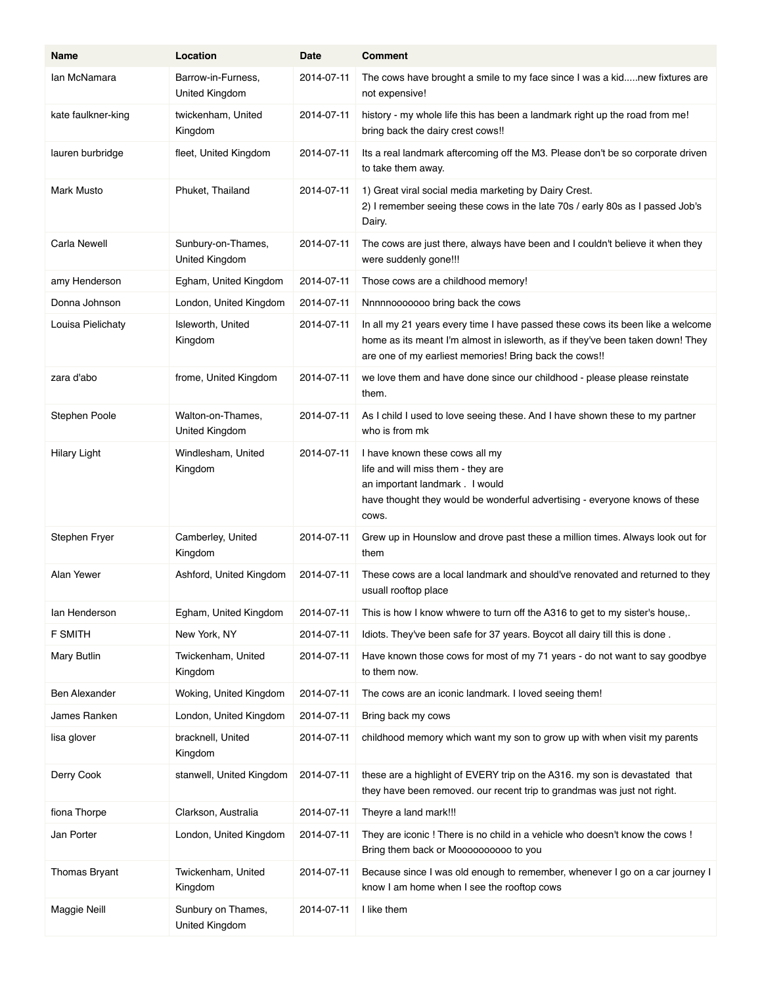| Name                 | Location                                    | <b>Date</b> | <b>Comment</b>                                                                                                                                                                                                             |
|----------------------|---------------------------------------------|-------------|----------------------------------------------------------------------------------------------------------------------------------------------------------------------------------------------------------------------------|
| lan McNamara         | Barrow-in-Furness,<br><b>United Kingdom</b> | 2014-07-11  | The cows have brought a smile to my face since I was a kidnew fixtures are<br>not expensive!                                                                                                                               |
| kate faulkner-king   | twickenham, United<br>Kingdom               | 2014-07-11  | history - my whole life this has been a landmark right up the road from me!<br>bring back the dairy crest cows!!                                                                                                           |
| lauren burbridge     | fleet, United Kingdom                       | 2014-07-11  | Its a real landmark aftercoming off the M3. Please don't be so corporate driven<br>to take them away.                                                                                                                      |
| Mark Musto           | Phuket, Thailand                            | 2014-07-11  | 1) Great viral social media marketing by Dairy Crest.<br>2) I remember seeing these cows in the late 70s / early 80s as I passed Job's<br>Dairy.                                                                           |
| Carla Newell         | Sunbury-on-Thames,<br>United Kingdom        | 2014-07-11  | The cows are just there, always have been and I couldn't believe it when they<br>were suddenly gone!!!                                                                                                                     |
| amy Henderson        | Egham, United Kingdom                       | 2014-07-11  | Those cows are a childhood memory!                                                                                                                                                                                         |
| Donna Johnson        | London, United Kingdom                      | 2014-07-11  | Nnnnnooooooo bring back the cows                                                                                                                                                                                           |
| Louisa Pielichaty    | Isleworth, United<br>Kingdom                | 2014-07-11  | In all my 21 years every time I have passed these cows its been like a welcome<br>home as its meant I'm almost in isleworth, as if they've been taken down! They<br>are one of my earliest memories! Bring back the cows!! |
| zara d'abo           | frome, United Kingdom                       | 2014-07-11  | we love them and have done since our childhood - please please reinstate<br>them.                                                                                                                                          |
| Stephen Poole        | Walton-on-Thames,<br>United Kingdom         | 2014-07-11  | As I child I used to love seeing these. And I have shown these to my partner<br>who is from mk                                                                                                                             |
| <b>Hilary Light</b>  | Windlesham, United<br>Kingdom               | 2014-07-11  | I have known these cows all my<br>life and will miss them - they are<br>an important landmark . I would<br>have thought they would be wonderful advertising - everyone knows of these<br>COWS.                             |
| Stephen Fryer        | Camberley, United<br>Kingdom                | 2014-07-11  | Grew up in Hounslow and drove past these a million times. Always look out for<br>them                                                                                                                                      |
| Alan Yewer           | Ashford, United Kingdom                     | 2014 07 11  | These cows are a local landmark and should've renovated and returned to they<br>usuall rooftop place                                                                                                                       |
| lan Henderson        | Egham, United Kingdom                       | 2014-07-11  | This is how I know whwere to turn off the A316 to get to my sister's house,.                                                                                                                                               |
| F SMITH              | New York, NY                                | 2014-07-11  | Idiots. They've been safe for 37 years. Boycot all dairy till this is done.                                                                                                                                                |
| Mary Butlin          | Twickenham, United<br>Kingdom               | 2014-07-11  | Have known those cows for most of my 71 years - do not want to say goodbye<br>to them now.                                                                                                                                 |
| <b>Ben Alexander</b> | Woking, United Kingdom                      | 2014-07-11  | The cows are an iconic landmark. I loved seeing them!                                                                                                                                                                      |
| James Ranken         | London, United Kingdom                      | 2014-07-11  | Bring back my cows                                                                                                                                                                                                         |
| lisa glover          | bracknell, United<br>Kingdom                | 2014-07-11  | childhood memory which want my son to grow up with when visit my parents                                                                                                                                                   |
| Derry Cook           | stanwell, United Kingdom                    | 2014-07-11  | these are a highlight of EVERY trip on the A316. my son is devastated that<br>they have been removed. our recent trip to grandmas was just not right.                                                                      |
| fiona Thorpe         | Clarkson, Australia                         | 2014-07-11  | Theyre a land mark!!!                                                                                                                                                                                                      |
| Jan Porter           | London, United Kingdom                      | 2014-07-11  | They are iconic! There is no child in a vehicle who doesn't know the cows!<br>Bring them back or Moooooooooo to you                                                                                                        |
| Thomas Bryant        | Twickenham, United<br>Kingdom               | 2014-07-11  | Because since I was old enough to remember, whenever I go on a car journey I<br>know I am home when I see the rooftop cows                                                                                                 |
| Maggie Neill         | Sunbury on Thames,<br>United Kingdom        | 2014-07-11  | I like them                                                                                                                                                                                                                |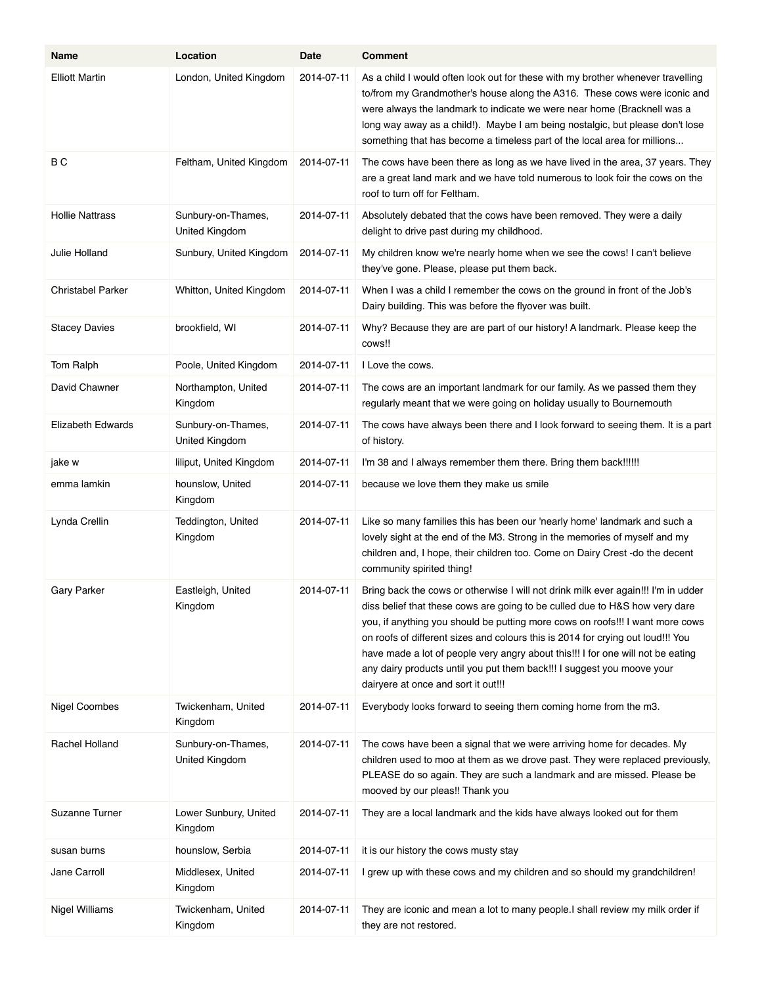| Name                     | Location                             | Date       | <b>Comment</b>                                                                                                                                                                                                                                                                                                                                                                                                                                                                                                                           |
|--------------------------|--------------------------------------|------------|------------------------------------------------------------------------------------------------------------------------------------------------------------------------------------------------------------------------------------------------------------------------------------------------------------------------------------------------------------------------------------------------------------------------------------------------------------------------------------------------------------------------------------------|
| <b>Elliott Martin</b>    | London, United Kingdom               | 2014-07-11 | As a child I would often look out for these with my brother whenever travelling<br>to/from my Grandmother's house along the A316. These cows were iconic and<br>were always the landmark to indicate we were near home (Bracknell was a<br>long way away as a child!). Maybe I am being nostalgic, but please don't lose<br>something that has become a timeless part of the local area for millions                                                                                                                                     |
| B <sub>C</sub>           | Feltham, United Kingdom              | 2014-07-11 | The cows have been there as long as we have lived in the area, 37 years. They<br>are a great land mark and we have told numerous to look foir the cows on the<br>roof to turn off for Feltham.                                                                                                                                                                                                                                                                                                                                           |
| <b>Hollie Nattrass</b>   | Sunbury-on-Thames,<br>United Kingdom | 2014-07-11 | Absolutely debated that the cows have been removed. They were a daily<br>delight to drive past during my childhood.                                                                                                                                                                                                                                                                                                                                                                                                                      |
| Julie Holland            | Sunbury, United Kingdom              | 2014-07-11 | My children know we're nearly home when we see the cows! I can't believe<br>they've gone. Please, please put them back.                                                                                                                                                                                                                                                                                                                                                                                                                  |
| <b>Christabel Parker</b> | Whitton, United Kingdom              | 2014-07-11 | When I was a child I remember the cows on the ground in front of the Job's<br>Dairy building. This was before the flyover was built.                                                                                                                                                                                                                                                                                                                                                                                                     |
| <b>Stacey Davies</b>     | brookfield, WI                       | 2014-07-11 | Why? Because they are are part of our history! A landmark. Please keep the<br>cows!!                                                                                                                                                                                                                                                                                                                                                                                                                                                     |
| Tom Ralph                | Poole, United Kingdom                | 2014-07-11 | I Love the cows.                                                                                                                                                                                                                                                                                                                                                                                                                                                                                                                         |
| David Chawner            | Northampton, United<br>Kingdom       | 2014-07-11 | The cows are an important landmark for our family. As we passed them they<br>regularly meant that we were going on holiday usually to Bournemouth                                                                                                                                                                                                                                                                                                                                                                                        |
| <b>Elizabeth Edwards</b> | Sunbury-on-Thames,<br>United Kingdom | 2014-07-11 | The cows have always been there and I look forward to seeing them. It is a part<br>of history.                                                                                                                                                                                                                                                                                                                                                                                                                                           |
| jake w                   | liliput, United Kingdom              | 2014-07-11 | I'm 38 and I always remember them there. Bring them back!!!!!!                                                                                                                                                                                                                                                                                                                                                                                                                                                                           |
| emma lamkin              | hounslow, United<br>Kingdom          | 2014-07-11 | because we love them they make us smile                                                                                                                                                                                                                                                                                                                                                                                                                                                                                                  |
| Lynda Crellin            | Teddington, United<br>Kingdom        | 2014-07-11 | Like so many families this has been our 'nearly home' landmark and such a<br>lovely sight at the end of the M3. Strong in the memories of myself and my<br>children and, I hope, their children too. Come on Dairy Crest - do the decent<br>community spirited thing!                                                                                                                                                                                                                                                                    |
| <b>Gary Parker</b>       | Eastleigh, United<br>Kingdom         | 2014-07-11 | Bring back the cows or otherwise I will not drink milk ever again!!! I'm in udder<br>diss belief that these cows are going to be culled due to H&S how very dare<br>you, if anything you should be putting more cows on roofs!!! I want more cows<br>on roofs of different sizes and colours this is 2014 for crying out loud!!! You<br>have made a lot of people very angry about this!!! I for one will not be eating<br>any dairy products until you put them back!!! I suggest you moove your<br>dairyere at once and sort it out!!! |
| Nigel Coombes            | Twickenham, United<br>Kingdom        | 2014-07-11 | Everybody looks forward to seeing them coming home from the m3.                                                                                                                                                                                                                                                                                                                                                                                                                                                                          |
| Rachel Holland           | Sunbury-on-Thames,<br>United Kingdom | 2014-07-11 | The cows have been a signal that we were arriving home for decades. My<br>children used to moo at them as we drove past. They were replaced previously,<br>PLEASE do so again. They are such a landmark and are missed. Please be<br>mooved by our pleas!! Thank you                                                                                                                                                                                                                                                                     |
| Suzanne Turner           | Lower Sunbury, United<br>Kingdom     | 2014-07-11 | They are a local landmark and the kids have always looked out for them                                                                                                                                                                                                                                                                                                                                                                                                                                                                   |
| susan burns              | hounslow, Serbia                     | 2014-07-11 | it is our history the cows musty stay                                                                                                                                                                                                                                                                                                                                                                                                                                                                                                    |
| Jane Carroll             | Middlesex, United<br>Kingdom         | 2014-07-11 | I grew up with these cows and my children and so should my grandchildren!                                                                                                                                                                                                                                                                                                                                                                                                                                                                |
| <b>Nigel Williams</b>    | Twickenham, United<br>Kingdom        | 2014-07-11 | They are iconic and mean a lot to many people. I shall review my milk order if<br>they are not restored.                                                                                                                                                                                                                                                                                                                                                                                                                                 |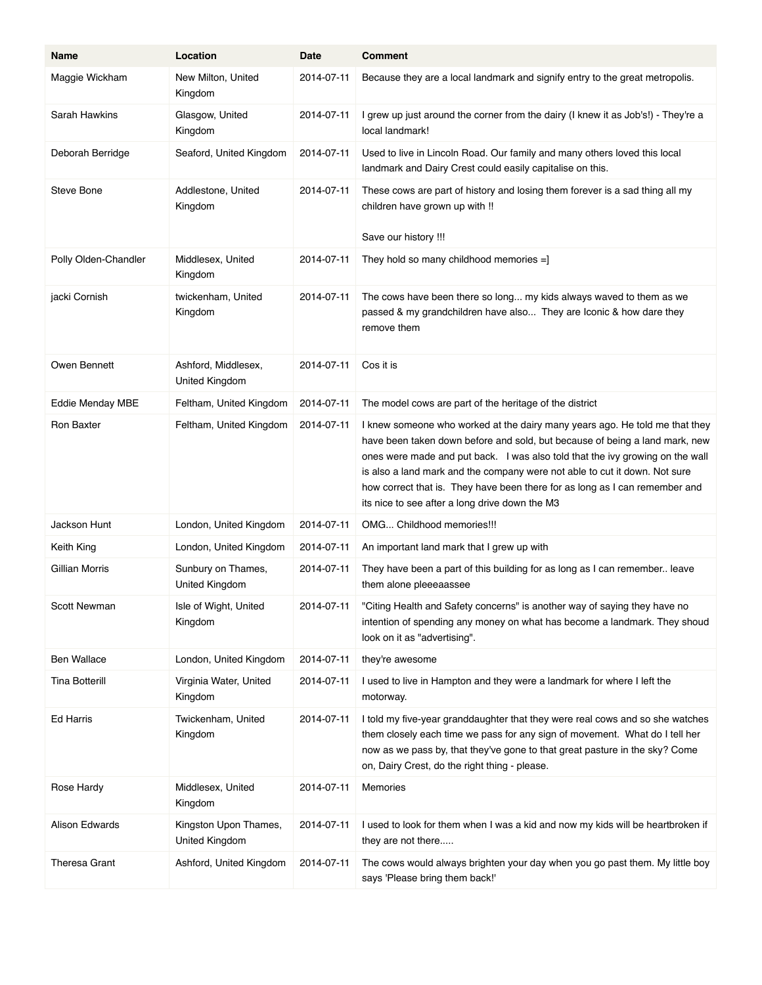| Name                  | Location                                | Date       | <b>Comment</b>                                                                                                                                                                                                                                                                                                                                                                                                                                             |
|-----------------------|-----------------------------------------|------------|------------------------------------------------------------------------------------------------------------------------------------------------------------------------------------------------------------------------------------------------------------------------------------------------------------------------------------------------------------------------------------------------------------------------------------------------------------|
| Maggie Wickham        | New Milton, United<br>Kingdom           | 2014-07-11 | Because they are a local landmark and signify entry to the great metropolis.                                                                                                                                                                                                                                                                                                                                                                               |
| Sarah Hawkins         | Glasgow, United<br>Kingdom              | 2014-07-11 | I grew up just around the corner from the dairy (I knew it as Job's!) - They're a<br>local landmark!                                                                                                                                                                                                                                                                                                                                                       |
| Deborah Berridge      | Seaford, United Kingdom                 | 2014-07-11 | Used to live in Lincoln Road. Our family and many others loved this local<br>landmark and Dairy Crest could easily capitalise on this.                                                                                                                                                                                                                                                                                                                     |
| <b>Steve Bone</b>     | Addlestone, United<br>Kingdom           | 2014-07-11 | These cows are part of history and losing them forever is a sad thing all my<br>children have grown up with !!<br>Save our history !!!                                                                                                                                                                                                                                                                                                                     |
| Polly Olden-Chandler  | Middlesex, United<br>Kingdom            | 2014-07-11 | They hold so many childhood memories $=$ ]                                                                                                                                                                                                                                                                                                                                                                                                                 |
| jacki Cornish         | twickenham, United<br>Kingdom           | 2014-07-11 | The cows have been there so long my kids always waved to them as we<br>passed & my grandchildren have also They are Iconic & how dare they<br>remove them                                                                                                                                                                                                                                                                                                  |
| Owen Bennett          | Ashford, Middlesex,<br>United Kingdom   | 2014-07-11 | Cos it is                                                                                                                                                                                                                                                                                                                                                                                                                                                  |
| Eddie Menday MBE      | Feltham, United Kingdom                 | 2014-07-11 | The model cows are part of the heritage of the district                                                                                                                                                                                                                                                                                                                                                                                                    |
| Ron Baxter            | Feltham, United Kingdom                 | 2014-07-11 | I knew someone who worked at the dairy many years ago. He told me that they<br>have been taken down before and sold, but because of being a land mark, new<br>ones were made and put back. I was also told that the ivy growing on the wall<br>is also a land mark and the company were not able to cut it down. Not sure<br>how correct that is. They have been there for as long as I can remember and<br>its nice to see after a long drive down the M3 |
| Jackson Hunt          | London, United Kingdom                  | 2014-07-11 | OMG Childhood memories!!!                                                                                                                                                                                                                                                                                                                                                                                                                                  |
| Keith King            | London, United Kingdom                  | 2014-07-11 | An important land mark that I grew up with                                                                                                                                                                                                                                                                                                                                                                                                                 |
| Gillian Morris        | Sunbury on Thames,<br>United Kingdom    | 2014-07-11 | They have been a part of this building for as long as I can remember leave<br>them alone pleeeaassee                                                                                                                                                                                                                                                                                                                                                       |
| Scott Newman          | Isle of Wight, United<br>Kingdom        | 2014-07-11 | "Citing Health and Safety concerns" is another way of saying they have no<br>intention of spending any money on what has become a landmark. They shoud<br>look on it as "advertising".                                                                                                                                                                                                                                                                     |
| <b>Ben Wallace</b>    | London, United Kingdom                  | 2014-07-11 | they're awesome                                                                                                                                                                                                                                                                                                                                                                                                                                            |
| <b>Tina Botterill</b> | Virginia Water, United<br>Kingdom       | 2014-07-11 | I used to live in Hampton and they were a landmark for where I left the<br>motorway.                                                                                                                                                                                                                                                                                                                                                                       |
| Ed Harris             | Twickenham, United<br>Kingdom           | 2014-07-11 | I told my five-year granddaughter that they were real cows and so she watches<br>them closely each time we pass for any sign of movement. What do I tell her<br>now as we pass by, that they've gone to that great pasture in the sky? Come<br>on, Dairy Crest, do the right thing - please.                                                                                                                                                               |
| Rose Hardy            | Middlesex, United<br>Kingdom            | 2014-07-11 | Memories                                                                                                                                                                                                                                                                                                                                                                                                                                                   |
| Alison Edwards        | Kingston Upon Thames,<br>United Kingdom | 2014-07-11 | I used to look for them when I was a kid and now my kids will be heartbroken if<br>they are not there                                                                                                                                                                                                                                                                                                                                                      |
| <b>Theresa Grant</b>  | Ashford, United Kingdom                 | 2014-07-11 | The cows would always brighten your day when you go past them. My little boy<br>says 'Please bring them back!'                                                                                                                                                                                                                                                                                                                                             |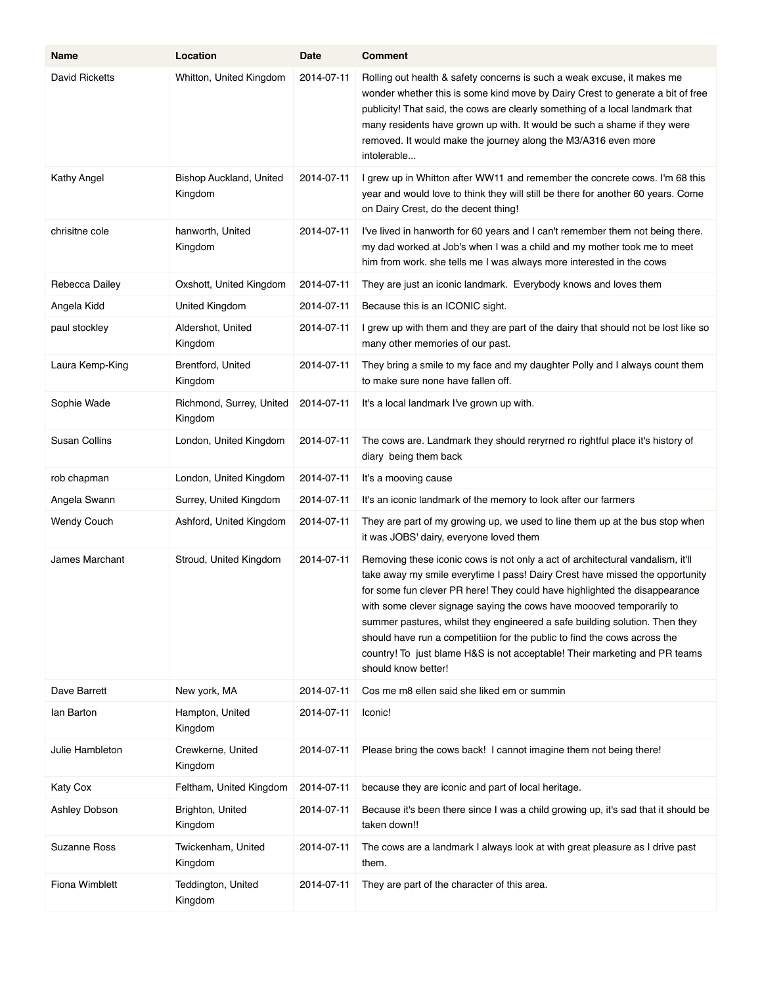| Name                 | Location                            | Date       | <b>Comment</b>                                                                                                                                                                                                                                                                                                                                                                                                                                                                                                                                                                        |
|----------------------|-------------------------------------|------------|---------------------------------------------------------------------------------------------------------------------------------------------------------------------------------------------------------------------------------------------------------------------------------------------------------------------------------------------------------------------------------------------------------------------------------------------------------------------------------------------------------------------------------------------------------------------------------------|
| David Ricketts       | Whitton, United Kingdom             | 2014-07-11 | Rolling out health & safety concerns is such a weak excuse, it makes me<br>wonder whether this is some kind move by Dairy Crest to generate a bit of free<br>publicity! That said, the cows are clearly something of a local landmark that<br>many residents have grown up with. It would be such a shame if they were<br>removed. It would make the journey along the M3/A316 even more<br>intolerable                                                                                                                                                                               |
| Kathy Angel          | Bishop Auckland, United<br>Kingdom  | 2014-07-11 | I grew up in Whitton after WW11 and remember the concrete cows. I'm 68 this<br>year and would love to think they will still be there for another 60 years. Come<br>on Dairy Crest, do the decent thing!                                                                                                                                                                                                                                                                                                                                                                               |
| chrisitne cole       | hanworth, United<br>Kingdom         | 2014-07-11 | I've lived in hanworth for 60 years and I can't remember them not being there.<br>my dad worked at Job's when I was a child and my mother took me to meet<br>him from work, she tells me I was always more interested in the cows                                                                                                                                                                                                                                                                                                                                                     |
| Rebecca Dailey       | Oxshott, United Kingdom             | 2014-07-11 | They are just an iconic landmark. Everybody knows and loves them                                                                                                                                                                                                                                                                                                                                                                                                                                                                                                                      |
| Angela Kidd          | United Kingdom                      | 2014-07-11 | Because this is an ICONIC sight.                                                                                                                                                                                                                                                                                                                                                                                                                                                                                                                                                      |
| paul stockley        | Aldershot, United<br>Kingdom        | 2014-07-11 | I grew up with them and they are part of the dairy that should not be lost like so<br>many other memories of our past.                                                                                                                                                                                                                                                                                                                                                                                                                                                                |
| Laura Kemp-King      | Brentford, United<br>Kingdom        | 2014-07-11 | They bring a smile to my face and my daughter Polly and I always count them<br>to make sure none have fallen off.                                                                                                                                                                                                                                                                                                                                                                                                                                                                     |
| Sophie Wade          | Richmond, Surrey, United<br>Kingdom | 2014-07-11 | It's a local landmark I've grown up with.                                                                                                                                                                                                                                                                                                                                                                                                                                                                                                                                             |
| <b>Susan Collins</b> | London, United Kingdom              | 2014-07-11 | The cows are. Landmark they should reryrned ro rightful place it's history of<br>diary being them back                                                                                                                                                                                                                                                                                                                                                                                                                                                                                |
| rob chapman          | London, United Kingdom              | 2014-07-11 | It's a mooving cause                                                                                                                                                                                                                                                                                                                                                                                                                                                                                                                                                                  |
| Angela Swann         | Surrey, United Kingdom              | 2014-07-11 | It's an iconic landmark of the memory to look after our farmers                                                                                                                                                                                                                                                                                                                                                                                                                                                                                                                       |
| <b>Wendy Couch</b>   | Ashford, United Kingdom             | 2014-07-11 | They are part of my growing up, we used to line them up at the bus stop when<br>it was JOBS' dairy, everyone loved them                                                                                                                                                                                                                                                                                                                                                                                                                                                               |
| James Marchant       | Stroud, United Kingdom              | 2014-07-11 | Removing these iconic cows is not only a act of architectural vandalism, it'll<br>take away my smile everytime I pass! Dairy Crest have missed the opportunity<br>for some fun clever PR here! They could have highlighted the disappearance<br>with some clever signage saying the cows have moooved temporarily to<br>summer pastures, whilst they engineered a safe building solution. Then they<br>should have run a competitiion for the public to find the cows across the<br>country! To just blame H&S is not acceptable! Their marketing and PR teams<br>should know better! |
| Dave Barrett         | New york, MA                        | 2014-07-11 | Cos me m8 ellen said she liked em or summin                                                                                                                                                                                                                                                                                                                                                                                                                                                                                                                                           |
| lan Barton           | Hampton, United<br>Kingdom          | 2014-07-11 | Iconic!                                                                                                                                                                                                                                                                                                                                                                                                                                                                                                                                                                               |
| Julie Hambleton      | Crewkerne, United<br>Kingdom        | 2014-07-11 | Please bring the cows back! I cannot imagine them not being there!                                                                                                                                                                                                                                                                                                                                                                                                                                                                                                                    |
| Katy Cox             | Feltham, United Kingdom             | 2014-07-11 | because they are iconic and part of local heritage.                                                                                                                                                                                                                                                                                                                                                                                                                                                                                                                                   |
| Ashley Dobson        | Brighton, United<br>Kingdom         | 2014-07-11 | Because it's been there since I was a child growing up, it's sad that it should be<br>taken down!!                                                                                                                                                                                                                                                                                                                                                                                                                                                                                    |
| Suzanne Ross         | Twickenham, United<br>Kingdom       | 2014-07-11 | The cows are a landmark I always look at with great pleasure as I drive past<br>them.                                                                                                                                                                                                                                                                                                                                                                                                                                                                                                 |
| Fiona Wimblett       | Teddington, United<br>Kingdom       | 2014-07-11 | They are part of the character of this area.                                                                                                                                                                                                                                                                                                                                                                                                                                                                                                                                          |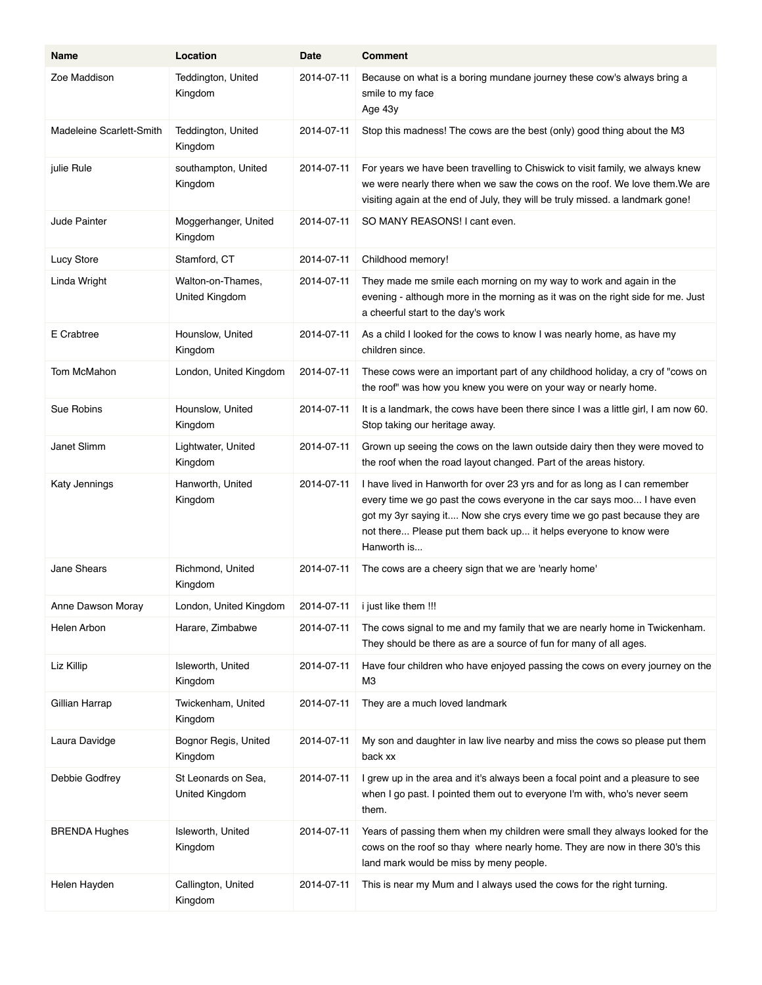| Name                     | Location                                   | Date       | Comment                                                                                                                                                                                                                                                                                                              |
|--------------------------|--------------------------------------------|------------|----------------------------------------------------------------------------------------------------------------------------------------------------------------------------------------------------------------------------------------------------------------------------------------------------------------------|
| Zoe Maddison             | Teddington, United<br>Kingdom              | 2014-07-11 | Because on what is a boring mundane journey these cow's always bring a<br>smile to my face<br>Age 43y                                                                                                                                                                                                                |
| Madeleine Scarlett-Smith | Teddington, United<br>Kingdom              | 2014-07-11 | Stop this madness! The cows are the best (only) good thing about the M3                                                                                                                                                                                                                                              |
| julie Rule               | southampton, United<br>Kingdom             | 2014-07-11 | For years we have been travelling to Chiswick to visit family, we always knew<br>we were nearly there when we saw the cows on the roof. We love them. We are<br>visiting again at the end of July, they will be truly missed. a landmark gone!                                                                       |
| <b>Jude Painter</b>      | Moggerhanger, United<br>Kingdom            | 2014-07-11 | SO MANY REASONS! I cant even.                                                                                                                                                                                                                                                                                        |
| Lucy Store               | Stamford, CT                               | 2014-07-11 | Childhood memory!                                                                                                                                                                                                                                                                                                    |
| Linda Wright             | Walton-on-Thames,<br><b>United Kingdom</b> | 2014-07-11 | They made me smile each morning on my way to work and again in the<br>evening - although more in the morning as it was on the right side for me. Just<br>a cheerful start to the day's work                                                                                                                          |
| E Crabtree               | Hounslow, United<br>Kingdom                | 2014-07-11 | As a child I looked for the cows to know I was nearly home, as have my<br>children since.                                                                                                                                                                                                                            |
| Tom McMahon              | London, United Kingdom                     | 2014-07-11 | These cows were an important part of any childhood holiday, a cry of "cows on<br>the roof" was how you knew you were on your way or nearly home.                                                                                                                                                                     |
| Sue Robins               | Hounslow, United<br>Kingdom                | 2014-07-11 | It is a landmark, the cows have been there since I was a little girl, I am now 60.<br>Stop taking our heritage away.                                                                                                                                                                                                 |
| Janet Slimm              | Lightwater, United<br>Kingdom              | 2014-07-11 | Grown up seeing the cows on the lawn outside dairy then they were moved to<br>the roof when the road layout changed. Part of the areas history.                                                                                                                                                                      |
| Katy Jennings            | Hanworth, United<br>Kingdom                | 2014-07-11 | I have lived in Hanworth for over 23 yrs and for as long as I can remember<br>every time we go past the cows everyone in the car says moo I have even<br>got my 3yr saying it Now she crys every time we go past because they are<br>not there Please put them back up it helps everyone to know were<br>Hanworth is |
| Jane Shears              | Richmond, United<br>Kingdom                | 2014-07-11 | The cows are a cheery sign that we are 'nearly home'                                                                                                                                                                                                                                                                 |
| Anne Dawson Moray        | London, United Kingdom                     | 2014-07-11 | i just like them !!!                                                                                                                                                                                                                                                                                                 |
| Helen Arbon              | Harare, Zimbabwe                           | 2014-07-11 | The cows signal to me and my family that we are nearly home in Twickenham.<br>They should be there as are a source of fun for many of all ages.                                                                                                                                                                      |
| Liz Killip               | Isleworth, United<br>Kingdom               | 2014-07-11 | Have four children who have enjoyed passing the cows on every journey on the<br>MЗ                                                                                                                                                                                                                                   |
| Gillian Harrap           | Twickenham, United<br>Kingdom              | 2014-07-11 | They are a much loved landmark                                                                                                                                                                                                                                                                                       |
| Laura Davidge            | Bognor Regis, United<br>Kingdom            | 2014-07-11 | My son and daughter in law live nearby and miss the cows so please put them<br>back xx                                                                                                                                                                                                                               |
| Debbie Godfrey           | St Leonards on Sea,<br>United Kingdom      | 2014-07-11 | I grew up in the area and it's always been a focal point and a pleasure to see<br>when I go past. I pointed them out to everyone I'm with, who's never seem<br>them.                                                                                                                                                 |
| <b>BRENDA Hughes</b>     | Isleworth, United<br>Kingdom               | 2014-07-11 | Years of passing them when my children were small they always looked for the<br>cows on the roof so thay where nearly home. They are now in there 30's this<br>land mark would be miss by meny people.                                                                                                               |
| Helen Hayden             | Callington, United<br>Kingdom              | 2014-07-11 | This is near my Mum and I always used the cows for the right turning.                                                                                                                                                                                                                                                |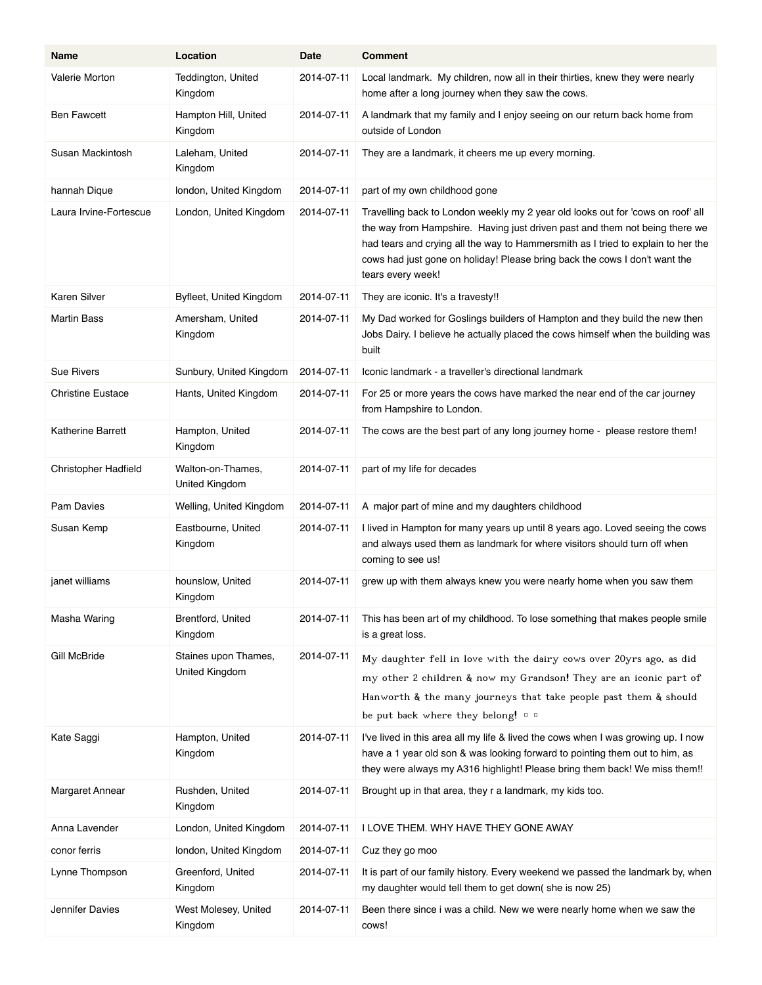| Name                     | Location                               | Date       | <b>Comment</b>                                                                                                                                                                                                                                                                                                                                        |
|--------------------------|----------------------------------------|------------|-------------------------------------------------------------------------------------------------------------------------------------------------------------------------------------------------------------------------------------------------------------------------------------------------------------------------------------------------------|
| Valerie Morton           | Teddington, United<br>Kingdom          | 2014-07-11 | Local landmark. My children, now all in their thirties, knew they were nearly<br>home after a long journey when they saw the cows.                                                                                                                                                                                                                    |
| <b>Ben Fawcett</b>       | Hampton Hill, United<br>Kingdom        | 2014-07-11 | A landmark that my family and I enjoy seeing on our return back home from<br>outside of London                                                                                                                                                                                                                                                        |
| Susan Mackintosh         | Laleham, United<br>Kingdom             | 2014-07-11 | They are a landmark, it cheers me up every morning.                                                                                                                                                                                                                                                                                                   |
| hannah Dique             | london, United Kingdom                 | 2014-07-11 | part of my own childhood gone                                                                                                                                                                                                                                                                                                                         |
| Laura Irvine-Fortescue   | London, United Kingdom                 | 2014-07-11 | Travelling back to London weekly my 2 year old looks out for 'cows on roof' all<br>the way from Hampshire. Having just driven past and them not being there we<br>had tears and crying all the way to Hammersmith as I tried to explain to her the<br>cows had just gone on holiday! Please bring back the cows I don't want the<br>tears every week! |
| Karen Silver             | Byfleet, United Kingdom                | 2014-07-11 | They are iconic. It's a travesty!!                                                                                                                                                                                                                                                                                                                    |
| <b>Martin Bass</b>       | Amersham, United<br>Kingdom            | 2014-07-11 | My Dad worked for Goslings builders of Hampton and they build the new then<br>Jobs Dairy. I believe he actually placed the cows himself when the building was<br>built                                                                                                                                                                                |
| <b>Sue Rivers</b>        | Sunbury, United Kingdom                | 2014-07-11 | Iconic landmark - a traveller's directional landmark                                                                                                                                                                                                                                                                                                  |
| <b>Christine Eustace</b> | Hants, United Kingdom                  | 2014 07 11 | For 25 or more years the cows have marked the near end of the car journey<br>from Hampshire to London.                                                                                                                                                                                                                                                |
| <b>Katherine Barrett</b> | Hampton, United<br>Kingdom             | 2014-07-11 | The cows are the best part of any long journey home - please restore them!                                                                                                                                                                                                                                                                            |
| Christopher Hadfield     | Walton-on-Thames,<br>United Kingdom    | 2014-07-11 | part of my life for decades                                                                                                                                                                                                                                                                                                                           |
| Pam Davies               | Welling, United Kingdom                | 2014-07-11 | A major part of mine and my daughters childhood                                                                                                                                                                                                                                                                                                       |
| Susan Kemp               | Eastbourne, United<br>Kingdom          | 2014-07-11 | I lived in Hampton for many years up until 8 years ago. Loved seeing the cows<br>and always used them as landmark for where visitors should turn off when<br>coming to see us!                                                                                                                                                                        |
| janet williams           | hounslow, United<br>Kingdom            | 2014-07-11 | grew up with them always knew you were nearly home when you saw them                                                                                                                                                                                                                                                                                  |
| Masha Waring             | Brentford, United<br>Kingdom           | 2014-07-11 | This has been art of my childhood. To lose something that makes people smile<br>is a great loss.                                                                                                                                                                                                                                                      |
| <b>Gill McBride</b>      | Staines upon Thames,<br>United Kingdom | 2014-07-11 | My daughter fell in love with the dairy cows over 20yrs ago, as did<br>my other 2 children & now my Grandson! They are an iconic part of<br>Hanworth & the many journeys that take people past them & should<br>be put back where they belong! $\Box$                                                                                                 |
| Kate Saggi               | Hampton, United<br>Kingdom             | 2014-07-11 | I've lived in this area all my life & lived the cows when I was growing up. I now<br>have a 1 year old son & was looking forward to pointing them out to him, as<br>they were always my A316 highlight! Please bring them back! We miss them!!                                                                                                        |
| Margaret Annear          | Rushden, United<br>Kingdom             | 2014-07-11 | Brought up in that area, they r a landmark, my kids too.                                                                                                                                                                                                                                                                                              |
| Anna Lavender            | London, United Kingdom                 | 2014-07-11 | I LOVE THEM. WHY HAVE THEY GONE AWAY                                                                                                                                                                                                                                                                                                                  |
| conor ferris             | london, United Kingdom                 | 2014-07-11 | Cuz they go moo                                                                                                                                                                                                                                                                                                                                       |
| Lynne Thompson           | Greenford, United<br>Kingdom           | 2014-07-11 | It is part of our family history. Every weekend we passed the landmark by, when<br>my daughter would tell them to get down(she is now 25)                                                                                                                                                                                                             |
| Jennifer Davies          | West Molesey, United<br>Kingdom        | 2014-07-11 | Been there since i was a child. New we were nearly home when we saw the<br>cows!                                                                                                                                                                                                                                                                      |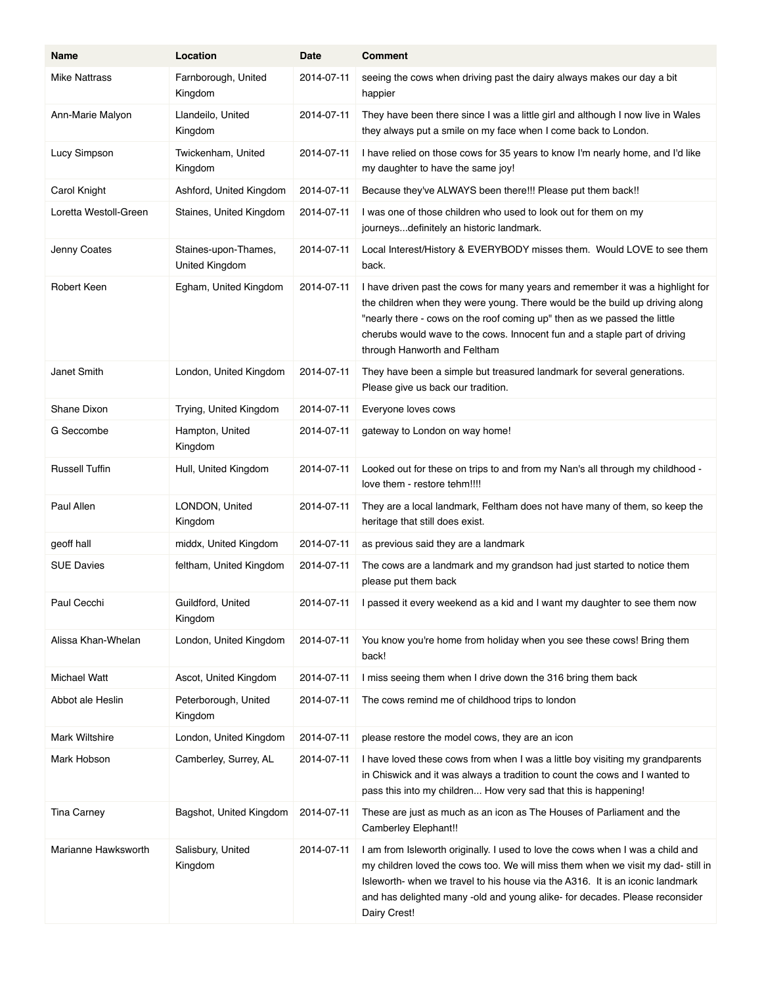| Name                  | Location                               | Date       | <b>Comment</b>                                                                                                                                                                                                                                                                                                                                          |
|-----------------------|----------------------------------------|------------|---------------------------------------------------------------------------------------------------------------------------------------------------------------------------------------------------------------------------------------------------------------------------------------------------------------------------------------------------------|
| <b>Mike Nattrass</b>  | Farnborough, United<br>Kingdom         | 2014-07-11 | seeing the cows when driving past the dairy always makes our day a bit<br>happier                                                                                                                                                                                                                                                                       |
| Ann-Marie Malyon      | Llandeilo, United<br>Kingdom           | 2014-07-11 | They have been there since I was a little girl and although I now live in Wales<br>they always put a smile on my face when I come back to London.                                                                                                                                                                                                       |
| Lucy Simpson          | Twickenham, United<br>Kingdom          | 2014-07-11 | I have relied on those cows for 35 years to know I'm nearly home, and I'd like<br>my daughter to have the same joy!                                                                                                                                                                                                                                     |
| Carol Knight          | Ashford, United Kingdom                | 2014-07-11 | Because they've ALWAYS been there!!! Please put them back!!                                                                                                                                                                                                                                                                                             |
| Loretta Westoll-Green | Staines, United Kingdom                | 2014-07-11 | I was one of those children who used to look out for them on my<br>journeysdefinitely an historic landmark.                                                                                                                                                                                                                                             |
| Jenny Coates          | Staines-upon-Thames,<br>United Kingdom | 2014-07-11 | Local Interest/History & EVERYBODY misses them. Would LOVE to see them<br>back.                                                                                                                                                                                                                                                                         |
| Robert Keen           | Egham, United Kingdom                  | 2014-07-11 | I have driven past the cows for many years and remember it was a highlight for<br>the children when they were young. There would be the build up driving along<br>"nearly there - cows on the roof coming up" then as we passed the little<br>cherubs would wave to the cows. Innocent fun and a staple part of driving<br>through Hanworth and Feltham |
| Janet Smith           | London, United Kingdom                 | 2014-07-11 | They have been a simple but treasured landmark for several generations.<br>Please give us back our tradition.                                                                                                                                                                                                                                           |
| <b>Shane Dixon</b>    | Trying, United Kingdom                 | 2014-07-11 | Everyone loves cows                                                                                                                                                                                                                                                                                                                                     |
| G Seccombe            | Hampton, United<br>Kingdom             | 2014-07-11 | gateway to London on way home!                                                                                                                                                                                                                                                                                                                          |
| <b>Russell Tuffin</b> | Hull, United Kingdom                   | 2014-07-11 | Looked out for these on trips to and from my Nan's all through my childhood -<br>love them - restore tehm!!!!                                                                                                                                                                                                                                           |
| Paul Allen            | LONDON, United<br>Kingdom              | 2014-07-11 | They are a local landmark, Feltham does not have many of them, so keep the<br>heritage that still does exist.                                                                                                                                                                                                                                           |
| geoff hall            | middx, United Kingdom                  | 2014-07-11 | as previous said they are a landmark                                                                                                                                                                                                                                                                                                                    |
| <b>SUE Davies</b>     | feltham, United Kingdom                | 2014-07-11 | The cows are a landmark and my grandson had just started to notice them<br>please put them back                                                                                                                                                                                                                                                         |
| Paul Cecchi           | Guildford, United<br>Kingdom           | 2014-07-11 | I passed it every weekend as a kid and I want my daughter to see them now                                                                                                                                                                                                                                                                               |
| Alissa Khan-Whelan    | London, United Kingdom                 | 2014-07-11 | You know you're home from holiday when you see these cows! Bring them<br>back!                                                                                                                                                                                                                                                                          |
| <b>Michael Watt</b>   | Ascot, United Kingdom                  | 2014-07-11 | I miss seeing them when I drive down the 316 bring them back                                                                                                                                                                                                                                                                                            |
| Abbot ale Heslin      | Peterborough, United<br>Kingdom        | 2014-07-11 | The cows remind me of childhood trips to london                                                                                                                                                                                                                                                                                                         |
| Mark Wiltshire        | London, United Kingdom                 | 2014-07-11 | please restore the model cows, they are an icon                                                                                                                                                                                                                                                                                                         |
| Mark Hobson           | Camberley, Surrey, AL                  | 2014-07-11 | I have loved these cows from when I was a little boy visiting my grandparents<br>in Chiswick and it was always a tradition to count the cows and I wanted to<br>pass this into my children How very sad that this is happening!                                                                                                                         |
| <b>Tina Carney</b>    | Bagshot, United Kingdom                | 2014-07-11 | These are just as much as an icon as The Houses of Parliament and the<br>Camberley Elephant!!                                                                                                                                                                                                                                                           |
| Marianne Hawksworth   | Salisbury, United<br>Kingdom           | 2014-07-11 | I am from Isleworth originally. I used to love the cows when I was a child and<br>my children loved the cows too. We will miss them when we visit my dad-still in<br>Isleworth- when we travel to his house via the A316. It is an iconic landmark<br>and has delighted many -old and young alike- for decades. Please reconsider<br>Dairy Crest!       |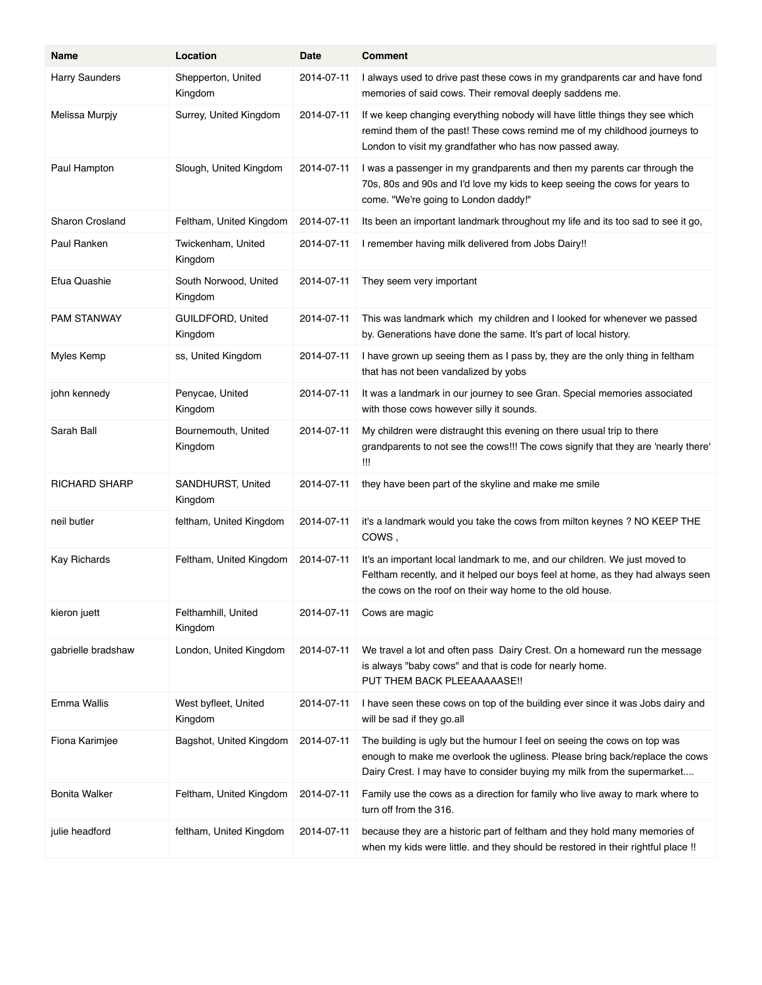| Name                   | Location                            | Date       | <b>Comment</b>                                                                                                                                                                                                                     |
|------------------------|-------------------------------------|------------|------------------------------------------------------------------------------------------------------------------------------------------------------------------------------------------------------------------------------------|
| Harry Saunders         | Shepperton, United<br>Kingdom       | 2014-07-11 | I always used to drive past these cows in my grandparents car and have fond<br>memories of said cows. Their removal deeply saddens me.                                                                                             |
| Melissa Murpjy         | Surrey, United Kingdom              | 2014-07-11 | If we keep changing everything nobody will have little things they see which<br>remind them of the past! These cows remind me of my childhood journeys to<br>London to visit my grandfather who has now passed away.               |
| Paul Hampton           | Slough, United Kingdom              | 2014-07-11 | I was a passenger in my grandparents and then my parents car through the<br>70s, 80s and 90s and I'd love my kids to keep seeing the cows for years to<br>come. "We're going to London daddy!"                                     |
| <b>Sharon Crosland</b> | Feltham, United Kingdom             | 2014-07-11 | Its been an important landmark throughout my life and its too sad to see it go,                                                                                                                                                    |
| Paul Ranken            | Twickenham, United<br>Kingdom       | 2014-07-11 | I remember having milk delivered from Jobs Dairy!!                                                                                                                                                                                 |
| Efua Quashie           | South Norwood, United<br>Kingdom    | 2014-07-11 | They seem very important                                                                                                                                                                                                           |
| <b>PAM STANWAY</b>     | <b>GUILDFORD, United</b><br>Kingdom | 2014-07-11 | This was landmark which my children and I looked for whenever we passed<br>by. Generations have done the same. It's part of local history.                                                                                         |
| Myles Kemp             | ss, United Kingdom                  | 2014-07-11 | I have grown up seeing them as I pass by, they are the only thing in feltham<br>that has not been vandalized by yobs                                                                                                               |
| john kennedy           | Penycae, United<br>Kingdom          | 2014-07-11 | It was a landmark in our journey to see Gran. Special memories associated<br>with those cows however silly it sounds.                                                                                                              |
| Sarah Ball             | Bournemouth, United<br>Kingdom      | 2014-07-11 | My children were distraught this evening on there usual trip to there<br>grandparents to not see the cows!!! The cows signify that they are 'nearly there'<br>Ш                                                                    |
| RICHARD SHARP          | SANDHURST, United<br>Kingdom        | 2014-07-11 | they have been part of the skyline and make me smile                                                                                                                                                                               |
| neil butler            | feltham, United Kingdom             | 2014-07-11 | it's a landmark would you take the cows from milton keynes ? NO KEEP THE<br>COWS,                                                                                                                                                  |
| <b>Kay Richards</b>    | Feltham, United Kingdom             | 2014-07-11 | It's an important local landmark to me, and our children. We just moved to<br>Feltham recently, and it helped our boys feel at home, as they had always seen<br>the cows on the roof on their way home to the old house.           |
| kieron juett           | Felthamhill, United<br>Kingdom      | 2014-07-11 | Cows are magic                                                                                                                                                                                                                     |
| gabrielle bradshaw     | London, United Kingdom              | 2014-07-11 | We travel a lot and often pass Dairy Crest. On a homeward run the message<br>is always "baby cows" and that is code for nearly home.<br>PUT THEM BACK PLEEAAAAASE !!                                                               |
| Emma Wallis            | West byfleet, United<br>Kingdom     | 2014-07-11 | I have seen these cows on top of the building ever since it was Jobs dairy and<br>will be sad if they go all                                                                                                                       |
| Fiona Karimjee         | Bagshot, United Kingdom             | 2014-07-11 | The building is ugly but the humour I feel on seeing the cows on top was<br>enough to make me overlook the ugliness. Please bring back/replace the cows<br>Dairy Crest. I may have to consider buying my milk from the supermarket |
| Bonita Walker          | Feltham, United Kingdom             | 2014-07-11 | Family use the cows as a direction for family who live away to mark where to<br>turn off from the 316.                                                                                                                             |
| julie headford         | feltham, United Kingdom             | 2014-07-11 | because they are a historic part of feltham and they hold many memories of<br>when my kids were little. and they should be restored in their rightful place !!                                                                     |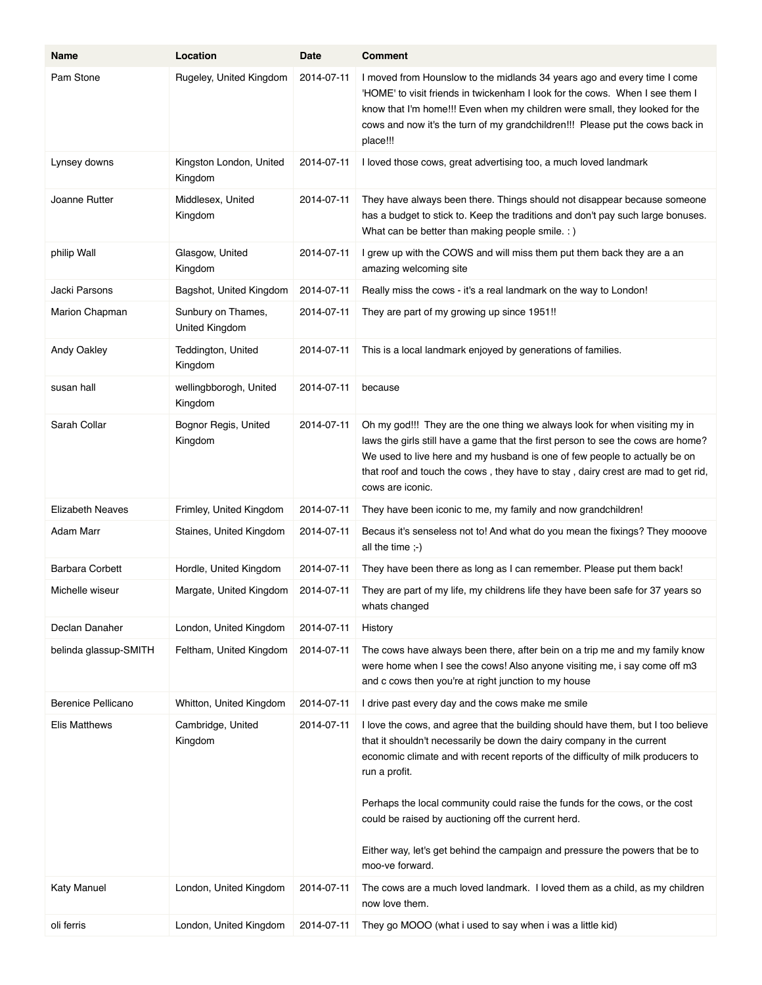| Name                    | Location                             | Date       | <b>Comment</b>                                                                                                                                                                                                                                                                                                                                                                                                                                                                       |
|-------------------------|--------------------------------------|------------|--------------------------------------------------------------------------------------------------------------------------------------------------------------------------------------------------------------------------------------------------------------------------------------------------------------------------------------------------------------------------------------------------------------------------------------------------------------------------------------|
| Pam Stone               | Rugeley, United Kingdom              | 2014-07-11 | I moved from Hounslow to the midlands 34 years ago and every time I come<br>'HOME' to visit friends in twickenham I look for the cows. When I see them I<br>know that I'm home!!! Even when my children were small, they looked for the<br>cows and now it's the turn of my grandchildren!!! Please put the cows back in<br>place!!!                                                                                                                                                 |
| Lynsey downs            | Kingston London, United<br>Kingdom   | 2014-07-11 | I loved those cows, great advertising too, a much loved landmark                                                                                                                                                                                                                                                                                                                                                                                                                     |
| Joanne Rutter           | Middlesex, United<br>Kingdom         | 2014-07-11 | They have always been there. Things should not disappear because someone<br>has a budget to stick to. Keep the traditions and don't pay such large bonuses.<br>What can be better than making people smile. : )                                                                                                                                                                                                                                                                      |
| philip Wall             | Glasgow, United<br>Kingdom           | 2014-07-11 | I grew up with the COWS and will miss them put them back they are a an<br>amazing welcoming site                                                                                                                                                                                                                                                                                                                                                                                     |
| Jacki Parsons           | Bagshot, United Kingdom              | 2014-07-11 | Really miss the cows - it's a real landmark on the way to London!                                                                                                                                                                                                                                                                                                                                                                                                                    |
| Marion Chapman          | Sunbury on Thames,<br>United Kingdom | 2014-07-11 | They are part of my growing up since 1951!!                                                                                                                                                                                                                                                                                                                                                                                                                                          |
| Andy Oakley             | Teddington, United<br>Kingdom        | 2014-07-11 | This is a local landmark enjoyed by generations of families.                                                                                                                                                                                                                                                                                                                                                                                                                         |
| susan hall              | wellingbborogh, United<br>Kingdom    | 2014-07-11 | because                                                                                                                                                                                                                                                                                                                                                                                                                                                                              |
| Sarah Collar            | Bognor Regis, United<br>Kingdom      | 2014-07-11 | Oh my god!!! They are the one thing we always look for when visiting my in<br>laws the girls still have a game that the first person to see the cows are home?<br>We used to live here and my husband is one of few people to actually be on<br>that roof and touch the cows, they have to stay, dairy crest are mad to get rid,<br>cows are iconic.                                                                                                                                 |
| <b>Elizabeth Neaves</b> | Frimley, United Kingdom              | 2014-07-11 | They have been iconic to me, my family and now grandchildren!                                                                                                                                                                                                                                                                                                                                                                                                                        |
| Adam Marr               | Staines, United Kingdom              | 2014-07-11 | Becaus it's senseless not to! And what do you mean the fixings? They mooove<br>all the time $\div$ )                                                                                                                                                                                                                                                                                                                                                                                 |
| <b>Barbara Corbett</b>  | Hordle, United Kingdom               | 2014-07-11 | They have been there as long as I can remember. Please put them back!                                                                                                                                                                                                                                                                                                                                                                                                                |
| Michelle wiseur         | Margate, United Kingdom              | 2014-07-11 | They are part of my life, my childrens life they have been safe for 37 years so<br>whats changed                                                                                                                                                                                                                                                                                                                                                                                     |
| Declan Danaher          | London, United Kingdom               | 2014-07-11 | History                                                                                                                                                                                                                                                                                                                                                                                                                                                                              |
| belinda glassup-SMITH   | Feltham, United Kingdom              | 2014-07-11 | The cows have always been there, after bein on a trip me and my family know<br>were home when I see the cows! Also anyone visiting me, i say come off m3<br>and c cows then you're at right junction to my house                                                                                                                                                                                                                                                                     |
| Berenice Pellicano      | Whitton, United Kingdom              | 2014-07-11 | I drive past every day and the cows make me smile                                                                                                                                                                                                                                                                                                                                                                                                                                    |
| Elis Matthews           | Cambridge, United<br>Kingdom         | 2014-07-11 | I love the cows, and agree that the building should have them, but I too believe<br>that it shouldn't necessarily be down the dairy company in the current<br>economic climate and with recent reports of the difficulty of milk producers to<br>run a profit.<br>Perhaps the local community could raise the funds for the cows, or the cost<br>could be raised by auctioning off the current herd.<br>Either way, let's get behind the campaign and pressure the powers that be to |
|                         |                                      |            | moo-ve forward.                                                                                                                                                                                                                                                                                                                                                                                                                                                                      |
| <b>Katy Manuel</b>      | London, United Kingdom               | 2014-07-11 | The cows are a much loved landmark. I loved them as a child, as my children<br>now love them.                                                                                                                                                                                                                                                                                                                                                                                        |
| oli ferris              | London, United Kingdom               | 2014-07-11 | They go MOOO (what i used to say when i was a little kid)                                                                                                                                                                                                                                                                                                                                                                                                                            |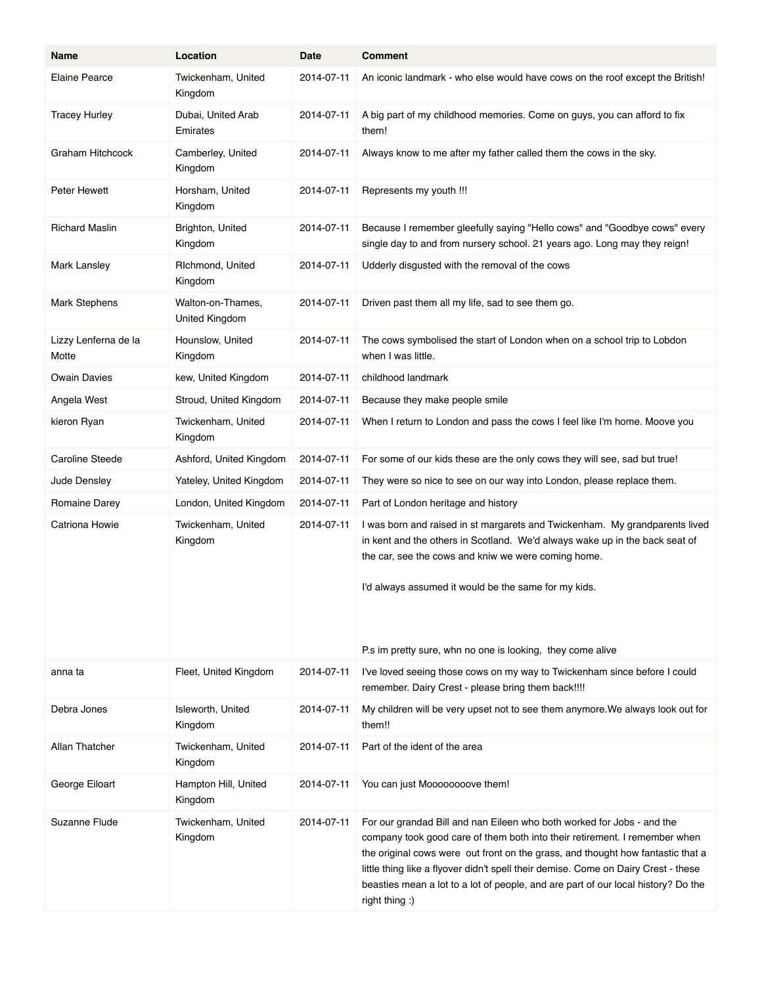| Name                          | Location                            | Date       | <b>Comment</b>                                                                                                                                                                                                                                                                                                                                                                                                                     |
|-------------------------------|-------------------------------------|------------|------------------------------------------------------------------------------------------------------------------------------------------------------------------------------------------------------------------------------------------------------------------------------------------------------------------------------------------------------------------------------------------------------------------------------------|
| <b>Elaine Pearce</b>          | Twickenham, United<br>Kingdom       | 2014-07-11 | An iconic landmark - who else would have cows on the roof except the British!                                                                                                                                                                                                                                                                                                                                                      |
| <b>Tracey Hurley</b>          | Dubai, United Arab<br>Emirates      | 2014-07-11 | A big part of my childhood memories. Come on guys, you can afford to fix<br>them!                                                                                                                                                                                                                                                                                                                                                  |
| Graham Hitchcock              | Camberley, United<br>Kingdom        | 2014-07-11 | Always know to me after my father called them the cows in the sky.                                                                                                                                                                                                                                                                                                                                                                 |
| Peter Hewett                  | Horsham, United<br>Kingdom          | 2014-07-11 | Represents my youth !!!                                                                                                                                                                                                                                                                                                                                                                                                            |
| <b>Richard Maslin</b>         | Brighton, United<br>Kingdom         | 2014-07-11 | Because I remember gleefully saying "Hello cows" and "Goodbye cows" every<br>single day to and from nursery school. 21 years ago. Long may they reign!                                                                                                                                                                                                                                                                             |
| Mark Lansley                  | Richmond, United<br>Kingdom         | 2014-07-11 | Udderly disgusted with the removal of the cows                                                                                                                                                                                                                                                                                                                                                                                     |
| Mark Stephens                 | Walton-on-Thames,<br>United Kingdom | 2014-07-11 | Driven past them all my life, sad to see them go.                                                                                                                                                                                                                                                                                                                                                                                  |
| Lizzy Lenferna de la<br>Motte | Hounslow, United<br>Kingdom         | 2014-07-11 | The cows symbolised the start of London when on a school trip to Lobdon<br>when I was little.                                                                                                                                                                                                                                                                                                                                      |
| <b>Owain Davies</b>           | kew, United Kingdom                 | 2014-07-11 | childhood landmark                                                                                                                                                                                                                                                                                                                                                                                                                 |
| Angela West                   | Stroud, United Kingdom              | 2014-07-11 | Because they make people smile                                                                                                                                                                                                                                                                                                                                                                                                     |
| kieron Ryan                   | Twickenham, United<br>Kingdom       | 2014-07-11 | When I return to London and pass the cows I feel like I'm home. Moove you                                                                                                                                                                                                                                                                                                                                                          |
| Caroline Steede               | Ashford, United Kingdom             | 2014-07-11 | For some of our kids these are the only cows they will see, sad but true!                                                                                                                                                                                                                                                                                                                                                          |
| Jude Densley                  | Yateley, United Kingdom             | 2014-07-11 | They were so nice to see on our way into London, please replace them.                                                                                                                                                                                                                                                                                                                                                              |
| Romaine Darey                 | London, United Kingdom              | 2014-07-11 | Part of London heritage and history                                                                                                                                                                                                                                                                                                                                                                                                |
| Catriona Howie                | Twickenham, United<br>Kingdom       | 2014-07-11 | I was born and raised in st margarets and Twickenham. My grandparents lived<br>in kent and the others in Scotland. We'd always wake up in the back seat of<br>the car, see the cows and kniw we were coming home.<br>I'd always assumed it would be the same for my kids.                                                                                                                                                          |
|                               |                                     |            | P.s im pretty sure, whn no one is looking, they come alive                                                                                                                                                                                                                                                                                                                                                                         |
| anna ta                       | Fleet, United Kingdom               | 2014-07-11 | I've loved seeing those cows on my way to Twickenham since before I could<br>remember. Dairy Crest - please bring them back !!!!                                                                                                                                                                                                                                                                                                   |
| Debra Jones                   | Isleworth, United<br>Kingdom        | 2014-07-11 | My children will be very upset not to see them anymore. We always look out for<br>them!!                                                                                                                                                                                                                                                                                                                                           |
| Allan Thatcher                | Twickenham, United<br>Kingdom       | 2014-07-11 | Part of the ident of the area                                                                                                                                                                                                                                                                                                                                                                                                      |
| George Eiloart                | Hampton Hill, United<br>Kingdom     | 2014-07-11 | You can just Moooooooove them!                                                                                                                                                                                                                                                                                                                                                                                                     |
| Suzanne Flude                 | Twickenham, United<br>Kingdom       | 2014-07-11 | For our grandad Bill and nan Eileen who both worked for Jobs - and the<br>company took good care of them both into their retirement. I remember when<br>the original cows were out front on the grass, and thought how fantastic that a<br>little thing like a flyover didn't spell their demise. Come on Dairy Crest - these<br>beasties mean a lot to a lot of people, and are part of our local history? Do the<br>right thing: |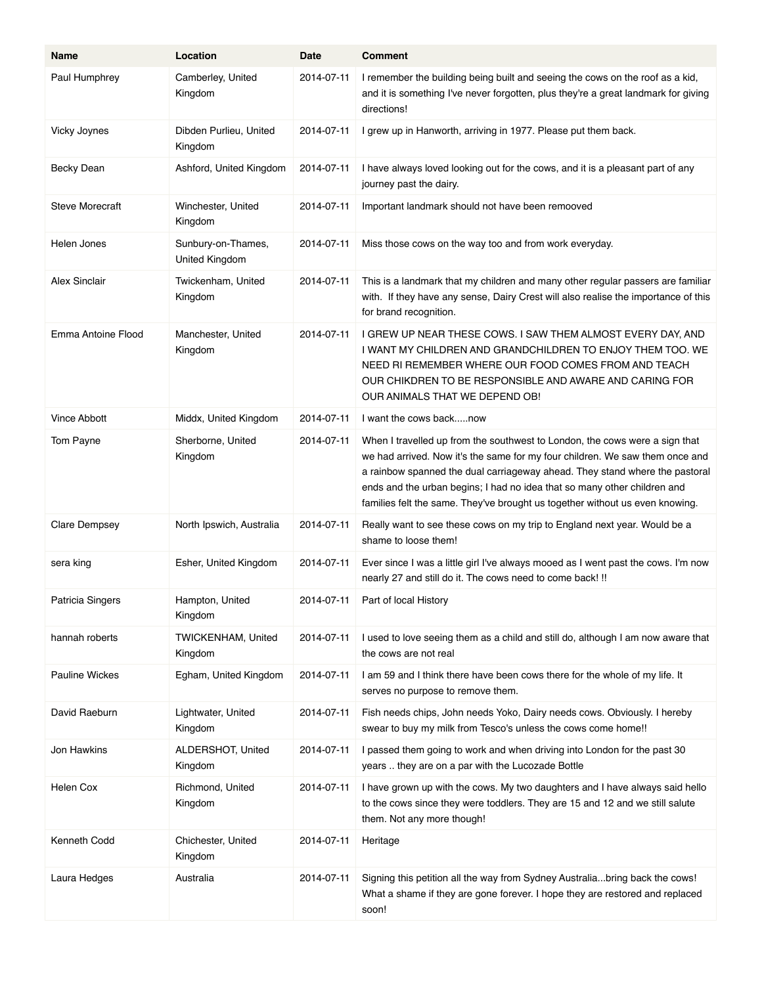| <b>Name</b>            | Location                             | Date       | <b>Comment</b>                                                                                                                                                                                                                                                                                                                                                                                         |
|------------------------|--------------------------------------|------------|--------------------------------------------------------------------------------------------------------------------------------------------------------------------------------------------------------------------------------------------------------------------------------------------------------------------------------------------------------------------------------------------------------|
| Paul Humphrey          | Camberley, United<br>Kingdom         | 2014-07-11 | I remember the building being built and seeing the cows on the roof as a kid,<br>and it is something I've never forgotten, plus they're a great landmark for giving<br>directions!                                                                                                                                                                                                                     |
| Vicky Joynes           | Dibden Purlieu, United<br>Kingdom    | 2014-07-11 | I grew up in Hanworth, arriving in 1977. Please put them back.                                                                                                                                                                                                                                                                                                                                         |
| <b>Becky Dean</b>      | Ashford, United Kingdom              | 2014-07-11 | I have always loved looking out for the cows, and it is a pleasant part of any<br>journey past the dairy.                                                                                                                                                                                                                                                                                              |
| <b>Steve Morecraft</b> | Winchester, United<br>Kingdom        | 2014-07-11 | Important landmark should not have been remooved                                                                                                                                                                                                                                                                                                                                                       |
| Helen Jones            | Sunbury-on-Thames,<br>United Kingdom | 2014-07-11 | Miss those cows on the way too and from work everyday.                                                                                                                                                                                                                                                                                                                                                 |
| <b>Alex Sinclair</b>   | Twickenham, United<br>Kingdom        | 2014-07-11 | This is a landmark that my children and many other regular passers are familiar<br>with. If they have any sense, Dairy Crest will also realise the importance of this<br>for brand recognition.                                                                                                                                                                                                        |
| Emma Antoine Flood     | Manchester, United<br>Kingdom        | 2014-07-11 | I GREW UP NEAR THESE COWS. I SAW THEM ALMOST EVERY DAY, AND<br>I WANT MY CHILDREN AND GRANDCHILDREN TO ENJOY THEM TOO. WE<br>NEED RI REMEMBER WHERE OUR FOOD COMES FROM AND TEACH<br>OUR CHIKDREN TO BE RESPONSIBLE AND AWARE AND CARING FOR<br>OUR ANIMALS THAT WE DEPEND OB!                                                                                                                         |
| <b>Vince Abbott</b>    | Middx, United Kingdom                | 2014-07-11 | I want the cows backnow                                                                                                                                                                                                                                                                                                                                                                                |
| Tom Payne              | Sherborne, United<br>Kingdom         | 2014-07-11 | When I travelled up from the southwest to London, the cows were a sign that<br>we had arrived. Now it's the same for my four children. We saw them once and<br>a rainbow spanned the dual carriageway ahead. They stand where the pastoral<br>ends and the urban begins; I had no idea that so many other children and<br>families felt the same. They've brought us together without us even knowing. |
| <b>Clare Dempsey</b>   | North Ipswich, Australia             | 2014-07-11 | Really want to see these cows on my trip to England next year. Would be a<br>shame to loose them!                                                                                                                                                                                                                                                                                                      |
| sera king              | Esher, United Kingdom                | 2014-07-11 | Ever since I was a little girl I've always mooed as I went past the cows. I'm now<br>nearly 27 and still do it. The cows need to come back! !!                                                                                                                                                                                                                                                         |
| Patricia Singers       | Hampton, United<br>Kingdom           | 2014-07-11 | Part of local History                                                                                                                                                                                                                                                                                                                                                                                  |
| hannah roberts         | <b>TWICKENHAM, United</b><br>Kingdom | 2014-07-11 | I used to love seeing them as a child and still do, although I am now aware that<br>the cows are not real                                                                                                                                                                                                                                                                                              |
| <b>Pauline Wickes</b>  | Egham, United Kingdom                | 2014-07-11 | I am 59 and I think there have been cows there for the whole of my life. It<br>serves no purpose to remove them.                                                                                                                                                                                                                                                                                       |
| David Raeburn          | Lightwater, United<br>Kingdom        | 2014-07-11 | Fish needs chips, John needs Yoko, Dairy needs cows. Obviously. I hereby<br>swear to buy my milk from Tesco's unless the cows come home!!                                                                                                                                                                                                                                                              |
| Jon Hawkins            | ALDERSHOT, United<br>Kingdom         | 2014-07-11 | I passed them going to work and when driving into London for the past 30<br>years  they are on a par with the Lucozade Bottle                                                                                                                                                                                                                                                                          |
| Helen Cox              | Richmond, United<br>Kingdom          | 2014-07-11 | I have grown up with the cows. My two daughters and I have always said hello<br>to the cows since they were toddlers. They are 15 and 12 and we still salute<br>them. Not any more though!                                                                                                                                                                                                             |
| Kenneth Codd           | Chichester, United<br>Kingdom        | 2014-07-11 | Heritage                                                                                                                                                                                                                                                                                                                                                                                               |
| Laura Hedges           | Australia                            | 2014-07-11 | Signing this petition all the way from Sydney Australiabring back the cows!<br>What a shame if they are gone forever. I hope they are restored and replaced<br>soon!                                                                                                                                                                                                                                   |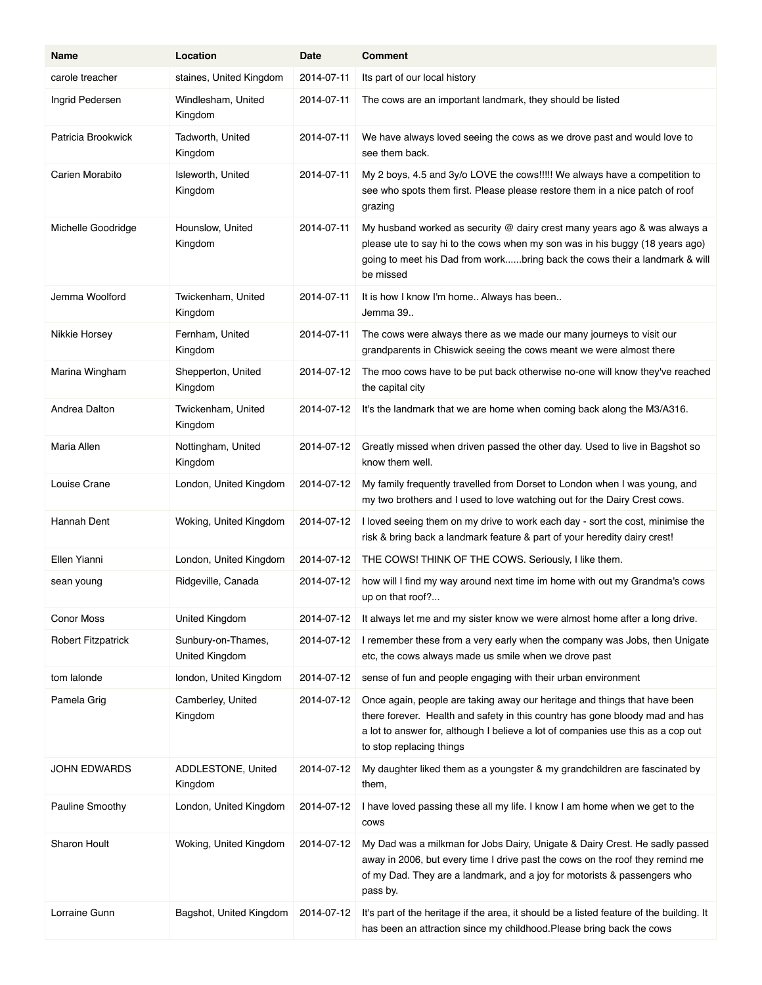| Name                      | Location                             | Date       | <b>Comment</b>                                                                                                                                                                                                                                                            |
|---------------------------|--------------------------------------|------------|---------------------------------------------------------------------------------------------------------------------------------------------------------------------------------------------------------------------------------------------------------------------------|
| carole treacher           | staines, United Kingdom              | 2014-07-11 | Its part of our local history                                                                                                                                                                                                                                             |
| Ingrid Pedersen           | Windlesham, United<br>Kingdom        | 2014-07-11 | The cows are an important landmark, they should be listed                                                                                                                                                                                                                 |
| Patricia Brookwick        | Tadworth, United<br>Kingdom          | 2014-07-11 | We have always loved seeing the cows as we drove past and would love to<br>see them back.                                                                                                                                                                                 |
| Carien Morabito           | Isleworth, United<br>Kingdom         | 2014-07-11 | My 2 boys, 4.5 and 3y/o LOVE the cows!!!!! We always have a competition to<br>see who spots them first. Please please restore them in a nice patch of roof<br>grazing                                                                                                     |
| Michelle Goodridge        | Hounslow, United<br>Kingdom          | 2014-07-11 | My husband worked as security $@$ dairy crest many years ago & was always a<br>please ute to say hi to the cows when my son was in his buggy (18 years ago)<br>going to meet his Dad from workbring back the cows their a landmark & will<br>be missed                    |
| Jemma Woolford            | Twickenham, United<br>Kingdom        | 2014-07-11 | It is how I know I'm home Always has been<br>Jemma 39                                                                                                                                                                                                                     |
| Nikkie Horsey             | Fernham, United<br>Kingdom           | 2014-07-11 | The cows were always there as we made our many journeys to visit our<br>grandparents in Chiswick seeing the cows meant we were almost there                                                                                                                               |
| Marina Wingham            | Shepperton, United<br>Kingdom        | 2014-07-12 | The moo cows have to be put back otherwise no-one will know they've reached<br>the capital city                                                                                                                                                                           |
| Andrea Dalton             | Twickenham, United<br>Kingdom        | 2014-07-12 | It's the landmark that we are home when coming back along the M3/A316.                                                                                                                                                                                                    |
| Maria Allen               | Nottingham, United<br>Kingdom        | 2014-07-12 | Greatly missed when driven passed the other day. Used to live in Bagshot so<br>know them well.                                                                                                                                                                            |
| Louise Crane              | London, United Kingdom               | 2014-07-12 | My family frequently travelled from Dorset to London when I was young, and<br>my two brothers and I used to love watching out for the Dairy Crest cows.                                                                                                                   |
| Hannah Dent               | Woking, United Kingdom               | 2014-07-12 | I loved seeing them on my drive to work each day - sort the cost, minimise the<br>risk & bring back a landmark feature & part of your heredity dairy crest!                                                                                                               |
| Ellen Yianni              | London, United Kingdom               | 2014-07-12 | THE COWS! THINK OF THE COWS. Seriously, I like them.                                                                                                                                                                                                                      |
| sean young                | Ridgeville, Canada                   | 2014-07-12 | how will I find my way around next time im home with out my Grandma's cows<br>up on that roof?                                                                                                                                                                            |
| Conor Moss                | United Kingdom                       | 2014-07-12 | It always let me and my sister know we were almost home after a long drive.                                                                                                                                                                                               |
| <b>Robert Fitzpatrick</b> | Sunbury-on-Thames,<br>United Kingdom | 2014-07-12 | I remember these from a very early when the company was Jobs, then Unigate<br>etc, the cows always made us smile when we drove past                                                                                                                                       |
| tom lalonde               | london, United Kingdom               | 2014-07-12 | sense of fun and people engaging with their urban environment                                                                                                                                                                                                             |
| Pamela Grig               | Camberley, United<br>Kingdom         | 2014-07-12 | Once again, people are taking away our heritage and things that have been<br>there forever. Health and safety in this country has gone bloody mad and has<br>a lot to answer for, although I believe a lot of companies use this as a cop out<br>to stop replacing things |
| JOHN EDWARDS              | ADDLESTONE, United<br>Kingdom        | 2014-07-12 | My daughter liked them as a youngster & my grandchildren are fascinated by<br>them,                                                                                                                                                                                       |
| Pauline Smoothy           | London, United Kingdom               | 2014-07-12 | I have loved passing these all my life. I know I am home when we get to the<br>cows                                                                                                                                                                                       |
| Sharon Hoult              | Woking, United Kingdom               | 2014-07-12 | My Dad was a milkman for Jobs Dairy, Unigate & Dairy Crest. He sadly passed<br>away in 2006, but every time I drive past the cows on the roof they remind me<br>of my Dad. They are a landmark, and a joy for motorists & passengers who<br>pass by.                      |
| Lorraine Gunn             | Bagshot, United Kingdom              | 2014-07-12 | It's part of the heritage if the area, it should be a listed feature of the building. It<br>has been an attraction since my childhood. Please bring back the cows                                                                                                         |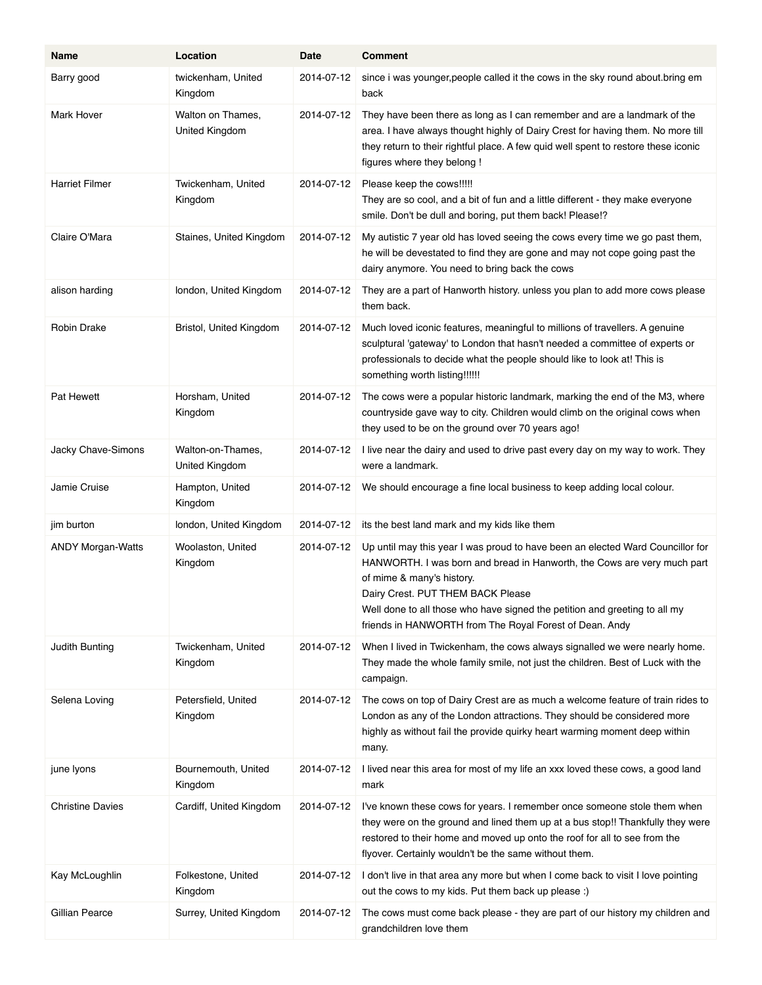| Name                     | Location                            | Date       | <b>Comment</b>                                                                                                                                                                                                                                                                                                                                                       |
|--------------------------|-------------------------------------|------------|----------------------------------------------------------------------------------------------------------------------------------------------------------------------------------------------------------------------------------------------------------------------------------------------------------------------------------------------------------------------|
| Barry good               | twickenham, United<br>Kingdom       | 2014-07-12 | since i was younger, people called it the cows in the sky round about bring em<br>back                                                                                                                                                                                                                                                                               |
| Mark Hover               | Walton on Thames,<br>United Kingdom | 2014-07-12 | They have been there as long as I can remember and are a landmark of the<br>area. I have always thought highly of Dairy Crest for having them. No more till<br>they return to their rightful place. A few quid well spent to restore these iconic<br>figures where they belong !                                                                                     |
| <b>Harriet Filmer</b>    | Twickenham, United<br>Kingdom       | 2014-07-12 | Please keep the cows!!!!!<br>They are so cool, and a bit of fun and a little different - they make everyone<br>smile. Don't be dull and boring, put them back! Please!?                                                                                                                                                                                              |
| Claire O'Mara            | Staines, United Kingdom             | 2014-07-12 | My autistic 7 year old has loved seeing the cows every time we go past them,<br>he will be devestated to find they are gone and may not cope going past the<br>dairy anymore. You need to bring back the cows                                                                                                                                                        |
| alison harding           | london, United Kingdom              | 2014-07-12 | They are a part of Hanworth history. unless you plan to add more cows please<br>them back.                                                                                                                                                                                                                                                                           |
| Robin Drake              | Bristol, United Kingdom             | 2014-07-12 | Much loved iconic features, meaningful to millions of travellers. A genuine<br>sculptural 'gateway' to London that hasn't needed a committee of experts or<br>professionals to decide what the people should like to look at! This is<br>something worth listing!!!!!!                                                                                               |
| Pat Hewett               | Horsham, United<br>Kingdom          | 2014-07-12 | The cows were a popular historic landmark, marking the end of the M3, where<br>countryside gave way to city. Children would climb on the original cows when<br>they used to be on the ground over 70 years ago!                                                                                                                                                      |
| Jacky Chave-Simons       | Walton-on-Thames,<br>United Kingdom | 2014-07-12 | I live near the dairy and used to drive past every day on my way to work. They<br>were a landmark.                                                                                                                                                                                                                                                                   |
| Jamie Cruise             | Hampton, United<br>Kingdom          | 2014-07-12 | We should encourage a fine local business to keep adding local colour.                                                                                                                                                                                                                                                                                               |
| jim burton               | london, United Kingdom              | 2014-07-12 | its the best land mark and my kids like them                                                                                                                                                                                                                                                                                                                         |
| <b>ANDY Morgan-Watts</b> | Woolaston, United<br>Kingdom        | 2014-07-12 | Up until may this year I was proud to have been an elected Ward Councillor for<br>HANWORTH. I was born and bread in Hanworth, the Cows are very much part<br>of mime & many's history.<br>Dairy Crest. PUT THEM BACK Please<br>Well done to all those who have signed the petition and greeting to all my<br>friends in HANWORTH from The Royal Forest of Dean. Andy |
| Judith Bunting           | Twickenham, United<br>Kingdom       | 2014-07-12 | When I lived in Twickenham, the cows always signalled we were nearly home.<br>They made the whole family smile, not just the children. Best of Luck with the<br>campaign.                                                                                                                                                                                            |
| Selena Loving            | Petersfield, United<br>Kingdom      | 2014-07-12 | The cows on top of Dairy Crest are as much a welcome feature of train rides to<br>London as any of the London attractions. They should be considered more<br>highly as without fail the provide quirky heart warming moment deep within<br>many.                                                                                                                     |
| june lyons               | Bournemouth, United<br>Kingdom      | 2014-07-12 | I lived near this area for most of my life an xxx loved these cows, a good land<br>mark                                                                                                                                                                                                                                                                              |
| <b>Christine Davies</b>  | Cardiff, United Kingdom             | 2014-07-12 | I've known these cows for years. I remember once someone stole them when<br>they were on the ground and lined them up at a bus stop!! Thankfully they were<br>restored to their home and moved up onto the roof for all to see from the<br>flyover. Certainly wouldn't be the same without them.                                                                     |
| Kay McLoughlin           | Folkestone, United<br>Kingdom       | 2014-07-12 | I don't live in that area any more but when I come back to visit I love pointing<br>out the cows to my kids. Put them back up please :)                                                                                                                                                                                                                              |
| Gillian Pearce           | Surrey, United Kingdom              | 2014-07-12 | The cows must come back please - they are part of our history my children and<br>grandchildren love them                                                                                                                                                                                                                                                             |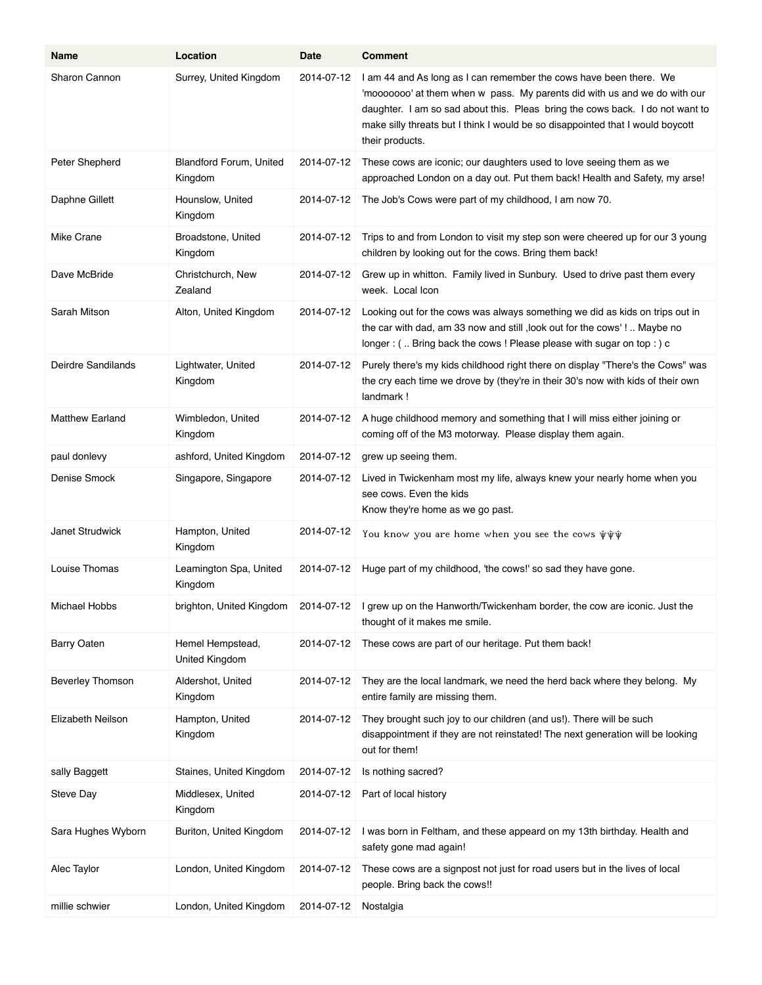| Name                   | Location                                  | Date       | <b>Comment</b>                                                                                                                                                                                                                                                                                                                        |
|------------------------|-------------------------------------------|------------|---------------------------------------------------------------------------------------------------------------------------------------------------------------------------------------------------------------------------------------------------------------------------------------------------------------------------------------|
| Sharon Cannon          | Surrey, United Kingdom                    | 2014-07-12 | I am 44 and As long as I can remember the cows have been there. We<br>'mooooooo' at them when w pass. My parents did with us and we do with our<br>daughter. I am so sad about this. Pleas bring the cows back. I do not want to<br>make silly threats but I think I would be so disappointed that I would boycott<br>their products. |
| Peter Shepherd         | <b>Blandford Forum, United</b><br>Kingdom | 2014-07-12 | These cows are iconic; our daughters used to love seeing them as we<br>approached London on a day out. Put them back! Health and Safety, my arse!                                                                                                                                                                                     |
| Daphne Gillett         | Hounslow, United<br>Kingdom               | 2014-07-12 | The Job's Cows were part of my childhood, I am now 70.                                                                                                                                                                                                                                                                                |
| Mike Crane             | Broadstone, United<br>Kingdom             | 2014-07-12 | Trips to and from London to visit my step son were cheered up for our 3 young<br>children by looking out for the cows. Bring them back!                                                                                                                                                                                               |
| Dave McBride           | Christchurch, New<br>Zealand              | 2014-07-12 | Grew up in whitton. Family lived in Sunbury. Used to drive past them every<br>week. Local Icon                                                                                                                                                                                                                                        |
| Sarah Mitson           | Alton, United Kingdom                     | 2014-07-12 | Looking out for the cows was always something we did as kids on trips out in<br>the car with dad, am 33 now and still, look out for the cows'! Maybe no<br>longer: ( Bring back the cows ! Please please with sugar on top: ) c                                                                                                       |
| Deirdre Sandilands     | Lightwater, United<br>Kingdom             | 2014-07-12 | Purely there's my kids childhood right there on display "There's the Cows" was<br>the cry each time we drove by (they're in their 30's now with kids of their own<br>landmark!                                                                                                                                                        |
| <b>Matthew Earland</b> | Wimbledon, United<br>Kingdom              | 2014-07-12 | A huge childhood memory and something that I will miss either joining or<br>coming off of the M3 motorway. Please display them again.                                                                                                                                                                                                 |
| paul donlevy           | ashford, United Kingdom                   | 2014-07-12 | grew up seeing them.                                                                                                                                                                                                                                                                                                                  |
| Denise Smock           | Singapore, Singapore                      | 2014-07-12 | Lived in Twickenham most my life, always knew your nearly home when you<br>see cows. Even the kids<br>Know they're home as we go past.                                                                                                                                                                                                |
| <b>Janet Strudwick</b> | Hampton, United<br>Kingdom                | 2014-07-12 | You know you are home when you see the cows $\hat{\psi}\hat{\psi}\hat{\psi}$                                                                                                                                                                                                                                                          |
| Louise Thomas          | Leamington Spa, United<br>Kingdom         | 2014-07-12 | Huge part of my childhood, 'the cows!' so sad they have gone.                                                                                                                                                                                                                                                                         |
| Michael Hobbs          | brighton, United Kingdom                  | 2014-07-12 | I grew up on the Hanworth/Twickenham border, the cow are iconic. Just the<br>thought of it makes me smile.                                                                                                                                                                                                                            |
| <b>Barry Oaten</b>     | Hemel Hempstead,<br>United Kingdom        | 2014-07-12 | These cows are part of our heritage. Put them back!                                                                                                                                                                                                                                                                                   |
| Beverley Thomson       | Aldershot, United<br>Kingdom              | 2014-07-12 | They are the local landmark, we need the herd back where they belong. My<br>entire family are missing them.                                                                                                                                                                                                                           |
| Elizabeth Neilson      | Hampton, United<br>Kingdom                | 2014-07-12 | They brought such joy to our children (and us!). There will be such<br>disappointment if they are not reinstated! The next generation will be looking<br>out for them!                                                                                                                                                                |
| sally Baggett          | Staines, United Kingdom                   | 2014-07-12 | Is nothing sacred?                                                                                                                                                                                                                                                                                                                    |
| Steve Day              | Middlesex, United<br>Kingdom              | 2014-07-12 | Part of local history                                                                                                                                                                                                                                                                                                                 |
| Sara Hughes Wyborn     | Buriton, United Kingdom                   | 2014-07-12 | I was born in Feltham, and these appeard on my 13th birthday. Health and<br>safety gone mad again!                                                                                                                                                                                                                                    |
| Alec Taylor            | London, United Kingdom                    | 2014-07-12 | These cows are a signpost not just for road users but in the lives of local<br>people. Bring back the cows!!                                                                                                                                                                                                                          |
| millie schwier         | London, United Kingdom                    | 2014-07-12 | Nostalgia                                                                                                                                                                                                                                                                                                                             |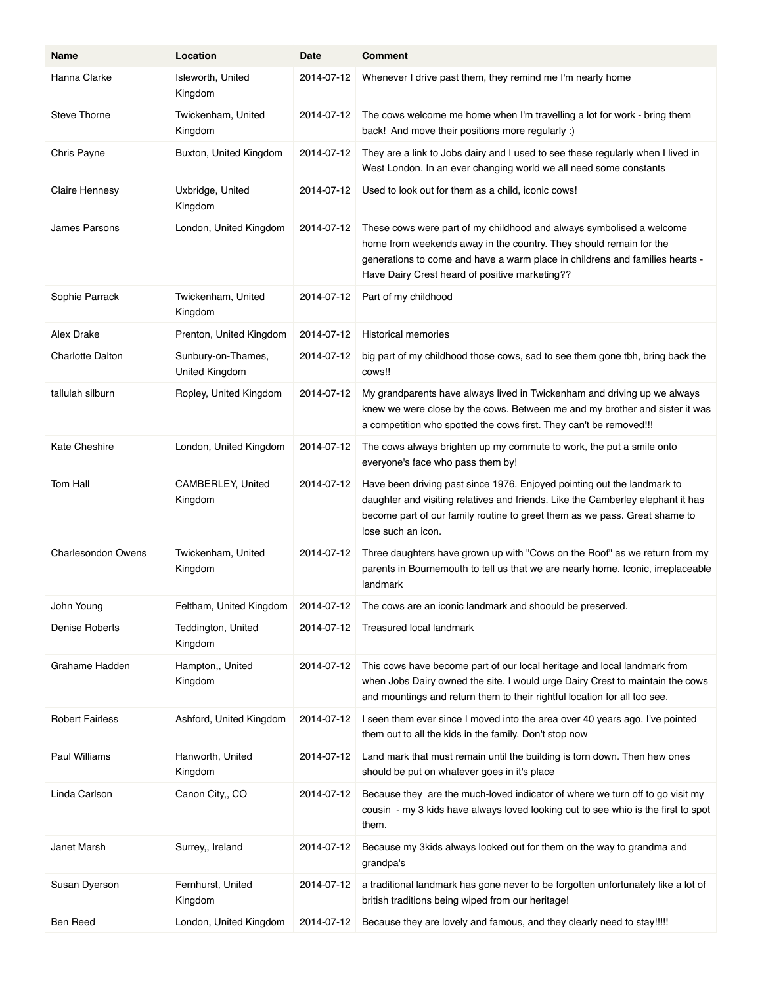| Name                      | Location                             | Date       | <b>Comment</b>                                                                                                                                                                                                                                                               |
|---------------------------|--------------------------------------|------------|------------------------------------------------------------------------------------------------------------------------------------------------------------------------------------------------------------------------------------------------------------------------------|
| Hanna Clarke              | Isleworth, United<br>Kingdom         | 2014-07-12 | Whenever I drive past them, they remind me I'm nearly home                                                                                                                                                                                                                   |
| <b>Steve Thorne</b>       | Twickenham, United<br>Kingdom        | 2014-07-12 | The cows welcome me home when I'm travelling a lot for work - bring them<br>back! And move their positions more regularly :)                                                                                                                                                 |
| Chris Payne               | Buxton, United Kingdom               | 2014-07-12 | They are a link to Jobs dairy and I used to see these regularly when I lived in<br>West London. In an ever changing world we all need some constants                                                                                                                         |
| <b>Claire Hennesy</b>     | Uxbridge, United<br>Kingdom          | 2014-07-12 | Used to look out for them as a child, iconic cows!                                                                                                                                                                                                                           |
| <b>James Parsons</b>      | London, United Kingdom               | 2014-07-12 | These cows were part of my childhood and always symbolised a welcome<br>home from weekends away in the country. They should remain for the<br>generations to come and have a warm place in childrens and families hearts -<br>Have Dairy Crest heard of positive marketing?? |
| Sophie Parrack            | Twickenham, United<br>Kingdom        | 2014-07-12 | Part of my childhood                                                                                                                                                                                                                                                         |
| Alex Drake                | Prenton, United Kingdom              | 2014-07-12 | <b>Historical memories</b>                                                                                                                                                                                                                                                   |
| <b>Charlotte Dalton</b>   | Sunbury-on-Thames,<br>United Kingdom | 2014-07-12 | big part of my childhood those cows, sad to see them gone tbh, bring back the<br>cows!!                                                                                                                                                                                      |
| tallulah silburn          | Ropley, United Kingdom               | 2014-07-12 | My grandparents have always lived in Twickenham and driving up we always<br>knew we were close by the cows. Between me and my brother and sister it was<br>a competition who spotted the cows first. They can't be removed!!!                                                |
| <b>Kate Cheshire</b>      | London, United Kingdom               | 2014-07-12 | The cows always brighten up my commute to work, the put a smile onto<br>everyone's face who pass them by!                                                                                                                                                                    |
| Tom Hall                  | CAMBERLEY, United<br>Kingdom         | 2014-07-12 | Have been driving past since 1976. Enjoyed pointing out the landmark to<br>daughter and visiting relatives and friends. Like the Camberley elephant it has<br>become part of our family routine to greet them as we pass. Great shame to<br>lose such an icon.               |
| <b>Charlesondon Owens</b> | Twickenham, United<br>Kingdom        | 2014-07-12 | Three daughters have grown up with "Cows on the Roof" as we return from my<br>parents in Bournemouth to tell us that we are nearly home. Iconic, irreplaceable<br>landmark                                                                                                   |
| John Young                | Feltham, United Kingdom              | 2014-07-12 | The cows are an iconic landmark and shoould be preserved.                                                                                                                                                                                                                    |
| Denise Roberts            | Teddington, United<br>Kingdom        | 2014-07-12 | Treasured local landmark                                                                                                                                                                                                                                                     |
| Grahame Hadden            | Hampton,, United<br>Kingdom          | 2014-07-12 | This cows have become part of our local heritage and local landmark from<br>when Jobs Dairy owned the site. I would urge Dairy Crest to maintain the cows<br>and mountings and return them to their rightful location for all too see.                                       |
| <b>Robert Fairless</b>    | Ashford, United Kingdom              | 2014-07-12 | I seen them ever since I moved into the area over 40 years ago. I've pointed<br>them out to all the kids in the family. Don't stop now                                                                                                                                       |
| Paul Williams             | Hanworth, United<br>Kingdom          | 2014-07-12 | Land mark that must remain until the building is torn down. Then hew ones<br>should be put on whatever goes in it's place                                                                                                                                                    |
| Linda Carlson             | Canon City,, CO                      | 2014-07-12 | Because they are the much-loved indicator of where we turn off to go visit my<br>cousin - my 3 kids have always loved looking out to see whio is the first to spot<br>them.                                                                                                  |
| Janet Marsh               | Surrey,, Ireland                     | 2014-07-12 | Because my 3kids always looked out for them on the way to grandma and<br>grandpa's                                                                                                                                                                                           |
| Susan Dyerson             | Fernhurst, United<br>Kingdom         | 2014-07-12 | a traditional landmark has gone never to be forgotten unfortunately like a lot of<br>british traditions being wiped from our heritage!                                                                                                                                       |
| Ben Reed                  | London, United Kingdom               | 2014-07-12 | Because they are lovely and famous, and they clearly need to stay!!!!!                                                                                                                                                                                                       |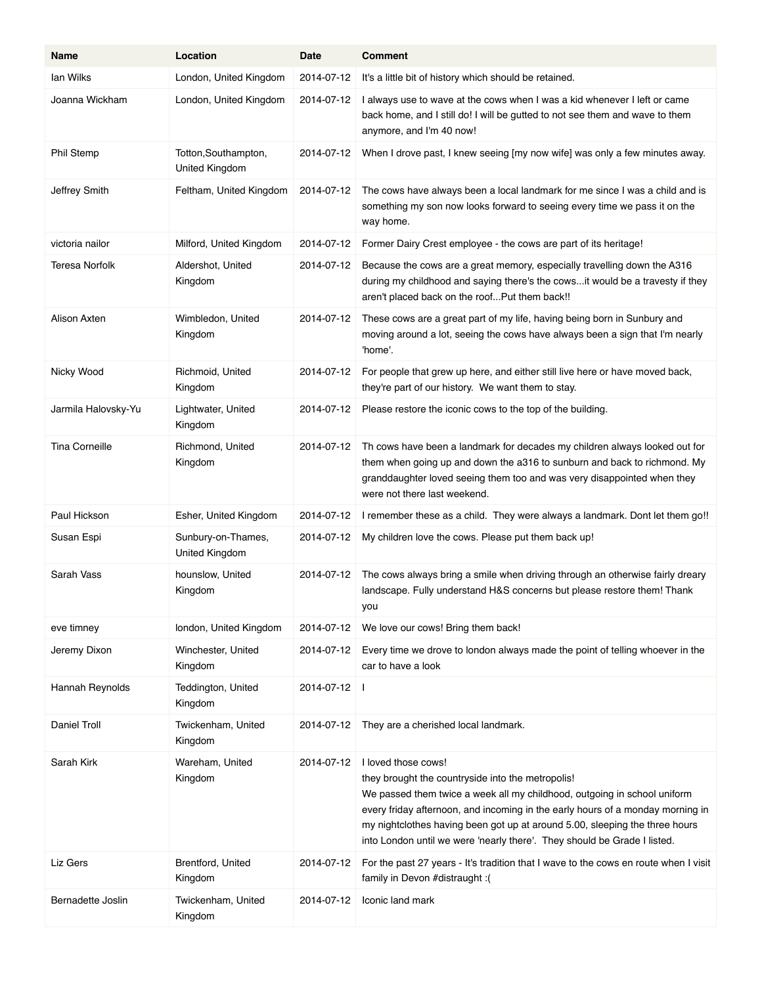| Name                  | Location                               | Date       | <b>Comment</b>                                                                                                                                                                                                                                                                                                                                                                                    |
|-----------------------|----------------------------------------|------------|---------------------------------------------------------------------------------------------------------------------------------------------------------------------------------------------------------------------------------------------------------------------------------------------------------------------------------------------------------------------------------------------------|
| lan Wilks             | London, United Kingdom                 | 2014-07-12 | It's a little bit of history which should be retained.                                                                                                                                                                                                                                                                                                                                            |
| Joanna Wickham        | London, United Kingdom                 | 2014-07-12 | I always use to wave at the cows when I was a kid whenever I left or came<br>back home, and I still do! I will be gutted to not see them and wave to them<br>anymore, and I'm 40 now!                                                                                                                                                                                                             |
| Phil Stemp            | Totton, Southampton,<br>United Kingdom | 2014-07-12 | When I drove past, I knew seeing [my now wife] was only a few minutes away.                                                                                                                                                                                                                                                                                                                       |
| Jeffrey Smith         | Feltham, United Kingdom                | 2014-07-12 | The cows have always been a local landmark for me since I was a child and is<br>something my son now looks forward to seeing every time we pass it on the<br>way home.                                                                                                                                                                                                                            |
| victoria nailor       | Milford, United Kingdom                | 2014-07-12 | Former Dairy Crest employee - the cows are part of its heritage!                                                                                                                                                                                                                                                                                                                                  |
| Teresa Norfolk        | Aldershot, United<br>Kingdom           | 2014-07-12 | Because the cows are a great memory, especially travelling down the A316<br>during my childhood and saying there's the cows it would be a travesty if they<br>aren't placed back on the roofPut them back!!                                                                                                                                                                                       |
| Alison Axten          | Wimbledon, United<br>Kingdom           | 2014-07-12 | These cows are a great part of my life, having being born in Sunbury and<br>moving around a lot, seeing the cows have always been a sign that I'm nearly<br>'home'.                                                                                                                                                                                                                               |
| Nicky Wood            | Richmoid, United<br>Kingdom            | 2014-07-12 | For people that grew up here, and either still live here or have moved back,<br>they're part of our history. We want them to stay.                                                                                                                                                                                                                                                                |
| Jarmila Halovsky-Yu   | Lightwater, United<br>Kingdom          | 2014-07-12 | Please restore the iconic cows to the top of the building.                                                                                                                                                                                                                                                                                                                                        |
| <b>Tina Corneille</b> | Richmond, United<br>Kingdom            |            | 2014-07-12 Th cows have been a landmark for decades my children always looked out for<br>them when going up and down the a316 to sunburn and back to richmond. My<br>granddaughter loved seeing them too and was very disappointed when they<br>were not there last weekend.                                                                                                                      |
| Paul Hickson          | Esher, United Kingdom                  | 2014-07-12 | I remember these as a child. They were always a landmark. Dont let them go!!                                                                                                                                                                                                                                                                                                                      |
| Susan Espi            | Sunbury-on-Thames,<br>United Kingdom   | 2014-07-12 | My children love the cows. Please put them back up!                                                                                                                                                                                                                                                                                                                                               |
| Sarah Vass            | hounslow, United<br>Kingdom            | 2014-07-12 | The cows always bring a smile when driving through an otherwise fairly dreary<br>landscape. Fully understand H&S concerns but please restore them! Thank<br>you                                                                                                                                                                                                                                   |
| eve timney            | london, United Kingdom                 | 2014-07-12 | We love our cows! Bring them back!                                                                                                                                                                                                                                                                                                                                                                |
| Jeremy Dixon          | Winchester, United<br>Kingdom          | 2014-07-12 | Every time we drove to london always made the point of telling whoever in the<br>car to have a look                                                                                                                                                                                                                                                                                               |
| Hannah Reynolds       | Teddington, United<br>Kingdom          | 2014-07-12 | -1                                                                                                                                                                                                                                                                                                                                                                                                |
| Daniel Troll          | Twickenham, United<br>Kingdom          | 2014-07-12 | They are a cherished local landmark.                                                                                                                                                                                                                                                                                                                                                              |
| Sarah Kirk            | Wareham, United<br>Kingdom             | 2014-07-12 | I loved those cows!<br>they brought the countryside into the metropolis!<br>We passed them twice a week all my childhood, outgoing in school uniform<br>every friday afternoon, and incoming in the early hours of a monday morning in<br>my nightclothes having been got up at around 5.00, sleeping the three hours<br>into London until we were 'nearly there'. They should be Grade I listed. |
| Liz Gers              | Brentford, United<br>Kingdom           | 2014-07-12 | For the past 27 years - It's tradition that I wave to the cows en route when I visit<br>family in Devon #distraught :(                                                                                                                                                                                                                                                                            |
| Bernadette Joslin     | Twickenham, United<br>Kingdom          | 2014-07-12 | Iconic land mark                                                                                                                                                                                                                                                                                                                                                                                  |